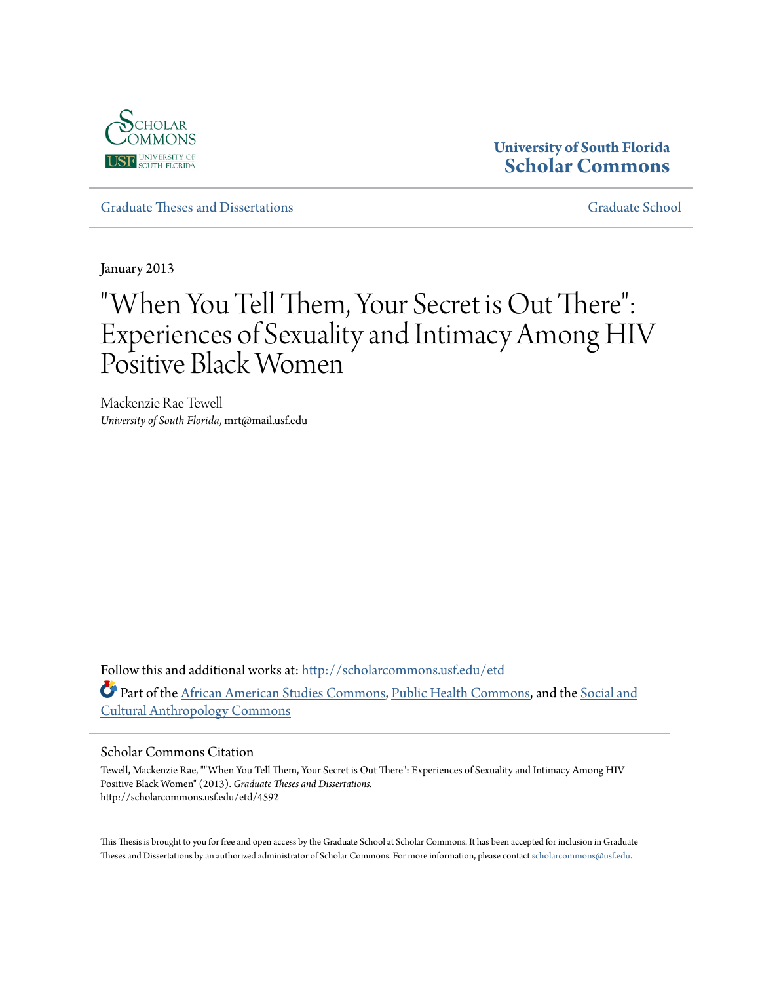

# **University of South Florida [Scholar Commons](http://scholarcommons.usf.edu?utm_source=scholarcommons.usf.edu%2Fetd%2F4592&utm_medium=PDF&utm_campaign=PDFCoverPages)**

[Graduate Theses and Dissertations](http://scholarcommons.usf.edu/etd?utm_source=scholarcommons.usf.edu%2Fetd%2F4592&utm_medium=PDF&utm_campaign=PDFCoverPages) [Graduate School](http://scholarcommons.usf.edu/grad?utm_source=scholarcommons.usf.edu%2Fetd%2F4592&utm_medium=PDF&utm_campaign=PDFCoverPages)

January 2013

# "When You Tell Them, Your Secret is Out There": Experiences of Sexuality and Intimacy Among HIV Positive Black Women

Mackenzie Rae Tewell *University of South Florida*, mrt@mail.usf.edu

Follow this and additional works at: [http://scholarcommons.usf.edu/etd](http://scholarcommons.usf.edu/etd?utm_source=scholarcommons.usf.edu%2Fetd%2F4592&utm_medium=PDF&utm_campaign=PDFCoverPages) Part of the [African American Studies Commons,](http://network.bepress.com/hgg/discipline/567?utm_source=scholarcommons.usf.edu%2Fetd%2F4592&utm_medium=PDF&utm_campaign=PDFCoverPages) [Public Health Commons](http://network.bepress.com/hgg/discipline/738?utm_source=scholarcommons.usf.edu%2Fetd%2F4592&utm_medium=PDF&utm_campaign=PDFCoverPages), and the [Social and](http://network.bepress.com/hgg/discipline/323?utm_source=scholarcommons.usf.edu%2Fetd%2F4592&utm_medium=PDF&utm_campaign=PDFCoverPages) [Cultural Anthropology Commons](http://network.bepress.com/hgg/discipline/323?utm_source=scholarcommons.usf.edu%2Fetd%2F4592&utm_medium=PDF&utm_campaign=PDFCoverPages)

#### Scholar Commons Citation

Tewell, Mackenzie Rae, ""When You Tell Them, Your Secret is Out There": Experiences of Sexuality and Intimacy Among HIV Positive Black Women" (2013). *Graduate Theses and Dissertations.* http://scholarcommons.usf.edu/etd/4592

This Thesis is brought to you for free and open access by the Graduate School at Scholar Commons. It has been accepted for inclusion in Graduate Theses and Dissertations by an authorized administrator of Scholar Commons. For more information, please contact [scholarcommons@usf.edu.](mailto:scholarcommons@usf.edu)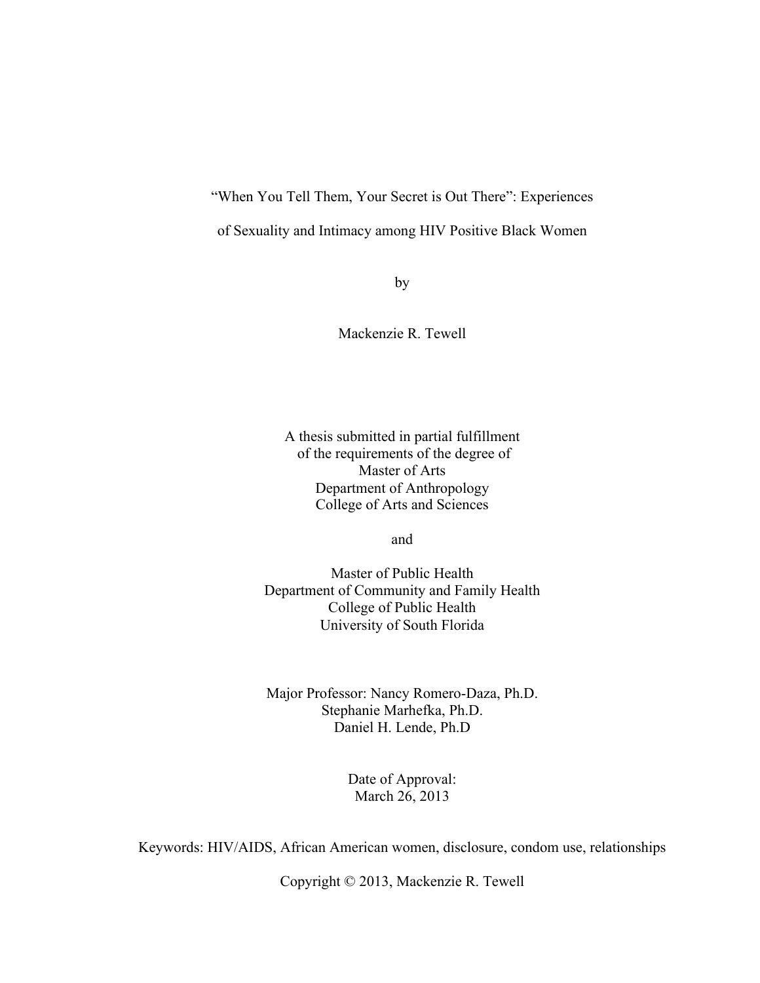"When You Tell Them, Your Secret is Out There": Experiences

of Sexuality and Intimacy among HIV Positive Black Women

by

Mackenzie R. Tewell

A thesis submitted in partial fulfillment of the requirements of the degree of Master of Arts Department of Anthropology College of Arts and Sciences

and

Master of Public Health Department of Community and Family Health College of Public Health University of South Florida

Major Professor: Nancy Romero-Daza, Ph.D. Stephanie Marhefka, Ph.D. Daniel H. Lende, Ph.D

> Date of Approval: March 26, 2013

Keywords: HIV/AIDS, African American women, disclosure, condom use, relationships

Copyright © 2013, Mackenzie R. Tewell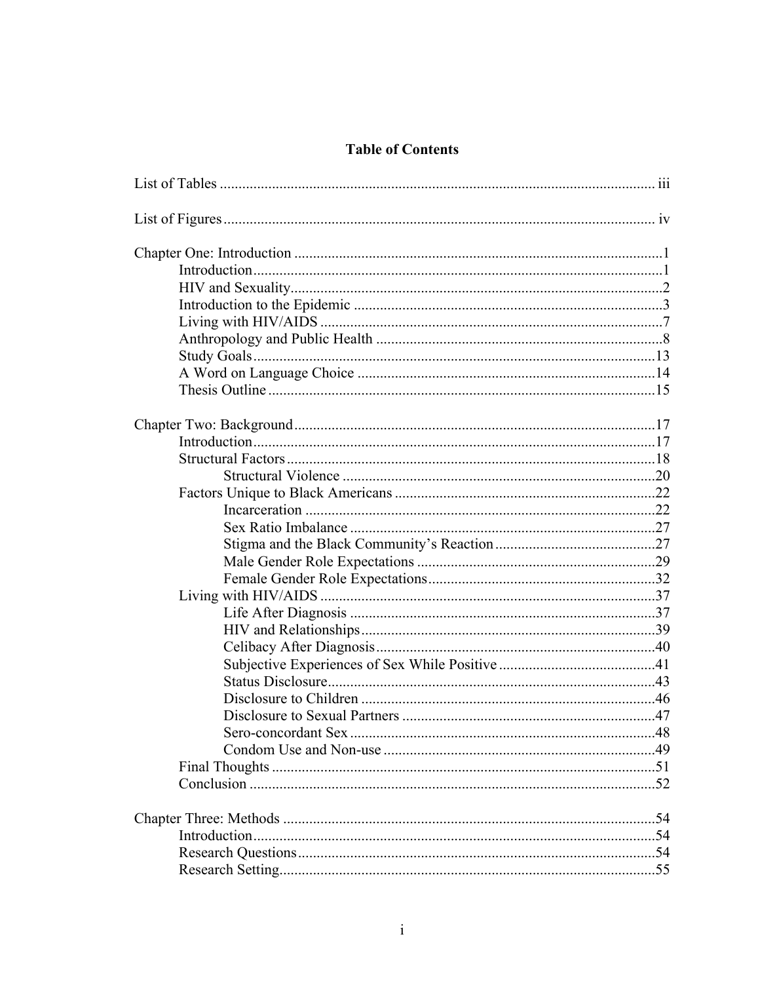# **Table of Contents**

| 48<br>Sero-concordant Sex |  |
|---------------------------|--|
|                           |  |
|                           |  |
|                           |  |
|                           |  |
|                           |  |
|                           |  |
|                           |  |
|                           |  |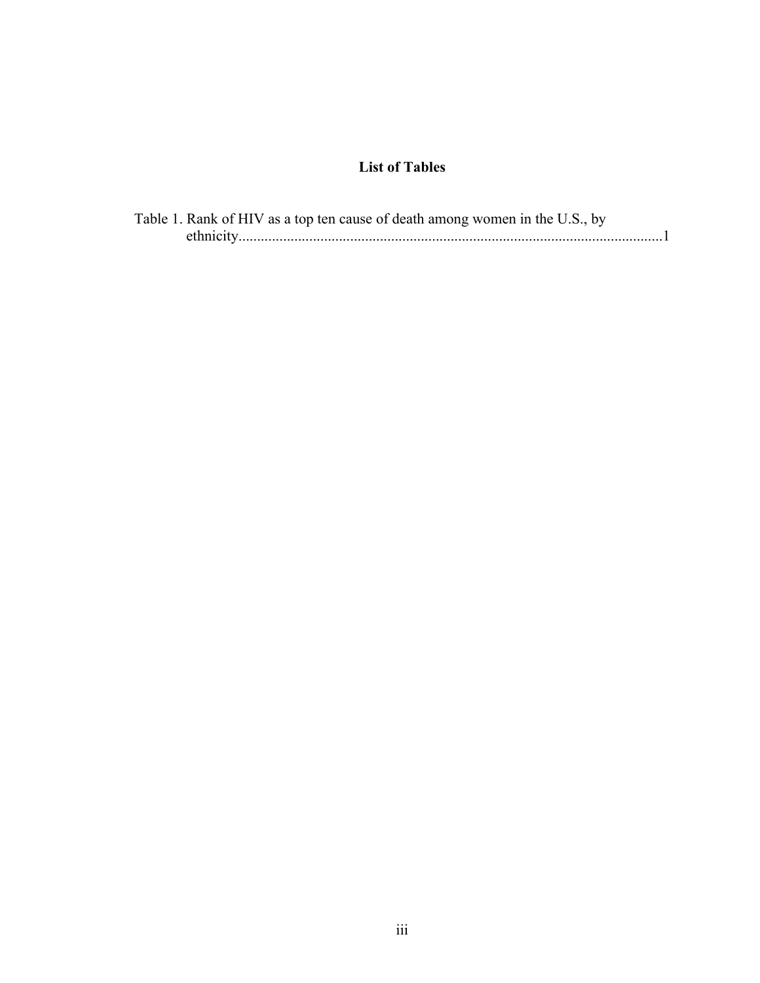# **List of Tables**

| Table 1. Rank of HIV as a top ten cause of death among women in the U.S., by |  |
|------------------------------------------------------------------------------|--|
|                                                                              |  |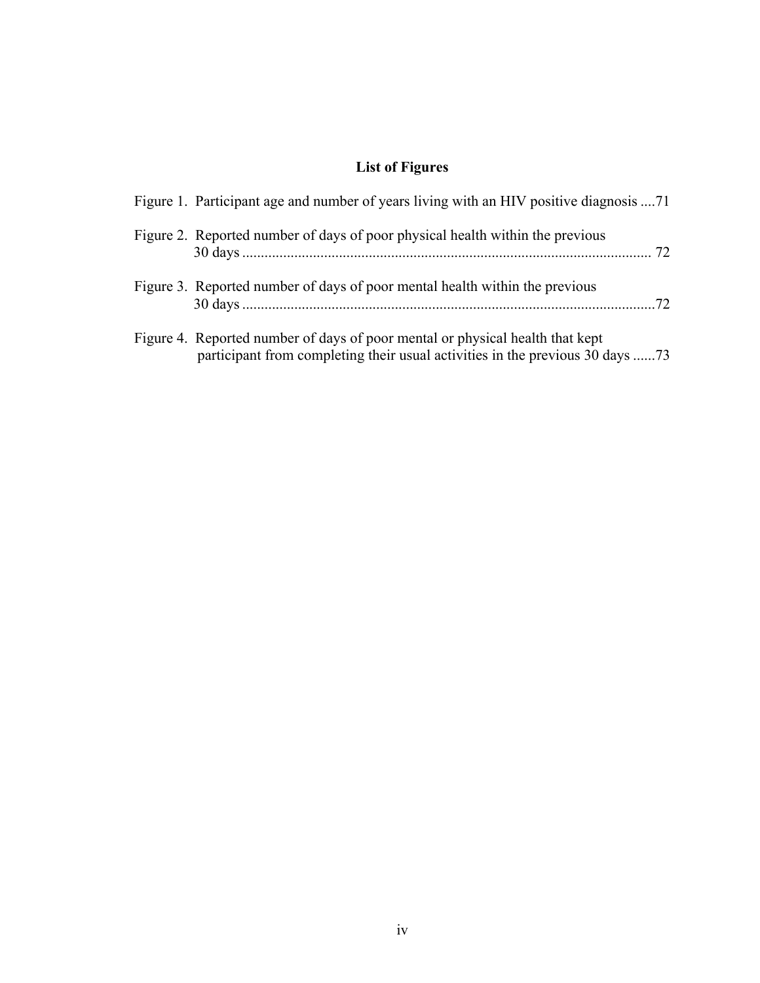# **List of Figures**

| Figure 1. Participant age and number of years living with an HIV positive diagnosis  71                                                                        |  |
|----------------------------------------------------------------------------------------------------------------------------------------------------------------|--|
| Figure 2. Reported number of days of poor physical health within the previous                                                                                  |  |
| Figure 3. Reported number of days of poor mental health within the previous                                                                                    |  |
| Figure 4. Reported number of days of poor mental or physical health that kept<br>participant from completing their usual activities in the previous 30 days 73 |  |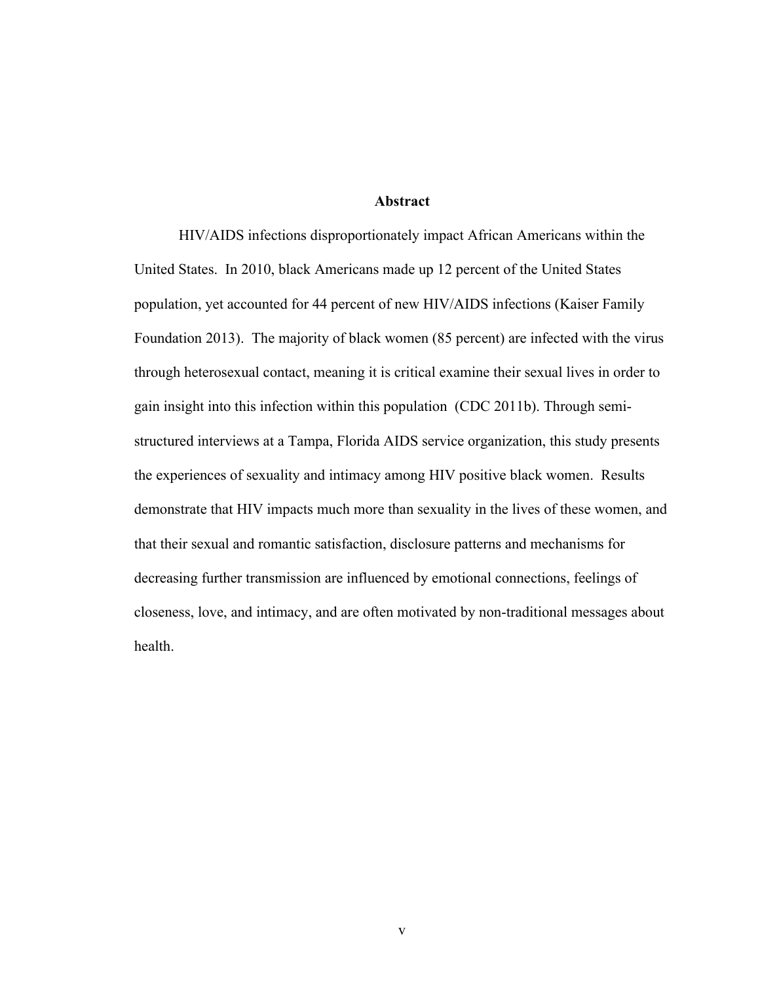#### **Abstract**

HIV/AIDS infections disproportionately impact African Americans within the United States. In 2010, black Americans made up 12 percent of the United States population, yet accounted for 44 percent of new HIV/AIDS infections (Kaiser Family Foundation 2013). The majority of black women (85 percent) are infected with the virus through heterosexual contact, meaning it is critical examine their sexual lives in order to gain insight into this infection within this population (CDC 2011b). Through semistructured interviews at a Tampa, Florida AIDS service organization, this study presents the experiences of sexuality and intimacy among HIV positive black women. Results demonstrate that HIV impacts much more than sexuality in the lives of these women, and that their sexual and romantic satisfaction, disclosure patterns and mechanisms for decreasing further transmission are influenced by emotional connections, feelings of closeness, love, and intimacy, and are often motivated by non-traditional messages about health.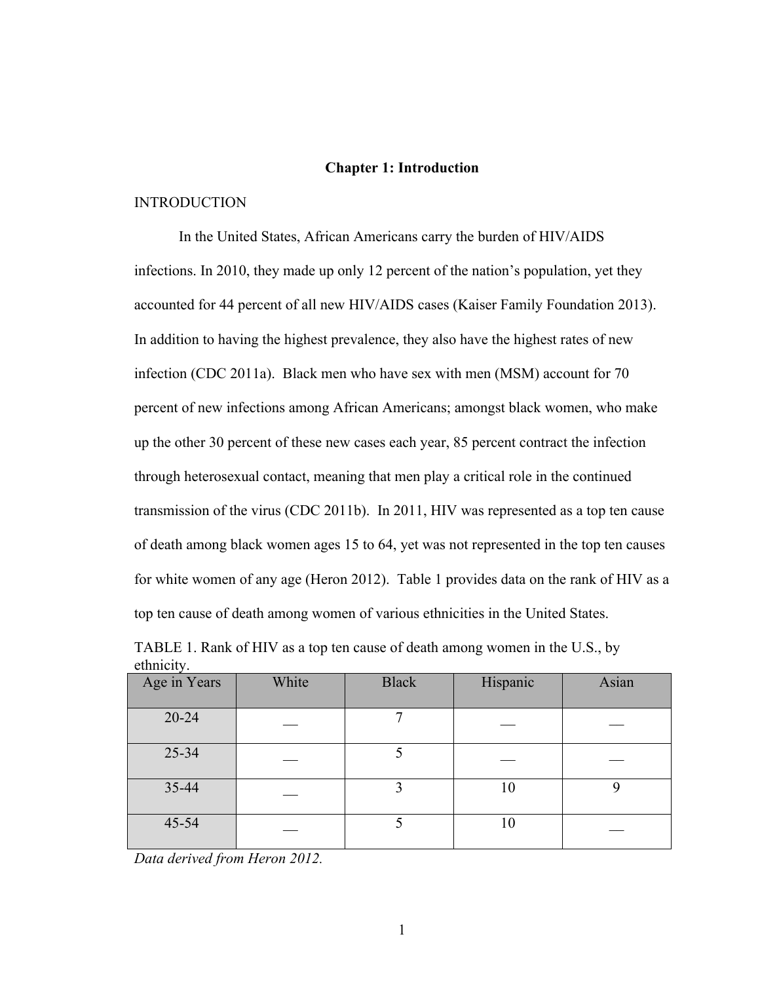#### **Chapter 1: Introduction**

#### INTRODUCTION

In the United States, African Americans carry the burden of HIV/AIDS infections. In 2010, they made up only 12 percent of the nation's population, yet they accounted for 44 percent of all new HIV/AIDS cases (Kaiser Family Foundation 2013). In addition to having the highest prevalence, they also have the highest rates of new infection (CDC 2011a). Black men who have sex with men (MSM) account for 70 percent of new infections among African Americans; amongst black women, who make up the other 30 percent of these new cases each year, 85 percent contract the infection through heterosexual contact, meaning that men play a critical role in the continued transmission of the virus (CDC 2011b). In 2011, HIV was represented as a top ten cause of death among black women ages 15 to 64, yet was not represented in the top ten causes for white women of any age (Heron 2012). Table 1 provides data on the rank of HIV as a top ten cause of death among women of various ethnicities in the United States.

| Age in Years | White | <b>Black</b> | Hispanic | Asian |
|--------------|-------|--------------|----------|-------|
| $20 - 24$    |       | −            |          |       |
| 25-34        |       |              |          |       |
| 35-44        |       |              | 10       |       |
| 45-54        |       |              | 10       |       |

TABLE 1. Rank of HIV as a top ten cause of death among women in the U.S., by ethnicity.

*Data derived from Heron 2012.*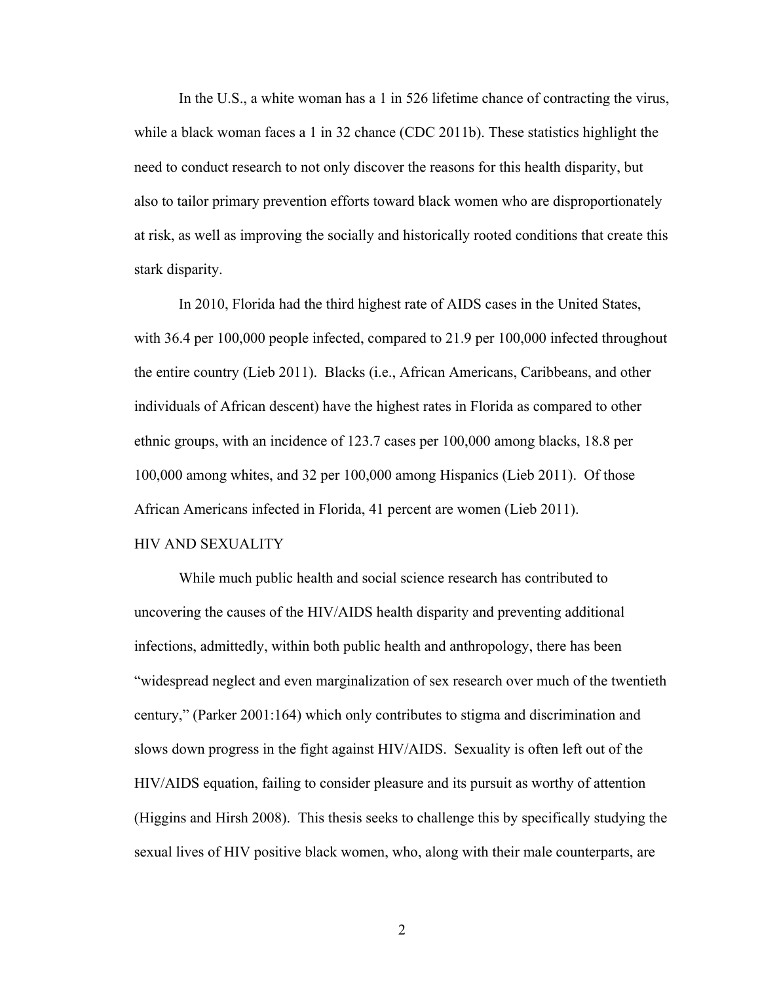In the U.S., a white woman has a 1 in 526 lifetime chance of contracting the virus, while a black woman faces a 1 in 32 chance (CDC 2011b). These statistics highlight the need to conduct research to not only discover the reasons for this health disparity, but also to tailor primary prevention efforts toward black women who are disproportionately at risk, as well as improving the socially and historically rooted conditions that create this stark disparity.

In 2010, Florida had the third highest rate of AIDS cases in the United States, with 36.4 per 100,000 people infected, compared to 21.9 per 100,000 infected throughout the entire country (Lieb 2011). Blacks (i.e., African Americans, Caribbeans, and other individuals of African descent) have the highest rates in Florida as compared to other ethnic groups, with an incidence of 123.7 cases per 100,000 among blacks, 18.8 per 100,000 among whites, and 32 per 100,000 among Hispanics (Lieb 2011). Of those African Americans infected in Florida, 41 percent are women (Lieb 2011).

## HIV AND SEXUALITY

While much public health and social science research has contributed to uncovering the causes of the HIV/AIDS health disparity and preventing additional infections, admittedly, within both public health and anthropology, there has been "widespread neglect and even marginalization of sex research over much of the twentieth century," (Parker 2001:164) which only contributes to stigma and discrimination and slows down progress in the fight against HIV/AIDS. Sexuality is often left out of the HIV/AIDS equation, failing to consider pleasure and its pursuit as worthy of attention (Higgins and Hirsh 2008). This thesis seeks to challenge this by specifically studying the sexual lives of HIV positive black women, who, along with their male counterparts, are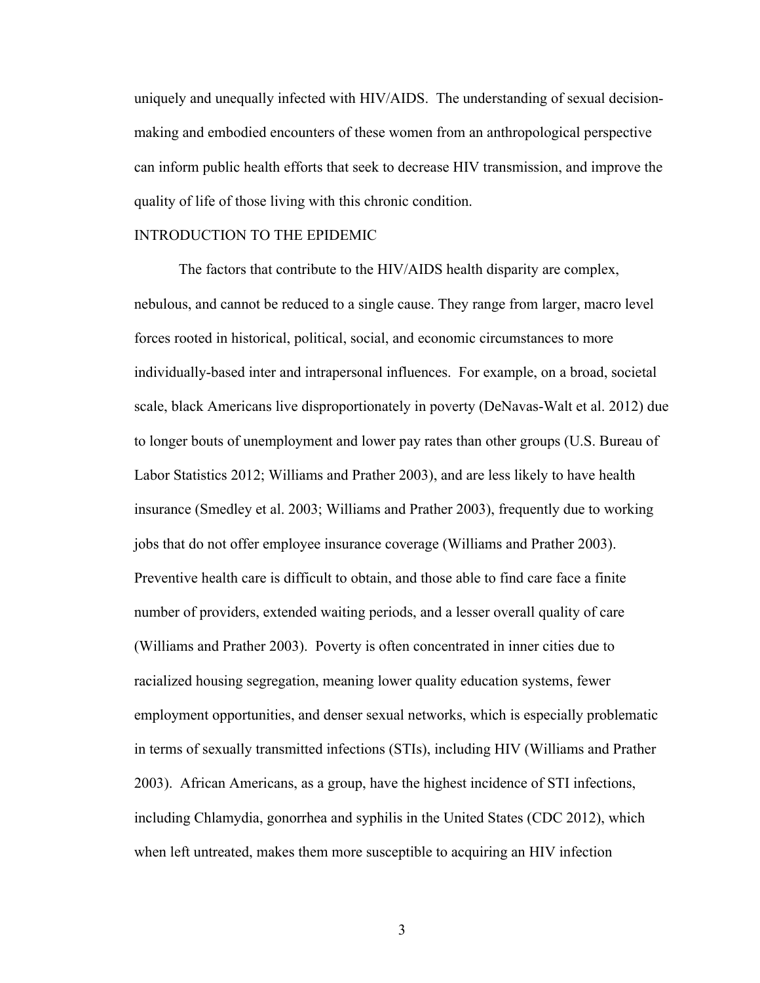uniquely and unequally infected with HIV/AIDS. The understanding of sexual decisionmaking and embodied encounters of these women from an anthropological perspective can inform public health efforts that seek to decrease HIV transmission, and improve the quality of life of those living with this chronic condition.

#### INTRODUCTION TO THE EPIDEMIC

The factors that contribute to the HIV/AIDS health disparity are complex, nebulous, and cannot be reduced to a single cause. They range from larger, macro level forces rooted in historical, political, social, and economic circumstances to more individually-based inter and intrapersonal influences. For example, on a broad, societal scale, black Americans live disproportionately in poverty (DeNavas-Walt et al. 2012) due to longer bouts of unemployment and lower pay rates than other groups (U.S. Bureau of Labor Statistics 2012; Williams and Prather 2003), and are less likely to have health insurance (Smedley et al. 2003; Williams and Prather 2003), frequently due to working jobs that do not offer employee insurance coverage (Williams and Prather 2003). Preventive health care is difficult to obtain, and those able to find care face a finite number of providers, extended waiting periods, and a lesser overall quality of care (Williams and Prather 2003). Poverty is often concentrated in inner cities due to racialized housing segregation, meaning lower quality education systems, fewer employment opportunities, and denser sexual networks, which is especially problematic in terms of sexually transmitted infections (STIs), including HIV (Williams and Prather 2003). African Americans, as a group, have the highest incidence of STI infections, including Chlamydia, gonorrhea and syphilis in the United States (CDC 2012), which when left untreated, makes them more susceptible to acquiring an HIV infection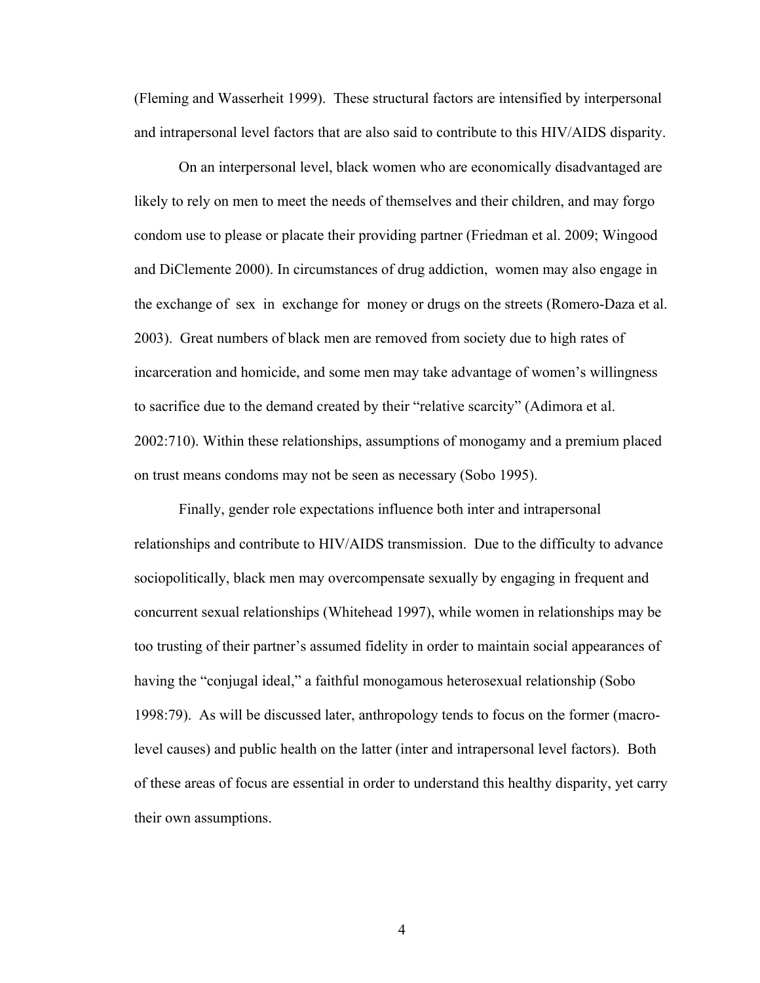(Fleming and Wasserheit 1999). These structural factors are intensified by interpersonal and intrapersonal level factors that are also said to contribute to this HIV/AIDS disparity.

On an interpersonal level, black women who are economically disadvantaged are likely to rely on men to meet the needs of themselves and their children, and may forgo condom use to please or placate their providing partner (Friedman et al. 2009; Wingood and DiClemente 2000). In circumstances of drug addiction, women may also engage in the exchange of sex in exchange for money or drugs on the streets (Romero-Daza et al. 2003). Great numbers of black men are removed from society due to high rates of incarceration and homicide, and some men may take advantage of women's willingness to sacrifice due to the demand created by their "relative scarcity" (Adimora et al. 2002:710). Within these relationships, assumptions of monogamy and a premium placed on trust means condoms may not be seen as necessary (Sobo 1995).

Finally, gender role expectations influence both inter and intrapersonal relationships and contribute to HIV/AIDS transmission. Due to the difficulty to advance sociopolitically, black men may overcompensate sexually by engaging in frequent and concurrent sexual relationships (Whitehead 1997), while women in relationships may be too trusting of their partner's assumed fidelity in order to maintain social appearances of having the "conjugal ideal," a faithful monogamous heterosexual relationship (Sobo 1998:79). As will be discussed later, anthropology tends to focus on the former (macrolevel causes) and public health on the latter (inter and intrapersonal level factors). Both of these areas of focus are essential in order to understand this healthy disparity, yet carry their own assumptions.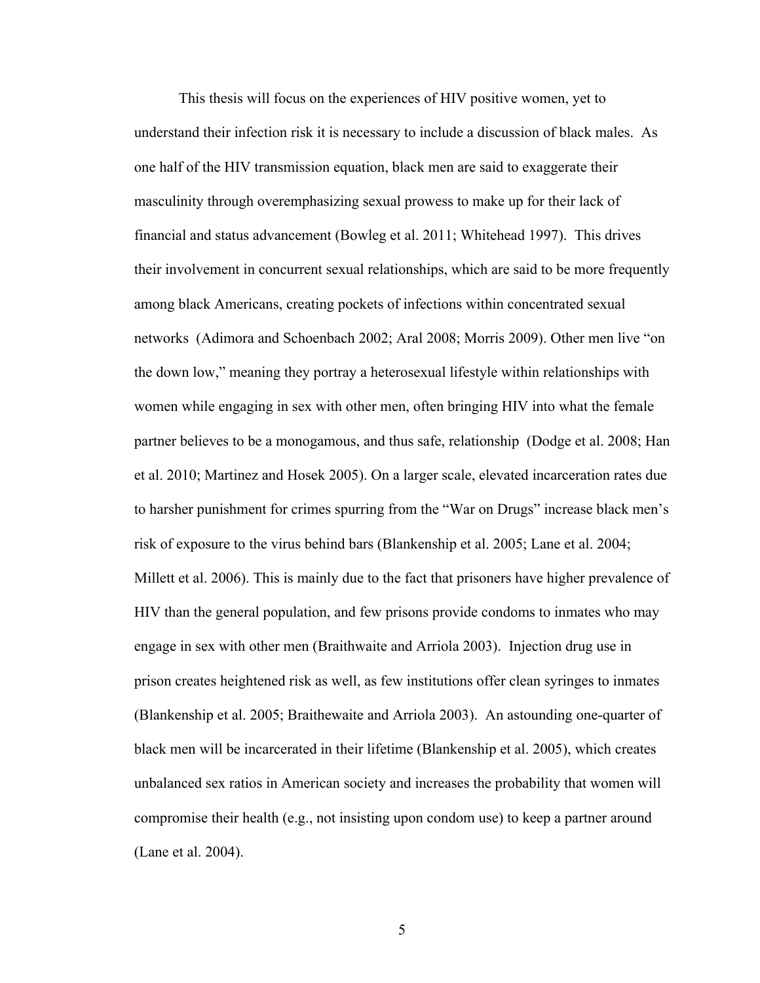This thesis will focus on the experiences of HIV positive women, yet to understand their infection risk it is necessary to include a discussion of black males. As one half of the HIV transmission equation, black men are said to exaggerate their masculinity through overemphasizing sexual prowess to make up for their lack of financial and status advancement (Bowleg et al. 2011; Whitehead 1997). This drives their involvement in concurrent sexual relationships, which are said to be more frequently among black Americans, creating pockets of infections within concentrated sexual networks (Adimora and Schoenbach 2002; Aral 2008; Morris 2009). Other men live "on the down low," meaning they portray a heterosexual lifestyle within relationships with women while engaging in sex with other men, often bringing HIV into what the female partner believes to be a monogamous, and thus safe, relationship (Dodge et al. 2008; Han et al. 2010; Martinez and Hosek 2005). On a larger scale, elevated incarceration rates due to harsher punishment for crimes spurring from the "War on Drugs" increase black men's risk of exposure to the virus behind bars (Blankenship et al. 2005; Lane et al. 2004; Millett et al. 2006). This is mainly due to the fact that prisoners have higher prevalence of HIV than the general population, and few prisons provide condoms to inmates who may engage in sex with other men (Braithwaite and Arriola 2003). Injection drug use in prison creates heightened risk as well, as few institutions offer clean syringes to inmates (Blankenship et al. 2005; Braithewaite and Arriola 2003). An astounding one-quarter of black men will be incarcerated in their lifetime (Blankenship et al. 2005), which creates unbalanced sex ratios in American society and increases the probability that women will compromise their health (e.g., not insisting upon condom use) to keep a partner around (Lane et al. 2004).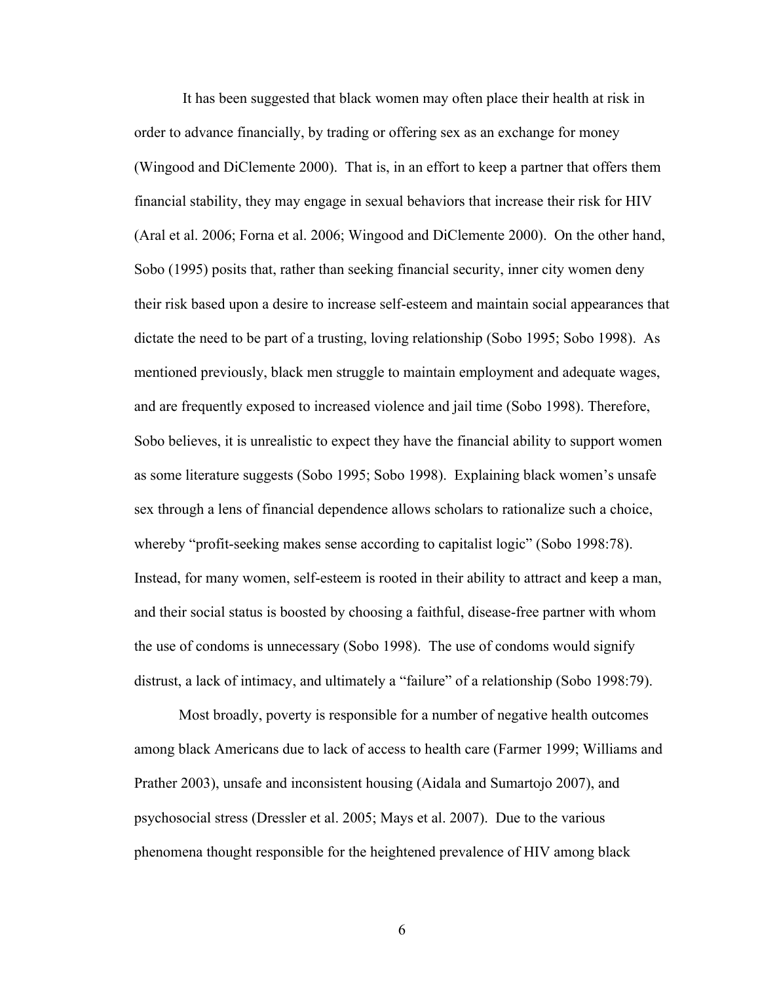It has been suggested that black women may often place their health at risk in order to advance financially, by trading or offering sex as an exchange for money (Wingood and DiClemente 2000). That is, in an effort to keep a partner that offers them financial stability, they may engage in sexual behaviors that increase their risk for HIV (Aral et al. 2006; Forna et al. 2006; Wingood and DiClemente 2000). On the other hand, Sobo (1995) posits that, rather than seeking financial security, inner city women deny their risk based upon a desire to increase self-esteem and maintain social appearances that dictate the need to be part of a trusting, loving relationship (Sobo 1995; Sobo 1998). As mentioned previously, black men struggle to maintain employment and adequate wages, and are frequently exposed to increased violence and jail time (Sobo 1998). Therefore, Sobo believes, it is unrealistic to expect they have the financial ability to support women as some literature suggests (Sobo 1995; Sobo 1998). Explaining black women's unsafe sex through a lens of financial dependence allows scholars to rationalize such a choice, whereby "profit-seeking makes sense according to capitalist logic" (Sobo 1998:78). Instead, for many women, self-esteem is rooted in their ability to attract and keep a man, and their social status is boosted by choosing a faithful, disease-free partner with whom the use of condoms is unnecessary (Sobo 1998). The use of condoms would signify distrust, a lack of intimacy, and ultimately a "failure" of a relationship (Sobo 1998:79).

Most broadly, poverty is responsible for a number of negative health outcomes among black Americans due to lack of access to health care (Farmer 1999; Williams and Prather 2003), unsafe and inconsistent housing (Aidala and Sumartojo 2007), and psychosocial stress (Dressler et al. 2005; Mays et al. 2007). Due to the various phenomena thought responsible for the heightened prevalence of HIV among black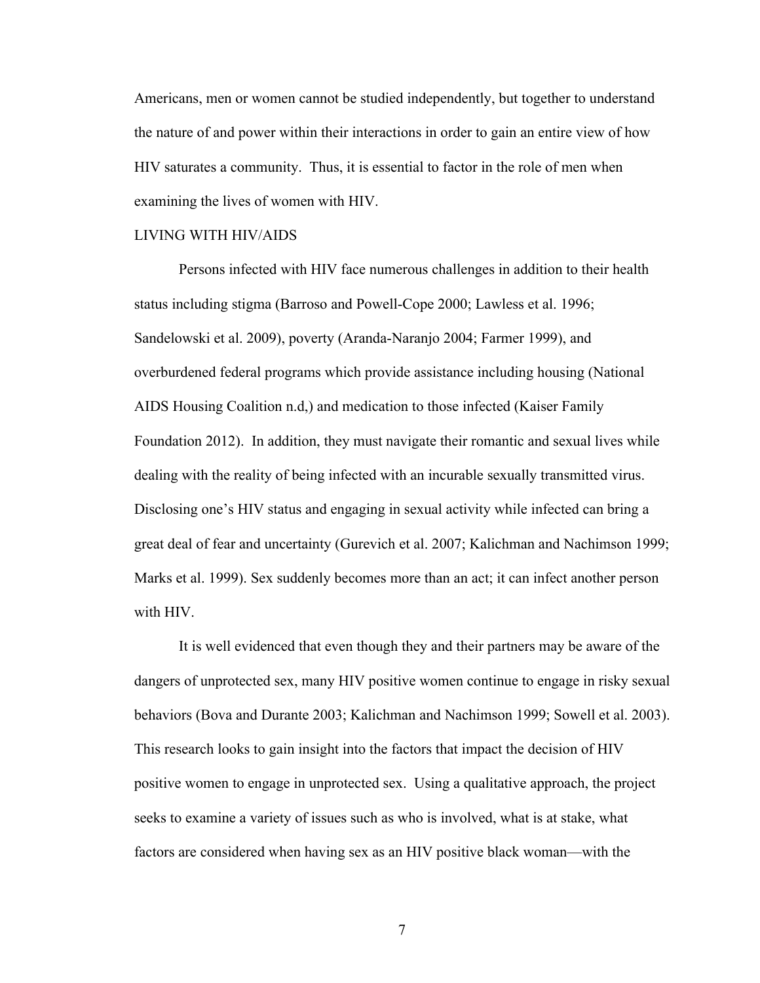Americans, men or women cannot be studied independently, but together to understand the nature of and power within their interactions in order to gain an entire view of how HIV saturates a community. Thus, it is essential to factor in the role of men when examining the lives of women with HIV.

## LIVING WITH HIV/AIDS

Persons infected with HIV face numerous challenges in addition to their health status including stigma (Barroso and Powell-Cope 2000; Lawless et al. 1996; Sandelowski et al. 2009), poverty (Aranda-Naranjo 2004; Farmer 1999), and overburdened federal programs which provide assistance including housing (National AIDS Housing Coalition n.d,) and medication to those infected (Kaiser Family Foundation 2012). In addition, they must navigate their romantic and sexual lives while dealing with the reality of being infected with an incurable sexually transmitted virus. Disclosing one's HIV status and engaging in sexual activity while infected can bring a great deal of fear and uncertainty (Gurevich et al. 2007; Kalichman and Nachimson 1999; Marks et al. 1999). Sex suddenly becomes more than an act; it can infect another person with HIV.

It is well evidenced that even though they and their partners may be aware of the dangers of unprotected sex, many HIV positive women continue to engage in risky sexual behaviors (Bova and Durante 2003; Kalichman and Nachimson 1999; Sowell et al. 2003). This research looks to gain insight into the factors that impact the decision of HIV positive women to engage in unprotected sex. Using a qualitative approach, the project seeks to examine a variety of issues such as who is involved, what is at stake, what factors are considered when having sex as an HIV positive black woman—with the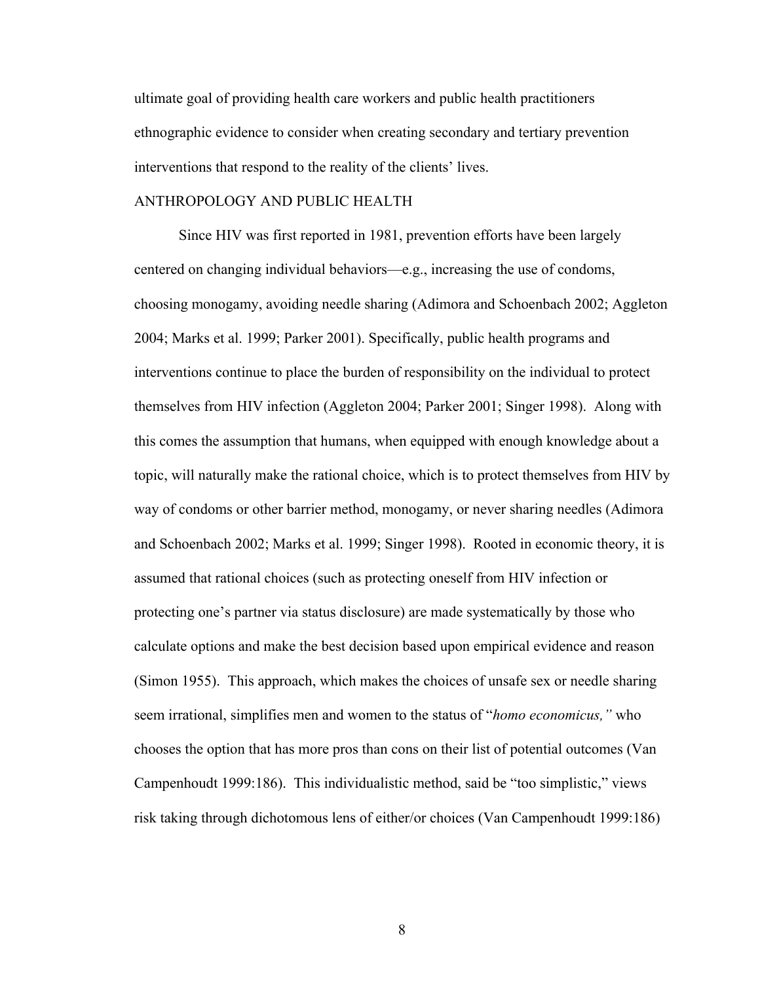ultimate goal of providing health care workers and public health practitioners ethnographic evidence to consider when creating secondary and tertiary prevention interventions that respond to the reality of the clients' lives.

## ANTHROPOLOGY AND PUBLIC HEALTH

Since HIV was first reported in 1981, prevention efforts have been largely centered on changing individual behaviors—e.g., increasing the use of condoms, choosing monogamy, avoiding needle sharing (Adimora and Schoenbach 2002; Aggleton 2004; Marks et al. 1999; Parker 2001). Specifically, public health programs and interventions continue to place the burden of responsibility on the individual to protect themselves from HIV infection (Aggleton 2004; Parker 2001; Singer 1998). Along with this comes the assumption that humans, when equipped with enough knowledge about a topic, will naturally make the rational choice, which is to protect themselves from HIV by way of condoms or other barrier method, monogamy, or never sharing needles (Adimora and Schoenbach 2002; Marks et al. 1999; Singer 1998). Rooted in economic theory, it is assumed that rational choices (such as protecting oneself from HIV infection or protecting one's partner via status disclosure) are made systematically by those who calculate options and make the best decision based upon empirical evidence and reason (Simon 1955). This approach, which makes the choices of unsafe sex or needle sharing seem irrational, simplifies men and women to the status of "*homo economicus,"* who chooses the option that has more pros than cons on their list of potential outcomes (Van Campenhoudt 1999:186). This individualistic method, said be "too simplistic," views risk taking through dichotomous lens of either/or choices (Van Campenhoudt 1999:186)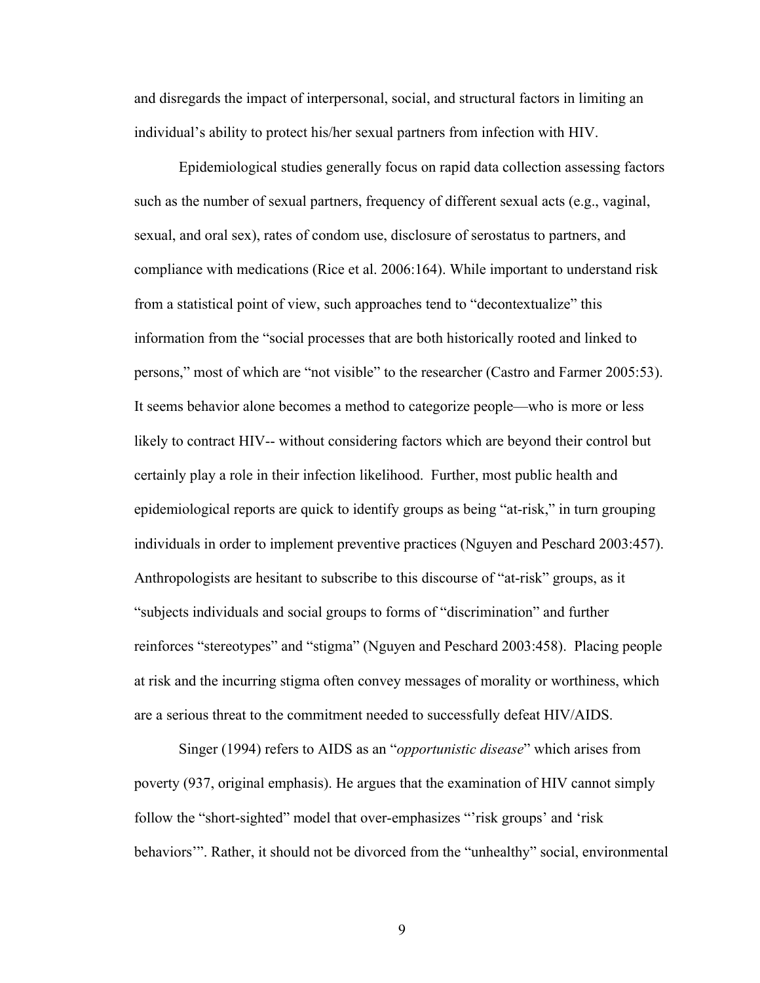and disregards the impact of interpersonal, social, and structural factors in limiting an individual's ability to protect his/her sexual partners from infection with HIV.

Epidemiological studies generally focus on rapid data collection assessing factors such as the number of sexual partners, frequency of different sexual acts (e.g., vaginal, sexual, and oral sex), rates of condom use, disclosure of serostatus to partners, and compliance with medications (Rice et al. 2006:164). While important to understand risk from a statistical point of view, such approaches tend to "decontextualize" this information from the "social processes that are both historically rooted and linked to persons," most of which are "not visible" to the researcher (Castro and Farmer 2005:53). It seems behavior alone becomes a method to categorize people—who is more or less likely to contract HIV-- without considering factors which are beyond their control but certainly play a role in their infection likelihood. Further, most public health and epidemiological reports are quick to identify groups as being "at-risk," in turn grouping individuals in order to implement preventive practices (Nguyen and Peschard 2003:457). Anthropologists are hesitant to subscribe to this discourse of "at-risk" groups, as it "subjects individuals and social groups to forms of "discrimination" and further reinforces "stereotypes" and "stigma" (Nguyen and Peschard 2003:458). Placing people at risk and the incurring stigma often convey messages of morality or worthiness, which are a serious threat to the commitment needed to successfully defeat HIV/AIDS.

Singer (1994) refers to AIDS as an "*opportunistic disease*" which arises from poverty (937, original emphasis). He argues that the examination of HIV cannot simply follow the "short-sighted" model that over-emphasizes "'risk groups' and 'risk behaviors'". Rather, it should not be divorced from the "unhealthy" social, environmental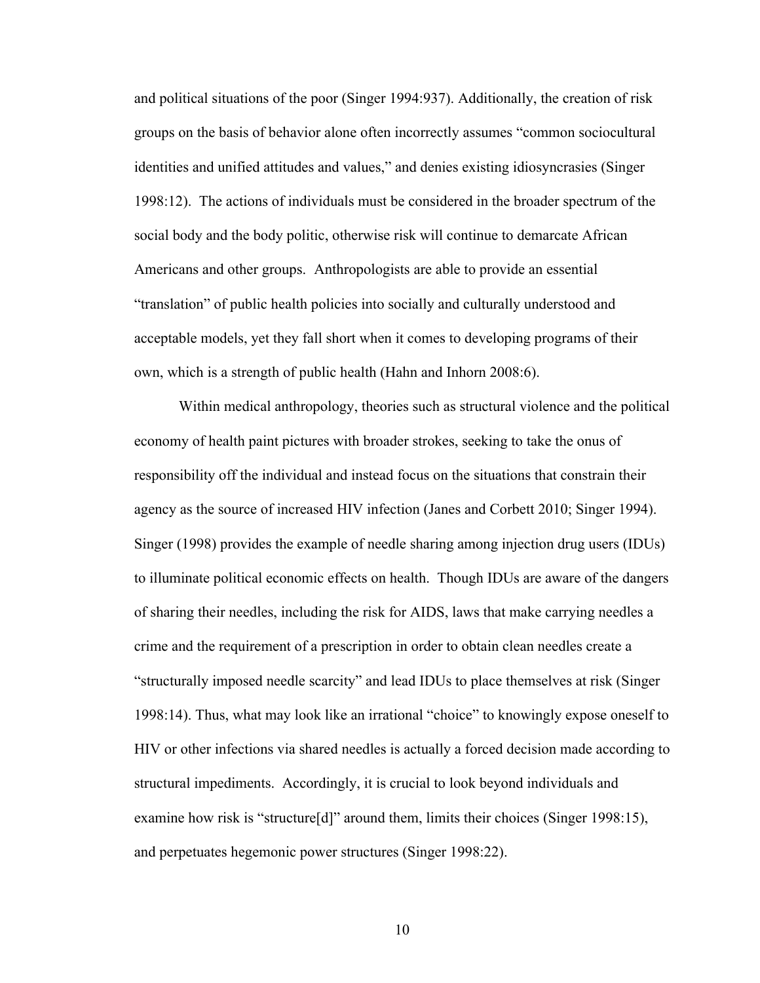and political situations of the poor (Singer 1994:937). Additionally, the creation of risk groups on the basis of behavior alone often incorrectly assumes "common sociocultural identities and unified attitudes and values," and denies existing idiosyncrasies (Singer 1998:12). The actions of individuals must be considered in the broader spectrum of the social body and the body politic, otherwise risk will continue to demarcate African Americans and other groups. Anthropologists are able to provide an essential "translation" of public health policies into socially and culturally understood and acceptable models, yet they fall short when it comes to developing programs of their own, which is a strength of public health (Hahn and Inhorn 2008:6).

Within medical anthropology, theories such as structural violence and the political economy of health paint pictures with broader strokes, seeking to take the onus of responsibility off the individual and instead focus on the situations that constrain their agency as the source of increased HIV infection (Janes and Corbett 2010; Singer 1994). Singer (1998) provides the example of needle sharing among injection drug users (IDUs) to illuminate political economic effects on health. Though IDUs are aware of the dangers of sharing their needles, including the risk for AIDS, laws that make carrying needles a crime and the requirement of a prescription in order to obtain clean needles create a "structurally imposed needle scarcity" and lead IDUs to place themselves at risk (Singer 1998:14). Thus, what may look like an irrational "choice" to knowingly expose oneself to HIV or other infections via shared needles is actually a forced decision made according to structural impediments. Accordingly, it is crucial to look beyond individuals and examine how risk is "structure[d]" around them, limits their choices (Singer 1998:15), and perpetuates hegemonic power structures (Singer 1998:22).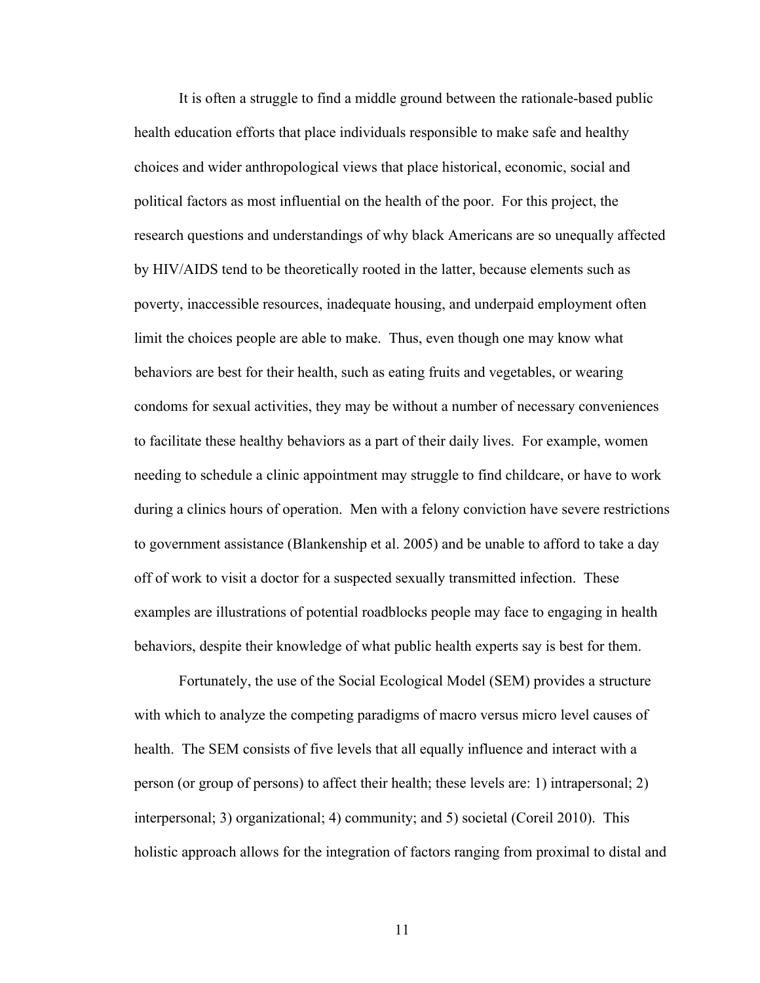It is often a struggle to find a middle ground between the rationale-based public health education efforts that place individuals responsible to make safe and healthy choices and wider anthropological views that place historical, economic, social and political factors as most influential on the health of the poor. For this project, the research questions and understandings of why black Americans are so unequally affected by HIV/AIDS tend to be theoretically rooted in the latter, because elements such as poverty, inaccessible resources, inadequate housing, and underpaid employment often limit the choices people are able to make. Thus, even though one may know what behaviors are best for their health, such as eating fruits and vegetables, or wearing condoms for sexual activities, they may be without a number of necessary conveniences to facilitate these healthy behaviors as a part of their daily lives. For example, women needing to schedule a clinic appointment may struggle to find childcare, or have to work during a clinics hours of operation. Men with a felony conviction have severe restrictions to government assistance (Blankenship et al. 2005) and be unable to afford to take a day off of work to visit a doctor for a suspected sexually transmitted infection. These examples are illustrations of potential roadblocks people may face to engaging in health behaviors, despite their knowledge of what public health experts say is best for them.

Fortunately, the use of the Social Ecological Model (SEM) provides a structure with which to analyze the competing paradigms of macro versus micro level causes of health. The SEM consists of five levels that all equally influence and interact with a person (or group of persons) to affect their health; these levels are: 1) intrapersonal; 2) interpersonal; 3) organizational; 4) community; and 5) societal (Coreil 2010). This holistic approach allows for the integration of factors ranging from proximal to distal and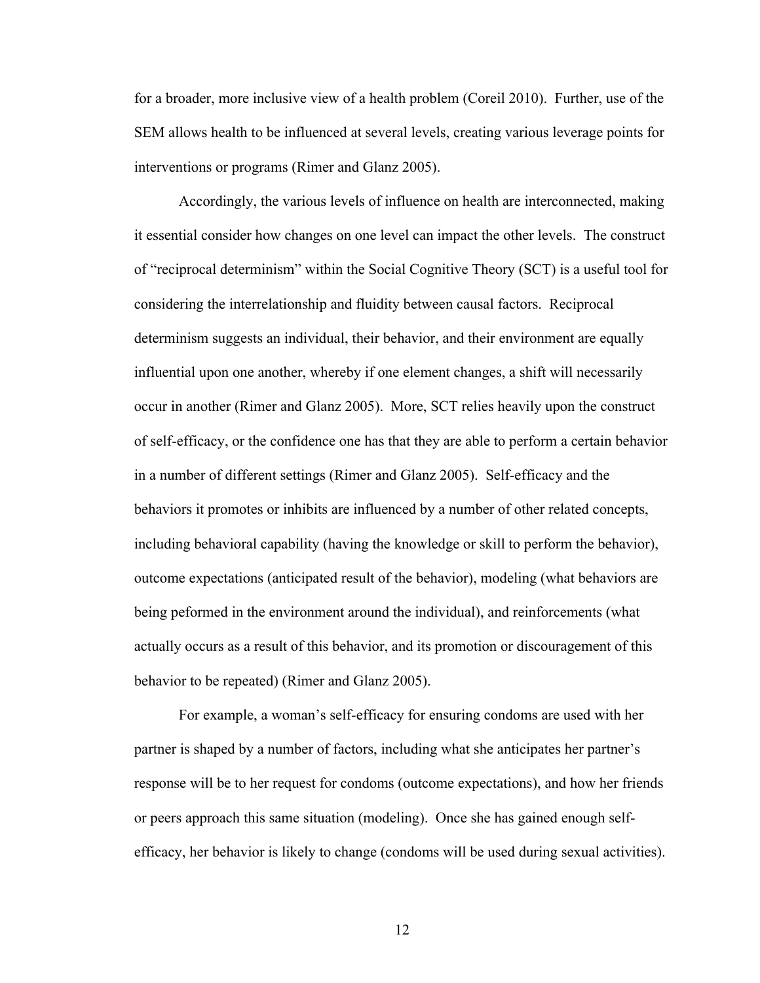for a broader, more inclusive view of a health problem (Coreil 2010). Further, use of the SEM allows health to be influenced at several levels, creating various leverage points for interventions or programs (Rimer and Glanz 2005).

Accordingly, the various levels of influence on health are interconnected, making it essential consider how changes on one level can impact the other levels. The construct of "reciprocal determinism" within the Social Cognitive Theory (SCT) is a useful tool for considering the interrelationship and fluidity between causal factors. Reciprocal determinism suggests an individual, their behavior, and their environment are equally influential upon one another, whereby if one element changes, a shift will necessarily occur in another (Rimer and Glanz 2005). More, SCT relies heavily upon the construct of self-efficacy, or the confidence one has that they are able to perform a certain behavior in a number of different settings (Rimer and Glanz 2005). Self-efficacy and the behaviors it promotes or inhibits are influenced by a number of other related concepts, including behavioral capability (having the knowledge or skill to perform the behavior), outcome expectations (anticipated result of the behavior), modeling (what behaviors are being peformed in the environment around the individual), and reinforcements (what actually occurs as a result of this behavior, and its promotion or discouragement of this behavior to be repeated) (Rimer and Glanz 2005).

For example, a woman's self-efficacy for ensuring condoms are used with her partner is shaped by a number of factors, including what she anticipates her partner's response will be to her request for condoms (outcome expectations), and how her friends or peers approach this same situation (modeling). Once she has gained enough selfefficacy, her behavior is likely to change (condoms will be used during sexual activities).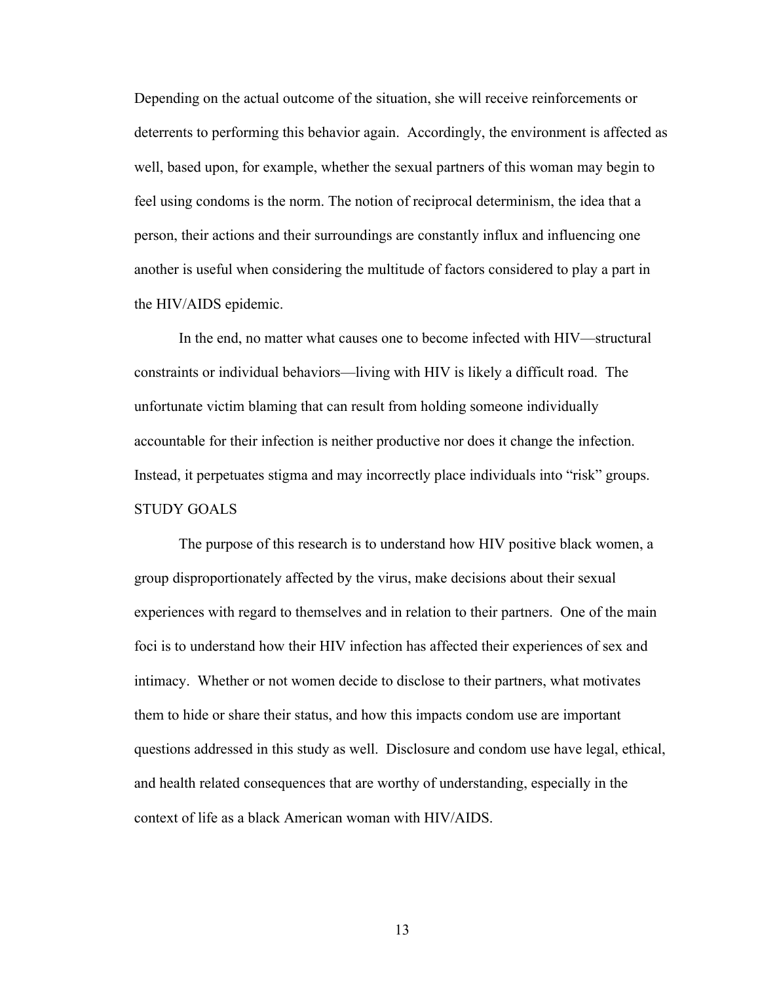Depending on the actual outcome of the situation, she will receive reinforcements or deterrents to performing this behavior again. Accordingly, the environment is affected as well, based upon, for example, whether the sexual partners of this woman may begin to feel using condoms is the norm. The notion of reciprocal determinism, the idea that a person, their actions and their surroundings are constantly influx and influencing one another is useful when considering the multitude of factors considered to play a part in the HIV/AIDS epidemic.

In the end, no matter what causes one to become infected with HIV—structural constraints or individual behaviors—living with HIV is likely a difficult road. The unfortunate victim blaming that can result from holding someone individually accountable for their infection is neither productive nor does it change the infection. Instead, it perpetuates stigma and may incorrectly place individuals into "risk" groups. STUDY GOALS

The purpose of this research is to understand how HIV positive black women, a group disproportionately affected by the virus, make decisions about their sexual experiences with regard to themselves and in relation to their partners. One of the main foci is to understand how their HIV infection has affected their experiences of sex and intimacy. Whether or not women decide to disclose to their partners, what motivates them to hide or share their status, and how this impacts condom use are important questions addressed in this study as well. Disclosure and condom use have legal, ethical, and health related consequences that are worthy of understanding, especially in the context of life as a black American woman with HIV/AIDS.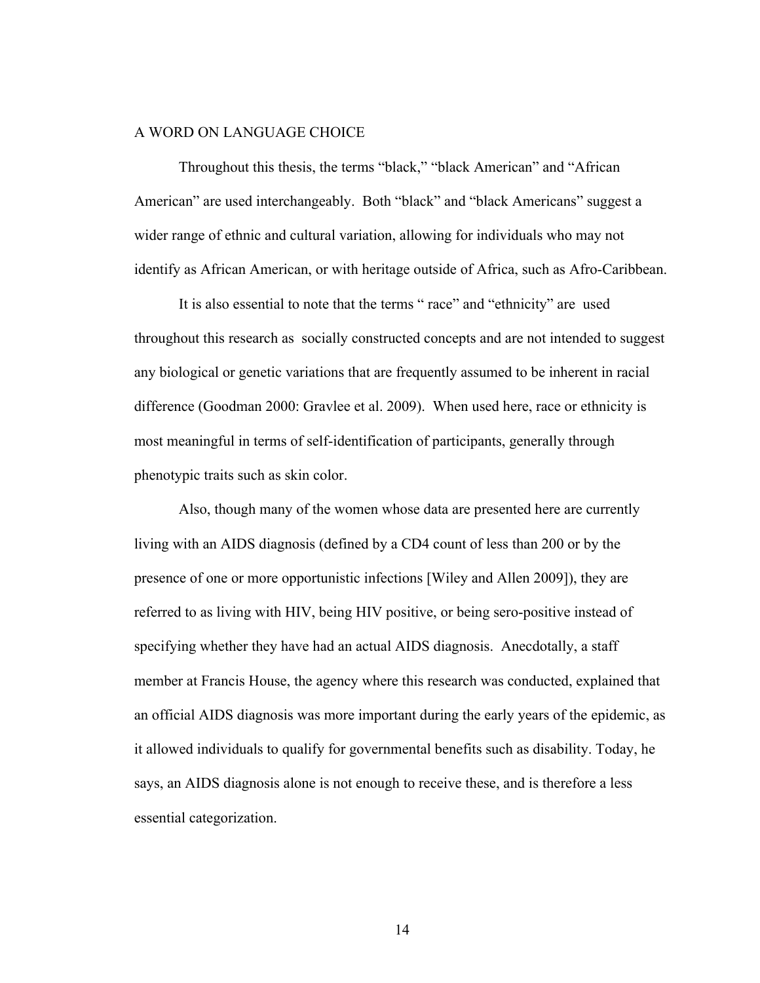### A WORD ON LANGUAGE CHOICE

Throughout this thesis, the terms "black," "black American" and "African American" are used interchangeably. Both "black" and "black Americans" suggest a wider range of ethnic and cultural variation, allowing for individuals who may not identify as African American, or with heritage outside of Africa, such as Afro-Caribbean.

It is also essential to note that the terms " race" and "ethnicity" are used throughout this research as socially constructed concepts and are not intended to suggest any biological or genetic variations that are frequently assumed to be inherent in racial difference (Goodman 2000: Gravlee et al. 2009). When used here, race or ethnicity is most meaningful in terms of self-identification of participants, generally through phenotypic traits such as skin color.

Also, though many of the women whose data are presented here are currently living with an AIDS diagnosis (defined by a CD4 count of less than 200 or by the presence of one or more opportunistic infections [Wiley and Allen 2009]), they are referred to as living with HIV, being HIV positive, or being sero-positive instead of specifying whether they have had an actual AIDS diagnosis. Anecdotally, a staff member at Francis House, the agency where this research was conducted, explained that an official AIDS diagnosis was more important during the early years of the epidemic, as it allowed individuals to qualify for governmental benefits such as disability. Today, he says, an AIDS diagnosis alone is not enough to receive these, and is therefore a less essential categorization.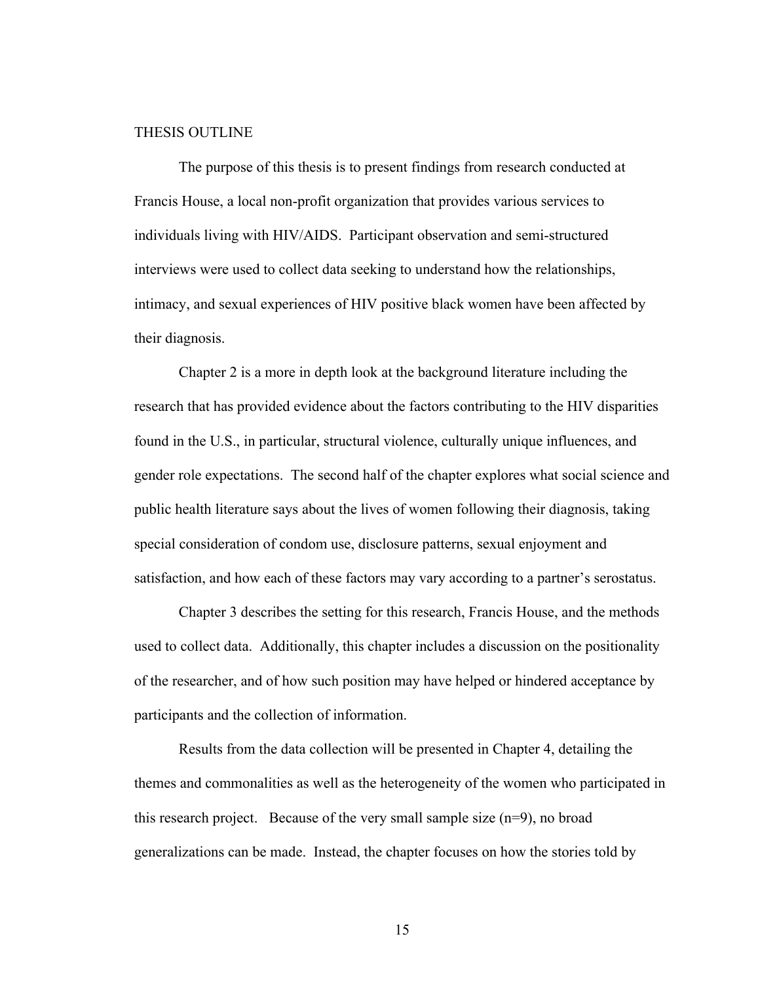#### THESIS OUTLINE

The purpose of this thesis is to present findings from research conducted at Francis House, a local non-profit organization that provides various services to individuals living with HIV/AIDS. Participant observation and semi-structured interviews were used to collect data seeking to understand how the relationships, intimacy, and sexual experiences of HIV positive black women have been affected by their diagnosis.

Chapter 2 is a more in depth look at the background literature including the research that has provided evidence about the factors contributing to the HIV disparities found in the U.S., in particular, structural violence, culturally unique influences, and gender role expectations. The second half of the chapter explores what social science and public health literature says about the lives of women following their diagnosis, taking special consideration of condom use, disclosure patterns, sexual enjoyment and satisfaction, and how each of these factors may vary according to a partner's serostatus.

Chapter 3 describes the setting for this research, Francis House, and the methods used to collect data. Additionally, this chapter includes a discussion on the positionality of the researcher, and of how such position may have helped or hindered acceptance by participants and the collection of information.

Results from the data collection will be presented in Chapter 4, detailing the themes and commonalities as well as the heterogeneity of the women who participated in this research project. Because of the very small sample size  $(n=9)$ , no broad generalizations can be made. Instead, the chapter focuses on how the stories told by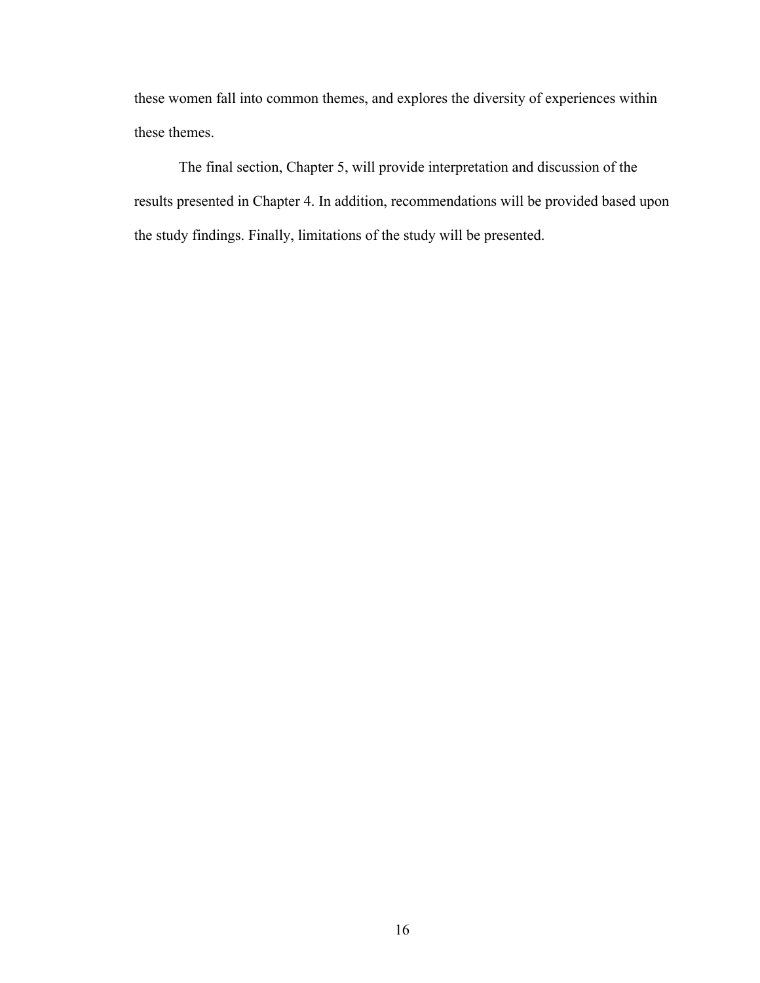these women fall into common themes, and explores the diversity of experiences within these themes.

The final section, Chapter 5, will provide interpretation and discussion of the results presented in Chapter 4. In addition, recommendations will be provided based upon the study findings. Finally, limitations of the study will be presented.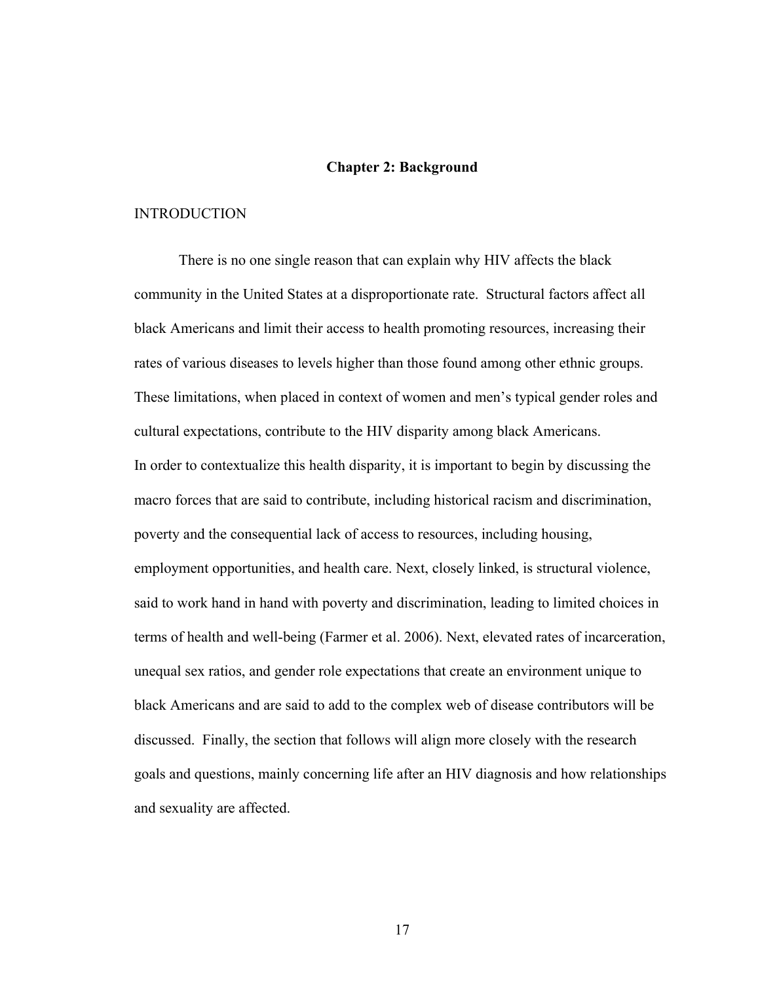## **Chapter 2: Background**

#### INTRODUCTION

There is no one single reason that can explain why HIV affects the black community in the United States at a disproportionate rate. Structural factors affect all black Americans and limit their access to health promoting resources, increasing their rates of various diseases to levels higher than those found among other ethnic groups. These limitations, when placed in context of women and men's typical gender roles and cultural expectations, contribute to the HIV disparity among black Americans. In order to contextualize this health disparity, it is important to begin by discussing the macro forces that are said to contribute, including historical racism and discrimination, poverty and the consequential lack of access to resources, including housing, employment opportunities, and health care. Next, closely linked, is structural violence, said to work hand in hand with poverty and discrimination, leading to limited choices in terms of health and well-being (Farmer et al. 2006). Next, elevated rates of incarceration, unequal sex ratios, and gender role expectations that create an environment unique to black Americans and are said to add to the complex web of disease contributors will be discussed. Finally, the section that follows will align more closely with the research goals and questions, mainly concerning life after an HIV diagnosis and how relationships and sexuality are affected.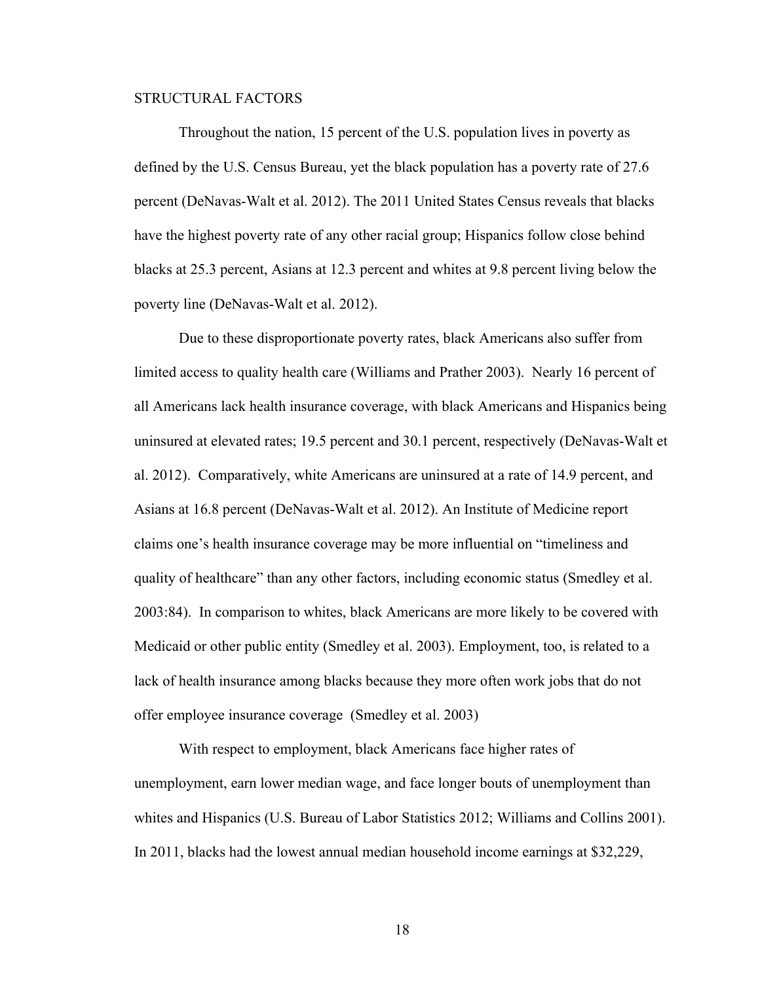## STRUCTURAL FACTORS

Throughout the nation, 15 percent of the U.S. population lives in poverty as defined by the U.S. Census Bureau, yet the black population has a poverty rate of 27.6 percent (DeNavas-Walt et al. 2012). The 2011 United States Census reveals that blacks have the highest poverty rate of any other racial group; Hispanics follow close behind blacks at 25.3 percent, Asians at 12.3 percent and whites at 9.8 percent living below the poverty line (DeNavas-Walt et al. 2012).

Due to these disproportionate poverty rates, black Americans also suffer from limited access to quality health care (Williams and Prather 2003). Nearly 16 percent of all Americans lack health insurance coverage, with black Americans and Hispanics being uninsured at elevated rates; 19.5 percent and 30.1 percent, respectively (DeNavas-Walt et al. 2012). Comparatively, white Americans are uninsured at a rate of 14.9 percent, and Asians at 16.8 percent (DeNavas-Walt et al. 2012). An Institute of Medicine report claims one's health insurance coverage may be more influential on "timeliness and quality of healthcare" than any other factors, including economic status (Smedley et al. 2003:84). In comparison to whites, black Americans are more likely to be covered with Medicaid or other public entity (Smedley et al. 2003). Employment, too, is related to a lack of health insurance among blacks because they more often work jobs that do not offer employee insurance coverage (Smedley et al. 2003)

With respect to employment, black Americans face higher rates of unemployment, earn lower median wage, and face longer bouts of unemployment than whites and Hispanics (U.S. Bureau of Labor Statistics 2012; Williams and Collins 2001). In 2011, blacks had the lowest annual median household income earnings at \$32,229,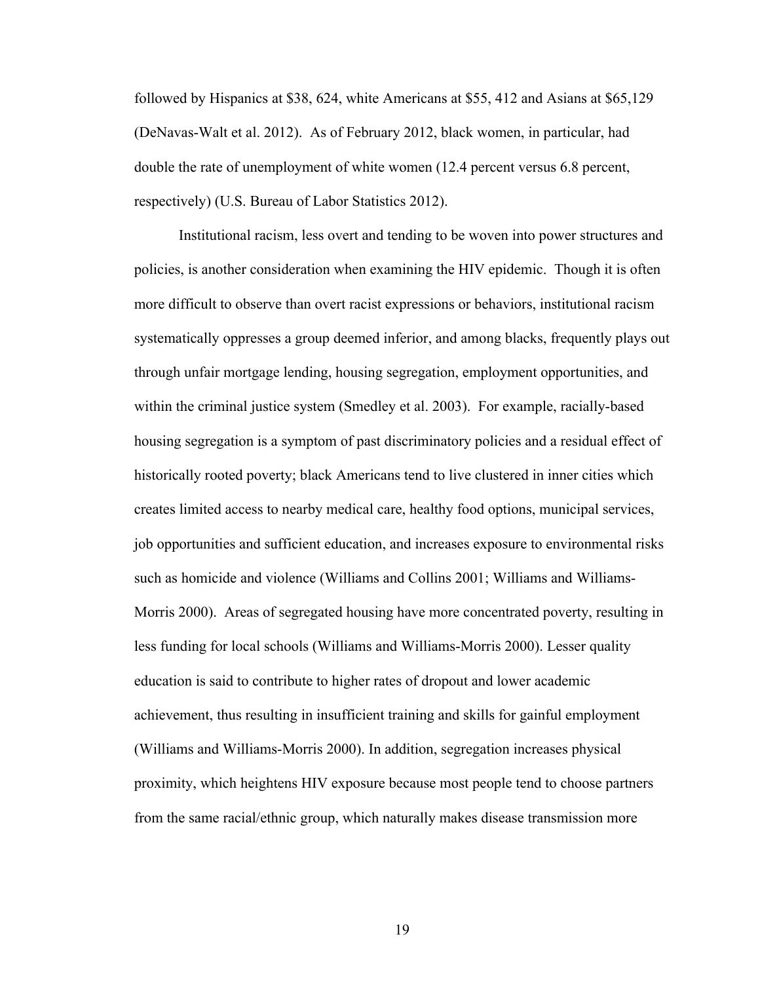followed by Hispanics at \$38, 624, white Americans at \$55, 412 and Asians at \$65,129 (DeNavas-Walt et al. 2012). As of February 2012, black women, in particular, had double the rate of unemployment of white women (12.4 percent versus 6.8 percent, respectively) (U.S. Bureau of Labor Statistics 2012).

Institutional racism, less overt and tending to be woven into power structures and policies, is another consideration when examining the HIV epidemic. Though it is often more difficult to observe than overt racist expressions or behaviors, institutional racism systematically oppresses a group deemed inferior, and among blacks, frequently plays out through unfair mortgage lending, housing segregation, employment opportunities, and within the criminal justice system (Smedley et al. 2003). For example, racially-based housing segregation is a symptom of past discriminatory policies and a residual effect of historically rooted poverty; black Americans tend to live clustered in inner cities which creates limited access to nearby medical care, healthy food options, municipal services, job opportunities and sufficient education, and increases exposure to environmental risks such as homicide and violence (Williams and Collins 2001; Williams and Williams-Morris 2000). Areas of segregated housing have more concentrated poverty, resulting in less funding for local schools (Williams and Williams-Morris 2000). Lesser quality education is said to contribute to higher rates of dropout and lower academic achievement, thus resulting in insufficient training and skills for gainful employment (Williams and Williams-Morris 2000). In addition, segregation increases physical proximity, which heightens HIV exposure because most people tend to choose partners from the same racial/ethnic group, which naturally makes disease transmission more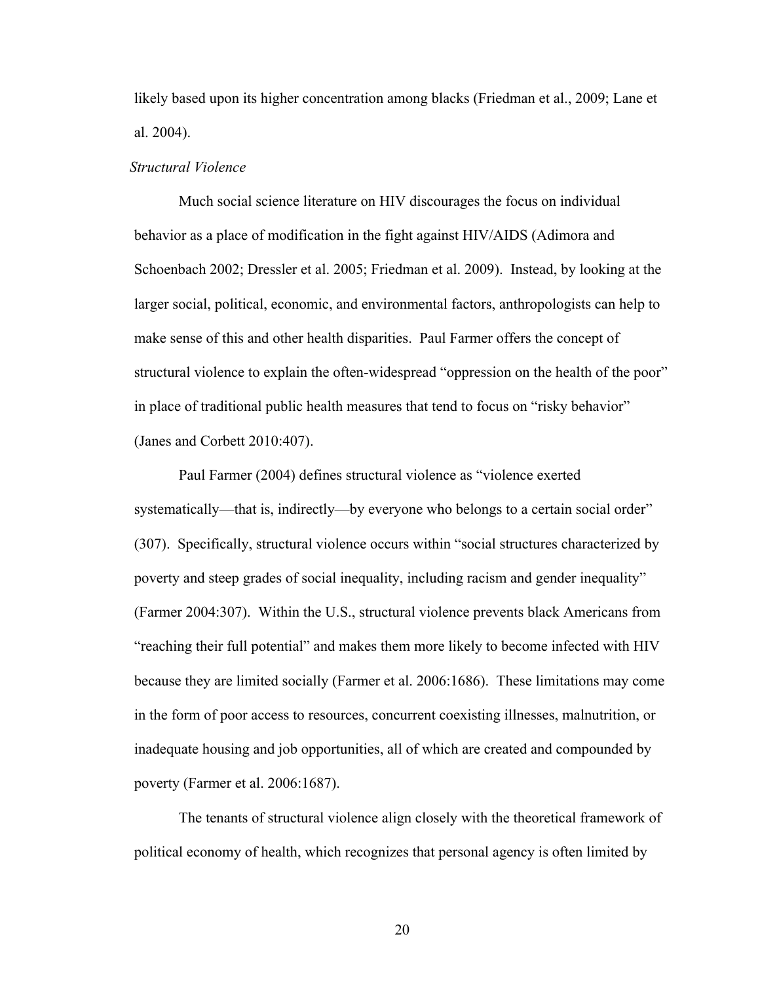likely based upon its higher concentration among blacks (Friedman et al., 2009; Lane et al. 2004).

#### *Structural Violence*

Much social science literature on HIV discourages the focus on individual behavior as a place of modification in the fight against HIV/AIDS (Adimora and Schoenbach 2002; Dressler et al. 2005; Friedman et al. 2009). Instead, by looking at the larger social, political, economic, and environmental factors, anthropologists can help to make sense of this and other health disparities. Paul Farmer offers the concept of structural violence to explain the often-widespread "oppression on the health of the poor" in place of traditional public health measures that tend to focus on "risky behavior" (Janes and Corbett 2010:407).

Paul Farmer (2004) defines structural violence as "violence exerted systematically—that is, indirectly—by everyone who belongs to a certain social order" (307). Specifically, structural violence occurs within "social structures characterized by poverty and steep grades of social inequality, including racism and gender inequality" (Farmer 2004:307). Within the U.S., structural violence prevents black Americans from "reaching their full potential" and makes them more likely to become infected with HIV because they are limited socially (Farmer et al. 2006:1686). These limitations may come in the form of poor access to resources, concurrent coexisting illnesses, malnutrition, or inadequate housing and job opportunities, all of which are created and compounded by poverty (Farmer et al. 2006:1687).

The tenants of structural violence align closely with the theoretical framework of political economy of health, which recognizes that personal agency is often limited by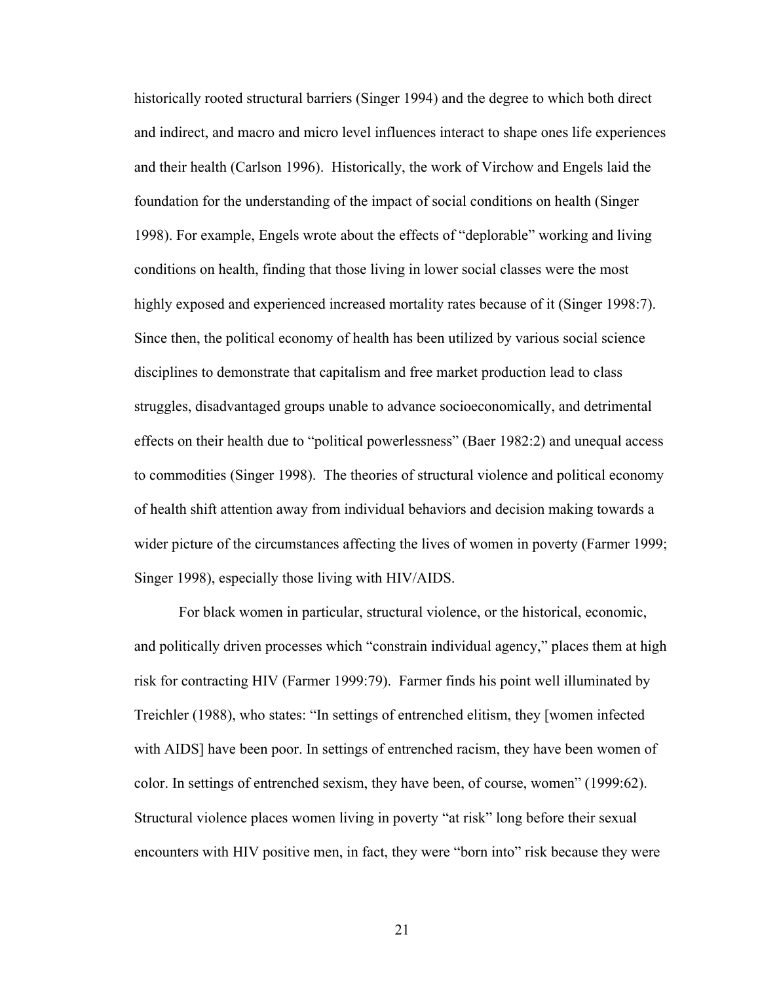historically rooted structural barriers (Singer 1994) and the degree to which both direct and indirect, and macro and micro level influences interact to shape ones life experiences and their health (Carlson 1996). Historically, the work of Virchow and Engels laid the foundation for the understanding of the impact of social conditions on health (Singer 1998). For example, Engels wrote about the effects of "deplorable" working and living conditions on health, finding that those living in lower social classes were the most highly exposed and experienced increased mortality rates because of it (Singer 1998:7). Since then, the political economy of health has been utilized by various social science disciplines to demonstrate that capitalism and free market production lead to class struggles, disadvantaged groups unable to advance socioeconomically, and detrimental effects on their health due to "political powerlessness" (Baer 1982:2) and unequal access to commodities (Singer 1998). The theories of structural violence and political economy of health shift attention away from individual behaviors and decision making towards a wider picture of the circumstances affecting the lives of women in poverty (Farmer 1999; Singer 1998), especially those living with HIV/AIDS.

For black women in particular, structural violence, or the historical, economic, and politically driven processes which "constrain individual agency," places them at high risk for contracting HIV (Farmer 1999:79). Farmer finds his point well illuminated by Treichler (1988), who states: "In settings of entrenched elitism, they [women infected with AIDS] have been poor. In settings of entrenched racism, they have been women of color. In settings of entrenched sexism, they have been, of course, women" (1999:62). Structural violence places women living in poverty "at risk" long before their sexual encounters with HIV positive men, in fact, they were "born into" risk because they were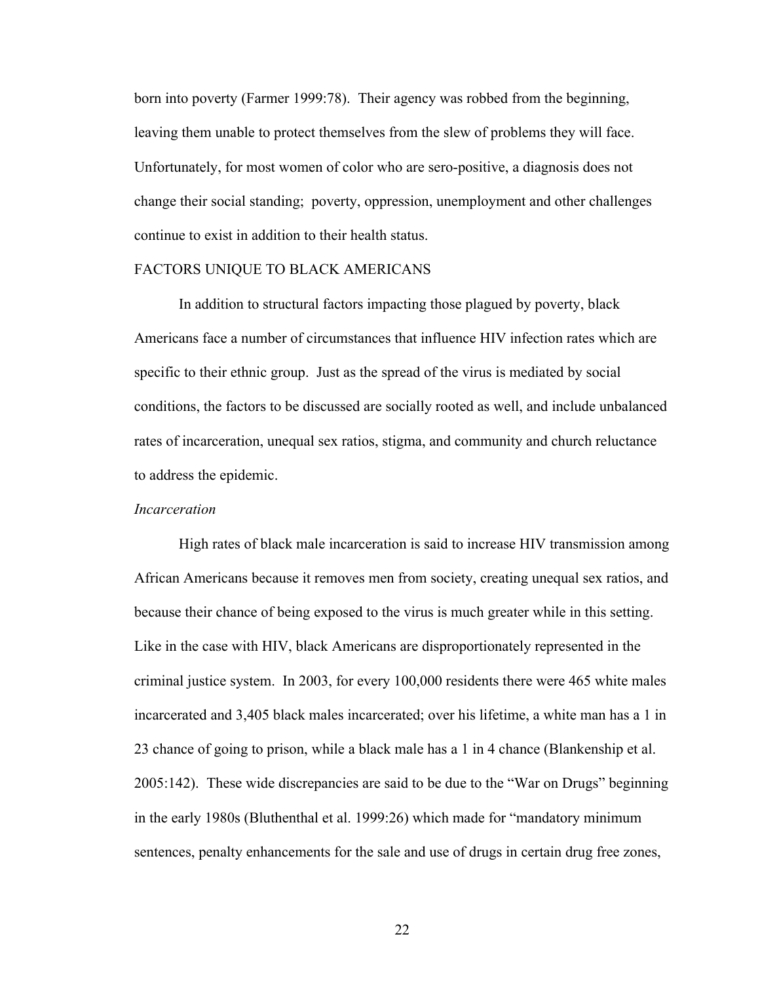born into poverty (Farmer 1999:78). Their agency was robbed from the beginning, leaving them unable to protect themselves from the slew of problems they will face. Unfortunately, for most women of color who are sero-positive, a diagnosis does not change their social standing; poverty, oppression, unemployment and other challenges continue to exist in addition to their health status.

## FACTORS UNIQUE TO BLACK AMERICANS

In addition to structural factors impacting those plagued by poverty, black Americans face a number of circumstances that influence HIV infection rates which are specific to their ethnic group. Just as the spread of the virus is mediated by social conditions, the factors to be discussed are socially rooted as well, and include unbalanced rates of incarceration, unequal sex ratios, stigma, and community and church reluctance to address the epidemic.

### *Incarceration*

High rates of black male incarceration is said to increase HIV transmission among African Americans because it removes men from society, creating unequal sex ratios, and because their chance of being exposed to the virus is much greater while in this setting. Like in the case with HIV, black Americans are disproportionately represented in the criminal justice system. In 2003, for every 100,000 residents there were 465 white males incarcerated and 3,405 black males incarcerated; over his lifetime, a white man has a 1 in 23 chance of going to prison, while a black male has a 1 in 4 chance (Blankenship et al. 2005:142). These wide discrepancies are said to be due to the "War on Drugs" beginning in the early 1980s (Bluthenthal et al. 1999:26) which made for "mandatory minimum sentences, penalty enhancements for the sale and use of drugs in certain drug free zones,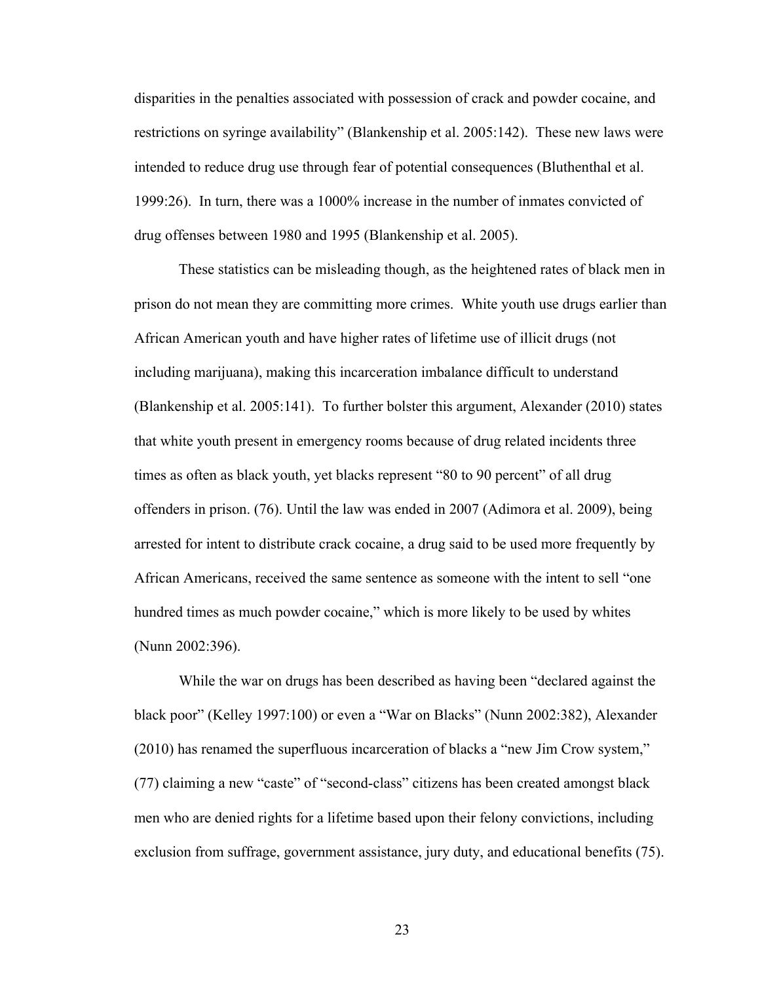disparities in the penalties associated with possession of crack and powder cocaine, and restrictions on syringe availability" (Blankenship et al. 2005:142). These new laws were intended to reduce drug use through fear of potential consequences (Bluthenthal et al. 1999:26). In turn, there was a 1000% increase in the number of inmates convicted of drug offenses between 1980 and 1995 (Blankenship et al. 2005).

These statistics can be misleading though, as the heightened rates of black men in prison do not mean they are committing more crimes. White youth use drugs earlier than African American youth and have higher rates of lifetime use of illicit drugs (not including marijuana), making this incarceration imbalance difficult to understand (Blankenship et al. 2005:141). To further bolster this argument, Alexander (2010) states that white youth present in emergency rooms because of drug related incidents three times as often as black youth, yet blacks represent "80 to 90 percent" of all drug offenders in prison. (76). Until the law was ended in 2007 (Adimora et al. 2009), being arrested for intent to distribute crack cocaine, a drug said to be used more frequently by African Americans, received the same sentence as someone with the intent to sell "one hundred times as much powder cocaine," which is more likely to be used by whites (Nunn 2002:396).

While the war on drugs has been described as having been "declared against the black poor" (Kelley 1997:100) or even a "War on Blacks" (Nunn 2002:382), Alexander (2010) has renamed the superfluous incarceration of blacks a "new Jim Crow system," (77) claiming a new "caste" of "second-class" citizens has been created amongst black men who are denied rights for a lifetime based upon their felony convictions, including exclusion from suffrage, government assistance, jury duty, and educational benefits (75).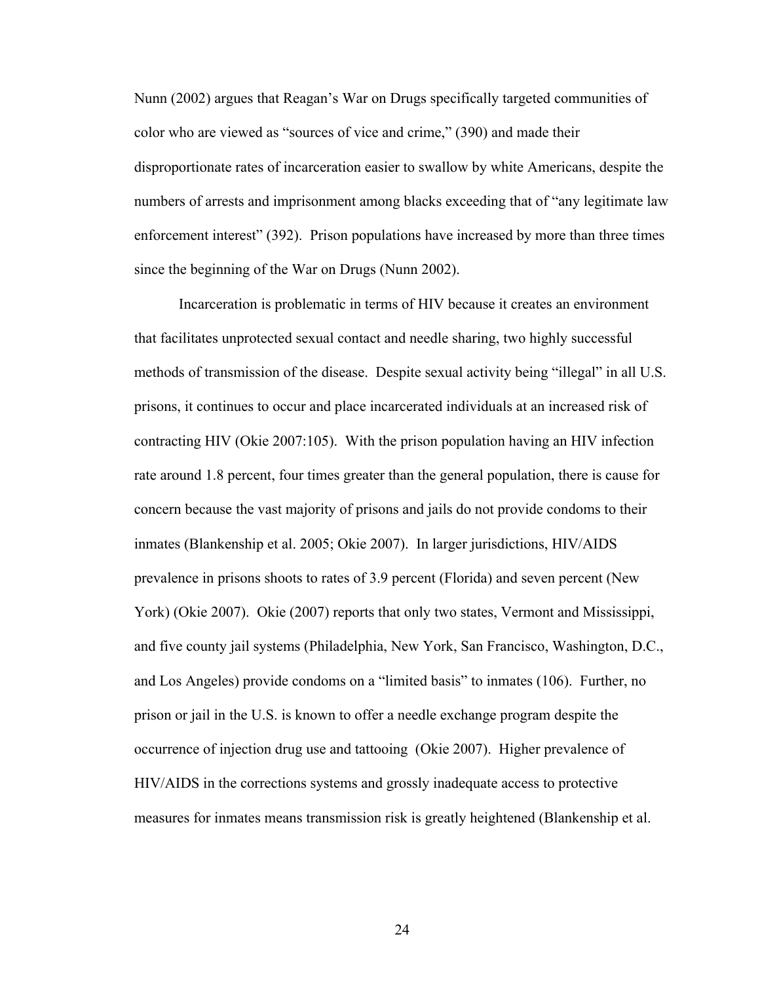Nunn (2002) argues that Reagan's War on Drugs specifically targeted communities of color who are viewed as "sources of vice and crime," (390) and made their disproportionate rates of incarceration easier to swallow by white Americans, despite the numbers of arrests and imprisonment among blacks exceeding that of "any legitimate law enforcement interest" (392). Prison populations have increased by more than three times since the beginning of the War on Drugs (Nunn 2002).

Incarceration is problematic in terms of HIV because it creates an environment that facilitates unprotected sexual contact and needle sharing, two highly successful methods of transmission of the disease. Despite sexual activity being "illegal" in all U.S. prisons, it continues to occur and place incarcerated individuals at an increased risk of contracting HIV (Okie 2007:105). With the prison population having an HIV infection rate around 1.8 percent, four times greater than the general population, there is cause for concern because the vast majority of prisons and jails do not provide condoms to their inmates (Blankenship et al. 2005; Okie 2007). In larger jurisdictions, HIV/AIDS prevalence in prisons shoots to rates of 3.9 percent (Florida) and seven percent (New York) (Okie 2007). Okie (2007) reports that only two states, Vermont and Mississippi, and five county jail systems (Philadelphia, New York, San Francisco, Washington, D.C., and Los Angeles) provide condoms on a "limited basis" to inmates (106). Further, no prison or jail in the U.S. is known to offer a needle exchange program despite the occurrence of injection drug use and tattooing (Okie 2007). Higher prevalence of HIV/AIDS in the corrections systems and grossly inadequate access to protective measures for inmates means transmission risk is greatly heightened (Blankenship et al.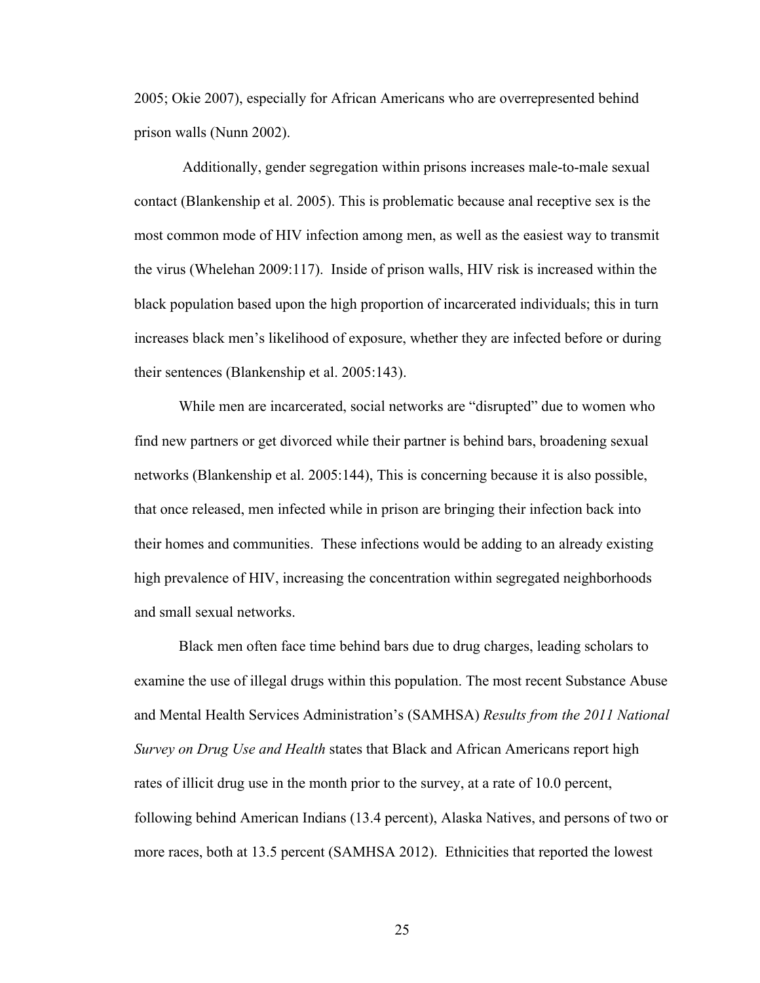2005; Okie 2007), especially for African Americans who are overrepresented behind prison walls (Nunn 2002).

Additionally, gender segregation within prisons increases male-to-male sexual contact (Blankenship et al. 2005). This is problematic because anal receptive sex is the most common mode of HIV infection among men, as well as the easiest way to transmit the virus (Whelehan 2009:117). Inside of prison walls, HIV risk is increased within the black population based upon the high proportion of incarcerated individuals; this in turn increases black men's likelihood of exposure, whether they are infected before or during their sentences (Blankenship et al. 2005:143).

While men are incarcerated, social networks are "disrupted" due to women who find new partners or get divorced while their partner is behind bars, broadening sexual networks (Blankenship et al. 2005:144), This is concerning because it is also possible, that once released, men infected while in prison are bringing their infection back into their homes and communities. These infections would be adding to an already existing high prevalence of HIV, increasing the concentration within segregated neighborhoods and small sexual networks.

Black men often face time behind bars due to drug charges, leading scholars to examine the use of illegal drugs within this population. The most recent Substance Abuse and Mental Health Services Administration's (SAMHSA) *Results from the 2011 National Survey on Drug Use and Health* states that Black and African Americans report high rates of illicit drug use in the month prior to the survey, at a rate of 10.0 percent, following behind American Indians (13.4 percent), Alaska Natives, and persons of two or more races, both at 13.5 percent (SAMHSA 2012). Ethnicities that reported the lowest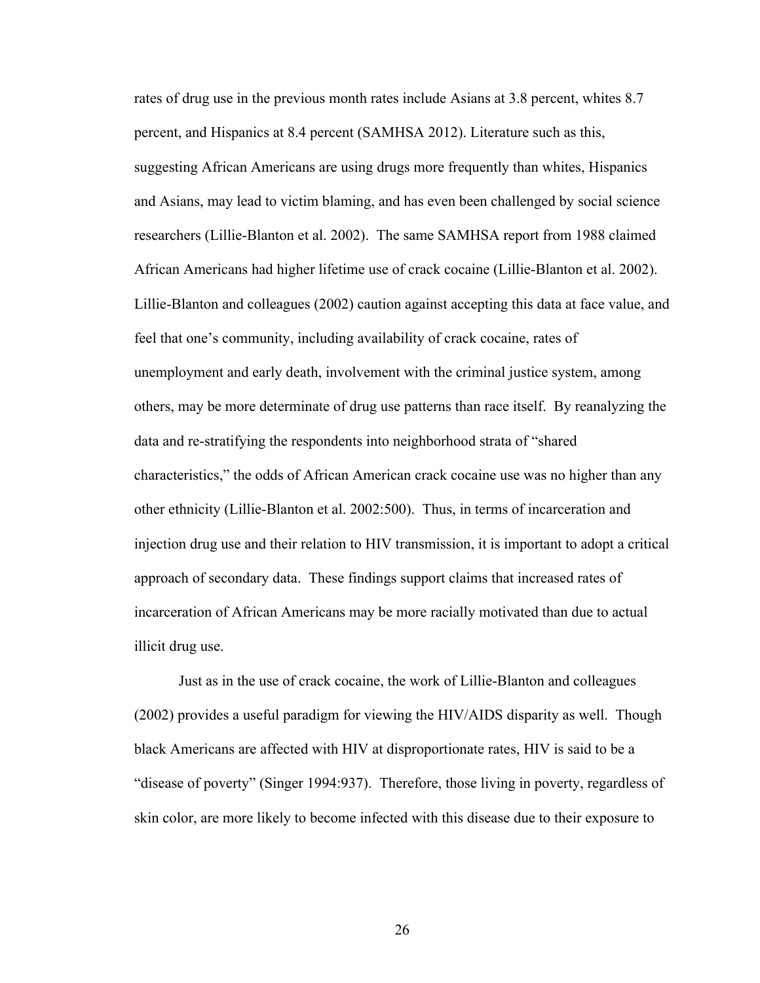rates of drug use in the previous month rates include Asians at 3.8 percent, whites 8.7 percent, and Hispanics at 8.4 percent (SAMHSA 2012). Literature such as this, suggesting African Americans are using drugs more frequently than whites, Hispanics and Asians, may lead to victim blaming, and has even been challenged by social science researchers (Lillie-Blanton et al. 2002). The same SAMHSA report from 1988 claimed African Americans had higher lifetime use of crack cocaine (Lillie-Blanton et al. 2002). Lillie-Blanton and colleagues (2002) caution against accepting this data at face value, and feel that one's community, including availability of crack cocaine, rates of unemployment and early death, involvement with the criminal justice system, among others, may be more determinate of drug use patterns than race itself. By reanalyzing the data and re-stratifying the respondents into neighborhood strata of "shared characteristics," the odds of African American crack cocaine use was no higher than any other ethnicity (Lillie-Blanton et al. 2002:500). Thus, in terms of incarceration and injection drug use and their relation to HIV transmission, it is important to adopt a critical approach of secondary data. These findings support claims that increased rates of incarceration of African Americans may be more racially motivated than due to actual illicit drug use.

Just as in the use of crack cocaine, the work of Lillie-Blanton and colleagues (2002) provides a useful paradigm for viewing the HIV/AIDS disparity as well. Though black Americans are affected with HIV at disproportionate rates, HIV is said to be a "disease of poverty" (Singer 1994:937). Therefore, those living in poverty, regardless of skin color, are more likely to become infected with this disease due to their exposure to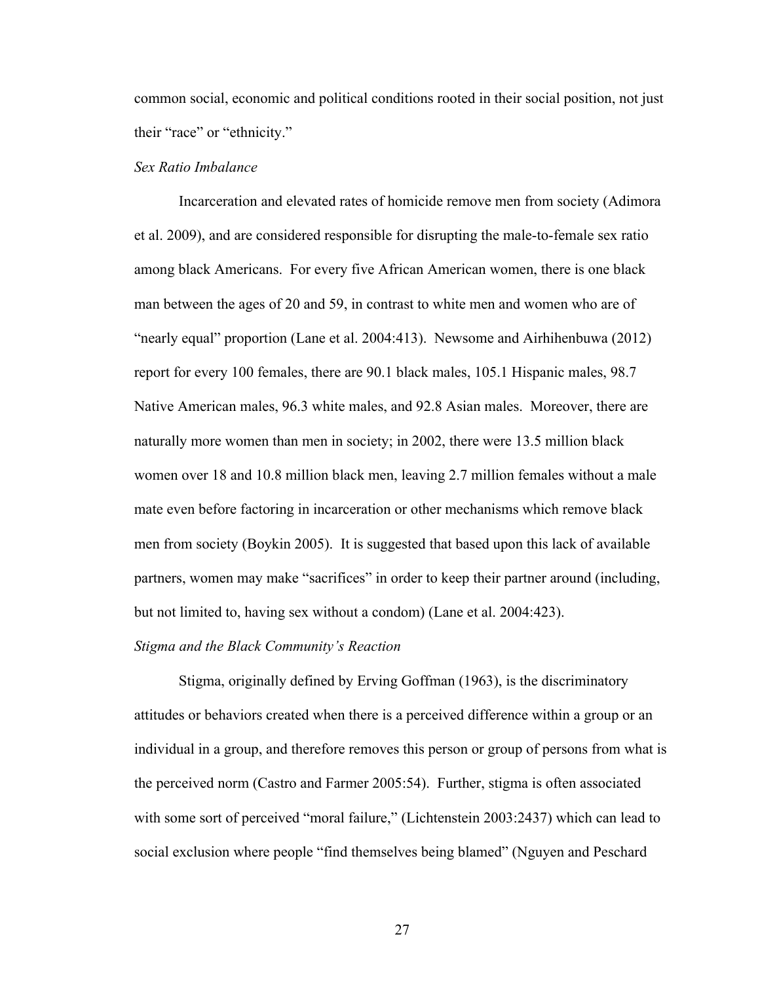common social, economic and political conditions rooted in their social position, not just their "race" or "ethnicity."

### *Sex Ratio Imbalance*

Incarceration and elevated rates of homicide remove men from society (Adimora et al. 2009), and are considered responsible for disrupting the male-to-female sex ratio among black Americans. For every five African American women, there is one black man between the ages of 20 and 59, in contrast to white men and women who are of "nearly equal" proportion (Lane et al. 2004:413). Newsome and Airhihenbuwa (2012) report for every 100 females, there are 90.1 black males, 105.1 Hispanic males, 98.7 Native American males, 96.3 white males, and 92.8 Asian males. Moreover, there are naturally more women than men in society; in 2002, there were 13.5 million black women over 18 and 10.8 million black men, leaving 2.7 million females without a male mate even before factoring in incarceration or other mechanisms which remove black men from society (Boykin 2005). It is suggested that based upon this lack of available partners, women may make "sacrifices" in order to keep their partner around (including, but not limited to, having sex without a condom) (Lane et al. 2004:423).

### *Stigma and the Black Community's Reaction*

Stigma, originally defined by Erving Goffman (1963), is the discriminatory attitudes or behaviors created when there is a perceived difference within a group or an individual in a group, and therefore removes this person or group of persons from what is the perceived norm (Castro and Farmer 2005:54). Further, stigma is often associated with some sort of perceived "moral failure," (Lichtenstein 2003:2437) which can lead to social exclusion where people "find themselves being blamed" (Nguyen and Peschard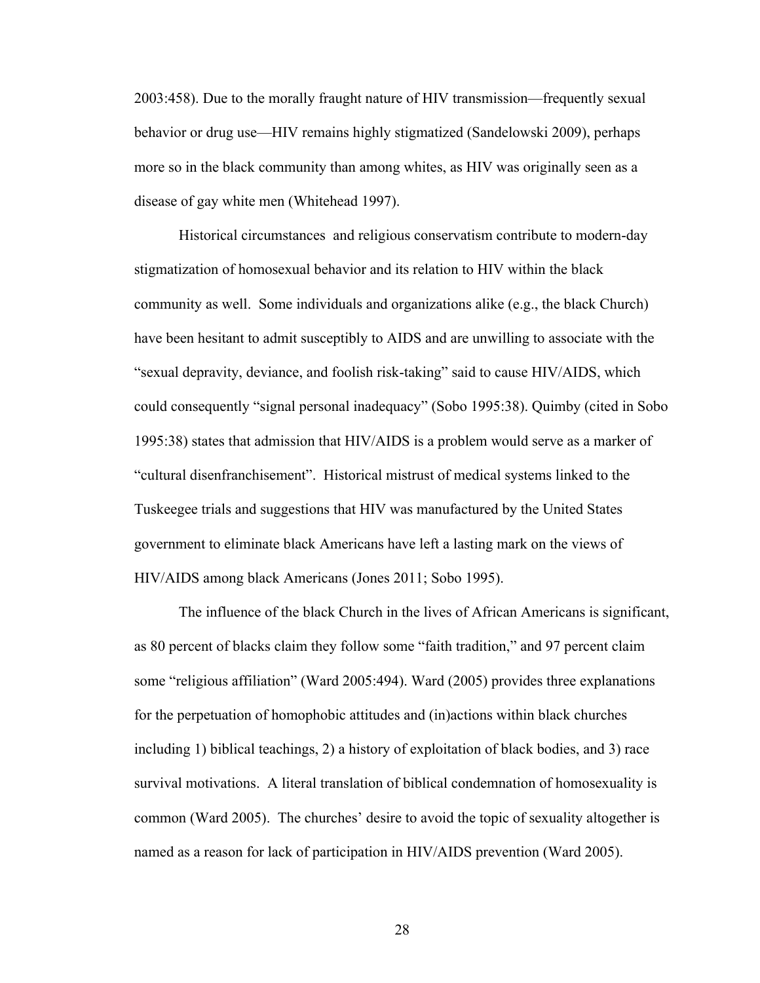2003:458). Due to the morally fraught nature of HIV transmission—frequently sexual behavior or drug use—HIV remains highly stigmatized (Sandelowski 2009), perhaps more so in the black community than among whites, as HIV was originally seen as a disease of gay white men (Whitehead 1997).

Historical circumstances and religious conservatism contribute to modern-day stigmatization of homosexual behavior and its relation to HIV within the black community as well. Some individuals and organizations alike (e.g., the black Church) have been hesitant to admit susceptibly to AIDS and are unwilling to associate with the "sexual depravity, deviance, and foolish risk-taking" said to cause HIV/AIDS, which could consequently "signal personal inadequacy" (Sobo 1995:38). Quimby (cited in Sobo 1995:38) states that admission that HIV/AIDS is a problem would serve as a marker of "cultural disenfranchisement". Historical mistrust of medical systems linked to the Tuskeegee trials and suggestions that HIV was manufactured by the United States government to eliminate black Americans have left a lasting mark on the views of HIV/AIDS among black Americans (Jones 2011; Sobo 1995).

The influence of the black Church in the lives of African Americans is significant, as 80 percent of blacks claim they follow some "faith tradition," and 97 percent claim some "religious affiliation" (Ward 2005:494). Ward (2005) provides three explanations for the perpetuation of homophobic attitudes and (in)actions within black churches including 1) biblical teachings, 2) a history of exploitation of black bodies, and 3) race survival motivations. A literal translation of biblical condemnation of homosexuality is common (Ward 2005). The churches' desire to avoid the topic of sexuality altogether is named as a reason for lack of participation in HIV/AIDS prevention (Ward 2005).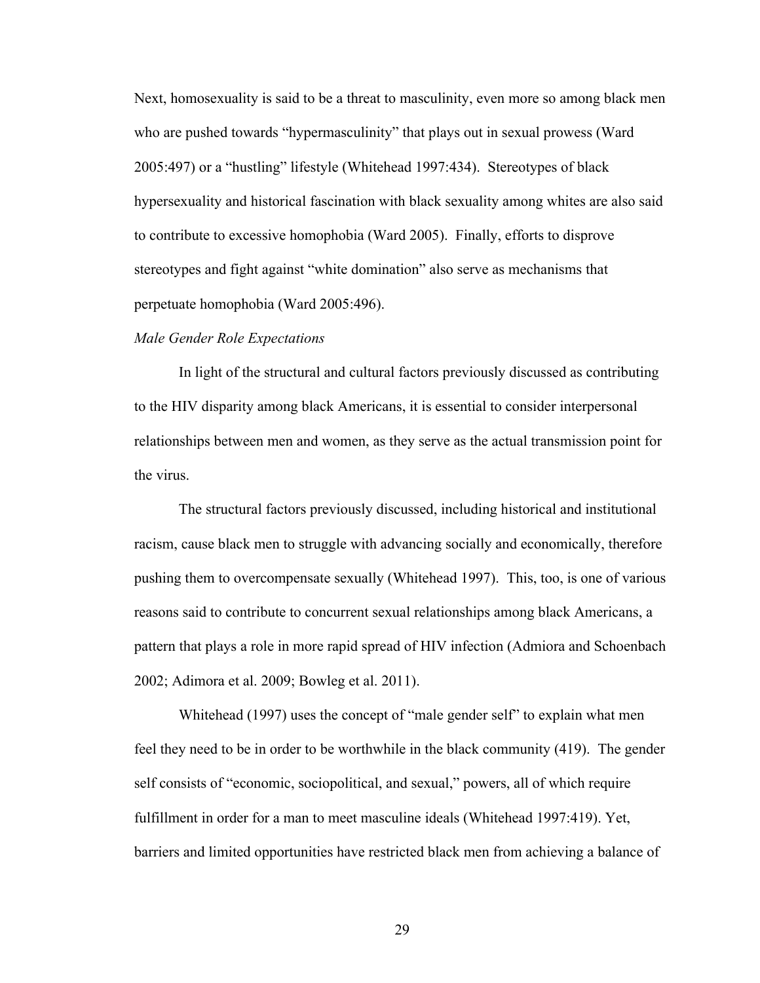Next, homosexuality is said to be a threat to masculinity, even more so among black men who are pushed towards "hypermasculinity" that plays out in sexual prowess (Ward 2005:497) or a "hustling" lifestyle (Whitehead 1997:434). Stereotypes of black hypersexuality and historical fascination with black sexuality among whites are also said to contribute to excessive homophobia (Ward 2005). Finally, efforts to disprove stereotypes and fight against "white domination" also serve as mechanisms that perpetuate homophobia (Ward 2005:496).

#### *Male Gender Role Expectations*

In light of the structural and cultural factors previously discussed as contributing to the HIV disparity among black Americans, it is essential to consider interpersonal relationships between men and women, as they serve as the actual transmission point for the virus.

The structural factors previously discussed, including historical and institutional racism, cause black men to struggle with advancing socially and economically, therefore pushing them to overcompensate sexually (Whitehead 1997). This, too, is one of various reasons said to contribute to concurrent sexual relationships among black Americans, a pattern that plays a role in more rapid spread of HIV infection (Admiora and Schoenbach 2002; Adimora et al. 2009; Bowleg et al. 2011).

Whitehead (1997) uses the concept of "male gender self" to explain what men feel they need to be in order to be worthwhile in the black community (419). The gender self consists of "economic, sociopolitical, and sexual," powers, all of which require fulfillment in order for a man to meet masculine ideals (Whitehead 1997:419). Yet, barriers and limited opportunities have restricted black men from achieving a balance of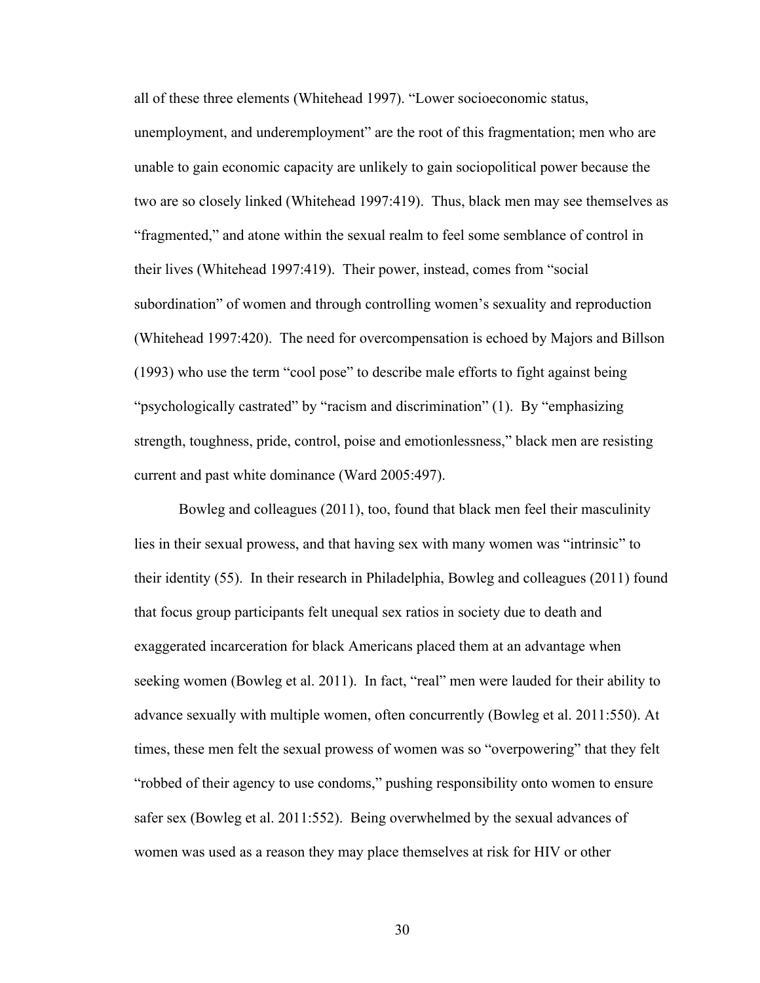all of these three elements (Whitehead 1997). "Lower socioeconomic status,

unemployment, and underemployment" are the root of this fragmentation; men who are unable to gain economic capacity are unlikely to gain sociopolitical power because the two are so closely linked (Whitehead 1997:419). Thus, black men may see themselves as "fragmented," and atone within the sexual realm to feel some semblance of control in their lives (Whitehead 1997:419). Their power, instead, comes from "social subordination" of women and through controlling women's sexuality and reproduction (Whitehead 1997:420). The need for overcompensation is echoed by Majors and Billson (1993) who use the term "cool pose" to describe male efforts to fight against being "psychologically castrated" by "racism and discrimination" (1). By "emphasizing strength, toughness, pride, control, poise and emotionlessness," black men are resisting current and past white dominance (Ward 2005:497).

 Bowleg and colleagues (2011), too, found that black men feel their masculinity lies in their sexual prowess, and that having sex with many women was "intrinsic" to their identity (55). In their research in Philadelphia, Bowleg and colleagues (2011) found that focus group participants felt unequal sex ratios in society due to death and exaggerated incarceration for black Americans placed them at an advantage when seeking women (Bowleg et al. 2011). In fact, "real" men were lauded for their ability to advance sexually with multiple women, often concurrently (Bowleg et al. 2011:550). At times, these men felt the sexual prowess of women was so "overpowering" that they felt "robbed of their agency to use condoms," pushing responsibility onto women to ensure safer sex (Bowleg et al. 2011:552). Being overwhelmed by the sexual advances of women was used as a reason they may place themselves at risk for HIV or other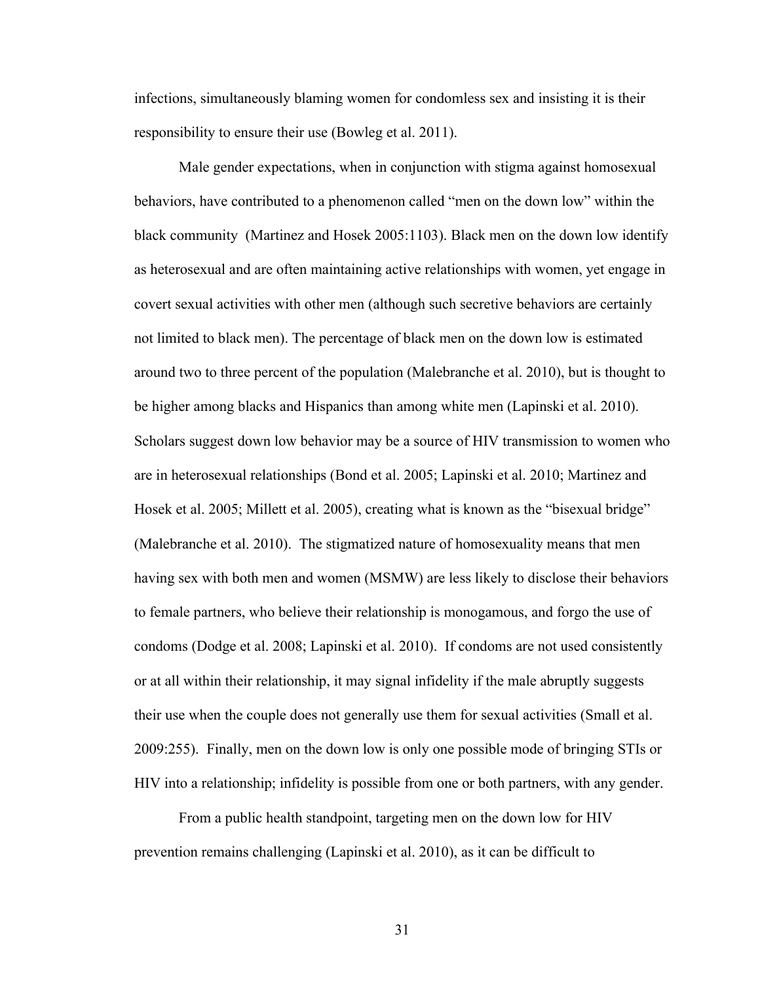infections, simultaneously blaming women for condomless sex and insisting it is their responsibility to ensure their use (Bowleg et al. 2011).

Male gender expectations, when in conjunction with stigma against homosexual behaviors, have contributed to a phenomenon called "men on the down low" within the black community (Martinez and Hosek 2005:1103). Black men on the down low identify as heterosexual and are often maintaining active relationships with women, yet engage in covert sexual activities with other men (although such secretive behaviors are certainly not limited to black men). The percentage of black men on the down low is estimated around two to three percent of the population (Malebranche et al. 2010), but is thought to be higher among blacks and Hispanics than among white men (Lapinski et al. 2010). Scholars suggest down low behavior may be a source of HIV transmission to women who are in heterosexual relationships (Bond et al. 2005; Lapinski et al. 2010; Martinez and Hosek et al. 2005; Millett et al. 2005), creating what is known as the "bisexual bridge" (Malebranche et al. 2010). The stigmatized nature of homosexuality means that men having sex with both men and women (MSMW) are less likely to disclose their behaviors to female partners, who believe their relationship is monogamous, and forgo the use of condoms (Dodge et al. 2008; Lapinski et al. 2010). If condoms are not used consistently or at all within their relationship, it may signal infidelity if the male abruptly suggests their use when the couple does not generally use them for sexual activities (Small et al. 2009:255). Finally, men on the down low is only one possible mode of bringing STIs or HIV into a relationship; infidelity is possible from one or both partners, with any gender.

From a public health standpoint, targeting men on the down low for HIV prevention remains challenging (Lapinski et al. 2010), as it can be difficult to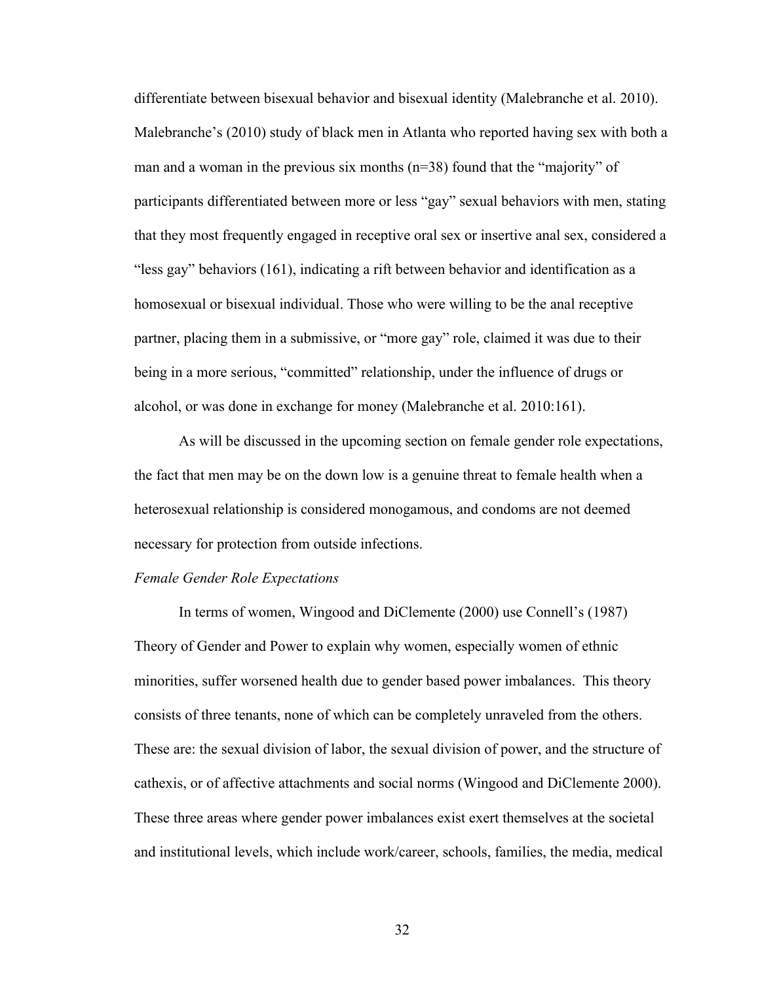differentiate between bisexual behavior and bisexual identity (Malebranche et al. 2010). Malebranche's (2010) study of black men in Atlanta who reported having sex with both a man and a woman in the previous six months (n=38) found that the "majority" of participants differentiated between more or less "gay" sexual behaviors with men, stating that they most frequently engaged in receptive oral sex or insertive anal sex, considered a "less gay" behaviors (161), indicating a rift between behavior and identification as a homosexual or bisexual individual. Those who were willing to be the anal receptive partner, placing them in a submissive, or "more gay" role, claimed it was due to their being in a more serious, "committed" relationship, under the influence of drugs or alcohol, or was done in exchange for money (Malebranche et al. 2010:161).

As will be discussed in the upcoming section on female gender role expectations, the fact that men may be on the down low is a genuine threat to female health when a heterosexual relationship is considered monogamous, and condoms are not deemed necessary for protection from outside infections.

### *Female Gender Role Expectations*

In terms of women, Wingood and DiClemente (2000) use Connell's (1987) Theory of Gender and Power to explain why women, especially women of ethnic minorities, suffer worsened health due to gender based power imbalances. This theory consists of three tenants, none of which can be completely unraveled from the others. These are: the sexual division of labor, the sexual division of power, and the structure of cathexis, or of affective attachments and social norms (Wingood and DiClemente 2000). These three areas where gender power imbalances exist exert themselves at the societal and institutional levels, which include work/career, schools, families, the media, medical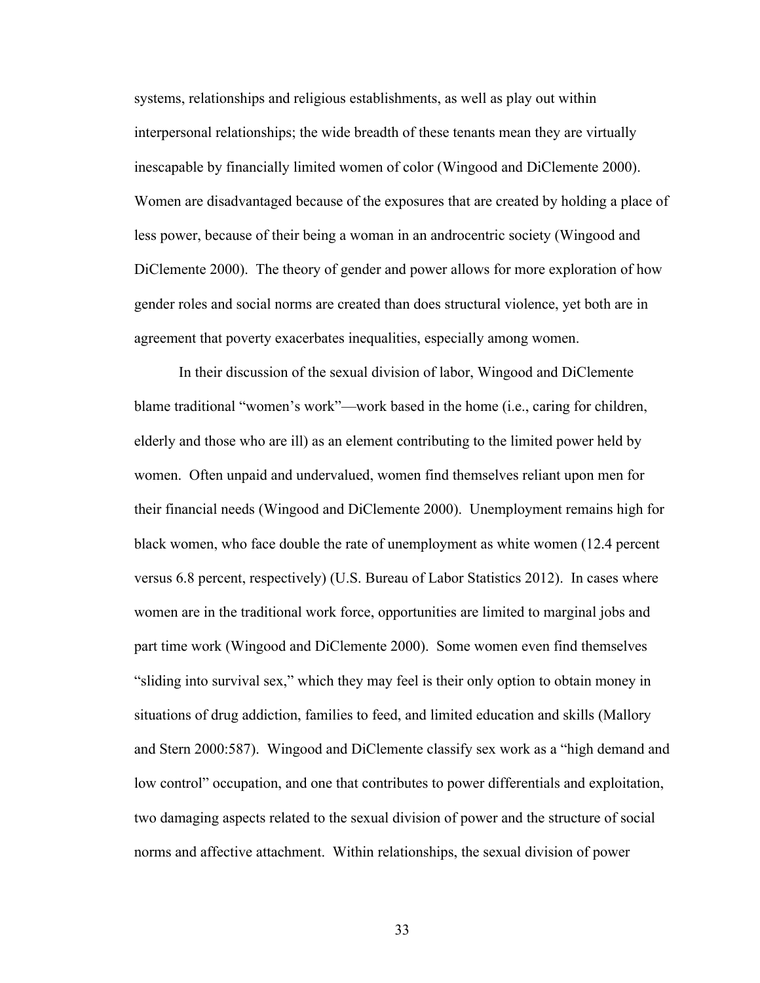systems, relationships and religious establishments, as well as play out within interpersonal relationships; the wide breadth of these tenants mean they are virtually inescapable by financially limited women of color (Wingood and DiClemente 2000). Women are disadvantaged because of the exposures that are created by holding a place of less power, because of their being a woman in an androcentric society (Wingood and DiClemente 2000). The theory of gender and power allows for more exploration of how gender roles and social norms are created than does structural violence, yet both are in agreement that poverty exacerbates inequalities, especially among women.

In their discussion of the sexual division of labor, Wingood and DiClemente blame traditional "women's work"—work based in the home (i.e., caring for children, elderly and those who are ill) as an element contributing to the limited power held by women. Often unpaid and undervalued, women find themselves reliant upon men for their financial needs (Wingood and DiClemente 2000). Unemployment remains high for black women, who face double the rate of unemployment as white women (12.4 percent versus 6.8 percent, respectively) (U.S. Bureau of Labor Statistics 2012). In cases where women are in the traditional work force, opportunities are limited to marginal jobs and part time work (Wingood and DiClemente 2000). Some women even find themselves "sliding into survival sex," which they may feel is their only option to obtain money in situations of drug addiction, families to feed, and limited education and skills (Mallory and Stern 2000:587). Wingood and DiClemente classify sex work as a "high demand and low control" occupation, and one that contributes to power differentials and exploitation, two damaging aspects related to the sexual division of power and the structure of social norms and affective attachment. Within relationships, the sexual division of power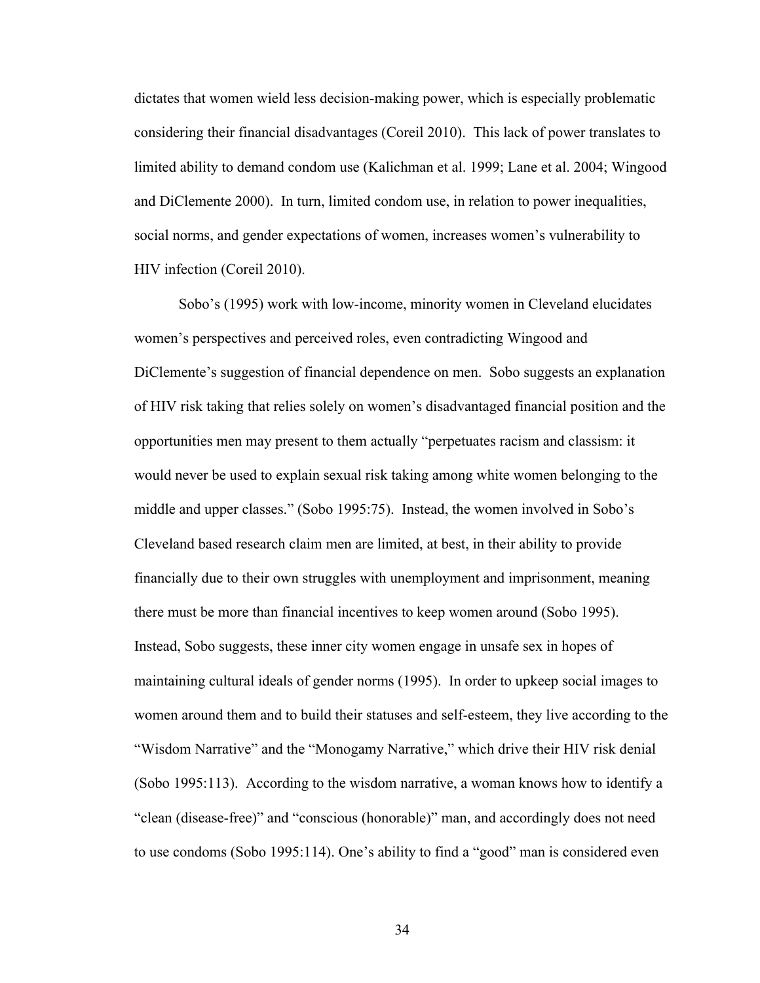dictates that women wield less decision-making power, which is especially problematic considering their financial disadvantages (Coreil 2010). This lack of power translates to limited ability to demand condom use (Kalichman et al. 1999; Lane et al. 2004; Wingood and DiClemente 2000). In turn, limited condom use, in relation to power inequalities, social norms, and gender expectations of women, increases women's vulnerability to HIV infection (Coreil 2010).

Sobo's (1995) work with low-income, minority women in Cleveland elucidates women's perspectives and perceived roles, even contradicting Wingood and DiClemente's suggestion of financial dependence on men. Sobo suggests an explanation of HIV risk taking that relies solely on women's disadvantaged financial position and the opportunities men may present to them actually "perpetuates racism and classism: it would never be used to explain sexual risk taking among white women belonging to the middle and upper classes." (Sobo 1995:75). Instead, the women involved in Sobo's Cleveland based research claim men are limited, at best, in their ability to provide financially due to their own struggles with unemployment and imprisonment, meaning there must be more than financial incentives to keep women around (Sobo 1995). Instead, Sobo suggests, these inner city women engage in unsafe sex in hopes of maintaining cultural ideals of gender norms (1995). In order to upkeep social images to women around them and to build their statuses and self-esteem, they live according to the "Wisdom Narrative" and the "Monogamy Narrative," which drive their HIV risk denial (Sobo 1995:113). According to the wisdom narrative, a woman knows how to identify a "clean (disease-free)" and "conscious (honorable)" man, and accordingly does not need to use condoms (Sobo 1995:114). One's ability to find a "good" man is considered even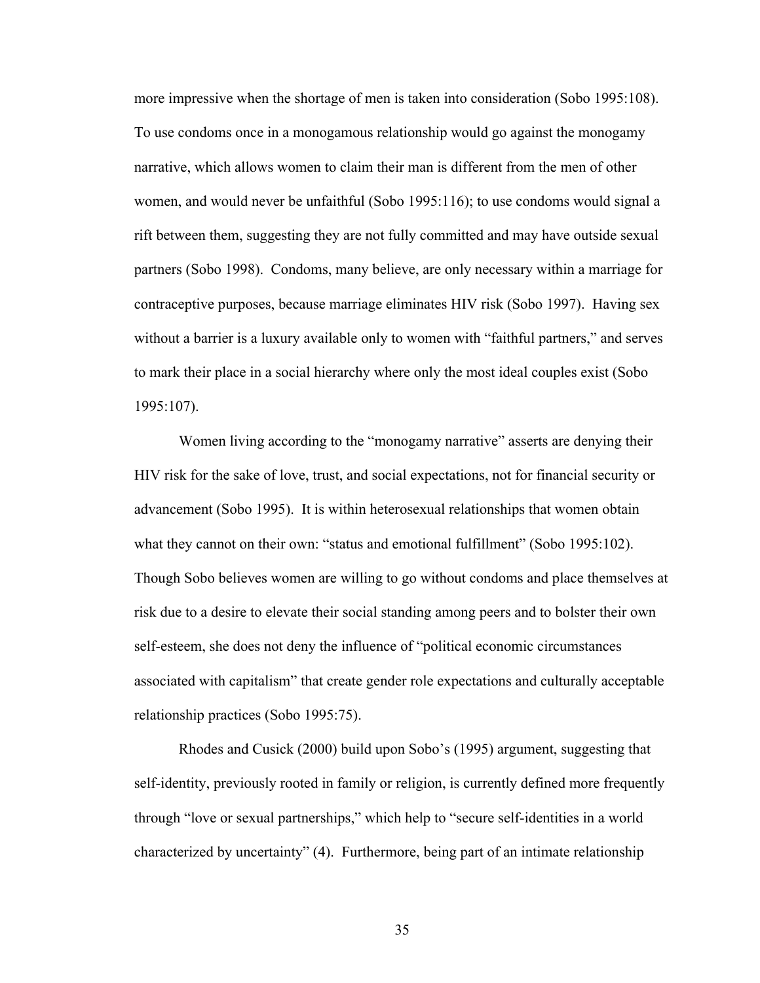more impressive when the shortage of men is taken into consideration (Sobo 1995:108). To use condoms once in a monogamous relationship would go against the monogamy narrative, which allows women to claim their man is different from the men of other women, and would never be unfaithful (Sobo 1995:116); to use condoms would signal a rift between them, suggesting they are not fully committed and may have outside sexual partners (Sobo 1998). Condoms, many believe, are only necessary within a marriage for contraceptive purposes, because marriage eliminates HIV risk (Sobo 1997). Having sex without a barrier is a luxury available only to women with "faithful partners," and serves to mark their place in a social hierarchy where only the most ideal couples exist (Sobo 1995:107).

Women living according to the "monogamy narrative" asserts are denying their HIV risk for the sake of love, trust, and social expectations, not for financial security or advancement (Sobo 1995). It is within heterosexual relationships that women obtain what they cannot on their own: "status and emotional fulfillment" (Sobo 1995:102). Though Sobo believes women are willing to go without condoms and place themselves at risk due to a desire to elevate their social standing among peers and to bolster their own self-esteem, she does not deny the influence of "political economic circumstances associated with capitalism" that create gender role expectations and culturally acceptable relationship practices (Sobo 1995:75).

Rhodes and Cusick (2000) build upon Sobo's (1995) argument, suggesting that self-identity, previously rooted in family or religion, is currently defined more frequently through "love or sexual partnerships," which help to "secure self-identities in a world characterized by uncertainty" (4). Furthermore, being part of an intimate relationship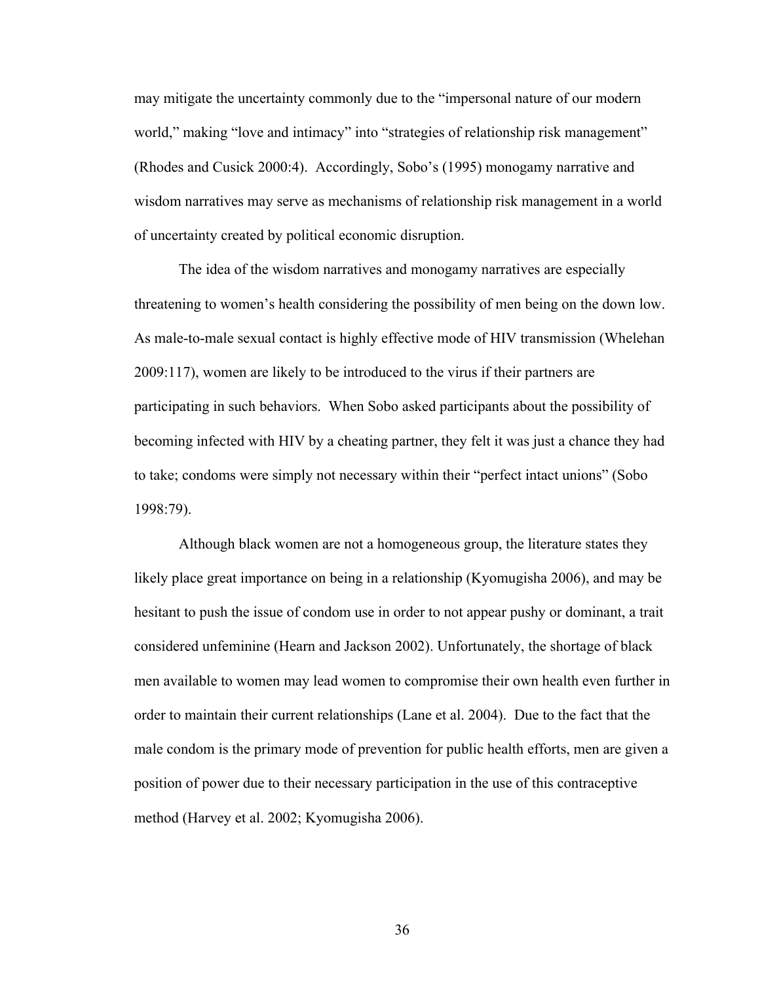may mitigate the uncertainty commonly due to the "impersonal nature of our modern world," making "love and intimacy" into "strategies of relationship risk management" (Rhodes and Cusick 2000:4). Accordingly, Sobo's (1995) monogamy narrative and wisdom narratives may serve as mechanisms of relationship risk management in a world of uncertainty created by political economic disruption.

The idea of the wisdom narratives and monogamy narratives are especially threatening to women's health considering the possibility of men being on the down low. As male-to-male sexual contact is highly effective mode of HIV transmission (Whelehan 2009:117), women are likely to be introduced to the virus if their partners are participating in such behaviors. When Sobo asked participants about the possibility of becoming infected with HIV by a cheating partner, they felt it was just a chance they had to take; condoms were simply not necessary within their "perfect intact unions" (Sobo 1998:79).

Although black women are not a homogeneous group, the literature states they likely place great importance on being in a relationship (Kyomugisha 2006), and may be hesitant to push the issue of condom use in order to not appear pushy or dominant, a trait considered unfeminine (Hearn and Jackson 2002). Unfortunately, the shortage of black men available to women may lead women to compromise their own health even further in order to maintain their current relationships (Lane et al. 2004). Due to the fact that the male condom is the primary mode of prevention for public health efforts, men are given a position of power due to their necessary participation in the use of this contraceptive method (Harvey et al. 2002; Kyomugisha 2006).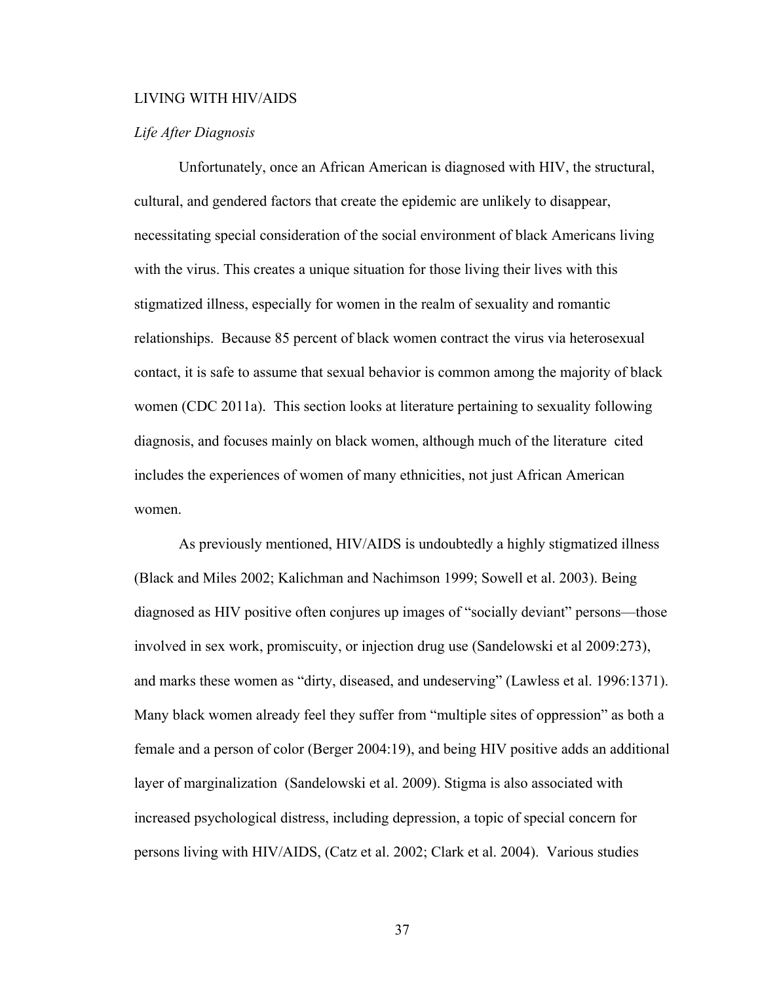### LIVING WITH HIV/AIDS

# *Life After Diagnosis*

Unfortunately, once an African American is diagnosed with HIV, the structural, cultural, and gendered factors that create the epidemic are unlikely to disappear, necessitating special consideration of the social environment of black Americans living with the virus. This creates a unique situation for those living their lives with this stigmatized illness, especially for women in the realm of sexuality and romantic relationships. Because 85 percent of black women contract the virus via heterosexual contact, it is safe to assume that sexual behavior is common among the majority of black women (CDC 2011a). This section looks at literature pertaining to sexuality following diagnosis, and focuses mainly on black women, although much of the literature cited includes the experiences of women of many ethnicities, not just African American women.

As previously mentioned, HIV/AIDS is undoubtedly a highly stigmatized illness (Black and Miles 2002; Kalichman and Nachimson 1999; Sowell et al. 2003). Being diagnosed as HIV positive often conjures up images of "socially deviant" persons—those involved in sex work, promiscuity, or injection drug use (Sandelowski et al 2009:273), and marks these women as "dirty, diseased, and undeserving" (Lawless et al. 1996:1371). Many black women already feel they suffer from "multiple sites of oppression" as both a female and a person of color (Berger 2004:19), and being HIV positive adds an additional layer of marginalization (Sandelowski et al. 2009). Stigma is also associated with increased psychological distress, including depression, a topic of special concern for persons living with HIV/AIDS, (Catz et al. 2002; Clark et al. 2004). Various studies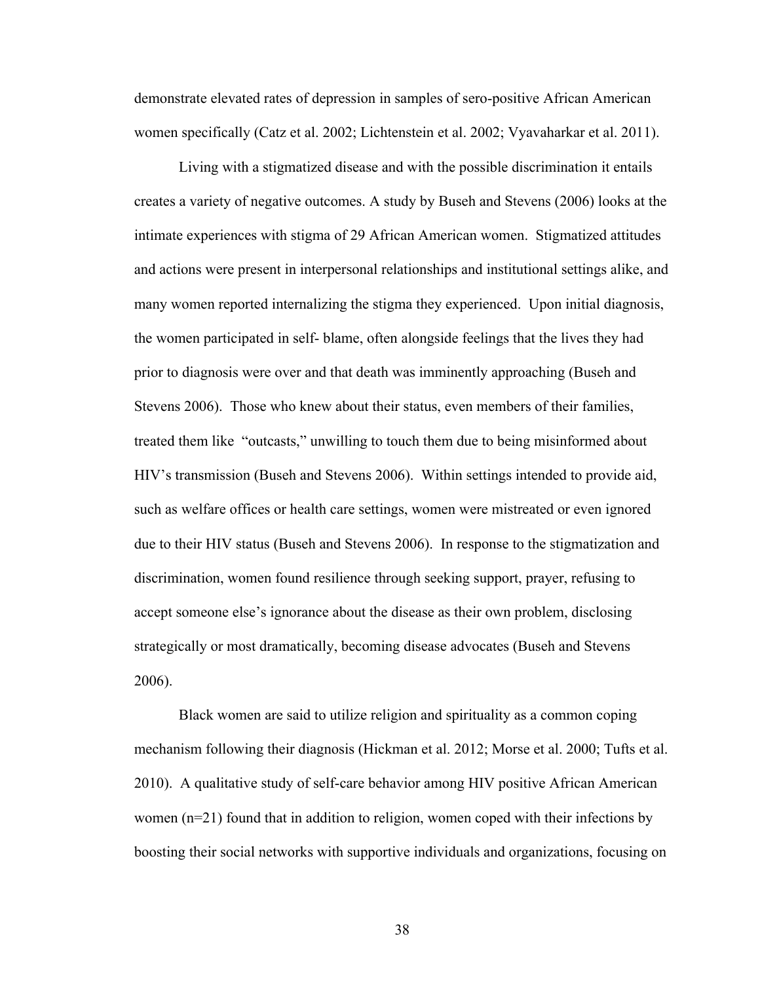demonstrate elevated rates of depression in samples of sero-positive African American women specifically (Catz et al. 2002; Lichtenstein et al. 2002; Vyavaharkar et al. 2011).

Living with a stigmatized disease and with the possible discrimination it entails creates a variety of negative outcomes. A study by Buseh and Stevens (2006) looks at the intimate experiences with stigma of 29 African American women. Stigmatized attitudes and actions were present in interpersonal relationships and institutional settings alike, and many women reported internalizing the stigma they experienced. Upon initial diagnosis, the women participated in self- blame, often alongside feelings that the lives they had prior to diagnosis were over and that death was imminently approaching (Buseh and Stevens 2006). Those who knew about their status, even members of their families, treated them like "outcasts," unwilling to touch them due to being misinformed about HIV's transmission (Buseh and Stevens 2006). Within settings intended to provide aid, such as welfare offices or health care settings, women were mistreated or even ignored due to their HIV status (Buseh and Stevens 2006). In response to the stigmatization and discrimination, women found resilience through seeking support, prayer, refusing to accept someone else's ignorance about the disease as their own problem, disclosing strategically or most dramatically, becoming disease advocates (Buseh and Stevens 2006).

Black women are said to utilize religion and spirituality as a common coping mechanism following their diagnosis (Hickman et al. 2012; Morse et al. 2000; Tufts et al. 2010). A qualitative study of self-care behavior among HIV positive African American women (n=21) found that in addition to religion, women coped with their infections by boosting their social networks with supportive individuals and organizations, focusing on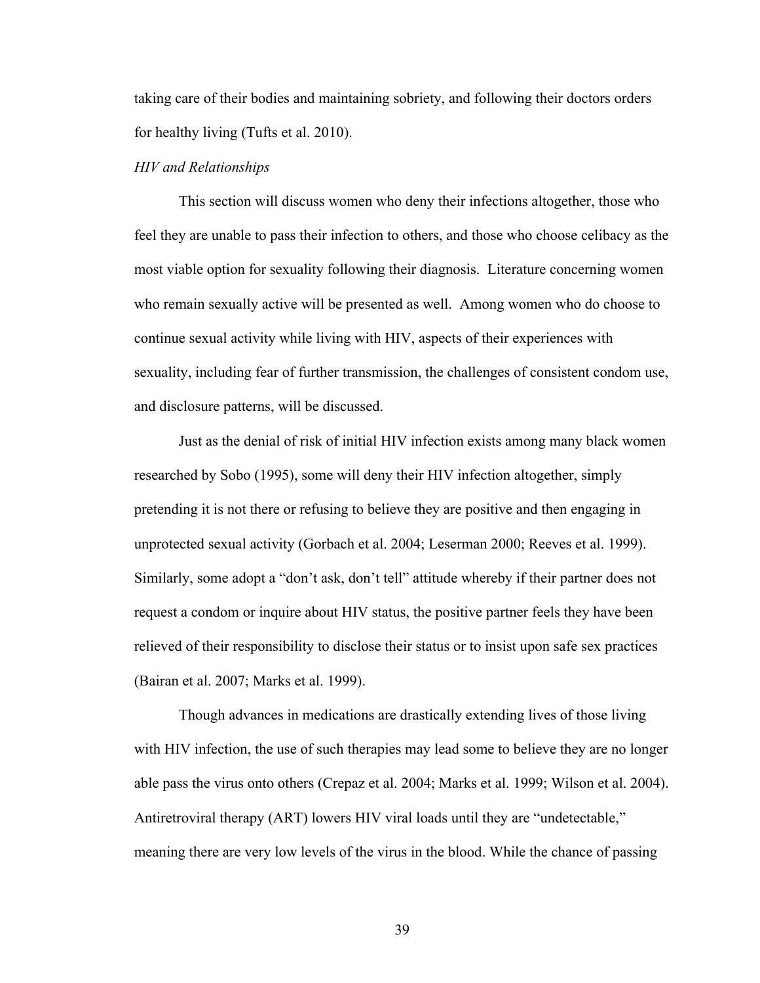taking care of their bodies and maintaining sobriety, and following their doctors orders for healthy living (Tufts et al. 2010).

# *HIV and Relationships*

This section will discuss women who deny their infections altogether, those who feel they are unable to pass their infection to others, and those who choose celibacy as the most viable option for sexuality following their diagnosis. Literature concerning women who remain sexually active will be presented as well. Among women who do choose to continue sexual activity while living with HIV, aspects of their experiences with sexuality, including fear of further transmission, the challenges of consistent condom use, and disclosure patterns, will be discussed.

Just as the denial of risk of initial HIV infection exists among many black women researched by Sobo (1995), some will deny their HIV infection altogether, simply pretending it is not there or refusing to believe they are positive and then engaging in unprotected sexual activity (Gorbach et al. 2004; Leserman 2000; Reeves et al. 1999). Similarly, some adopt a "don't ask, don't tell" attitude whereby if their partner does not request a condom or inquire about HIV status, the positive partner feels they have been relieved of their responsibility to disclose their status or to insist upon safe sex practices (Bairan et al. 2007; Marks et al. 1999).

Though advances in medications are drastically extending lives of those living with HIV infection, the use of such therapies may lead some to believe they are no longer able pass the virus onto others (Crepaz et al. 2004; Marks et al. 1999; Wilson et al. 2004). Antiretroviral therapy (ART) lowers HIV viral loads until they are "undetectable," meaning there are very low levels of the virus in the blood. While the chance of passing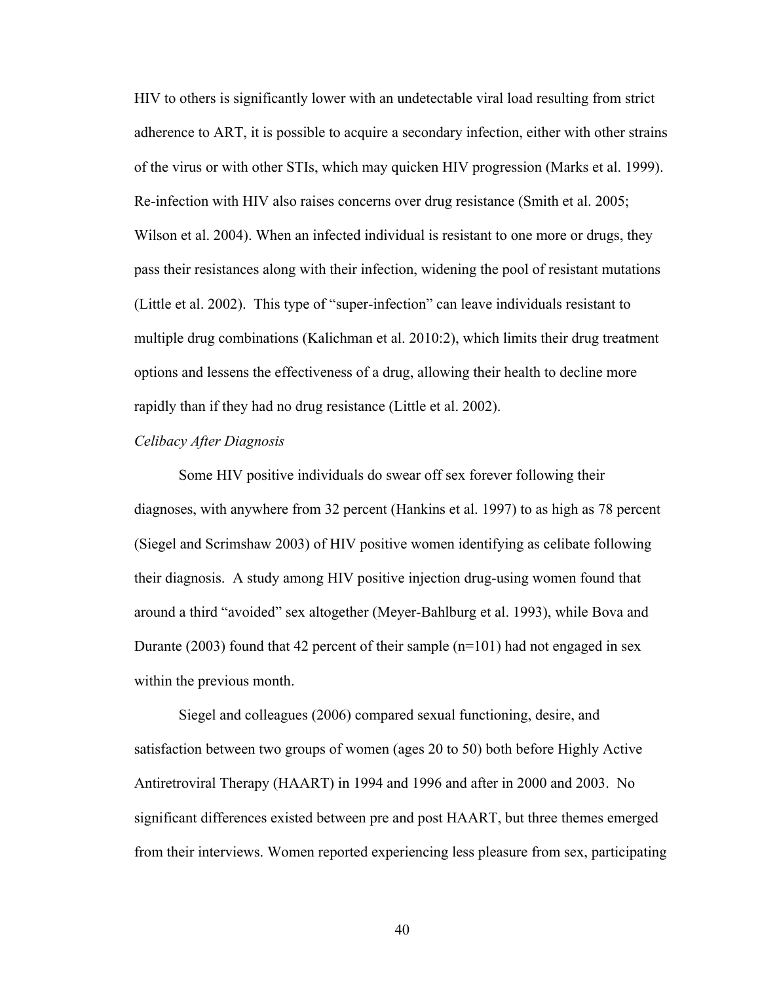HIV to others is significantly lower with an undetectable viral load resulting from strict adherence to ART, it is possible to acquire a secondary infection, either with other strains of the virus or with other STIs, which may quicken HIV progression (Marks et al. 1999). Re-infection with HIV also raises concerns over drug resistance (Smith et al. 2005; Wilson et al. 2004). When an infected individual is resistant to one more or drugs, they pass their resistances along with their infection, widening the pool of resistant mutations (Little et al. 2002). This type of "super-infection" can leave individuals resistant to multiple drug combinations (Kalichman et al. 2010:2), which limits their drug treatment options and lessens the effectiveness of a drug, allowing their health to decline more rapidly than if they had no drug resistance (Little et al. 2002).

#### *Celibacy After Diagnosis*

Some HIV positive individuals do swear off sex forever following their diagnoses, with anywhere from 32 percent (Hankins et al. 1997) to as high as 78 percent (Siegel and Scrimshaw 2003) of HIV positive women identifying as celibate following their diagnosis. A study among HIV positive injection drug-using women found that around a third "avoided" sex altogether (Meyer-Bahlburg et al. 1993), while Bova and Durante (2003) found that 42 percent of their sample (n=101) had not engaged in sex within the previous month.

Siegel and colleagues (2006) compared sexual functioning, desire, and satisfaction between two groups of women (ages 20 to 50) both before Highly Active Antiretroviral Therapy (HAART) in 1994 and 1996 and after in 2000 and 2003. No significant differences existed between pre and post HAART, but three themes emerged from their interviews. Women reported experiencing less pleasure from sex, participating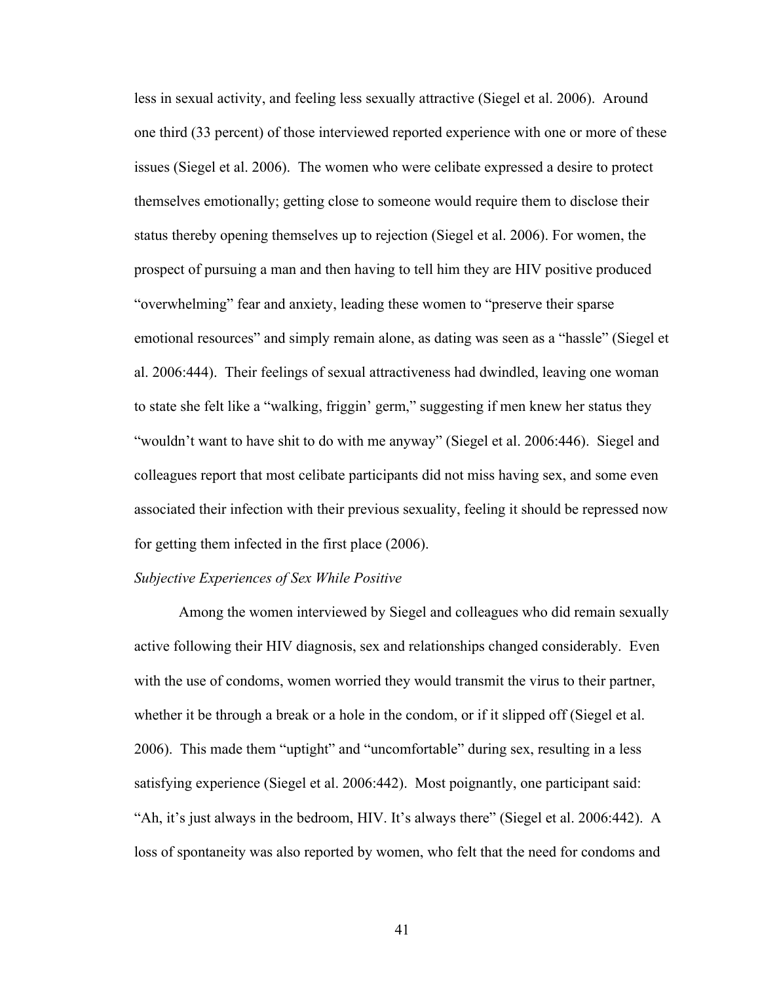less in sexual activity, and feeling less sexually attractive (Siegel et al. 2006). Around one third (33 percent) of those interviewed reported experience with one or more of these issues (Siegel et al. 2006). The women who were celibate expressed a desire to protect themselves emotionally; getting close to someone would require them to disclose their status thereby opening themselves up to rejection (Siegel et al. 2006). For women, the prospect of pursuing a man and then having to tell him they are HIV positive produced "overwhelming" fear and anxiety, leading these women to "preserve their sparse emotional resources" and simply remain alone, as dating was seen as a "hassle" (Siegel et al. 2006:444). Their feelings of sexual attractiveness had dwindled, leaving one woman to state she felt like a "walking, friggin' germ," suggesting if men knew her status they "wouldn't want to have shit to do with me anyway" (Siegel et al. 2006:446). Siegel and colleagues report that most celibate participants did not miss having sex, and some even associated their infection with their previous sexuality, feeling it should be repressed now for getting them infected in the first place (2006).

# *Subjective Experiences of Sex While Positive*

Among the women interviewed by Siegel and colleagues who did remain sexually active following their HIV diagnosis, sex and relationships changed considerably. Even with the use of condoms, women worried they would transmit the virus to their partner, whether it be through a break or a hole in the condom, or if it slipped off (Siegel et al. 2006). This made them "uptight" and "uncomfortable" during sex, resulting in a less satisfying experience (Siegel et al. 2006:442). Most poignantly, one participant said: "Ah, it's just always in the bedroom, HIV. It's always there" (Siegel et al. 2006:442). A loss of spontaneity was also reported by women, who felt that the need for condoms and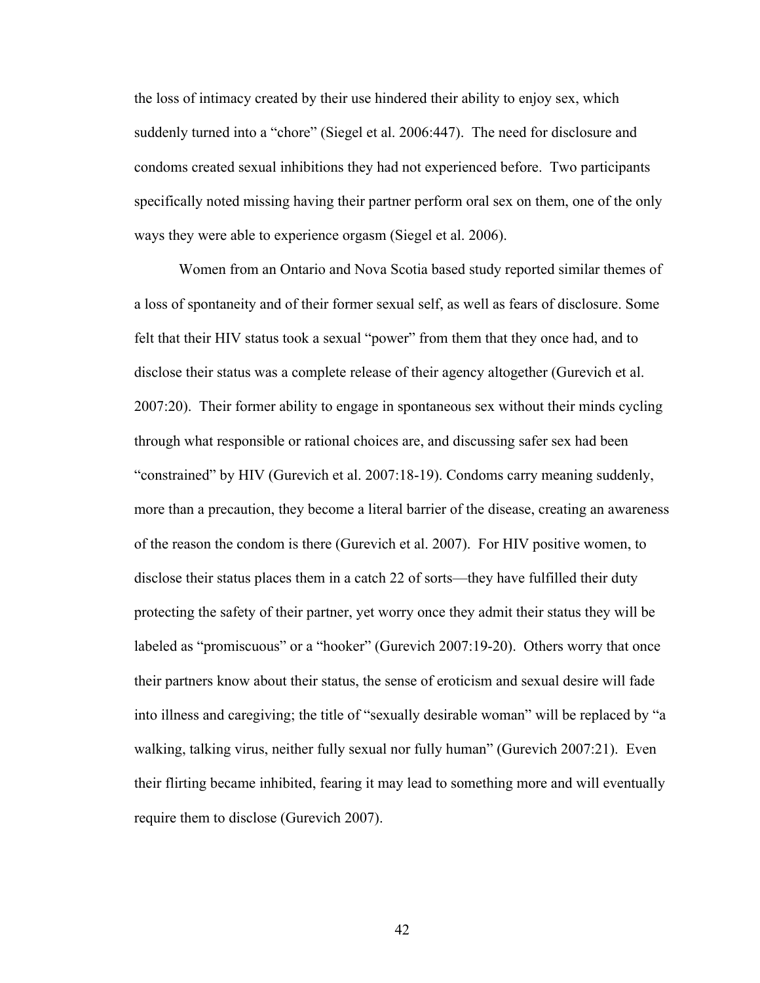the loss of intimacy created by their use hindered their ability to enjoy sex, which suddenly turned into a "chore" (Siegel et al. 2006:447). The need for disclosure and condoms created sexual inhibitions they had not experienced before. Two participants specifically noted missing having their partner perform oral sex on them, one of the only ways they were able to experience orgasm (Siegel et al. 2006).

Women from an Ontario and Nova Scotia based study reported similar themes of a loss of spontaneity and of their former sexual self, as well as fears of disclosure. Some felt that their HIV status took a sexual "power" from them that they once had, and to disclose their status was a complete release of their agency altogether (Gurevich et al. 2007:20). Their former ability to engage in spontaneous sex without their minds cycling through what responsible or rational choices are, and discussing safer sex had been "constrained" by HIV (Gurevich et al. 2007:18-19). Condoms carry meaning suddenly, more than a precaution, they become a literal barrier of the disease, creating an awareness of the reason the condom is there (Gurevich et al. 2007). For HIV positive women, to disclose their status places them in a catch 22 of sorts—they have fulfilled their duty protecting the safety of their partner, yet worry once they admit their status they will be labeled as "promiscuous" or a "hooker" (Gurevich 2007:19-20). Others worry that once their partners know about their status, the sense of eroticism and sexual desire will fade into illness and caregiving; the title of "sexually desirable woman" will be replaced by "a walking, talking virus, neither fully sexual nor fully human" (Gurevich 2007:21). Even their flirting became inhibited, fearing it may lead to something more and will eventually require them to disclose (Gurevich 2007).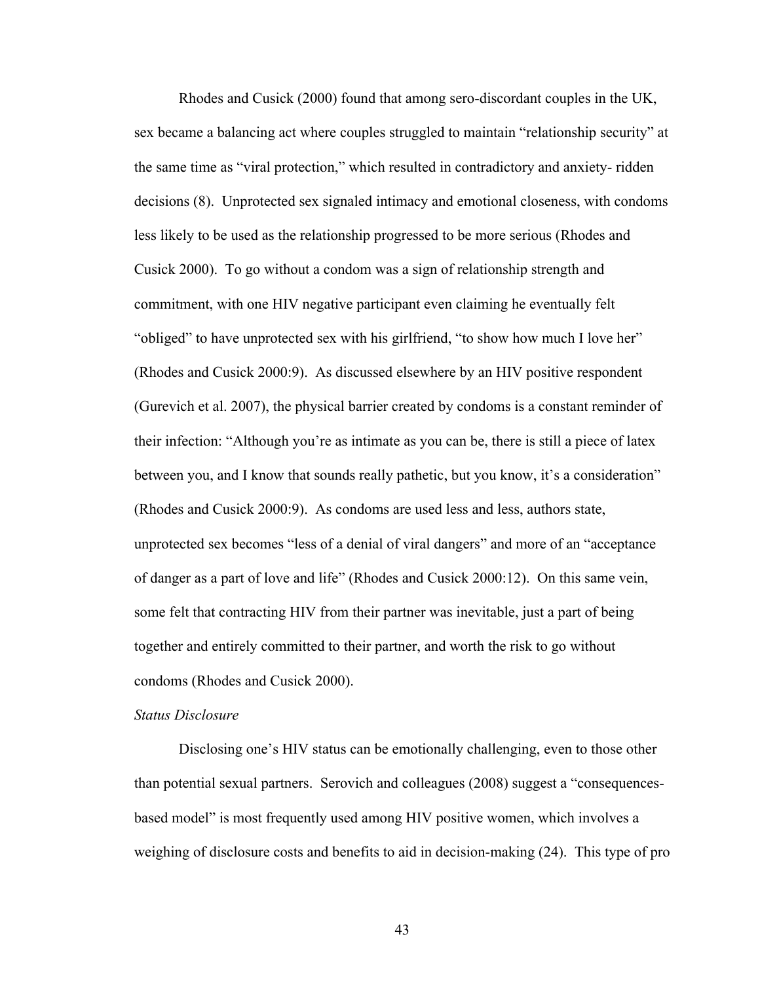Rhodes and Cusick (2000) found that among sero-discordant couples in the UK, sex became a balancing act where couples struggled to maintain "relationship security" at the same time as "viral protection," which resulted in contradictory and anxiety- ridden decisions (8). Unprotected sex signaled intimacy and emotional closeness, with condoms less likely to be used as the relationship progressed to be more serious (Rhodes and Cusick 2000). To go without a condom was a sign of relationship strength and commitment, with one HIV negative participant even claiming he eventually felt "obliged" to have unprotected sex with his girlfriend, "to show how much I love her" (Rhodes and Cusick 2000:9). As discussed elsewhere by an HIV positive respondent (Gurevich et al. 2007), the physical barrier created by condoms is a constant reminder of their infection: "Although you're as intimate as you can be, there is still a piece of latex between you, and I know that sounds really pathetic, but you know, it's a consideration" (Rhodes and Cusick 2000:9). As condoms are used less and less, authors state, unprotected sex becomes "less of a denial of viral dangers" and more of an "acceptance of danger as a part of love and life" (Rhodes and Cusick 2000:12). On this same vein, some felt that contracting HIV from their partner was inevitable, just a part of being together and entirely committed to their partner, and worth the risk to go without condoms (Rhodes and Cusick 2000).

# *Status Disclosure*

Disclosing one's HIV status can be emotionally challenging, even to those other than potential sexual partners. Serovich and colleagues (2008) suggest a "consequencesbased model" is most frequently used among HIV positive women, which involves a weighing of disclosure costs and benefits to aid in decision-making (24). This type of pro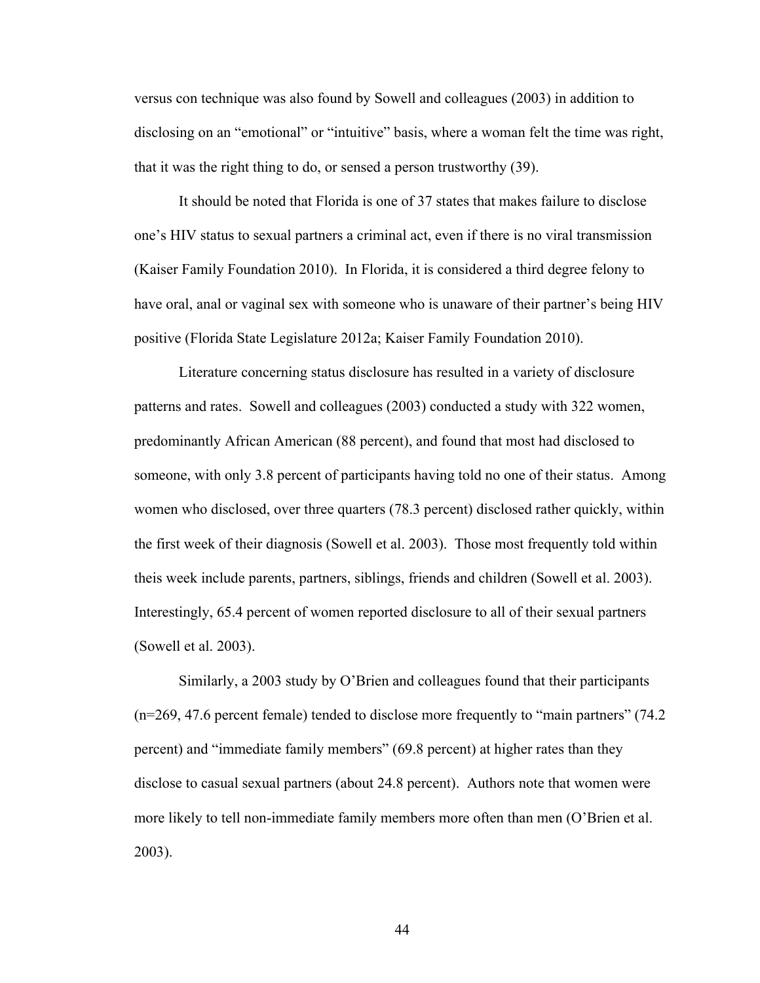versus con technique was also found by Sowell and colleagues (2003) in addition to disclosing on an "emotional" or "intuitive" basis, where a woman felt the time was right, that it was the right thing to do, or sensed a person trustworthy (39).

It should be noted that Florida is one of 37 states that makes failure to disclose one's HIV status to sexual partners a criminal act, even if there is no viral transmission (Kaiser Family Foundation 2010). In Florida, it is considered a third degree felony to have oral, anal or vaginal sex with someone who is unaware of their partner's being HIV positive (Florida State Legislature 2012a; Kaiser Family Foundation 2010).

Literature concerning status disclosure has resulted in a variety of disclosure patterns and rates. Sowell and colleagues (2003) conducted a study with 322 women, predominantly African American (88 percent), and found that most had disclosed to someone, with only 3.8 percent of participants having told no one of their status. Among women who disclosed, over three quarters (78.3 percent) disclosed rather quickly, within the first week of their diagnosis (Sowell et al. 2003). Those most frequently told within theis week include parents, partners, siblings, friends and children (Sowell et al. 2003). Interestingly, 65.4 percent of women reported disclosure to all of their sexual partners (Sowell et al. 2003).

Similarly, a 2003 study by O'Brien and colleagues found that their participants (n=269, 47.6 percent female) tended to disclose more frequently to "main partners" (74.2 percent) and "immediate family members" (69.8 percent) at higher rates than they disclose to casual sexual partners (about 24.8 percent). Authors note that women were more likely to tell non-immediate family members more often than men (O'Brien et al. 2003).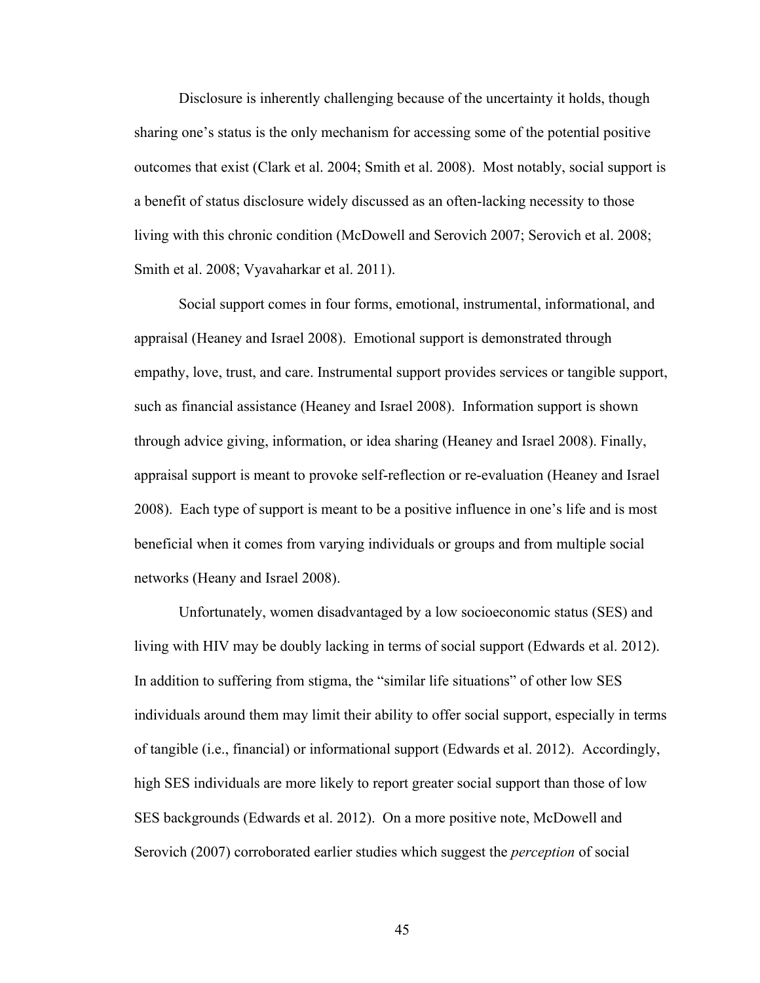Disclosure is inherently challenging because of the uncertainty it holds, though sharing one's status is the only mechanism for accessing some of the potential positive outcomes that exist (Clark et al. 2004; Smith et al. 2008). Most notably, social support is a benefit of status disclosure widely discussed as an often-lacking necessity to those living with this chronic condition (McDowell and Serovich 2007; Serovich et al. 2008; Smith et al. 2008; Vyavaharkar et al. 2011).

Social support comes in four forms, emotional, instrumental, informational, and appraisal (Heaney and Israel 2008). Emotional support is demonstrated through empathy, love, trust, and care. Instrumental support provides services or tangible support, such as financial assistance (Heaney and Israel 2008). Information support is shown through advice giving, information, or idea sharing (Heaney and Israel 2008). Finally, appraisal support is meant to provoke self-reflection or re-evaluation (Heaney and Israel 2008). Each type of support is meant to be a positive influence in one's life and is most beneficial when it comes from varying individuals or groups and from multiple social networks (Heany and Israel 2008).

Unfortunately, women disadvantaged by a low socioeconomic status (SES) and living with HIV may be doubly lacking in terms of social support (Edwards et al. 2012). In addition to suffering from stigma, the "similar life situations" of other low SES individuals around them may limit their ability to offer social support, especially in terms of tangible (i.e., financial) or informational support (Edwards et al. 2012). Accordingly, high SES individuals are more likely to report greater social support than those of low SES backgrounds (Edwards et al. 2012). On a more positive note, McDowell and Serovich (2007) corroborated earlier studies which suggest the *perception* of social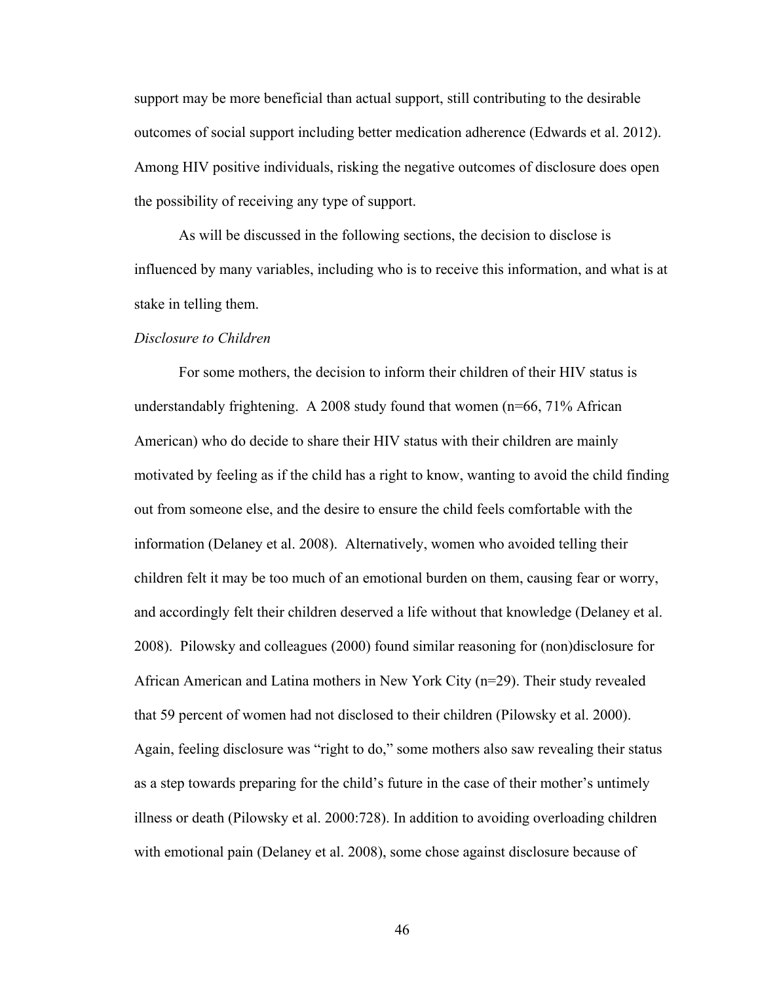support may be more beneficial than actual support, still contributing to the desirable outcomes of social support including better medication adherence (Edwards et al. 2012). Among HIV positive individuals, risking the negative outcomes of disclosure does open the possibility of receiving any type of support.

As will be discussed in the following sections, the decision to disclose is influenced by many variables, including who is to receive this information, and what is at stake in telling them.

#### *Disclosure to Children*

For some mothers, the decision to inform their children of their HIV status is understandably frightening. A 2008 study found that women (n=66, 71% African American) who do decide to share their HIV status with their children are mainly motivated by feeling as if the child has a right to know, wanting to avoid the child finding out from someone else, and the desire to ensure the child feels comfortable with the information (Delaney et al. 2008). Alternatively, women who avoided telling their children felt it may be too much of an emotional burden on them, causing fear or worry, and accordingly felt their children deserved a life without that knowledge (Delaney et al. 2008). Pilowsky and colleagues (2000) found similar reasoning for (non)disclosure for African American and Latina mothers in New York City (n=29). Their study revealed that 59 percent of women had not disclosed to their children (Pilowsky et al. 2000). Again, feeling disclosure was "right to do," some mothers also saw revealing their status as a step towards preparing for the child's future in the case of their mother's untimely illness or death (Pilowsky et al. 2000:728). In addition to avoiding overloading children with emotional pain (Delaney et al. 2008), some chose against disclosure because of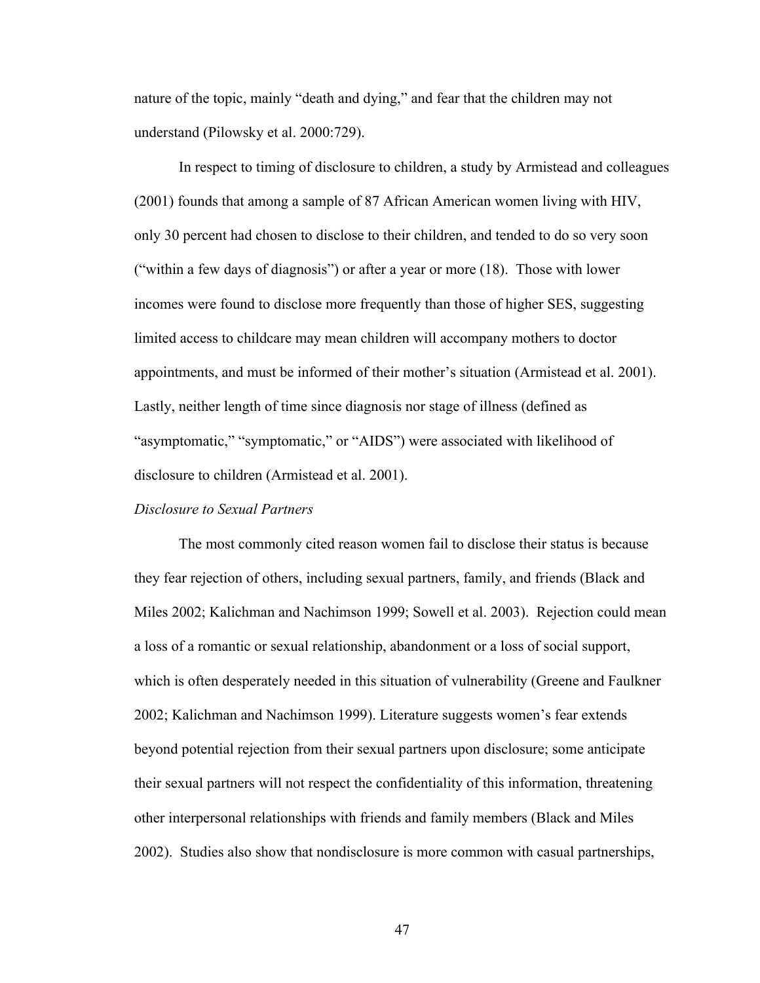nature of the topic, mainly "death and dying," and fear that the children may not understand (Pilowsky et al. 2000:729).

In respect to timing of disclosure to children, a study by Armistead and colleagues (2001) founds that among a sample of 87 African American women living with HIV, only 30 percent had chosen to disclose to their children, and tended to do so very soon ("within a few days of diagnosis") or after a year or more (18). Those with lower incomes were found to disclose more frequently than those of higher SES, suggesting limited access to childcare may mean children will accompany mothers to doctor appointments, and must be informed of their mother's situation (Armistead et al. 2001). Lastly, neither length of time since diagnosis nor stage of illness (defined as "asymptomatic," "symptomatic," or "AIDS") were associated with likelihood of disclosure to children (Armistead et al. 2001).

## *Disclosure to Sexual Partners*

The most commonly cited reason women fail to disclose their status is because they fear rejection of others, including sexual partners, family, and friends (Black and Miles 2002; Kalichman and Nachimson 1999; Sowell et al. 2003). Rejection could mean a loss of a romantic or sexual relationship, abandonment or a loss of social support, which is often desperately needed in this situation of vulnerability (Greene and Faulkner 2002; Kalichman and Nachimson 1999). Literature suggests women's fear extends beyond potential rejection from their sexual partners upon disclosure; some anticipate their sexual partners will not respect the confidentiality of this information, threatening other interpersonal relationships with friends and family members (Black and Miles 2002). Studies also show that nondisclosure is more common with casual partnerships,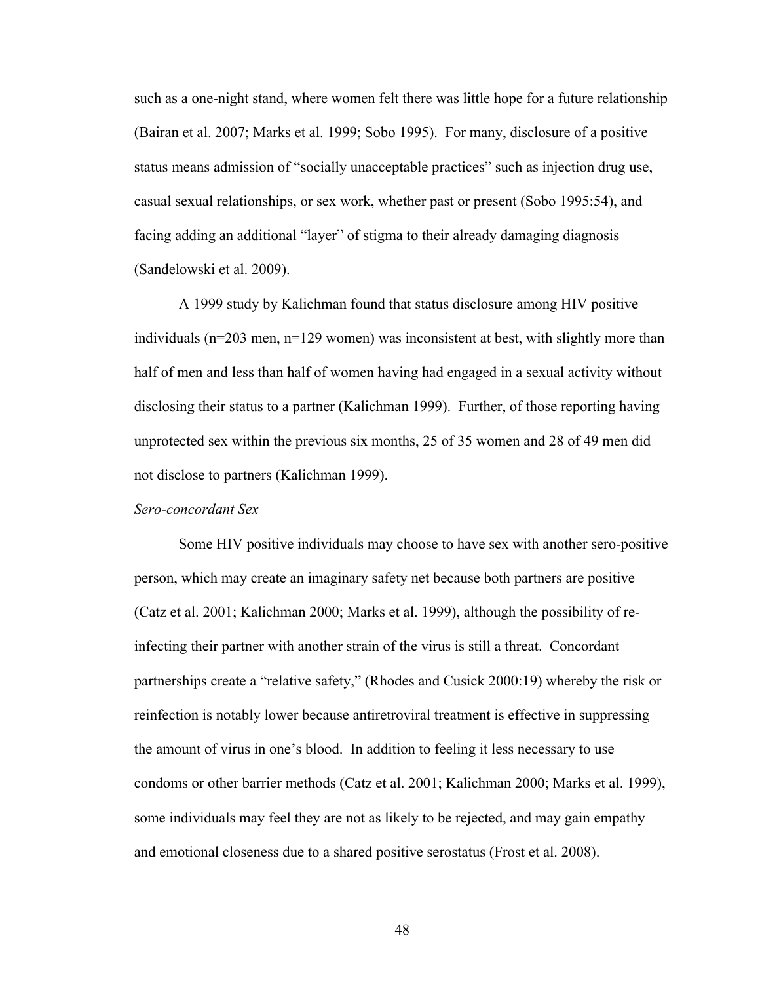such as a one-night stand, where women felt there was little hope for a future relationship (Bairan et al. 2007; Marks et al. 1999; Sobo 1995). For many, disclosure of a positive status means admission of "socially unacceptable practices" such as injection drug use, casual sexual relationships, or sex work, whether past or present (Sobo 1995:54), and facing adding an additional "layer" of stigma to their already damaging diagnosis (Sandelowski et al. 2009).

A 1999 study by Kalichman found that status disclosure among HIV positive individuals (n=203 men, n=129 women) was inconsistent at best, with slightly more than half of men and less than half of women having had engaged in a sexual activity without disclosing their status to a partner (Kalichman 1999). Further, of those reporting having unprotected sex within the previous six months, 25 of 35 women and 28 of 49 men did not disclose to partners (Kalichman 1999).

#### *Sero-concordant Sex*

Some HIV positive individuals may choose to have sex with another sero-positive person, which may create an imaginary safety net because both partners are positive (Catz et al. 2001; Kalichman 2000; Marks et al. 1999), although the possibility of reinfecting their partner with another strain of the virus is still a threat. Concordant partnerships create a "relative safety," (Rhodes and Cusick 2000:19) whereby the risk or reinfection is notably lower because antiretroviral treatment is effective in suppressing the amount of virus in one's blood. In addition to feeling it less necessary to use condoms or other barrier methods (Catz et al. 2001; Kalichman 2000; Marks et al. 1999), some individuals may feel they are not as likely to be rejected, and may gain empathy and emotional closeness due to a shared positive serostatus (Frost et al. 2008).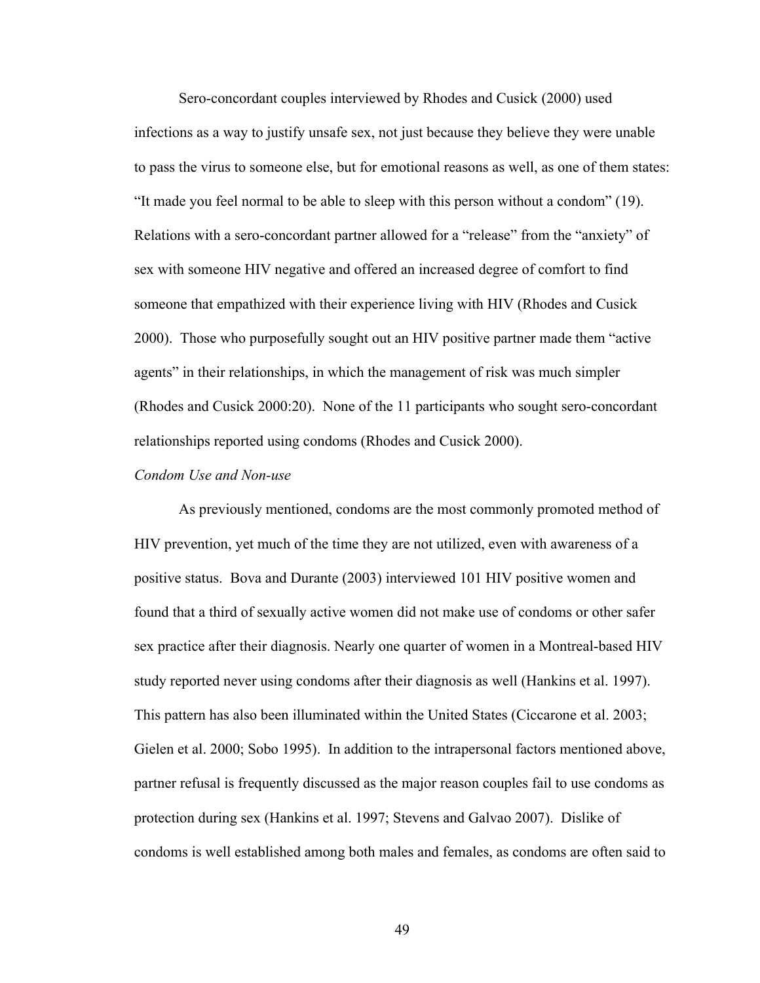Sero-concordant couples interviewed by Rhodes and Cusick (2000) used infections as a way to justify unsafe sex, not just because they believe they were unable to pass the virus to someone else, but for emotional reasons as well, as one of them states: "It made you feel normal to be able to sleep with this person without a condom" (19). Relations with a sero-concordant partner allowed for a "release" from the "anxiety" of sex with someone HIV negative and offered an increased degree of comfort to find someone that empathized with their experience living with HIV (Rhodes and Cusick 2000). Those who purposefully sought out an HIV positive partner made them "active agents" in their relationships, in which the management of risk was much simpler (Rhodes and Cusick 2000:20). None of the 11 participants who sought sero-concordant relationships reported using condoms (Rhodes and Cusick 2000).

#### *Condom Use and Non-use*

As previously mentioned, condoms are the most commonly promoted method of HIV prevention, yet much of the time they are not utilized, even with awareness of a positive status. Bova and Durante (2003) interviewed 101 HIV positive women and found that a third of sexually active women did not make use of condoms or other safer sex practice after their diagnosis. Nearly one quarter of women in a Montreal-based HIV study reported never using condoms after their diagnosis as well (Hankins et al. 1997). This pattern has also been illuminated within the United States (Ciccarone et al. 2003; Gielen et al. 2000; Sobo 1995). In addition to the intrapersonal factors mentioned above, partner refusal is frequently discussed as the major reason couples fail to use condoms as protection during sex (Hankins et al. 1997; Stevens and Galvao 2007). Dislike of condoms is well established among both males and females, as condoms are often said to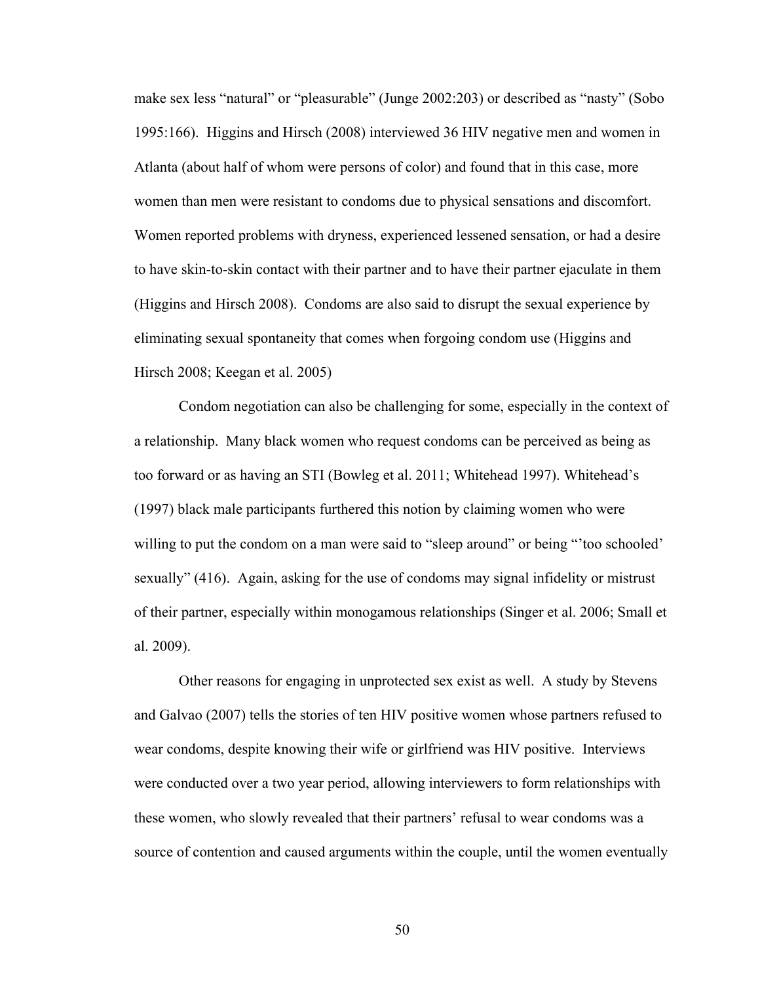make sex less "natural" or "pleasurable" (Junge 2002:203) or described as "nasty" (Sobo 1995:166). Higgins and Hirsch (2008) interviewed 36 HIV negative men and women in Atlanta (about half of whom were persons of color) and found that in this case, more women than men were resistant to condoms due to physical sensations and discomfort. Women reported problems with dryness, experienced lessened sensation, or had a desire to have skin-to-skin contact with their partner and to have their partner ejaculate in them (Higgins and Hirsch 2008). Condoms are also said to disrupt the sexual experience by eliminating sexual spontaneity that comes when forgoing condom use (Higgins and Hirsch 2008; Keegan et al. 2005)

Condom negotiation can also be challenging for some, especially in the context of a relationship. Many black women who request condoms can be perceived as being as too forward or as having an STI (Bowleg et al. 2011; Whitehead 1997). Whitehead's (1997) black male participants furthered this notion by claiming women who were willing to put the condom on a man were said to "sleep around" or being "'too schooled' sexually" (416). Again, asking for the use of condoms may signal infidelity or mistrust of their partner, especially within monogamous relationships (Singer et al. 2006; Small et al. 2009).

Other reasons for engaging in unprotected sex exist as well. A study by Stevens and Galvao (2007) tells the stories of ten HIV positive women whose partners refused to wear condoms, despite knowing their wife or girlfriend was HIV positive. Interviews were conducted over a two year period, allowing interviewers to form relationships with these women, who slowly revealed that their partners' refusal to wear condoms was a source of contention and caused arguments within the couple, until the women eventually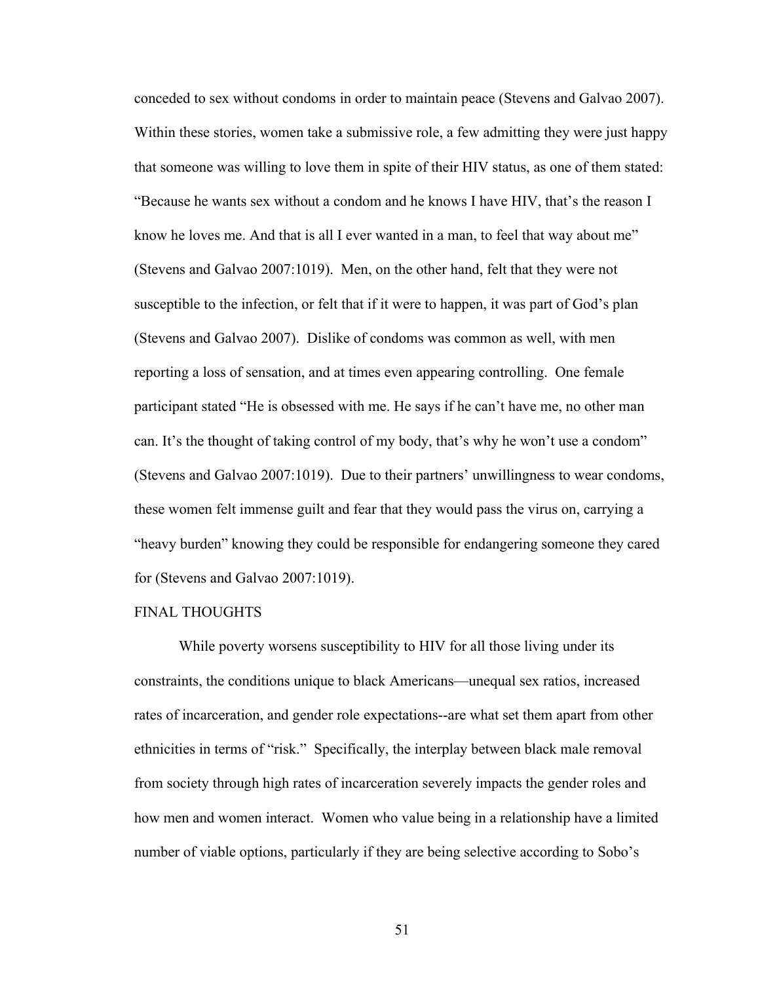conceded to sex without condoms in order to maintain peace (Stevens and Galvao 2007). Within these stories, women take a submissive role, a few admitting they were just happy that someone was willing to love them in spite of their HIV status, as one of them stated: "Because he wants sex without a condom and he knows I have HIV, that's the reason I know he loves me. And that is all I ever wanted in a man, to feel that way about me" (Stevens and Galvao 2007:1019). Men, on the other hand, felt that they were not susceptible to the infection, or felt that if it were to happen, it was part of God's plan (Stevens and Galvao 2007). Dislike of condoms was common as well, with men reporting a loss of sensation, and at times even appearing controlling. One female participant stated "He is obsessed with me. He says if he can't have me, no other man can. It's the thought of taking control of my body, that's why he won't use a condom" (Stevens and Galvao 2007:1019). Due to their partners' unwillingness to wear condoms, these women felt immense guilt and fear that they would pass the virus on, carrying a "heavy burden" knowing they could be responsible for endangering someone they cared for (Stevens and Galvao 2007:1019).

#### FINAL THOUGHTS

While poverty worsens susceptibility to HIV for all those living under its constraints, the conditions unique to black Americans—unequal sex ratios, increased rates of incarceration, and gender role expectations--are what set them apart from other ethnicities in terms of "risk." Specifically, the interplay between black male removal from society through high rates of incarceration severely impacts the gender roles and how men and women interact. Women who value being in a relationship have a limited number of viable options, particularly if they are being selective according to Sobo's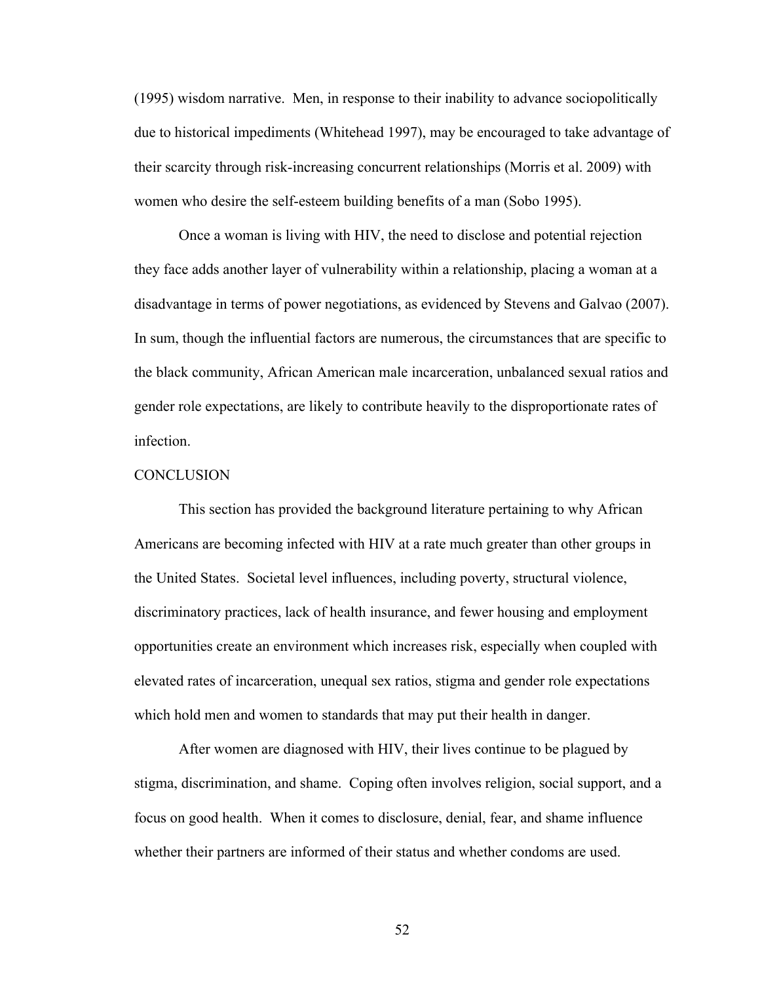(1995) wisdom narrative. Men, in response to their inability to advance sociopolitically due to historical impediments (Whitehead 1997), may be encouraged to take advantage of their scarcity through risk-increasing concurrent relationships (Morris et al. 2009) with women who desire the self-esteem building benefits of a man (Sobo 1995).

Once a woman is living with HIV, the need to disclose and potential rejection they face adds another layer of vulnerability within a relationship, placing a woman at a disadvantage in terms of power negotiations, as evidenced by Stevens and Galvao (2007). In sum, though the influential factors are numerous, the circumstances that are specific to the black community, African American male incarceration, unbalanced sexual ratios and gender role expectations, are likely to contribute heavily to the disproportionate rates of infection.

# **CONCLUSION**

This section has provided the background literature pertaining to why African Americans are becoming infected with HIV at a rate much greater than other groups in the United States. Societal level influences, including poverty, structural violence, discriminatory practices, lack of health insurance, and fewer housing and employment opportunities create an environment which increases risk, especially when coupled with elevated rates of incarceration, unequal sex ratios, stigma and gender role expectations which hold men and women to standards that may put their health in danger.

After women are diagnosed with HIV, their lives continue to be plagued by stigma, discrimination, and shame. Coping often involves religion, social support, and a focus on good health. When it comes to disclosure, denial, fear, and shame influence whether their partners are informed of their status and whether condoms are used.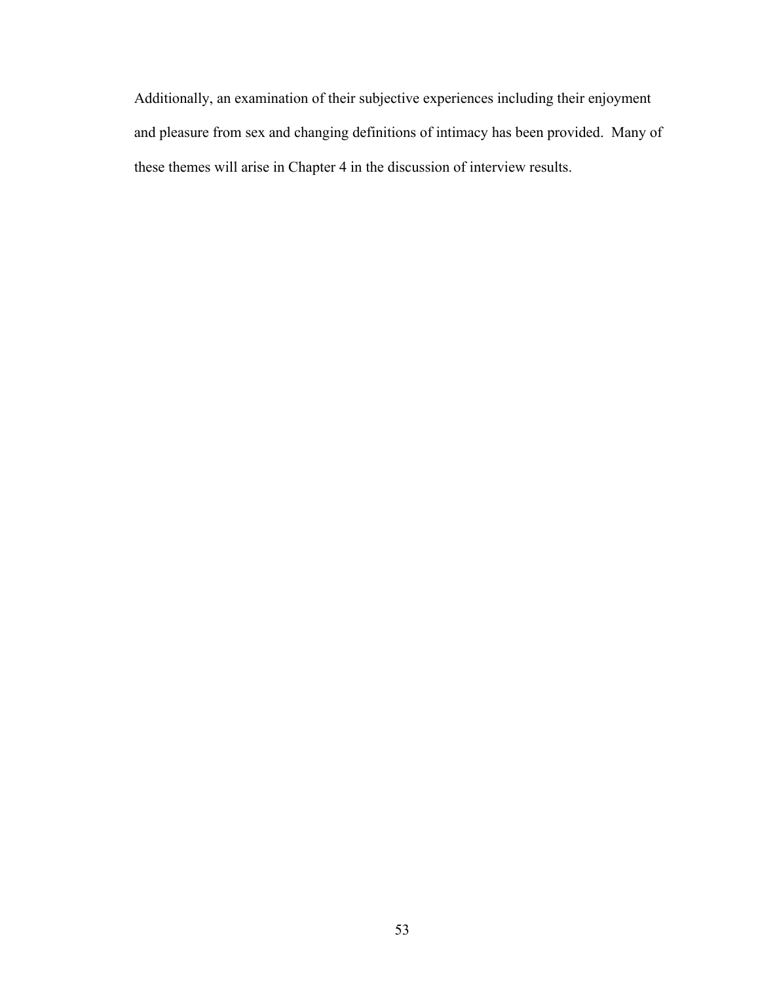Additionally, an examination of their subjective experiences including their enjoyment and pleasure from sex and changing definitions of intimacy has been provided. Many of these themes will arise in Chapter 4 in the discussion of interview results.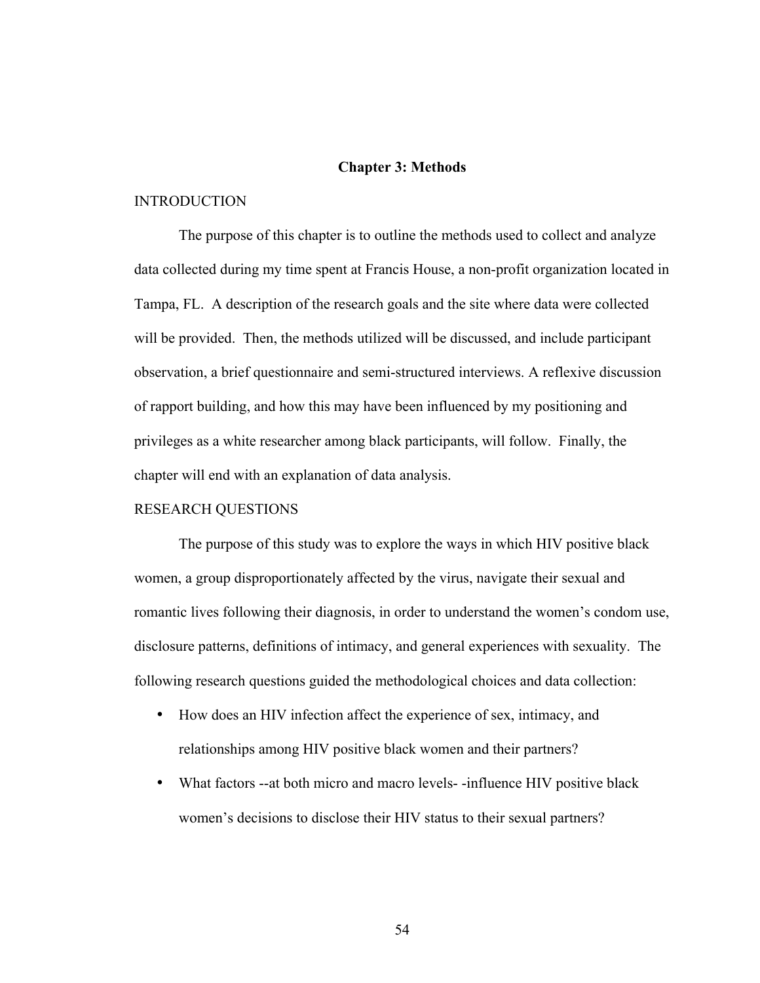# **Chapter 3: Methods**

## INTRODUCTION

The purpose of this chapter is to outline the methods used to collect and analyze data collected during my time spent at Francis House, a non-profit organization located in Tampa, FL. A description of the research goals and the site where data were collected will be provided. Then, the methods utilized will be discussed, and include participant observation, a brief questionnaire and semi-structured interviews. A reflexive discussion of rapport building, and how this may have been influenced by my positioning and privileges as a white researcher among black participants, will follow. Finally, the chapter will end with an explanation of data analysis.

## RESEARCH QUESTIONS

The purpose of this study was to explore the ways in which HIV positive black women, a group disproportionately affected by the virus, navigate their sexual and romantic lives following their diagnosis, in order to understand the women's condom use, disclosure patterns, definitions of intimacy, and general experiences with sexuality. The following research questions guided the methodological choices and data collection:

- How does an HIV infection affect the experience of sex, intimacy, and relationships among HIV positive black women and their partners?
- What factors --at both micro and macro levels--influence HIV positive black women's decisions to disclose their HIV status to their sexual partners?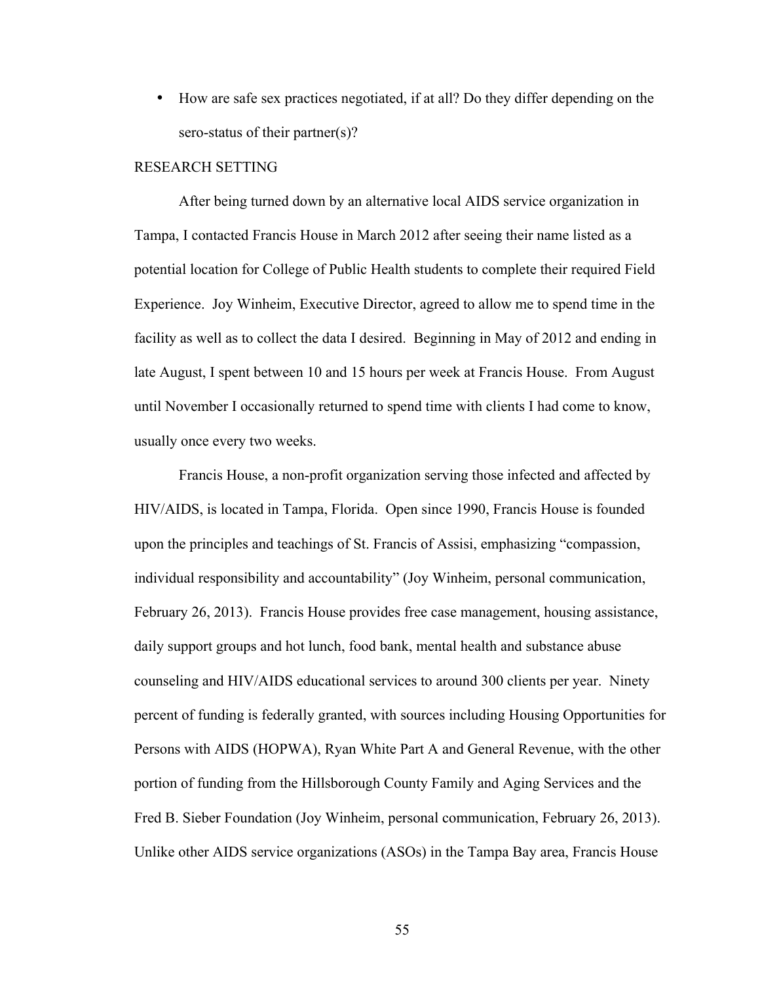• How are safe sex practices negotiated, if at all? Do they differ depending on the sero-status of their partner(s)?

# RESEARCH SETTING

After being turned down by an alternative local AIDS service organization in Tampa, I contacted Francis House in March 2012 after seeing their name listed as a potential location for College of Public Health students to complete their required Field Experience. Joy Winheim, Executive Director, agreed to allow me to spend time in the facility as well as to collect the data I desired. Beginning in May of 2012 and ending in late August, I spent between 10 and 15 hours per week at Francis House. From August until November I occasionally returned to spend time with clients I had come to know, usually once every two weeks.

Francis House, a non-profit organization serving those infected and affected by HIV/AIDS, is located in Tampa, Florida. Open since 1990, Francis House is founded upon the principles and teachings of St. Francis of Assisi, emphasizing "compassion, individual responsibility and accountability" (Joy Winheim, personal communication, February 26, 2013). Francis House provides free case management, housing assistance, daily support groups and hot lunch, food bank, mental health and substance abuse counseling and HIV/AIDS educational services to around 300 clients per year. Ninety percent of funding is federally granted, with sources including Housing Opportunities for Persons with AIDS (HOPWA), Ryan White Part A and General Revenue, with the other portion of funding from the Hillsborough County Family and Aging Services and the Fred B. Sieber Foundation (Joy Winheim, personal communication, February 26, 2013). Unlike other AIDS service organizations (ASOs) in the Tampa Bay area, Francis House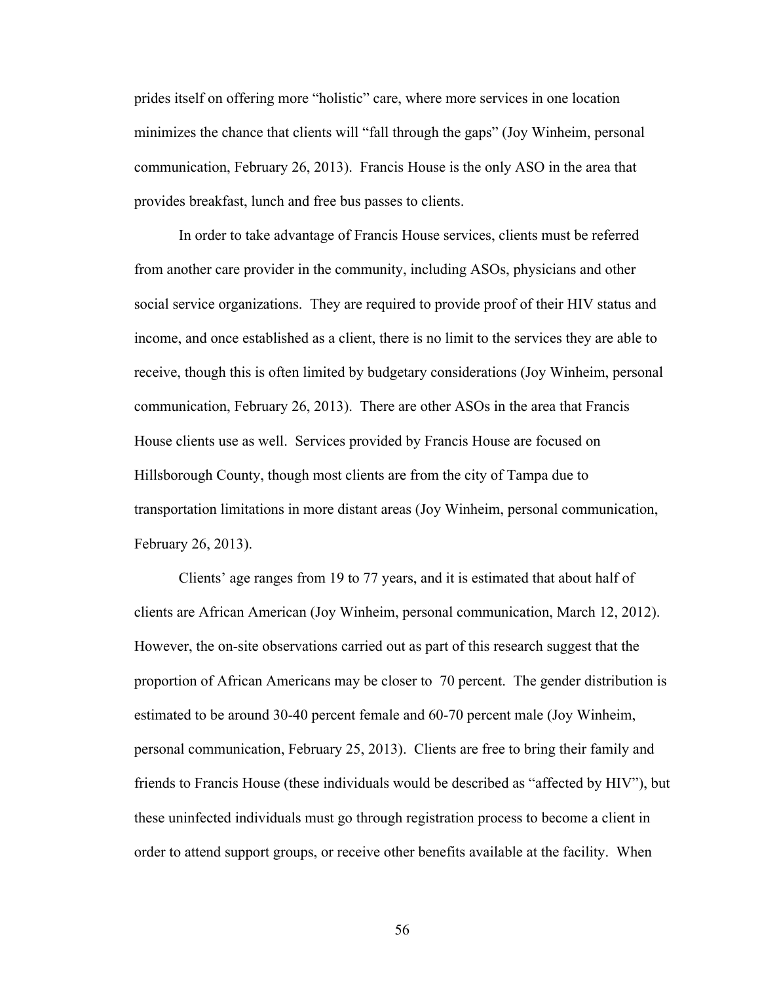prides itself on offering more "holistic" care, where more services in one location minimizes the chance that clients will "fall through the gaps" (Joy Winheim, personal communication, February 26, 2013). Francis House is the only ASO in the area that provides breakfast, lunch and free bus passes to clients.

In order to take advantage of Francis House services, clients must be referred from another care provider in the community, including ASOs, physicians and other social service organizations. They are required to provide proof of their HIV status and income, and once established as a client, there is no limit to the services they are able to receive, though this is often limited by budgetary considerations (Joy Winheim, personal communication, February 26, 2013). There are other ASOs in the area that Francis House clients use as well. Services provided by Francis House are focused on Hillsborough County, though most clients are from the city of Tampa due to transportation limitations in more distant areas (Joy Winheim, personal communication, February 26, 2013).

Clients' age ranges from 19 to 77 years, and it is estimated that about half of clients are African American (Joy Winheim, personal communication, March 12, 2012). However, the on-site observations carried out as part of this research suggest that the proportion of African Americans may be closer to 70 percent. The gender distribution is estimated to be around 30-40 percent female and 60-70 percent male (Joy Winheim, personal communication, February 25, 2013). Clients are free to bring their family and friends to Francis House (these individuals would be described as "affected by HIV"), but these uninfected individuals must go through registration process to become a client in order to attend support groups, or receive other benefits available at the facility. When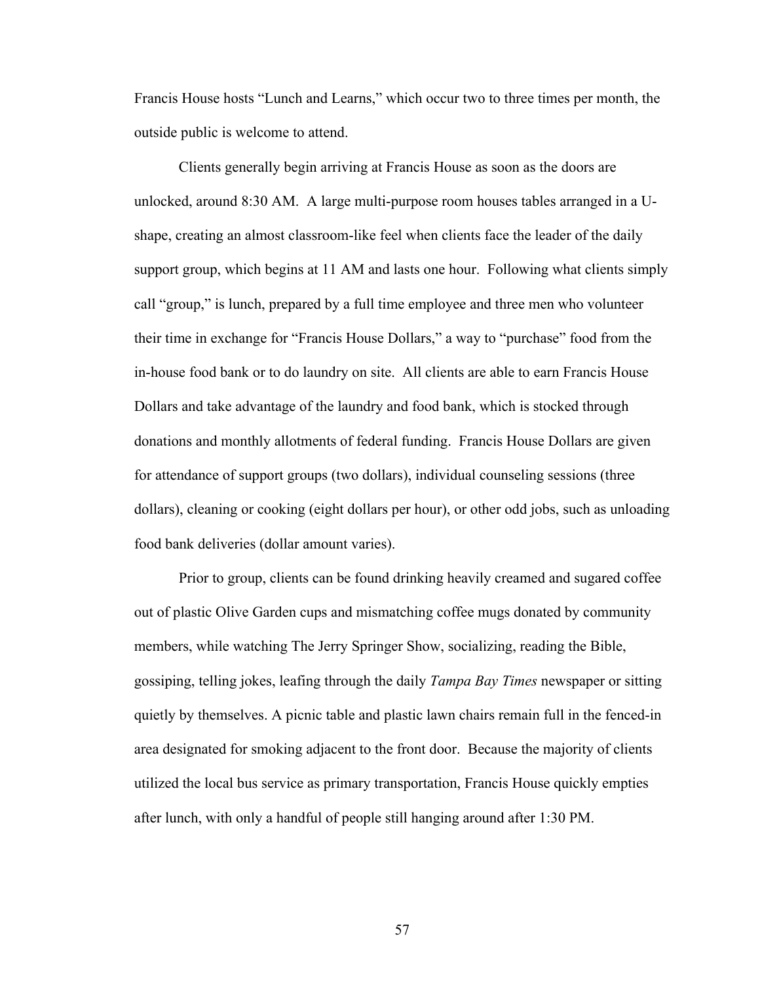Francis House hosts "Lunch and Learns," which occur two to three times per month, the outside public is welcome to attend.

Clients generally begin arriving at Francis House as soon as the doors are unlocked, around 8:30 AM. A large multi-purpose room houses tables arranged in a Ushape, creating an almost classroom-like feel when clients face the leader of the daily support group, which begins at 11 AM and lasts one hour. Following what clients simply call "group," is lunch, prepared by a full time employee and three men who volunteer their time in exchange for "Francis House Dollars," a way to "purchase" food from the in-house food bank or to do laundry on site. All clients are able to earn Francis House Dollars and take advantage of the laundry and food bank, which is stocked through donations and monthly allotments of federal funding. Francis House Dollars are given for attendance of support groups (two dollars), individual counseling sessions (three dollars), cleaning or cooking (eight dollars per hour), or other odd jobs, such as unloading food bank deliveries (dollar amount varies).

Prior to group, clients can be found drinking heavily creamed and sugared coffee out of plastic Olive Garden cups and mismatching coffee mugs donated by community members, while watching The Jerry Springer Show, socializing, reading the Bible, gossiping, telling jokes, leafing through the daily *Tampa Bay Times* newspaper or sitting quietly by themselves. A picnic table and plastic lawn chairs remain full in the fenced-in area designated for smoking adjacent to the front door. Because the majority of clients utilized the local bus service as primary transportation, Francis House quickly empties after lunch, with only a handful of people still hanging around after 1:30 PM.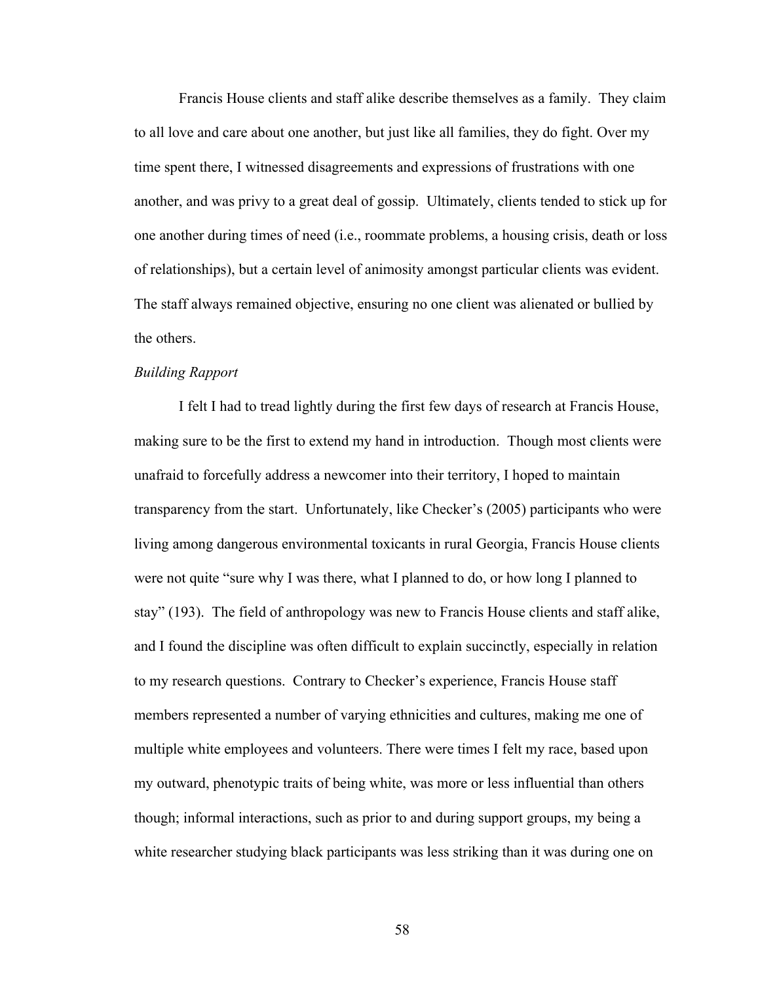Francis House clients and staff alike describe themselves as a family. They claim to all love and care about one another, but just like all families, they do fight. Over my time spent there, I witnessed disagreements and expressions of frustrations with one another, and was privy to a great deal of gossip. Ultimately, clients tended to stick up for one another during times of need (i.e., roommate problems, a housing crisis, death or loss of relationships), but a certain level of animosity amongst particular clients was evident. The staff always remained objective, ensuring no one client was alienated or bullied by the others.

# *Building Rapport*

I felt I had to tread lightly during the first few days of research at Francis House, making sure to be the first to extend my hand in introduction. Though most clients were unafraid to forcefully address a newcomer into their territory, I hoped to maintain transparency from the start. Unfortunately, like Checker's (2005) participants who were living among dangerous environmental toxicants in rural Georgia, Francis House clients were not quite "sure why I was there, what I planned to do, or how long I planned to stay" (193). The field of anthropology was new to Francis House clients and staff alike, and I found the discipline was often difficult to explain succinctly, especially in relation to my research questions. Contrary to Checker's experience, Francis House staff members represented a number of varying ethnicities and cultures, making me one of multiple white employees and volunteers. There were times I felt my race, based upon my outward, phenotypic traits of being white, was more or less influential than others though; informal interactions, such as prior to and during support groups, my being a white researcher studying black participants was less striking than it was during one on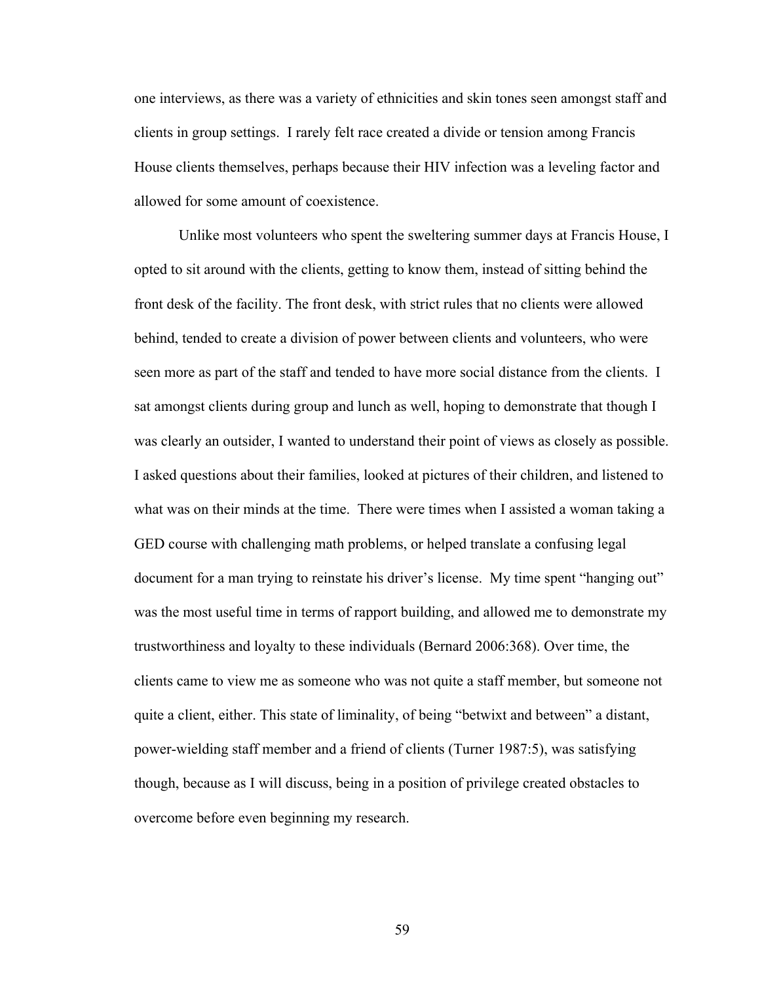one interviews, as there was a variety of ethnicities and skin tones seen amongst staff and clients in group settings. I rarely felt race created a divide or tension among Francis House clients themselves, perhaps because their HIV infection was a leveling factor and allowed for some amount of coexistence.

Unlike most volunteers who spent the sweltering summer days at Francis House, I opted to sit around with the clients, getting to know them, instead of sitting behind the front desk of the facility. The front desk, with strict rules that no clients were allowed behind, tended to create a division of power between clients and volunteers, who were seen more as part of the staff and tended to have more social distance from the clients. I sat amongst clients during group and lunch as well, hoping to demonstrate that though I was clearly an outsider, I wanted to understand their point of views as closely as possible. I asked questions about their families, looked at pictures of their children, and listened to what was on their minds at the time. There were times when I assisted a woman taking a GED course with challenging math problems, or helped translate a confusing legal document for a man trying to reinstate his driver's license. My time spent "hanging out" was the most useful time in terms of rapport building, and allowed me to demonstrate my trustworthiness and loyalty to these individuals (Bernard 2006:368). Over time, the clients came to view me as someone who was not quite a staff member, but someone not quite a client, either. This state of liminality, of being "betwixt and between" a distant, power-wielding staff member and a friend of clients (Turner 1987:5), was satisfying though, because as I will discuss, being in a position of privilege created obstacles to overcome before even beginning my research.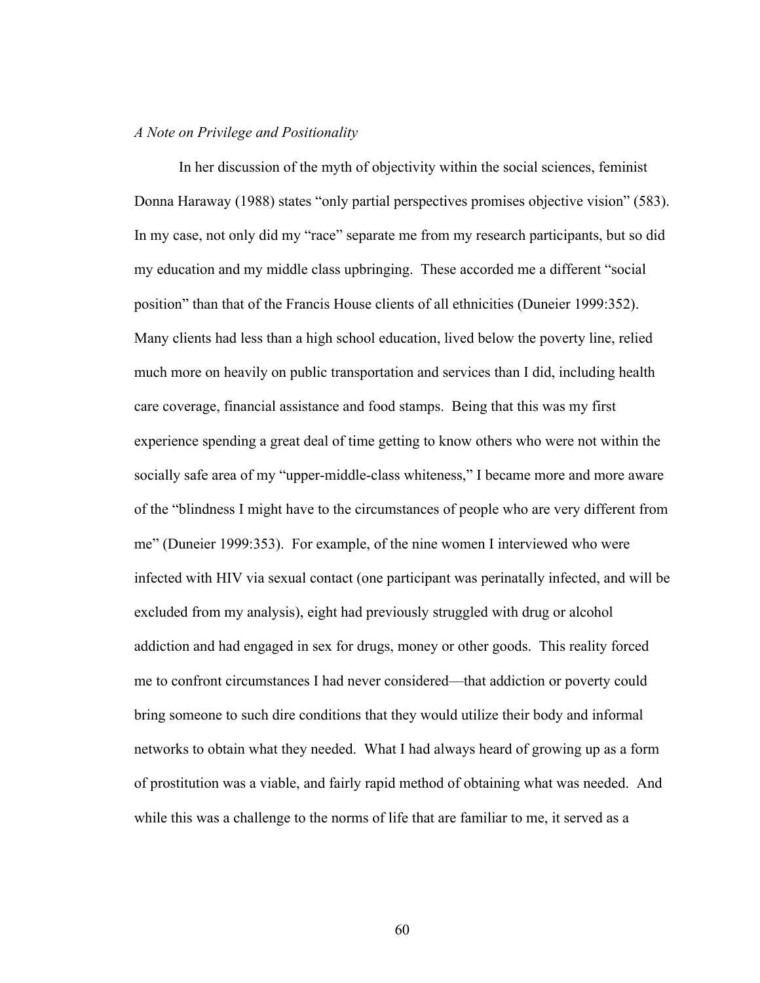## *A Note on Privilege and Positionality*

In her discussion of the myth of objectivity within the social sciences, feminist Donna Haraway (1988) states "only partial perspectives promises objective vision" (583). In my case, not only did my "race" separate me from my research participants, but so did my education and my middle class upbringing. These accorded me a different "social position" than that of the Francis House clients of all ethnicities (Duneier 1999:352). Many clients had less than a high school education, lived below the poverty line, relied much more on heavily on public transportation and services than I did, including health care coverage, financial assistance and food stamps. Being that this was my first experience spending a great deal of time getting to know others who were not within the socially safe area of my "upper-middle-class whiteness," I became more and more aware of the "blindness I might have to the circumstances of people who are very different from me" (Duneier 1999:353). For example, of the nine women I interviewed who were infected with HIV via sexual contact (one participant was perinatally infected, and will be excluded from my analysis), eight had previously struggled with drug or alcohol addiction and had engaged in sex for drugs, money or other goods. This reality forced me to confront circumstances I had never considered—that addiction or poverty could bring someone to such dire conditions that they would utilize their body and informal networks to obtain what they needed. What I had always heard of growing up as a form of prostitution was a viable, and fairly rapid method of obtaining what was needed. And while this was a challenge to the norms of life that are familiar to me, it served as a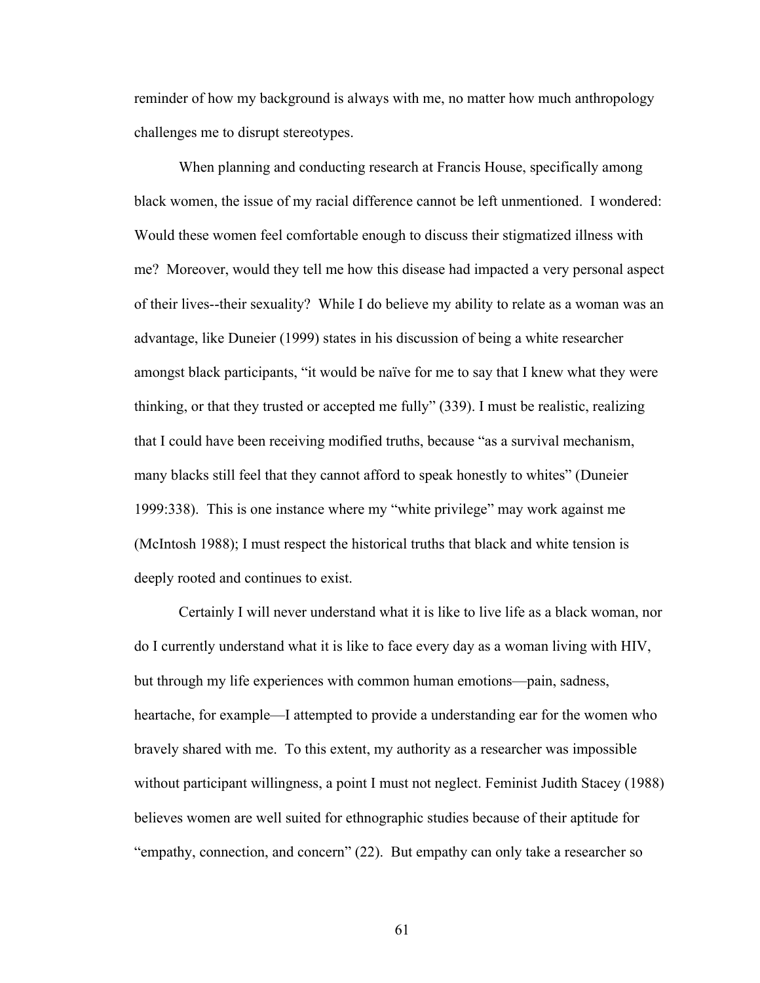reminder of how my background is always with me, no matter how much anthropology challenges me to disrupt stereotypes.

When planning and conducting research at Francis House, specifically among black women, the issue of my racial difference cannot be left unmentioned. I wondered: Would these women feel comfortable enough to discuss their stigmatized illness with me? Moreover, would they tell me how this disease had impacted a very personal aspect of their lives--their sexuality? While I do believe my ability to relate as a woman was an advantage, like Duneier (1999) states in his discussion of being a white researcher amongst black participants, "it would be naïve for me to say that I knew what they were thinking, or that they trusted or accepted me fully" (339). I must be realistic, realizing that I could have been receiving modified truths, because "as a survival mechanism, many blacks still feel that they cannot afford to speak honestly to whites" (Duneier 1999:338). This is one instance where my "white privilege" may work against me (McIntosh 1988); I must respect the historical truths that black and white tension is deeply rooted and continues to exist.

Certainly I will never understand what it is like to live life as a black woman, nor do I currently understand what it is like to face every day as a woman living with HIV, but through my life experiences with common human emotions—pain, sadness, heartache, for example—I attempted to provide a understanding ear for the women who bravely shared with me. To this extent, my authority as a researcher was impossible without participant willingness, a point I must not neglect. Feminist Judith Stacey (1988) believes women are well suited for ethnographic studies because of their aptitude for "empathy, connection, and concern" (22). But empathy can only take a researcher so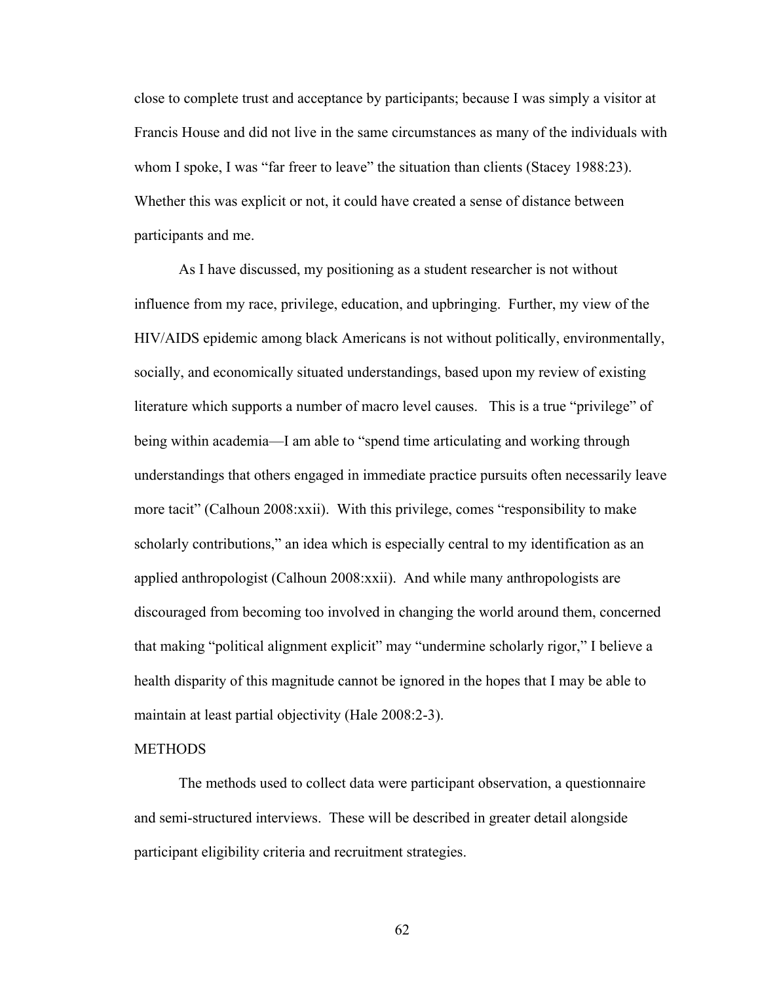close to complete trust and acceptance by participants; because I was simply a visitor at Francis House and did not live in the same circumstances as many of the individuals with whom I spoke, I was "far freer to leave" the situation than clients (Stacey 1988:23). Whether this was explicit or not, it could have created a sense of distance between participants and me.

As I have discussed, my positioning as a student researcher is not without influence from my race, privilege, education, and upbringing. Further, my view of the HIV/AIDS epidemic among black Americans is not without politically, environmentally, socially, and economically situated understandings, based upon my review of existing literature which supports a number of macro level causes. This is a true "privilege" of being within academia—I am able to "spend time articulating and working through understandings that others engaged in immediate practice pursuits often necessarily leave more tacit" (Calhoun 2008:xxii). With this privilege, comes "responsibility to make scholarly contributions," an idea which is especially central to my identification as an applied anthropologist (Calhoun 2008:xxii). And while many anthropologists are discouraged from becoming too involved in changing the world around them, concerned that making "political alignment explicit" may "undermine scholarly rigor," I believe a health disparity of this magnitude cannot be ignored in the hopes that I may be able to maintain at least partial objectivity (Hale 2008:2-3).

# **METHODS**

The methods used to collect data were participant observation, a questionnaire and semi-structured interviews. These will be described in greater detail alongside participant eligibility criteria and recruitment strategies.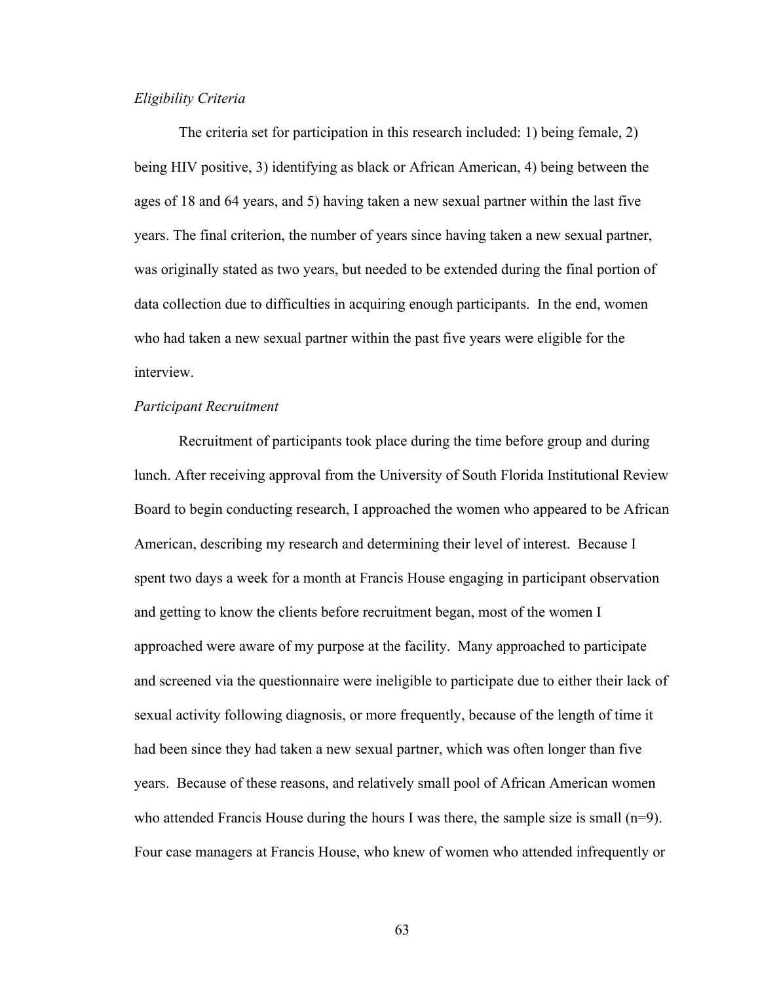#### *Eligibility Criteria*

The criteria set for participation in this research included: 1) being female, 2) being HIV positive, 3) identifying as black or African American, 4) being between the ages of 18 and 64 years, and 5) having taken a new sexual partner within the last five years. The final criterion, the number of years since having taken a new sexual partner, was originally stated as two years, but needed to be extended during the final portion of data collection due to difficulties in acquiring enough participants. In the end, women who had taken a new sexual partner within the past five years were eligible for the interview.

#### *Participant Recruitment*

Recruitment of participants took place during the time before group and during lunch. After receiving approval from the University of South Florida Institutional Review Board to begin conducting research, I approached the women who appeared to be African American, describing my research and determining their level of interest. Because I spent two days a week for a month at Francis House engaging in participant observation and getting to know the clients before recruitment began, most of the women I approached were aware of my purpose at the facility. Many approached to participate and screened via the questionnaire were ineligible to participate due to either their lack of sexual activity following diagnosis, or more frequently, because of the length of time it had been since they had taken a new sexual partner, which was often longer than five years. Because of these reasons, and relatively small pool of African American women who attended Francis House during the hours I was there, the sample size is small (n=9). Four case managers at Francis House, who knew of women who attended infrequently or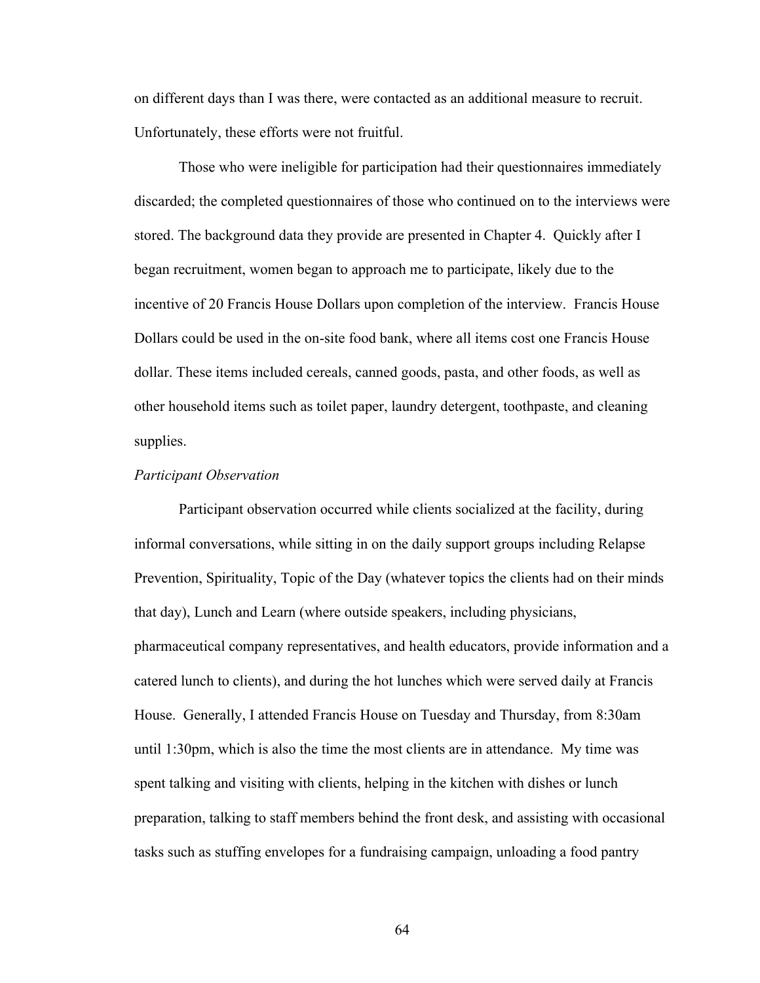on different days than I was there, were contacted as an additional measure to recruit. Unfortunately, these efforts were not fruitful.

Those who were ineligible for participation had their questionnaires immediately discarded; the completed questionnaires of those who continued on to the interviews were stored. The background data they provide are presented in Chapter 4. Quickly after I began recruitment, women began to approach me to participate, likely due to the incentive of 20 Francis House Dollars upon completion of the interview. Francis House Dollars could be used in the on-site food bank, where all items cost one Francis House dollar. These items included cereals, canned goods, pasta, and other foods, as well as other household items such as toilet paper, laundry detergent, toothpaste, and cleaning supplies.

# *Participant Observation*

Participant observation occurred while clients socialized at the facility, during informal conversations, while sitting in on the daily support groups including Relapse Prevention, Spirituality, Topic of the Day (whatever topics the clients had on their minds that day), Lunch and Learn (where outside speakers, including physicians, pharmaceutical company representatives, and health educators, provide information and a catered lunch to clients), and during the hot lunches which were served daily at Francis House. Generally, I attended Francis House on Tuesday and Thursday, from 8:30am until 1:30pm, which is also the time the most clients are in attendance. My time was spent talking and visiting with clients, helping in the kitchen with dishes or lunch preparation, talking to staff members behind the front desk, and assisting with occasional tasks such as stuffing envelopes for a fundraising campaign, unloading a food pantry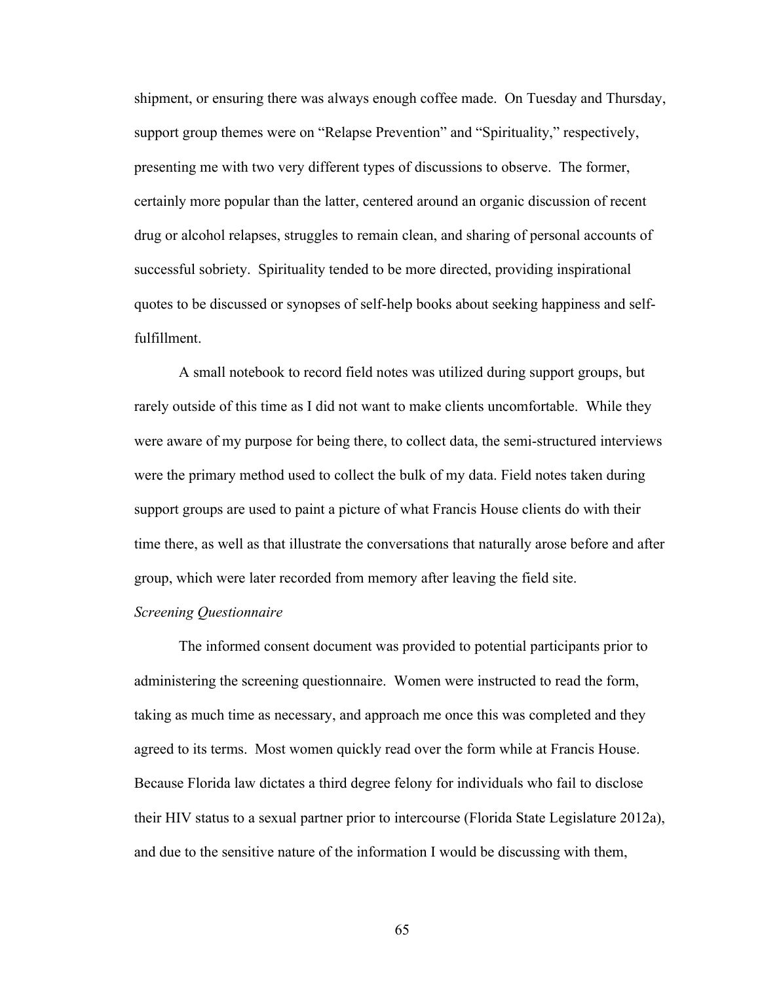shipment, or ensuring there was always enough coffee made. On Tuesday and Thursday, support group themes were on "Relapse Prevention" and "Spirituality," respectively, presenting me with two very different types of discussions to observe. The former, certainly more popular than the latter, centered around an organic discussion of recent drug or alcohol relapses, struggles to remain clean, and sharing of personal accounts of successful sobriety. Spirituality tended to be more directed, providing inspirational quotes to be discussed or synopses of self-help books about seeking happiness and selffulfillment.

A small notebook to record field notes was utilized during support groups, but rarely outside of this time as I did not want to make clients uncomfortable. While they were aware of my purpose for being there, to collect data, the semi-structured interviews were the primary method used to collect the bulk of my data. Field notes taken during support groups are used to paint a picture of what Francis House clients do with their time there, as well as that illustrate the conversations that naturally arose before and after group, which were later recorded from memory after leaving the field site.

# *Screening Questionnaire*

The informed consent document was provided to potential participants prior to administering the screening questionnaire. Women were instructed to read the form, taking as much time as necessary, and approach me once this was completed and they agreed to its terms. Most women quickly read over the form while at Francis House. Because Florida law dictates a third degree felony for individuals who fail to disclose their HIV status to a sexual partner prior to intercourse (Florida State Legislature 2012a), and due to the sensitive nature of the information I would be discussing with them,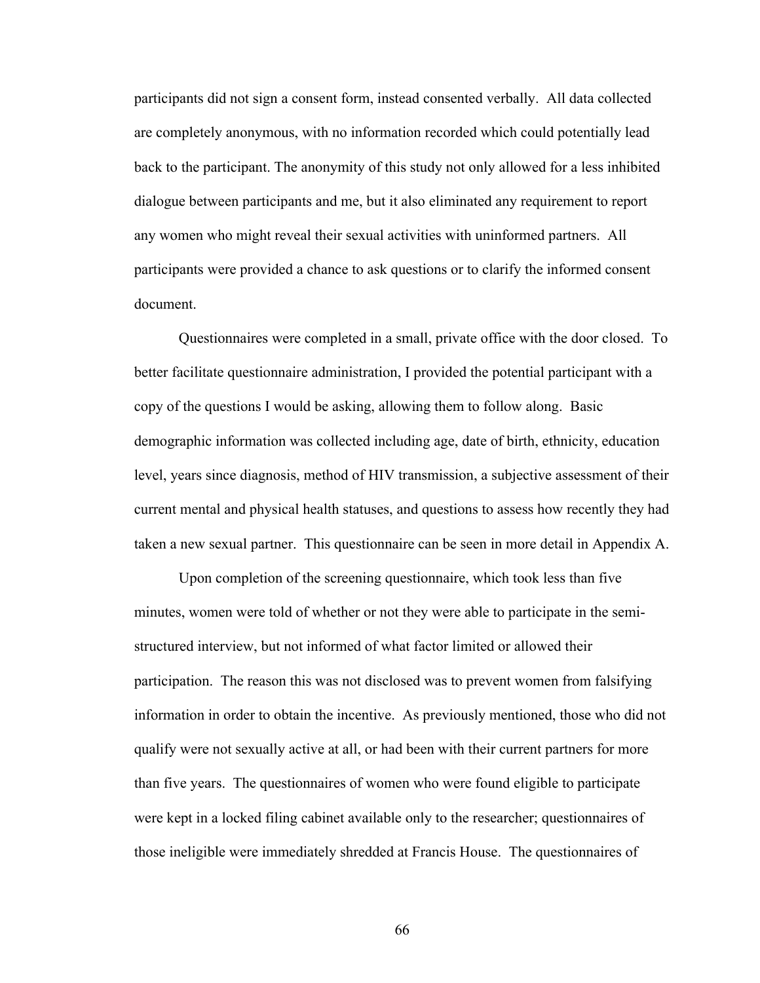participants did not sign a consent form, instead consented verbally. All data collected are completely anonymous, with no information recorded which could potentially lead back to the participant. The anonymity of this study not only allowed for a less inhibited dialogue between participants and me, but it also eliminated any requirement to report any women who might reveal their sexual activities with uninformed partners. All participants were provided a chance to ask questions or to clarify the informed consent document.

Questionnaires were completed in a small, private office with the door closed. To better facilitate questionnaire administration, I provided the potential participant with a copy of the questions I would be asking, allowing them to follow along. Basic demographic information was collected including age, date of birth, ethnicity, education level, years since diagnosis, method of HIV transmission, a subjective assessment of their current mental and physical health statuses, and questions to assess how recently they had taken a new sexual partner. This questionnaire can be seen in more detail in Appendix A.

Upon completion of the screening questionnaire, which took less than five minutes, women were told of whether or not they were able to participate in the semistructured interview, but not informed of what factor limited or allowed their participation. The reason this was not disclosed was to prevent women from falsifying information in order to obtain the incentive. As previously mentioned, those who did not qualify were not sexually active at all, or had been with their current partners for more than five years. The questionnaires of women who were found eligible to participate were kept in a locked filing cabinet available only to the researcher; questionnaires of those ineligible were immediately shredded at Francis House. The questionnaires of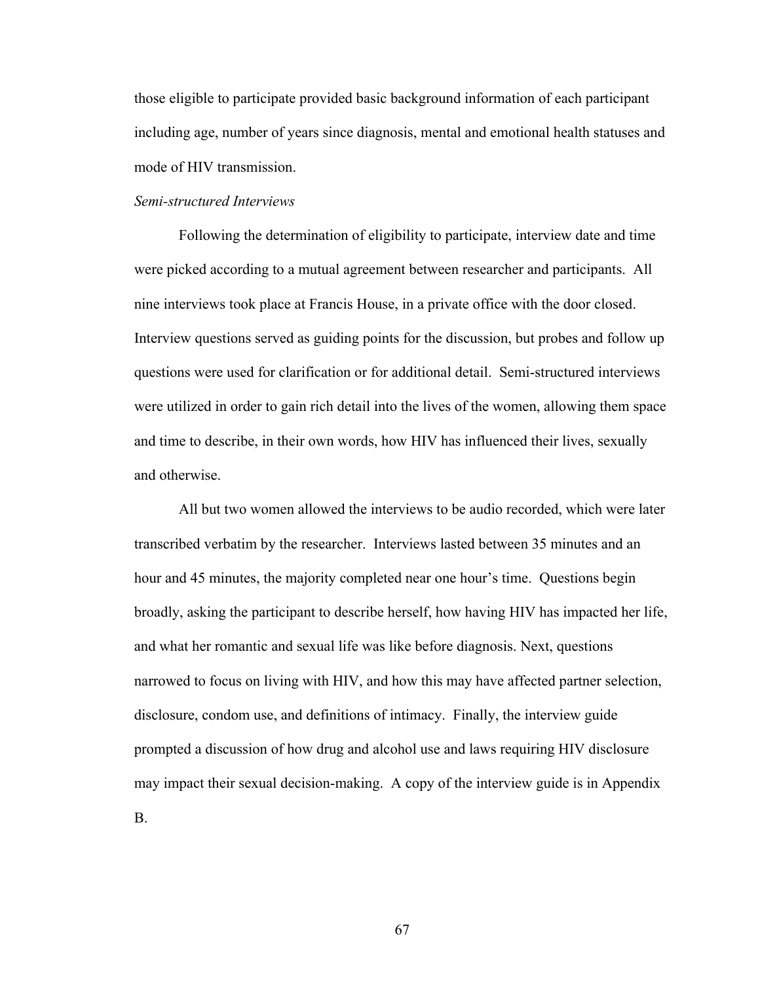those eligible to participate provided basic background information of each participant including age, number of years since diagnosis, mental and emotional health statuses and mode of HIV transmission.

# *Semi-structured Interviews*

Following the determination of eligibility to participate, interview date and time were picked according to a mutual agreement between researcher and participants. All nine interviews took place at Francis House, in a private office with the door closed. Interview questions served as guiding points for the discussion, but probes and follow up questions were used for clarification or for additional detail. Semi-structured interviews were utilized in order to gain rich detail into the lives of the women, allowing them space and time to describe, in their own words, how HIV has influenced their lives, sexually and otherwise.

All but two women allowed the interviews to be audio recorded, which were later transcribed verbatim by the researcher. Interviews lasted between 35 minutes and an hour and 45 minutes, the majority completed near one hour's time. Questions begin broadly, asking the participant to describe herself, how having HIV has impacted her life, and what her romantic and sexual life was like before diagnosis. Next, questions narrowed to focus on living with HIV, and how this may have affected partner selection, disclosure, condom use, and definitions of intimacy. Finally, the interview guide prompted a discussion of how drug and alcohol use and laws requiring HIV disclosure may impact their sexual decision-making. A copy of the interview guide is in Appendix B.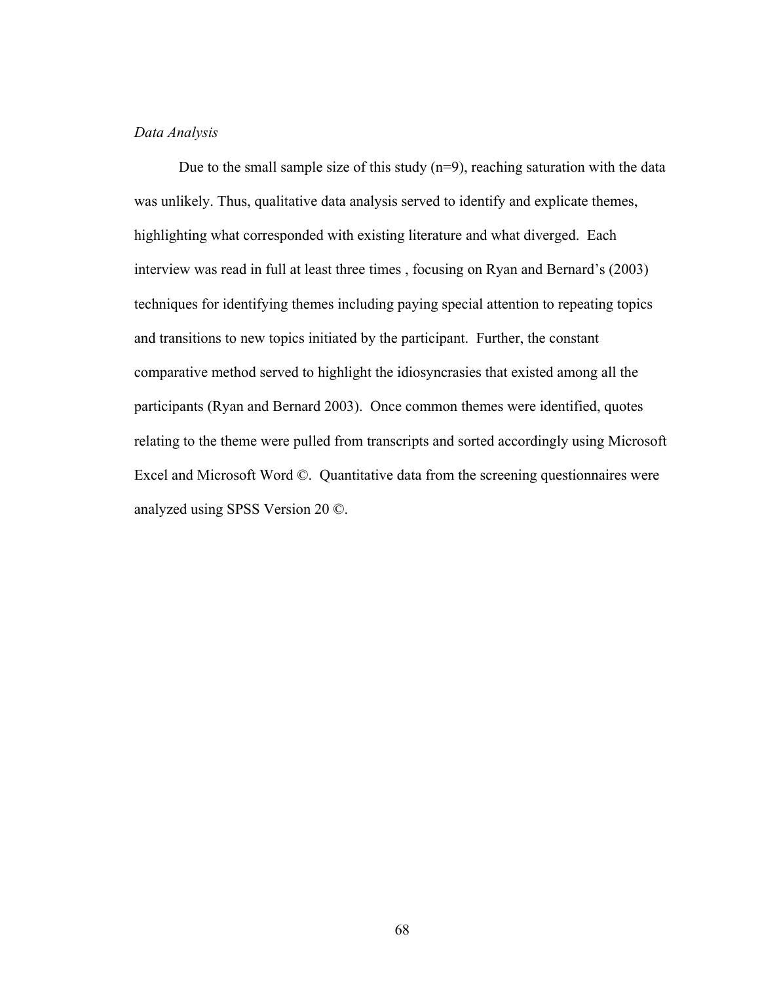# *Data Analysis*

Due to the small sample size of this study  $(n=9)$ , reaching saturation with the data was unlikely. Thus, qualitative data analysis served to identify and explicate themes, highlighting what corresponded with existing literature and what diverged. Each interview was read in full at least three times , focusing on Ryan and Bernard's (2003) techniques for identifying themes including paying special attention to repeating topics and transitions to new topics initiated by the participant. Further, the constant comparative method served to highlight the idiosyncrasies that existed among all the participants (Ryan and Bernard 2003). Once common themes were identified, quotes relating to the theme were pulled from transcripts and sorted accordingly using Microsoft Excel and Microsoft Word ©. Quantitative data from the screening questionnaires were analyzed using SPSS Version 20 ©.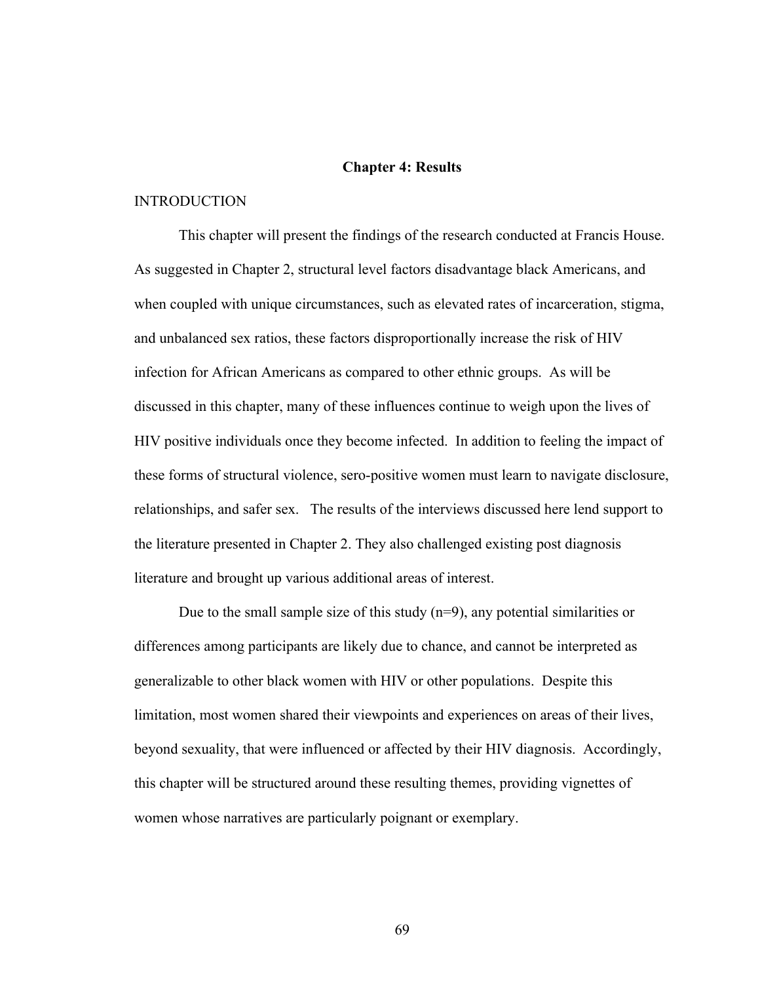# **Chapter 4: Results**

# INTRODUCTION

This chapter will present the findings of the research conducted at Francis House. As suggested in Chapter 2, structural level factors disadvantage black Americans, and when coupled with unique circumstances, such as elevated rates of incarceration, stigma, and unbalanced sex ratios, these factors disproportionally increase the risk of HIV infection for African Americans as compared to other ethnic groups. As will be discussed in this chapter, many of these influences continue to weigh upon the lives of HIV positive individuals once they become infected. In addition to feeling the impact of these forms of structural violence, sero-positive women must learn to navigate disclosure, relationships, and safer sex. The results of the interviews discussed here lend support to the literature presented in Chapter 2. They also challenged existing post diagnosis literature and brought up various additional areas of interest.

Due to the small sample size of this study  $(n=9)$ , any potential similarities or differences among participants are likely due to chance, and cannot be interpreted as generalizable to other black women with HIV or other populations. Despite this limitation, most women shared their viewpoints and experiences on areas of their lives, beyond sexuality, that were influenced or affected by their HIV diagnosis. Accordingly, this chapter will be structured around these resulting themes, providing vignettes of women whose narratives are particularly poignant or exemplary.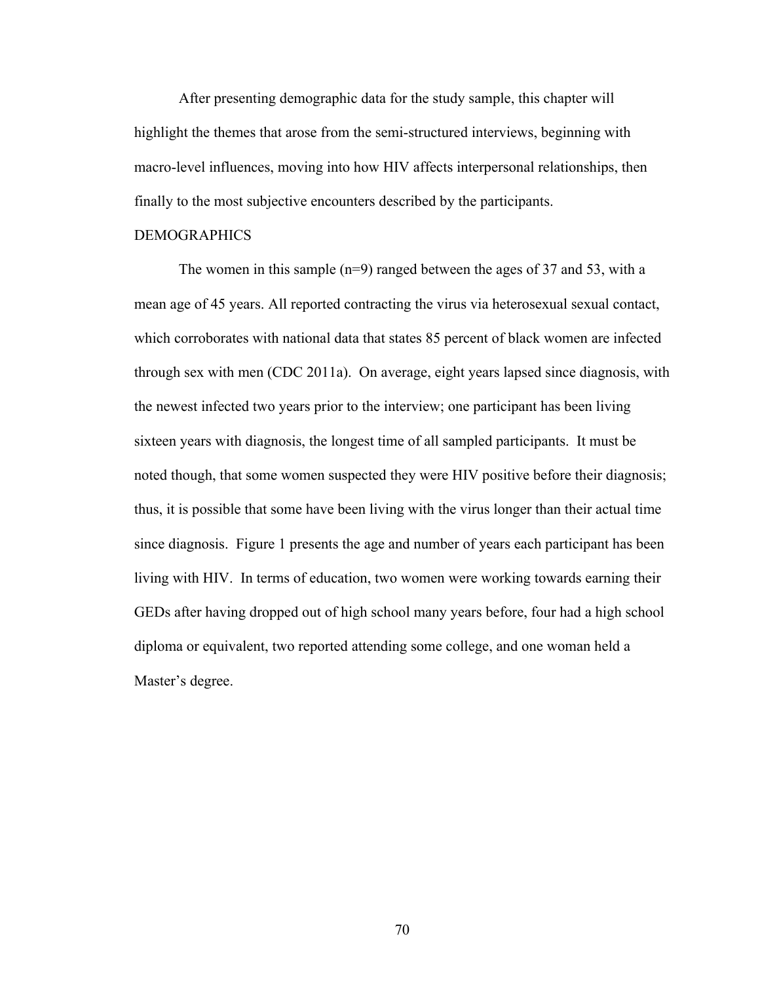After presenting demographic data for the study sample, this chapter will highlight the themes that arose from the semi-structured interviews, beginning with macro-level influences, moving into how HIV affects interpersonal relationships, then finally to the most subjective encounters described by the participants.

## DEMOGRAPHICS

The women in this sample (n=9) ranged between the ages of 37 and 53, with a mean age of 45 years. All reported contracting the virus via heterosexual sexual contact, which corroborates with national data that states 85 percent of black women are infected through sex with men (CDC 2011a). On average, eight years lapsed since diagnosis, with the newest infected two years prior to the interview; one participant has been living sixteen years with diagnosis, the longest time of all sampled participants. It must be noted though, that some women suspected they were HIV positive before their diagnosis; thus, it is possible that some have been living with the virus longer than their actual time since diagnosis. Figure 1 presents the age and number of years each participant has been living with HIV. In terms of education, two women were working towards earning their GEDs after having dropped out of high school many years before, four had a high school diploma or equivalent, two reported attending some college, and one woman held a Master's degree.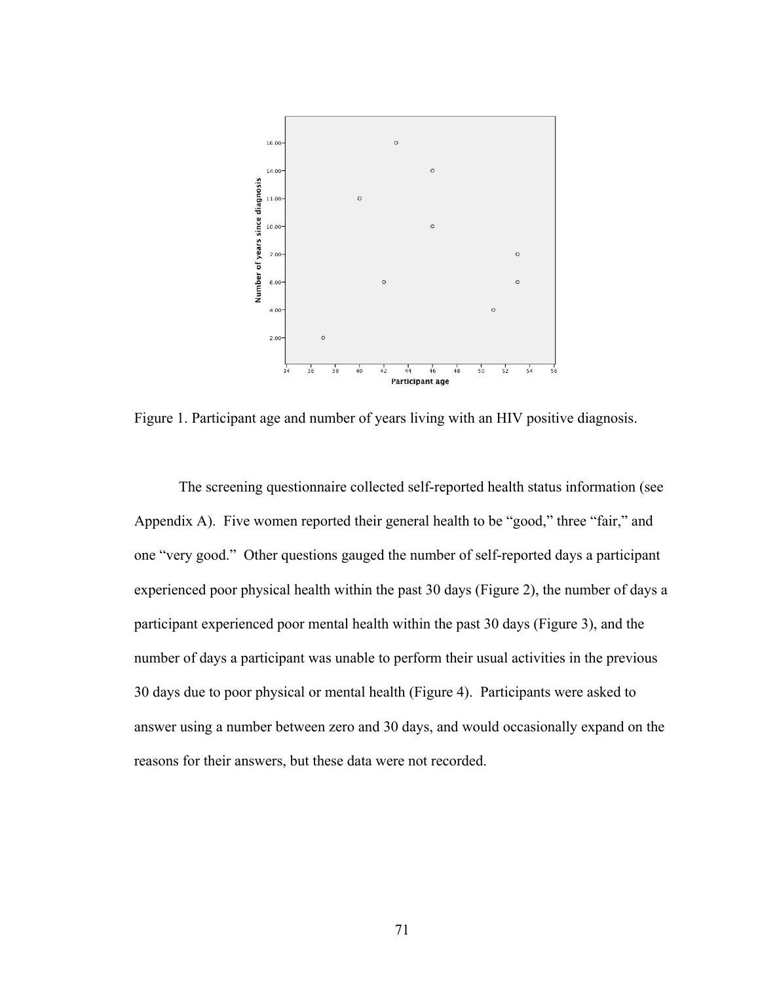

Figure 1. Participant age and number of years living with an HIV positive diagnosis.

The screening questionnaire collected self-reported health status information (see Appendix A). Five women reported their general health to be "good," three "fair," and one "very good." Other questions gauged the number of self-reported days a participant experienced poor physical health within the past 30 days (Figure 2), the number of days a participant experienced poor mental health within the past 30 days (Figure 3), and the number of days a participant was unable to perform their usual activities in the previous 30 days due to poor physical or mental health (Figure 4). Participants were asked to answer using a number between zero and 30 days, and would occasionally expand on the reasons for their answers, but these data were not recorded.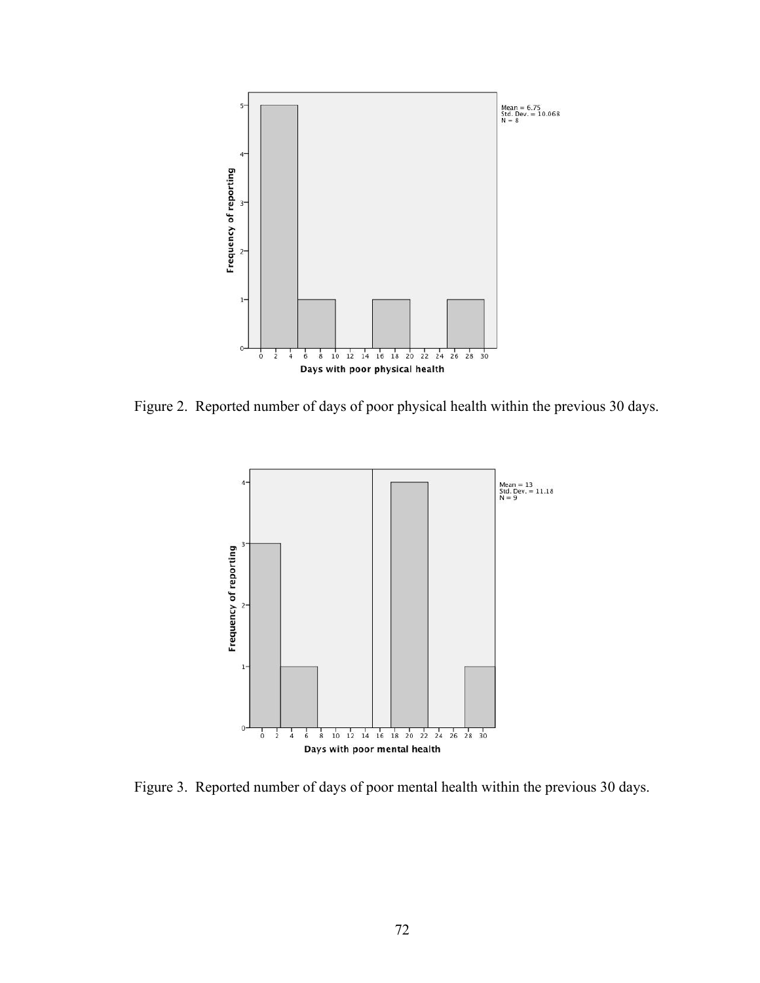

Figure 2. Reported number of days of poor physical health within the previous 30 days.



Figure 3. Reported number of days of poor mental health within the previous 30 days.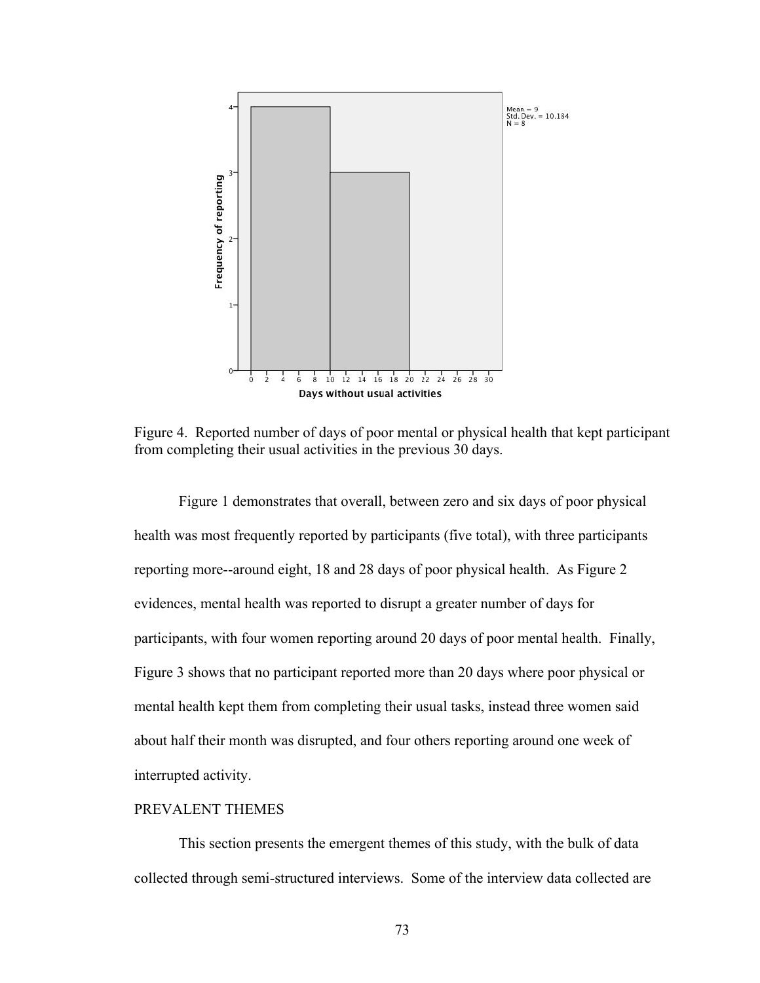

Figure 4. Reported number of days of poor mental or physical health that kept participant from completing their usual activities in the previous 30 days.

Figure 1 demonstrates that overall, between zero and six days of poor physical health was most frequently reported by participants (five total), with three participants reporting more--around eight, 18 and 28 days of poor physical health. As Figure 2 evidences, mental health was reported to disrupt a greater number of days for participants, with four women reporting around 20 days of poor mental health. Finally, Figure 3 shows that no participant reported more than 20 days where poor physical or mental health kept them from completing their usual tasks, instead three women said about half their month was disrupted, and four others reporting around one week of interrupted activity.

# PREVALENT THEMES

This section presents the emergent themes of this study, with the bulk of data collected through semi-structured interviews. Some of the interview data collected are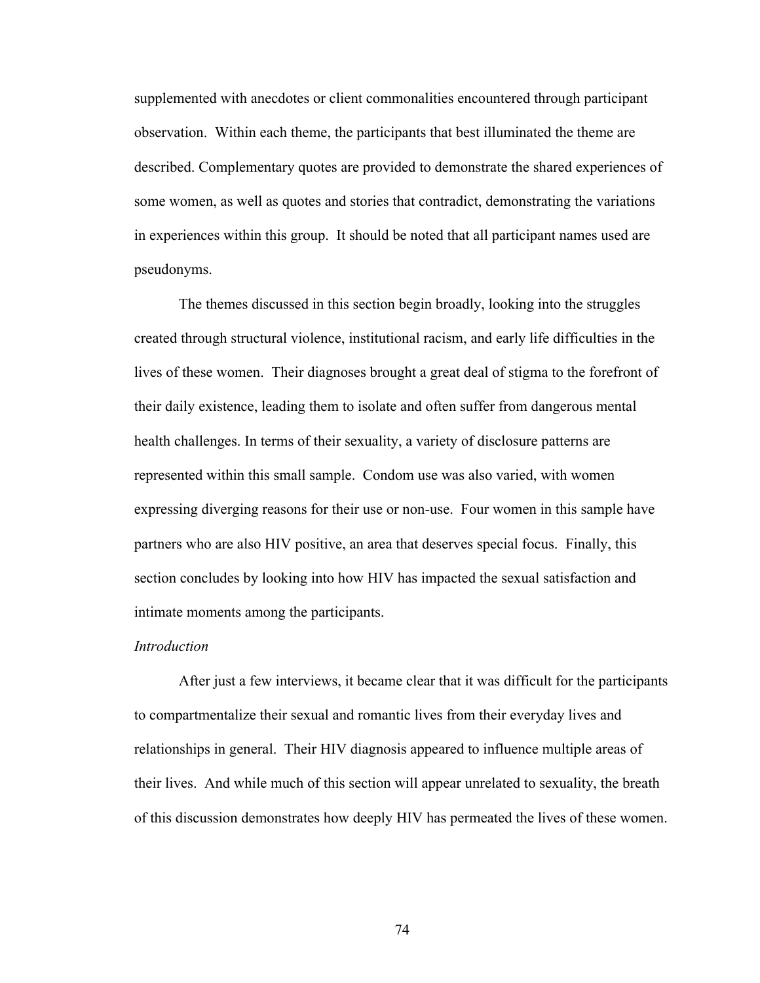supplemented with anecdotes or client commonalities encountered through participant observation. Within each theme, the participants that best illuminated the theme are described. Complementary quotes are provided to demonstrate the shared experiences of some women, as well as quotes and stories that contradict, demonstrating the variations in experiences within this group. It should be noted that all participant names used are pseudonyms.

The themes discussed in this section begin broadly, looking into the struggles created through structural violence, institutional racism, and early life difficulties in the lives of these women. Their diagnoses brought a great deal of stigma to the forefront of their daily existence, leading them to isolate and often suffer from dangerous mental health challenges. In terms of their sexuality, a variety of disclosure patterns are represented within this small sample. Condom use was also varied, with women expressing diverging reasons for their use or non-use. Four women in this sample have partners who are also HIV positive, an area that deserves special focus. Finally, this section concludes by looking into how HIV has impacted the sexual satisfaction and intimate moments among the participants.

#### *Introduction*

After just a few interviews, it became clear that it was difficult for the participants to compartmentalize their sexual and romantic lives from their everyday lives and relationships in general. Their HIV diagnosis appeared to influence multiple areas of their lives. And while much of this section will appear unrelated to sexuality, the breath of this discussion demonstrates how deeply HIV has permeated the lives of these women.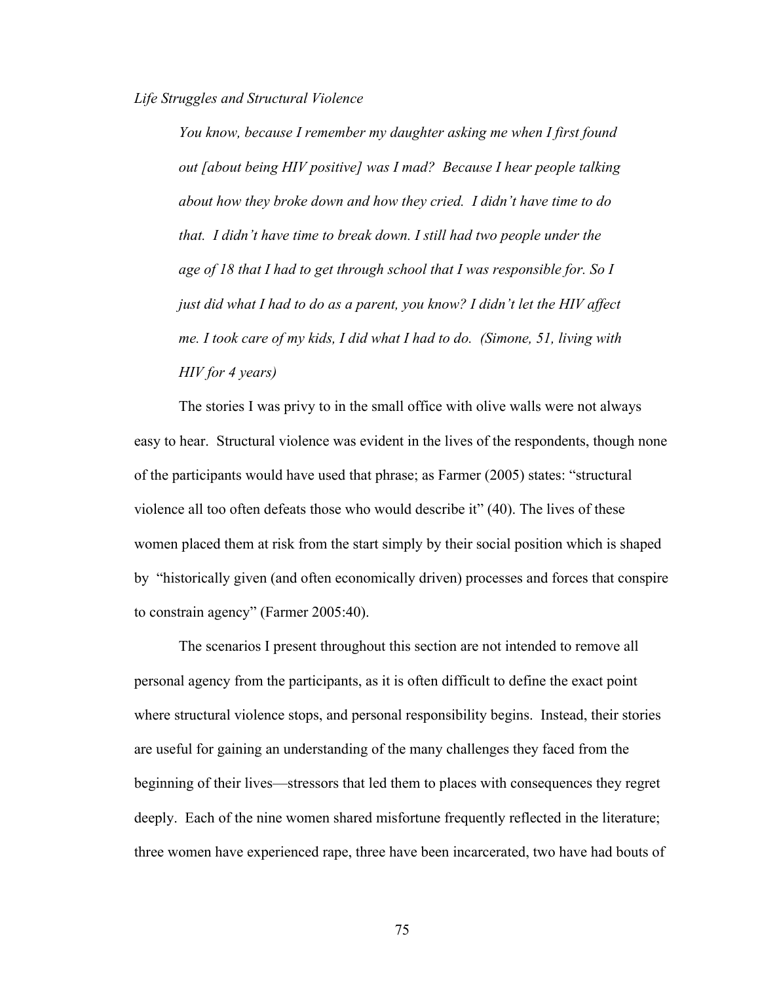*Life Struggles and Structural Violence*

*You know, because I remember my daughter asking me when I first found out [about being HIV positive] was I mad? Because I hear people talking about how they broke down and how they cried. I didn't have time to do that. I didn't have time to break down. I still had two people under the age of 18 that I had to get through school that I was responsible for. So I just did what I had to do as a parent, you know? I didn't let the HIV affect me. I took care of my kids, I did what I had to do. (Simone, 51, living with HIV for 4 years)*

The stories I was privy to in the small office with olive walls were not always easy to hear. Structural violence was evident in the lives of the respondents, though none of the participants would have used that phrase; as Farmer (2005) states: "structural violence all too often defeats those who would describe it" (40). The lives of these women placed them at risk from the start simply by their social position which is shaped by "historically given (and often economically driven) processes and forces that conspire to constrain agency" (Farmer 2005:40).

The scenarios I present throughout this section are not intended to remove all personal agency from the participants, as it is often difficult to define the exact point where structural violence stops, and personal responsibility begins. Instead, their stories are useful for gaining an understanding of the many challenges they faced from the beginning of their lives—stressors that led them to places with consequences they regret deeply. Each of the nine women shared misfortune frequently reflected in the literature; three women have experienced rape, three have been incarcerated, two have had bouts of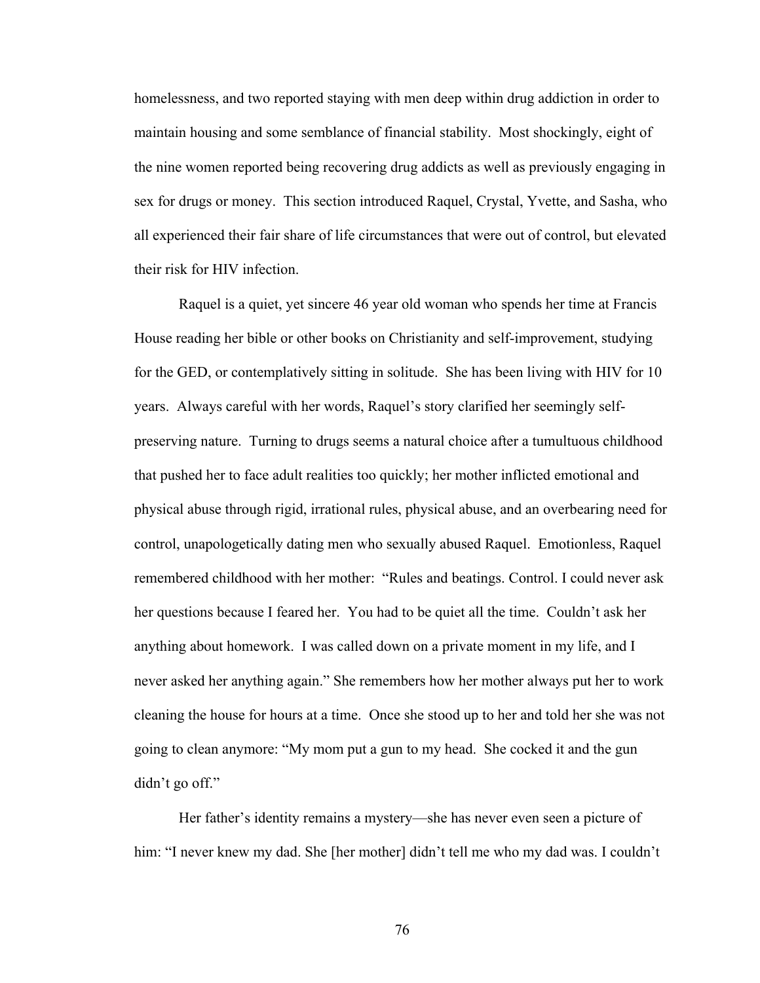homelessness, and two reported staying with men deep within drug addiction in order to maintain housing and some semblance of financial stability. Most shockingly, eight of the nine women reported being recovering drug addicts as well as previously engaging in sex for drugs or money. This section introduced Raquel, Crystal, Yvette, and Sasha, who all experienced their fair share of life circumstances that were out of control, but elevated their risk for HIV infection.

Raquel is a quiet, yet sincere 46 year old woman who spends her time at Francis House reading her bible or other books on Christianity and self-improvement, studying for the GED, or contemplatively sitting in solitude. She has been living with HIV for 10 years. Always careful with her words, Raquel's story clarified her seemingly selfpreserving nature. Turning to drugs seems a natural choice after a tumultuous childhood that pushed her to face adult realities too quickly; her mother inflicted emotional and physical abuse through rigid, irrational rules, physical abuse, and an overbearing need for control, unapologetically dating men who sexually abused Raquel. Emotionless, Raquel remembered childhood with her mother: "Rules and beatings. Control. I could never ask her questions because I feared her. You had to be quiet all the time. Couldn't ask her anything about homework. I was called down on a private moment in my life, and I never asked her anything again." She remembers how her mother always put her to work cleaning the house for hours at a time. Once she stood up to her and told her she was not going to clean anymore: "My mom put a gun to my head. She cocked it and the gun didn't go off."

Her father's identity remains a mystery—she has never even seen a picture of him: "I never knew my dad. She [her mother] didn't tell me who my dad was. I couldn't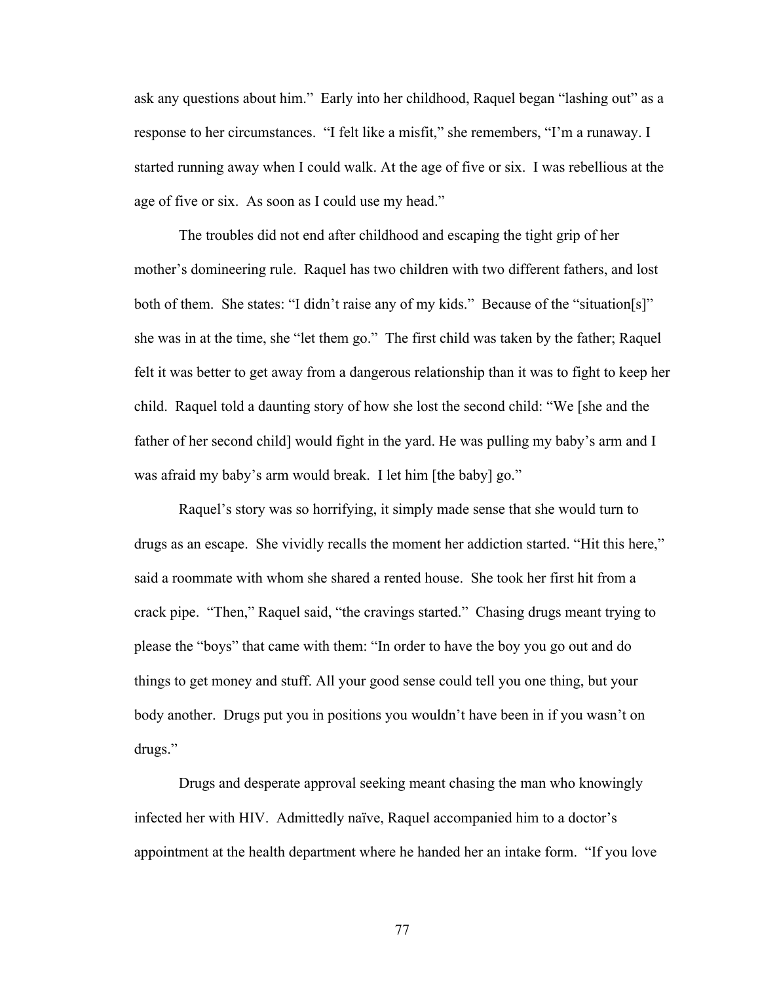ask any questions about him." Early into her childhood, Raquel began "lashing out" as a response to her circumstances. "I felt like a misfit," she remembers, "I'm a runaway. I started running away when I could walk. At the age of five or six. I was rebellious at the age of five or six. As soon as I could use my head."

The troubles did not end after childhood and escaping the tight grip of her mother's domineering rule. Raquel has two children with two different fathers, and lost both of them. She states: "I didn't raise any of my kids." Because of the "situation[s]" she was in at the time, she "let them go." The first child was taken by the father; Raquel felt it was better to get away from a dangerous relationship than it was to fight to keep her child. Raquel told a daunting story of how she lost the second child: "We [she and the father of her second child] would fight in the yard. He was pulling my baby's arm and I was afraid my baby's arm would break. I let him [the baby] go."

Raquel's story was so horrifying, it simply made sense that she would turn to drugs as an escape. She vividly recalls the moment her addiction started. "Hit this here," said a roommate with whom she shared a rented house. She took her first hit from a crack pipe. "Then," Raquel said, "the cravings started." Chasing drugs meant trying to please the "boys" that came with them: "In order to have the boy you go out and do things to get money and stuff. All your good sense could tell you one thing, but your body another. Drugs put you in positions you wouldn't have been in if you wasn't on drugs."

Drugs and desperate approval seeking meant chasing the man who knowingly infected her with HIV. Admittedly naïve, Raquel accompanied him to a doctor's appointment at the health department where he handed her an intake form. "If you love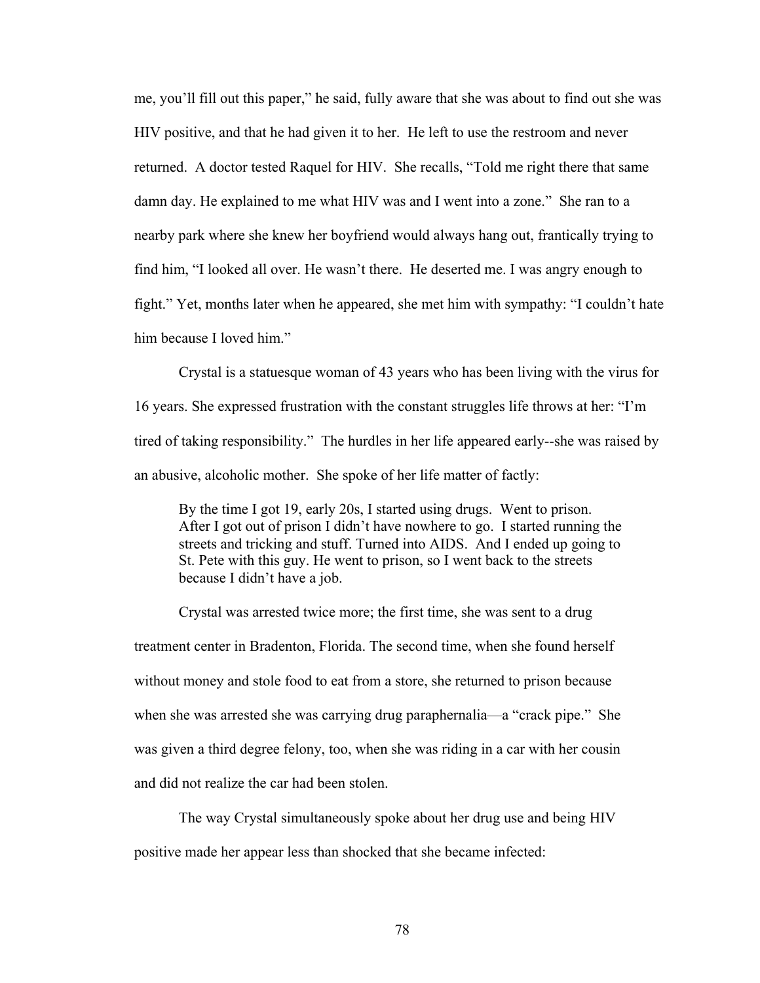me, you'll fill out this paper," he said, fully aware that she was about to find out she was HIV positive, and that he had given it to her. He left to use the restroom and never returned. A doctor tested Raquel for HIV. She recalls, "Told me right there that same damn day. He explained to me what HIV was and I went into a zone." She ran to a nearby park where she knew her boyfriend would always hang out, frantically trying to find him, "I looked all over. He wasn't there. He deserted me. I was angry enough to fight." Yet, months later when he appeared, she met him with sympathy: "I couldn't hate him because I loved him."

Crystal is a statuesque woman of 43 years who has been living with the virus for 16 years. She expressed frustration with the constant struggles life throws at her: "I'm tired of taking responsibility." The hurdles in her life appeared early--she was raised by an abusive, alcoholic mother. She spoke of her life matter of factly:

By the time I got 19, early 20s, I started using drugs. Went to prison. After I got out of prison I didn't have nowhere to go. I started running the streets and tricking and stuff. Turned into AIDS. And I ended up going to St. Pete with this guy. He went to prison, so I went back to the streets because I didn't have a job.

Crystal was arrested twice more; the first time, she was sent to a drug treatment center in Bradenton, Florida. The second time, when she found herself without money and stole food to eat from a store, she returned to prison because when she was arrested she was carrying drug paraphernalia—a "crack pipe." She was given a third degree felony, too, when she was riding in a car with her cousin and did not realize the car had been stolen.

The way Crystal simultaneously spoke about her drug use and being HIV positive made her appear less than shocked that she became infected: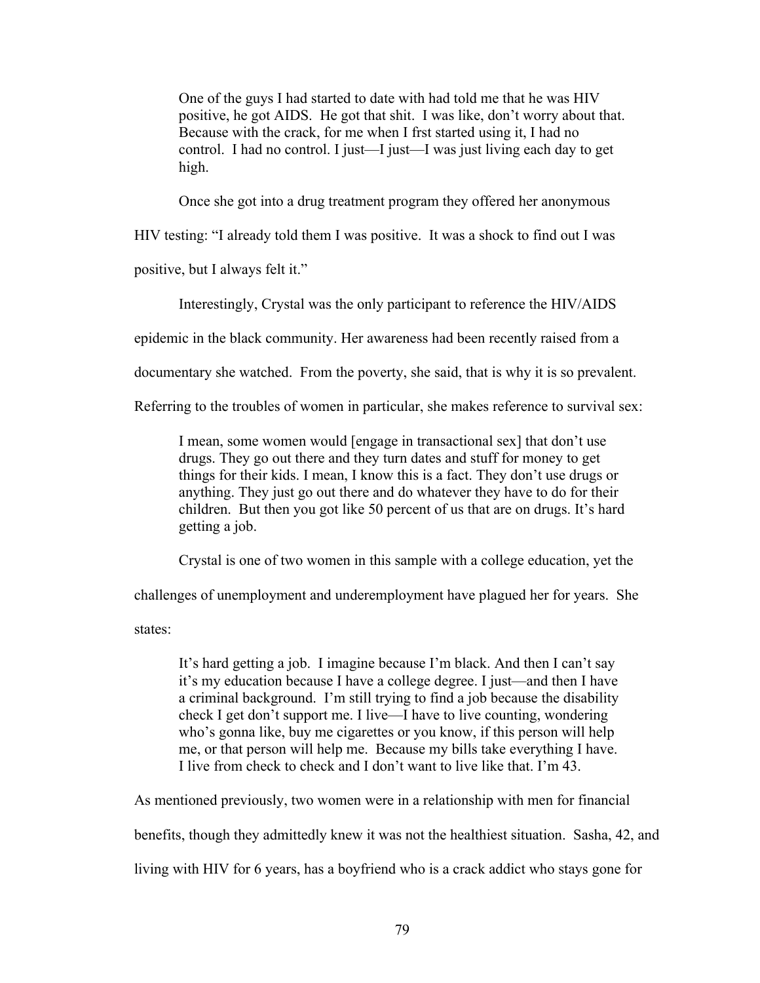One of the guys I had started to date with had told me that he was HIV positive, he got AIDS. He got that shit. I was like, don't worry about that. Because with the crack, for me when I frst started using it, I had no control. I had no control. I just—I just—I was just living each day to get high.

Once she got into a drug treatment program they offered her anonymous

HIV testing: "I already told them I was positive. It was a shock to find out I was

positive, but I always felt it."

Interestingly, Crystal was the only participant to reference the HIV/AIDS

epidemic in the black community. Her awareness had been recently raised from a

documentary she watched. From the poverty, she said, that is why it is so prevalent.

Referring to the troubles of women in particular, she makes reference to survival sex:

I mean, some women would [engage in transactional sex] that don't use drugs. They go out there and they turn dates and stuff for money to get things for their kids. I mean, I know this is a fact. They don't use drugs or anything. They just go out there and do whatever they have to do for their children. But then you got like 50 percent of us that are on drugs. It's hard getting a job.

Crystal is one of two women in this sample with a college education, yet the

challenges of unemployment and underemployment have plagued her for years. She

states:

It's hard getting a job. I imagine because I'm black. And then I can't say it's my education because I have a college degree. I just—and then I have a criminal background. I'm still trying to find a job because the disability check I get don't support me. I live—I have to live counting, wondering who's gonna like, buy me cigarettes or you know, if this person will help me, or that person will help me. Because my bills take everything I have. I live from check to check and I don't want to live like that. I'm 43.

As mentioned previously, two women were in a relationship with men for financial

benefits, though they admittedly knew it was not the healthiest situation. Sasha, 42, and

living with HIV for 6 years, has a boyfriend who is a crack addict who stays gone for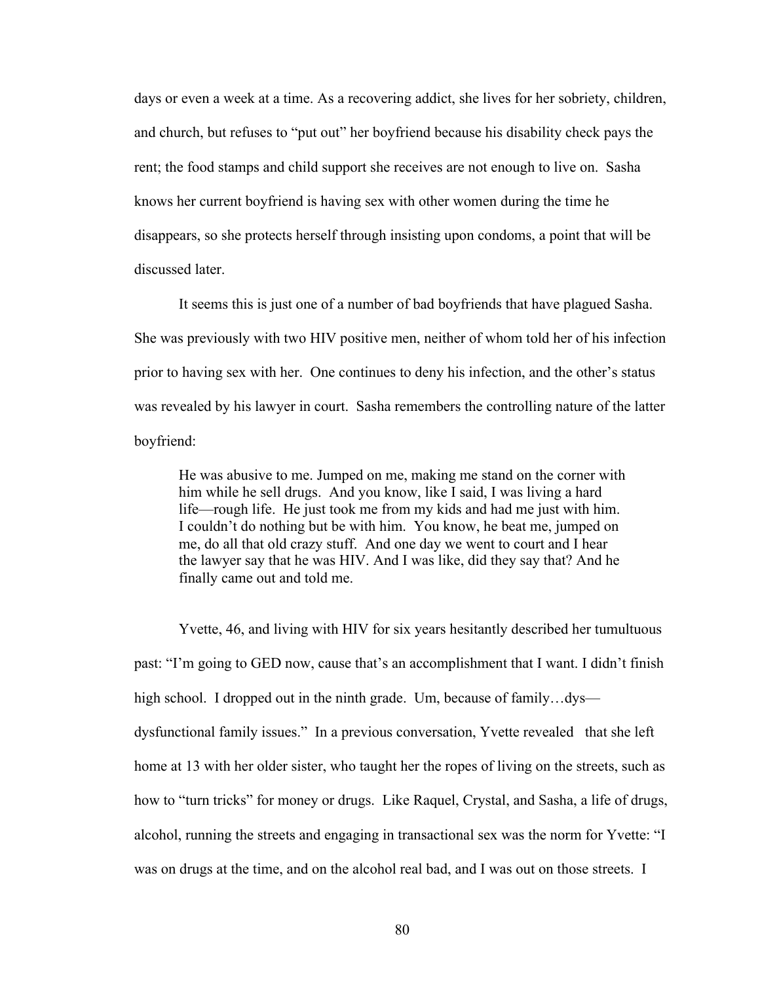days or even a week at a time. As a recovering addict, she lives for her sobriety, children, and church, but refuses to "put out" her boyfriend because his disability check pays the rent; the food stamps and child support she receives are not enough to live on. Sasha knows her current boyfriend is having sex with other women during the time he disappears, so she protects herself through insisting upon condoms, a point that will be discussed later.

It seems this is just one of a number of bad boyfriends that have plagued Sasha. She was previously with two HIV positive men, neither of whom told her of his infection prior to having sex with her. One continues to deny his infection, and the other's status was revealed by his lawyer in court. Sasha remembers the controlling nature of the latter boyfriend:

He was abusive to me. Jumped on me, making me stand on the corner with him while he sell drugs. And you know, like I said, I was living a hard life—rough life. He just took me from my kids and had me just with him. I couldn't do nothing but be with him. You know, he beat me, jumped on me, do all that old crazy stuff. And one day we went to court and I hear the lawyer say that he was HIV. And I was like, did they say that? And he finally came out and told me.

Yvette, 46, and living with HIV for six years hesitantly described her tumultuous past: "I'm going to GED now, cause that's an accomplishment that I want. I didn't finish high school. I dropped out in the ninth grade. Um, because of family...dys dysfunctional family issues." In a previous conversation, Yvette revealed that she left home at 13 with her older sister, who taught her the ropes of living on the streets, such as how to "turn tricks" for money or drugs. Like Raquel, Crystal, and Sasha, a life of drugs, alcohol, running the streets and engaging in transactional sex was the norm for Yvette: "I was on drugs at the time, and on the alcohol real bad, and I was out on those streets. I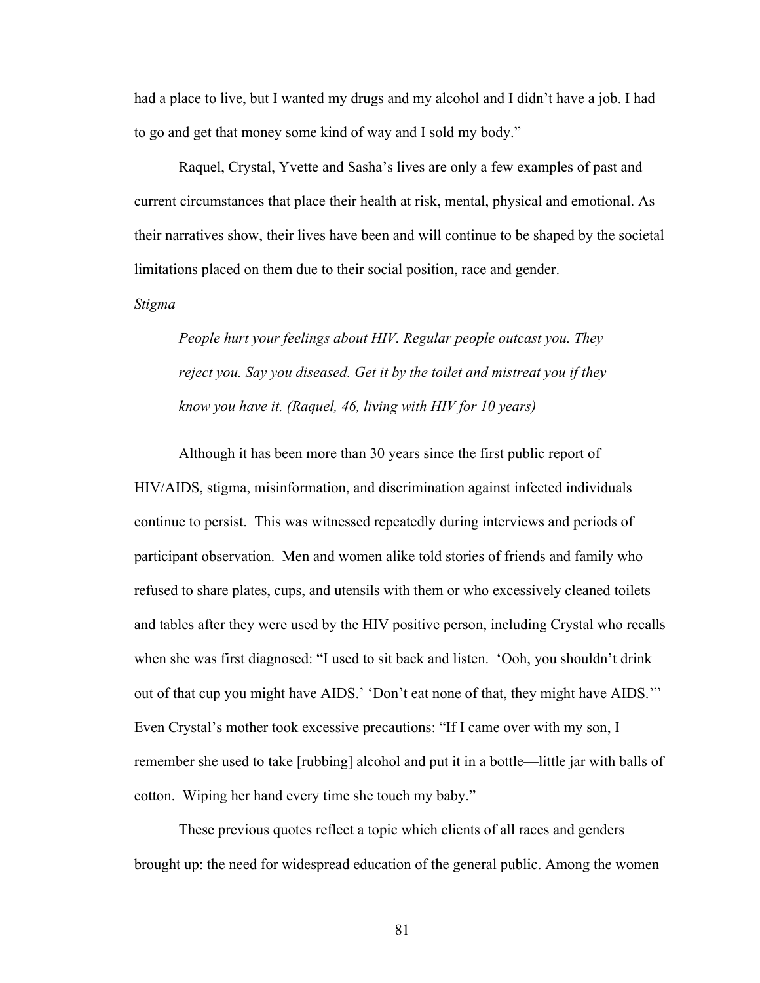had a place to live, but I wanted my drugs and my alcohol and I didn't have a job. I had to go and get that money some kind of way and I sold my body."

Raquel, Crystal, Yvette and Sasha's lives are only a few examples of past and current circumstances that place their health at risk, mental, physical and emotional. As their narratives show, their lives have been and will continue to be shaped by the societal limitations placed on them due to their social position, race and gender.

*Stigma*

*People hurt your feelings about HIV. Regular people outcast you. They reject you. Say you diseased. Get it by the toilet and mistreat you if they know you have it. (Raquel, 46, living with HIV for 10 years)*

Although it has been more than 30 years since the first public report of HIV/AIDS, stigma, misinformation, and discrimination against infected individuals continue to persist. This was witnessed repeatedly during interviews and periods of participant observation. Men and women alike told stories of friends and family who refused to share plates, cups, and utensils with them or who excessively cleaned toilets and tables after they were used by the HIV positive person, including Crystal who recalls when she was first diagnosed: "I used to sit back and listen. 'Ooh, you shouldn't drink out of that cup you might have AIDS.' 'Don't eat none of that, they might have AIDS.'" Even Crystal's mother took excessive precautions: "If I came over with my son, I remember she used to take [rubbing] alcohol and put it in a bottle—little jar with balls of cotton. Wiping her hand every time she touch my baby."

These previous quotes reflect a topic which clients of all races and genders brought up: the need for widespread education of the general public. Among the women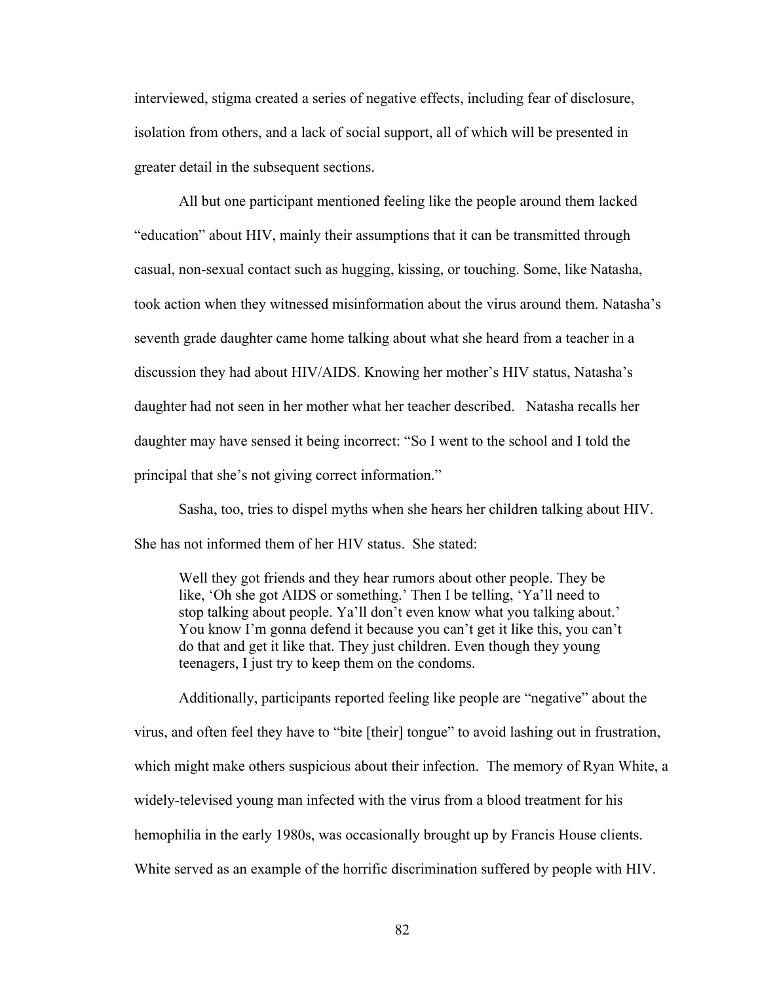interviewed, stigma created a series of negative effects, including fear of disclosure, isolation from others, and a lack of social support, all of which will be presented in greater detail in the subsequent sections.

All but one participant mentioned feeling like the people around them lacked "education" about HIV, mainly their assumptions that it can be transmitted through casual, non-sexual contact such as hugging, kissing, or touching. Some, like Natasha, took action when they witnessed misinformation about the virus around them. Natasha's seventh grade daughter came home talking about what she heard from a teacher in a discussion they had about HIV/AIDS. Knowing her mother's HIV status, Natasha's daughter had not seen in her mother what her teacher described. Natasha recalls her daughter may have sensed it being incorrect: "So I went to the school and I told the principal that she's not giving correct information."

Sasha, too, tries to dispel myths when she hears her children talking about HIV. She has not informed them of her HIV status. She stated:

Well they got friends and they hear rumors about other people. They be like, 'Oh she got AIDS or something.' Then I be telling, 'Ya'll need to stop talking about people. Ya'll don't even know what you talking about.' You know I'm gonna defend it because you can't get it like this, you can't do that and get it like that. They just children. Even though they young teenagers, I just try to keep them on the condoms.

Additionally, participants reported feeling like people are "negative" about the virus, and often feel they have to "bite [their] tongue" to avoid lashing out in frustration, which might make others suspicious about their infection. The memory of Ryan White, a widely-televised young man infected with the virus from a blood treatment for his hemophilia in the early 1980s, was occasionally brought up by Francis House clients. White served as an example of the horrific discrimination suffered by people with HIV.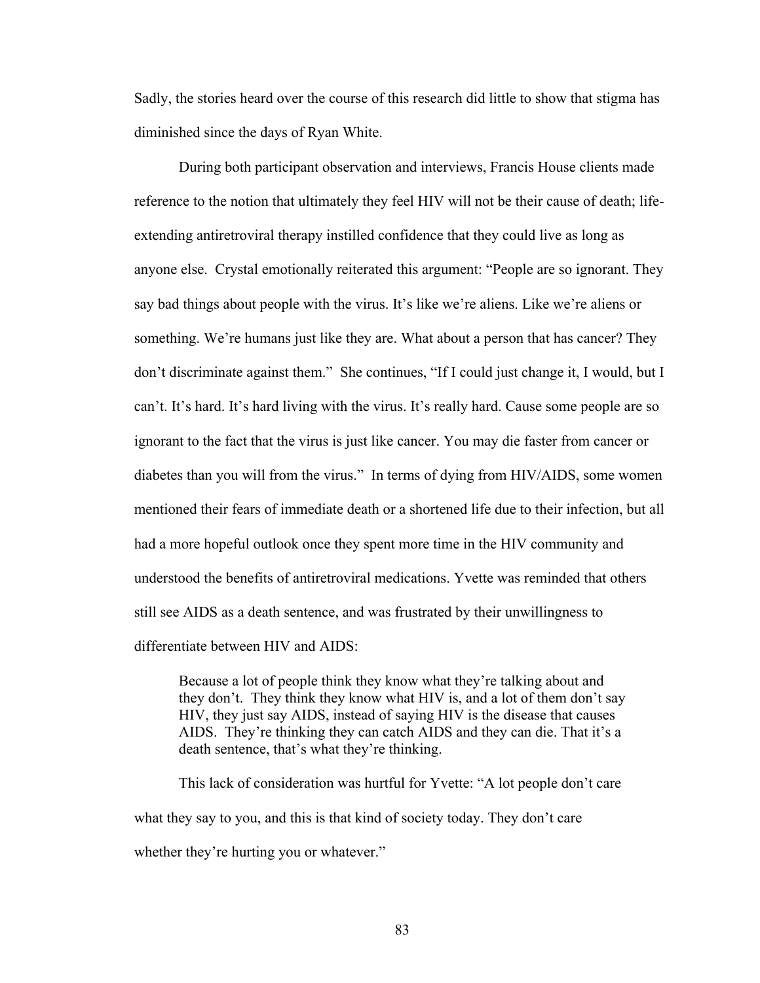Sadly, the stories heard over the course of this research did little to show that stigma has diminished since the days of Ryan White.

During both participant observation and interviews, Francis House clients made reference to the notion that ultimately they feel HIV will not be their cause of death; lifeextending antiretroviral therapy instilled confidence that they could live as long as anyone else. Crystal emotionally reiterated this argument: "People are so ignorant. They say bad things about people with the virus. It's like we're aliens. Like we're aliens or something. We're humans just like they are. What about a person that has cancer? They don't discriminate against them." She continues, "If I could just change it, I would, but I can't. It's hard. It's hard living with the virus. It's really hard. Cause some people are so ignorant to the fact that the virus is just like cancer. You may die faster from cancer or diabetes than you will from the virus." In terms of dying from HIV/AIDS, some women mentioned their fears of immediate death or a shortened life due to their infection, but all had a more hopeful outlook once they spent more time in the HIV community and understood the benefits of antiretroviral medications. Yvette was reminded that others still see AIDS as a death sentence, and was frustrated by their unwillingness to differentiate between HIV and AIDS:

Because a lot of people think they know what they're talking about and they don't. They think they know what HIV is, and a lot of them don't say HIV, they just say AIDS, instead of saying HIV is the disease that causes AIDS. They're thinking they can catch AIDS and they can die. That it's a death sentence, that's what they're thinking.

This lack of consideration was hurtful for Yvette: "A lot people don't care what they say to you, and this is that kind of society today. They don't care whether they're hurting you or whatever."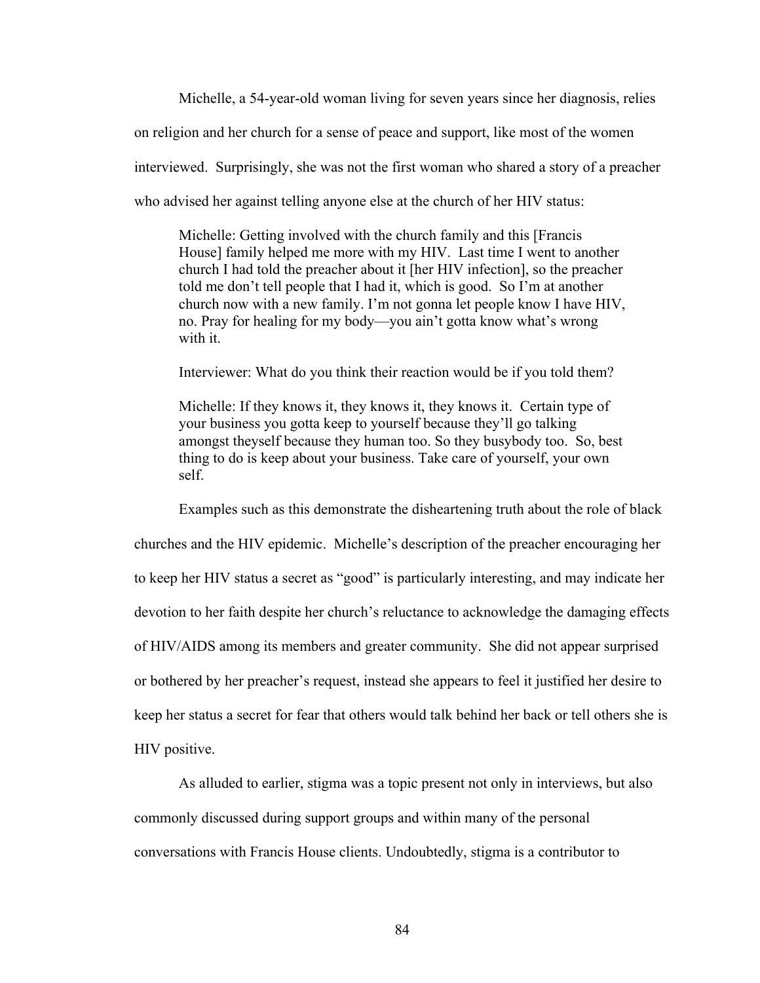Michelle, a 54-year-old woman living for seven years since her diagnosis, relies on religion and her church for a sense of peace and support, like most of the women interviewed. Surprisingly, she was not the first woman who shared a story of a preacher who advised her against telling anyone else at the church of her HIV status:

Michelle: Getting involved with the church family and this [Francis House] family helped me more with my HIV. Last time I went to another church I had told the preacher about it [her HIV infection], so the preacher told me don't tell people that I had it, which is good. So I'm at another church now with a new family. I'm not gonna let people know I have HIV, no. Pray for healing for my body—you ain't gotta know what's wrong with it.

Interviewer: What do you think their reaction would be if you told them?

Michelle: If they knows it, they knows it, they knows it. Certain type of your business you gotta keep to yourself because they'll go talking amongst theyself because they human too. So they busybody too. So, best thing to do is keep about your business. Take care of yourself, your own self.

Examples such as this demonstrate the disheartening truth about the role of black churches and the HIV epidemic. Michelle's description of the preacher encouraging her to keep her HIV status a secret as "good" is particularly interesting, and may indicate her devotion to her faith despite her church's reluctance to acknowledge the damaging effects of HIV/AIDS among its members and greater community. She did not appear surprised or bothered by her preacher's request, instead she appears to feel it justified her desire to keep her status a secret for fear that others would talk behind her back or tell others she is HIV positive.

As alluded to earlier, stigma was a topic present not only in interviews, but also commonly discussed during support groups and within many of the personal conversations with Francis House clients. Undoubtedly, stigma is a contributor to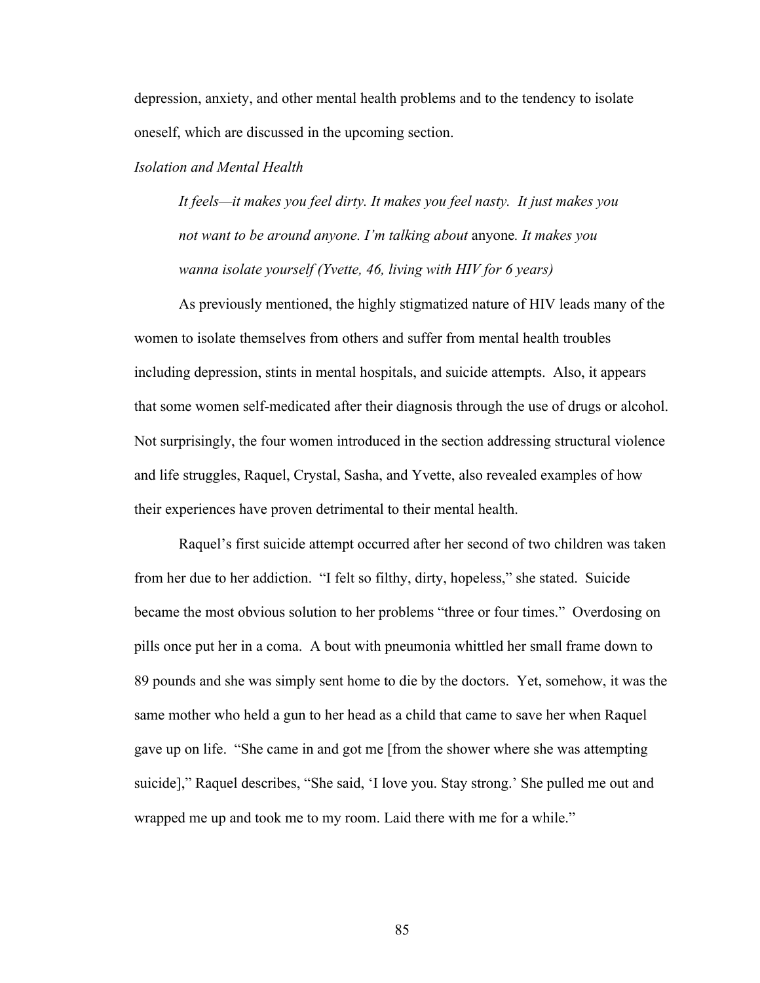depression, anxiety, and other mental health problems and to the tendency to isolate oneself, which are discussed in the upcoming section.

*Isolation and Mental Health*

*It feels—it makes you feel dirty. It makes you feel nasty. It just makes you not want to be around anyone. I'm talking about* anyone*. It makes you wanna isolate yourself (Yvette, 46, living with HIV for 6 years)*

As previously mentioned, the highly stigmatized nature of HIV leads many of the women to isolate themselves from others and suffer from mental health troubles including depression, stints in mental hospitals, and suicide attempts. Also, it appears that some women self-medicated after their diagnosis through the use of drugs or alcohol. Not surprisingly, the four women introduced in the section addressing structural violence and life struggles, Raquel, Crystal, Sasha, and Yvette, also revealed examples of how their experiences have proven detrimental to their mental health.

Raquel's first suicide attempt occurred after her second of two children was taken from her due to her addiction. "I felt so filthy, dirty, hopeless," she stated. Suicide became the most obvious solution to her problems "three or four times." Overdosing on pills once put her in a coma. A bout with pneumonia whittled her small frame down to 89 pounds and she was simply sent home to die by the doctors. Yet, somehow, it was the same mother who held a gun to her head as a child that came to save her when Raquel gave up on life. "She came in and got me [from the shower where she was attempting suicide]," Raquel describes, "She said, 'I love you. Stay strong.' She pulled me out and wrapped me up and took me to my room. Laid there with me for a while."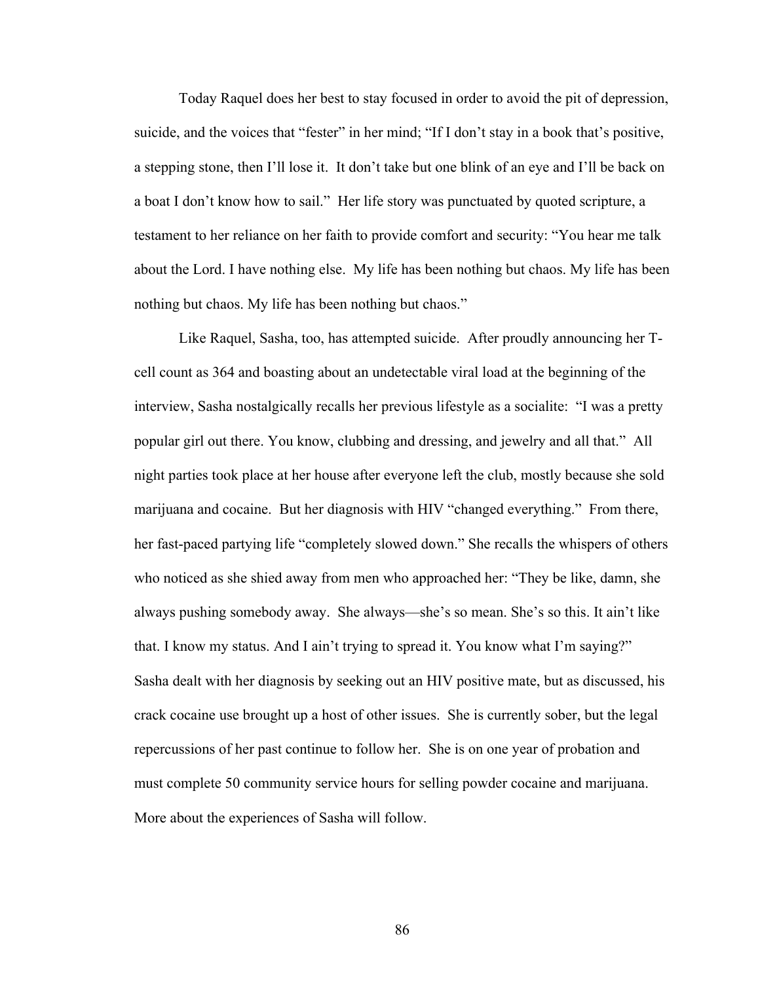Today Raquel does her best to stay focused in order to avoid the pit of depression, suicide, and the voices that "fester" in her mind; "If I don't stay in a book that's positive, a stepping stone, then I'll lose it. It don't take but one blink of an eye and I'll be back on a boat I don't know how to sail." Her life story was punctuated by quoted scripture, a testament to her reliance on her faith to provide comfort and security: "You hear me talk about the Lord. I have nothing else. My life has been nothing but chaos. My life has been nothing but chaos. My life has been nothing but chaos."

Like Raquel, Sasha, too, has attempted suicide. After proudly announcing her Tcell count as 364 and boasting about an undetectable viral load at the beginning of the interview, Sasha nostalgically recalls her previous lifestyle as a socialite: "I was a pretty popular girl out there. You know, clubbing and dressing, and jewelry and all that." All night parties took place at her house after everyone left the club, mostly because she sold marijuana and cocaine. But her diagnosis with HIV "changed everything." From there, her fast-paced partying life "completely slowed down." She recalls the whispers of others who noticed as she shied away from men who approached her: "They be like, damn, she always pushing somebody away. She always—she's so mean. She's so this. It ain't like that. I know my status. And I ain't trying to spread it. You know what I'm saying?" Sasha dealt with her diagnosis by seeking out an HIV positive mate, but as discussed, his crack cocaine use brought up a host of other issues. She is currently sober, but the legal repercussions of her past continue to follow her. She is on one year of probation and must complete 50 community service hours for selling powder cocaine and marijuana. More about the experiences of Sasha will follow.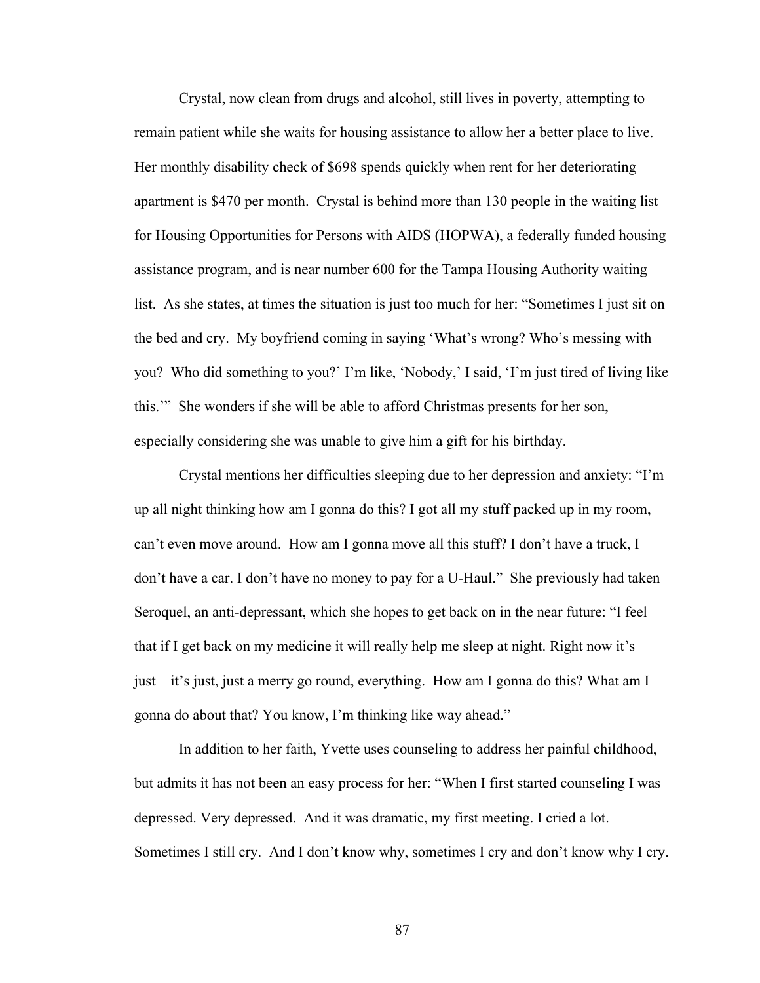Crystal, now clean from drugs and alcohol, still lives in poverty, attempting to remain patient while she waits for housing assistance to allow her a better place to live. Her monthly disability check of \$698 spends quickly when rent for her deteriorating apartment is \$470 per month. Crystal is behind more than 130 people in the waiting list for Housing Opportunities for Persons with AIDS (HOPWA), a federally funded housing assistance program, and is near number 600 for the Tampa Housing Authority waiting list. As she states, at times the situation is just too much for her: "Sometimes I just sit on the bed and cry. My boyfriend coming in saying 'What's wrong? Who's messing with you? Who did something to you?' I'm like, 'Nobody,' I said, 'I'm just tired of living like this.'" She wonders if she will be able to afford Christmas presents for her son, especially considering she was unable to give him a gift for his birthday.

Crystal mentions her difficulties sleeping due to her depression and anxiety: "I'm up all night thinking how am I gonna do this? I got all my stuff packed up in my room, can't even move around. How am I gonna move all this stuff? I don't have a truck, I don't have a car. I don't have no money to pay for a U-Haul." She previously had taken Seroquel, an anti-depressant, which she hopes to get back on in the near future: "I feel that if I get back on my medicine it will really help me sleep at night. Right now it's just—it's just, just a merry go round, everything. How am I gonna do this? What am I gonna do about that? You know, I'm thinking like way ahead."

In addition to her faith, Yvette uses counseling to address her painful childhood, but admits it has not been an easy process for her: "When I first started counseling I was depressed. Very depressed. And it was dramatic, my first meeting. I cried a lot. Sometimes I still cry. And I don't know why, sometimes I cry and don't know why I cry.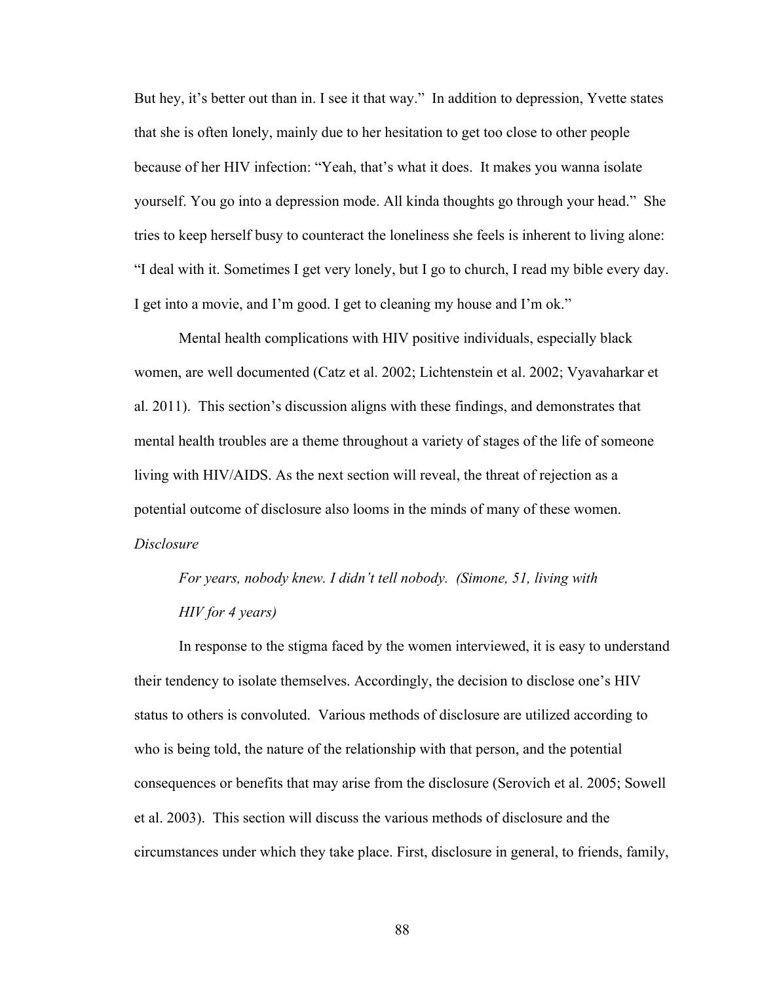But hey, it's better out than in. I see it that way." In addition to depression, Yvette states that she is often lonely, mainly due to her hesitation to get too close to other people because of her HIV infection: "Yeah, that's what it does. It makes you wanna isolate yourself. You go into a depression mode. All kinda thoughts go through your head." She tries to keep herself busy to counteract the loneliness she feels is inherent to living alone: "I deal with it. Sometimes I get very lonely, but I go to church, I read my bible every day. I get into a movie, and I'm good. I get to cleaning my house and I'm ok."

Mental health complications with HIV positive individuals, especially black women, are well documented (Catz et al. 2002; Lichtenstein et al. 2002; Vyavaharkar et al. 2011). This section's discussion aligns with these findings, and demonstrates that mental health troubles are a theme throughout a variety of stages of the life of someone living with HIV/AIDS. As the next section will reveal, the threat of rejection as a potential outcome of disclosure also looms in the minds of many of these women. *Disclosure*

*For years, nobody knew. I didn't tell nobody. (Simone, 51, living with HIV for 4 years)*

In response to the stigma faced by the women interviewed, it is easy to understand their tendency to isolate themselves. Accordingly, the decision to disclose one's HIV status to others is convoluted. Various methods of disclosure are utilized according to who is being told, the nature of the relationship with that person, and the potential consequences or benefits that may arise from the disclosure (Serovich et al. 2005; Sowell et al. 2003). This section will discuss the various methods of disclosure and the circumstances under which they take place. First, disclosure in general, to friends, family,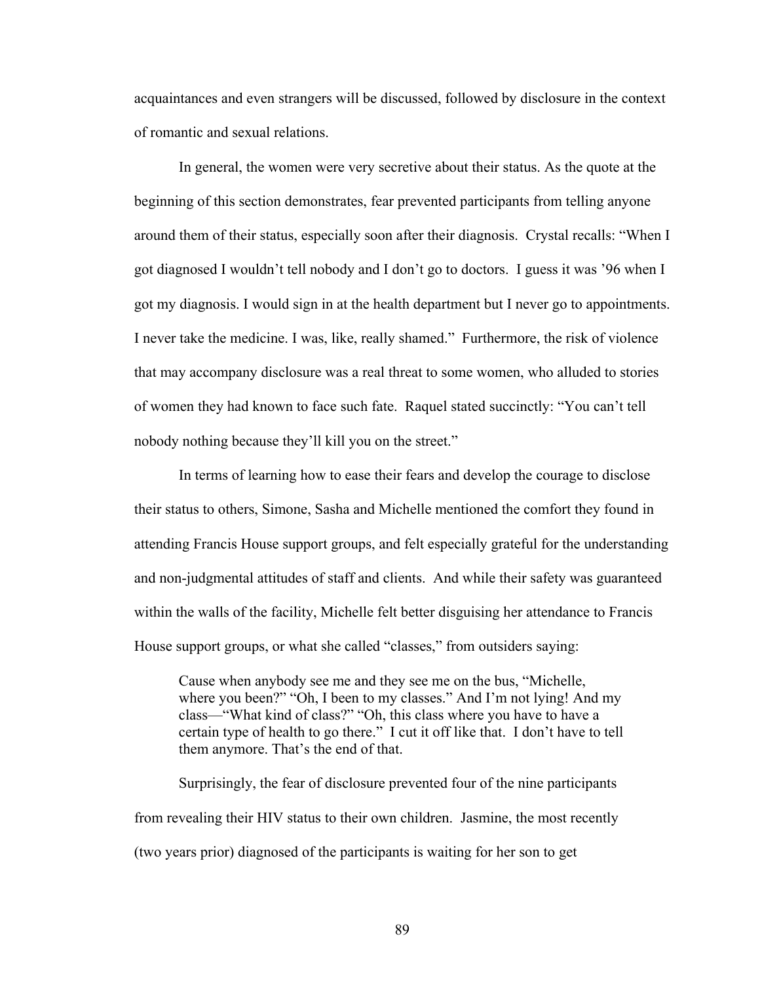acquaintances and even strangers will be discussed, followed by disclosure in the context of romantic and sexual relations.

In general, the women were very secretive about their status. As the quote at the beginning of this section demonstrates, fear prevented participants from telling anyone around them of their status, especially soon after their diagnosis. Crystal recalls: "When I got diagnosed I wouldn't tell nobody and I don't go to doctors. I guess it was '96 when I got my diagnosis. I would sign in at the health department but I never go to appointments. I never take the medicine. I was, like, really shamed." Furthermore, the risk of violence that may accompany disclosure was a real threat to some women, who alluded to stories of women they had known to face such fate. Raquel stated succinctly: "You can't tell nobody nothing because they'll kill you on the street."

In terms of learning how to ease their fears and develop the courage to disclose their status to others, Simone, Sasha and Michelle mentioned the comfort they found in attending Francis House support groups, and felt especially grateful for the understanding and non-judgmental attitudes of staff and clients. And while their safety was guaranteed within the walls of the facility, Michelle felt better disguising her attendance to Francis House support groups, or what she called "classes," from outsiders saying:

Cause when anybody see me and they see me on the bus, "Michelle, where you been?" "Oh, I been to my classes." And I'm not lying! And my class—"What kind of class?" "Oh, this class where you have to have a certain type of health to go there." I cut it off like that. I don't have to tell them anymore. That's the end of that.

Surprisingly, the fear of disclosure prevented four of the nine participants from revealing their HIV status to their own children. Jasmine, the most recently (two years prior) diagnosed of the participants is waiting for her son to get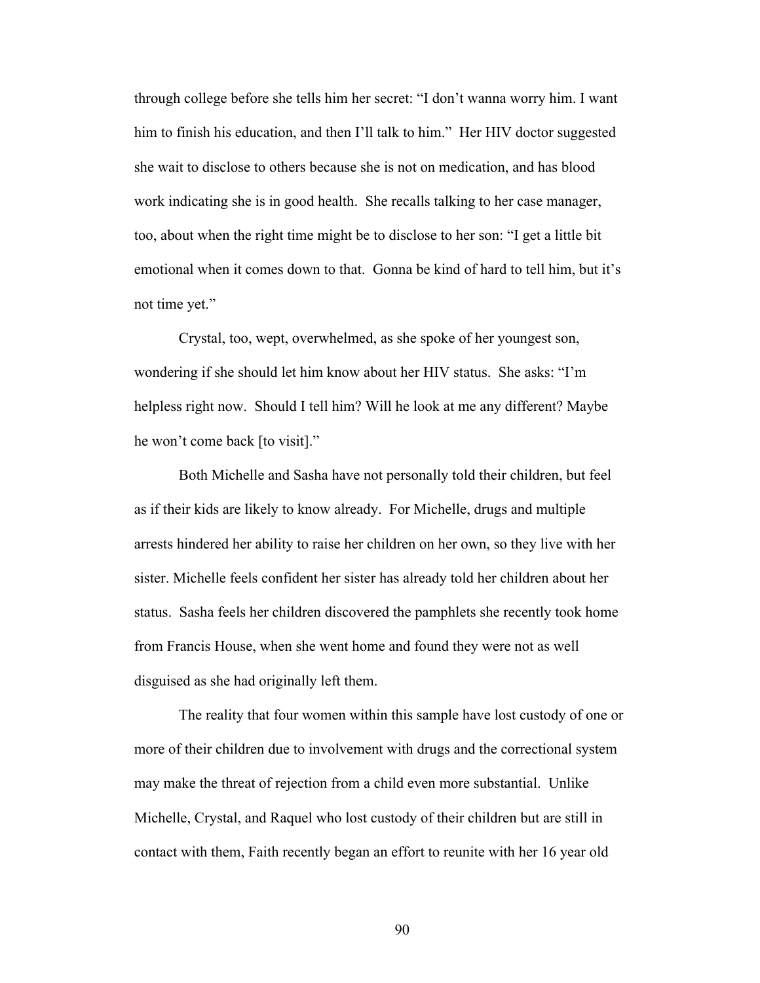through college before she tells him her secret: "I don't wanna worry him. I want him to finish his education, and then I'll talk to him." Her HIV doctor suggested she wait to disclose to others because she is not on medication, and has blood work indicating she is in good health. She recalls talking to her case manager, too, about when the right time might be to disclose to her son: "I get a little bit emotional when it comes down to that. Gonna be kind of hard to tell him, but it's not time yet."

Crystal, too, wept, overwhelmed, as she spoke of her youngest son, wondering if she should let him know about her HIV status. She asks: "I'm helpless right now. Should I tell him? Will he look at me any different? Maybe he won't come back [to visit]."

Both Michelle and Sasha have not personally told their children, but feel as if their kids are likely to know already. For Michelle, drugs and multiple arrests hindered her ability to raise her children on her own, so they live with her sister. Michelle feels confident her sister has already told her children about her status. Sasha feels her children discovered the pamphlets she recently took home from Francis House, when she went home and found they were not as well disguised as she had originally left them.

The reality that four women within this sample have lost custody of one or more of their children due to involvement with drugs and the correctional system may make the threat of rejection from a child even more substantial. Unlike Michelle, Crystal, and Raquel who lost custody of their children but are still in contact with them, Faith recently began an effort to reunite with her 16 year old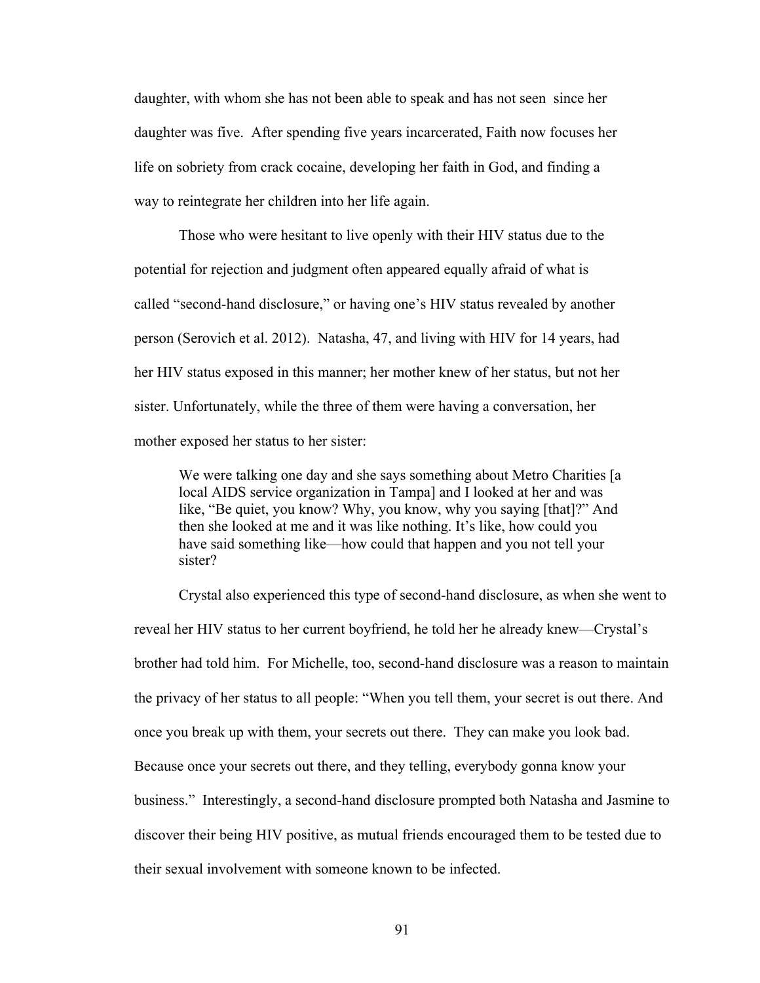daughter, with whom she has not been able to speak and has not seen since her daughter was five. After spending five years incarcerated, Faith now focuses her life on sobriety from crack cocaine, developing her faith in God, and finding a way to reintegrate her children into her life again.

Those who were hesitant to live openly with their HIV status due to the potential for rejection and judgment often appeared equally afraid of what is called "second-hand disclosure," or having one's HIV status revealed by another person (Serovich et al. 2012). Natasha, 47, and living with HIV for 14 years, had her HIV status exposed in this manner; her mother knew of her status, but not her sister. Unfortunately, while the three of them were having a conversation, her mother exposed her status to her sister:

We were talking one day and she says something about Metro Charities [a local AIDS service organization in Tampa] and I looked at her and was like, "Be quiet, you know? Why, you know, why you saying [that]?" And then she looked at me and it was like nothing. It's like, how could you have said something like—how could that happen and you not tell your sister?

Crystal also experienced this type of second-hand disclosure, as when she went to reveal her HIV status to her current boyfriend, he told her he already knew—Crystal's brother had told him. For Michelle, too, second-hand disclosure was a reason to maintain the privacy of her status to all people: "When you tell them, your secret is out there. And once you break up with them, your secrets out there. They can make you look bad. Because once your secrets out there, and they telling, everybody gonna know your business." Interestingly, a second-hand disclosure prompted both Natasha and Jasmine to discover their being HIV positive, as mutual friends encouraged them to be tested due to their sexual involvement with someone known to be infected.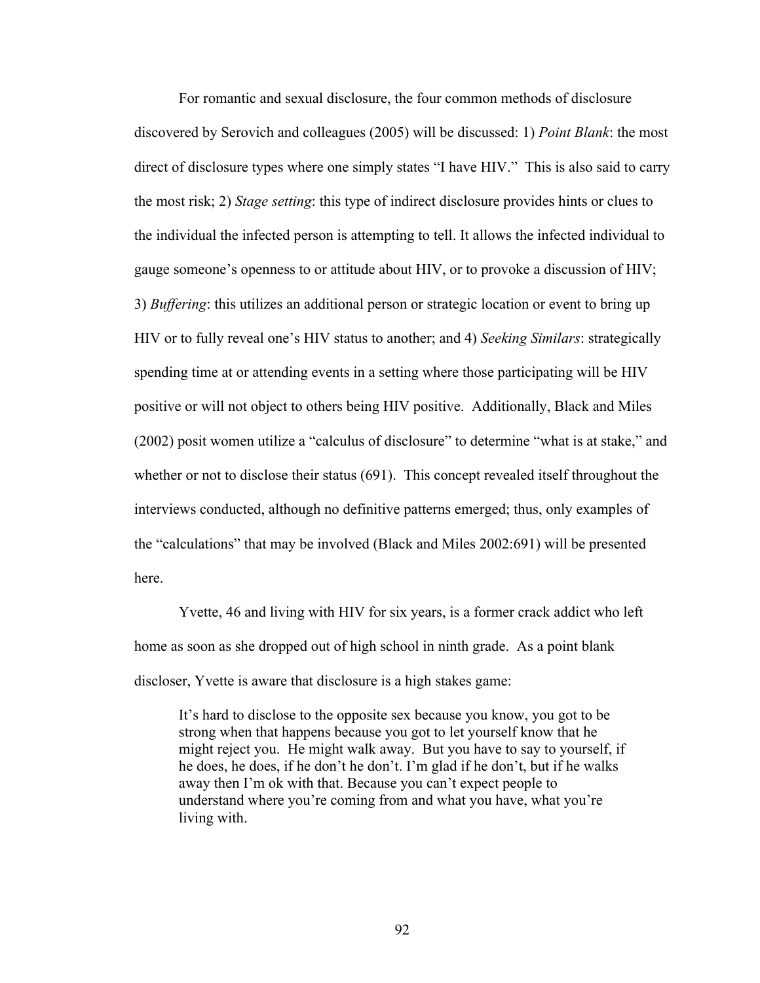For romantic and sexual disclosure, the four common methods of disclosure discovered by Serovich and colleagues (2005) will be discussed: 1) *Point Blank*: the most direct of disclosure types where one simply states "I have HIV." This is also said to carry the most risk; 2) *Stage setting*: this type of indirect disclosure provides hints or clues to the individual the infected person is attempting to tell. It allows the infected individual to gauge someone's openness to or attitude about HIV, or to provoke a discussion of HIV; 3) *Buffering*: this utilizes an additional person or strategic location or event to bring up HIV or to fully reveal one's HIV status to another; and 4) *Seeking Similars*: strategically spending time at or attending events in a setting where those participating will be HIV positive or will not object to others being HIV positive. Additionally, Black and Miles (2002) posit women utilize a "calculus of disclosure" to determine "what is at stake," and whether or not to disclose their status (691). This concept revealed itself throughout the interviews conducted, although no definitive patterns emerged; thus, only examples of the "calculations" that may be involved (Black and Miles 2002:691) will be presented here.

Yvette, 46 and living with HIV for six years, is a former crack addict who left home as soon as she dropped out of high school in ninth grade. As a point blank discloser, Yvette is aware that disclosure is a high stakes game:

It's hard to disclose to the opposite sex because you know, you got to be strong when that happens because you got to let yourself know that he might reject you. He might walk away. But you have to say to yourself, if he does, he does, if he don't he don't. I'm glad if he don't, but if he walks away then I'm ok with that. Because you can't expect people to understand where you're coming from and what you have, what you're living with.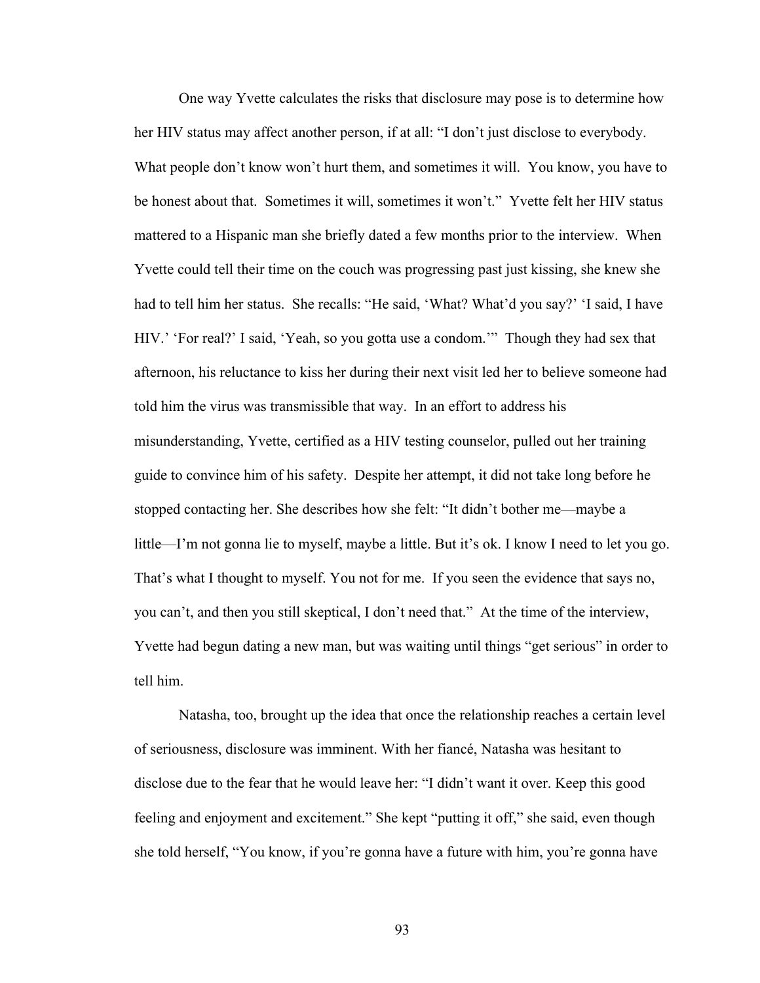One way Yvette calculates the risks that disclosure may pose is to determine how her HIV status may affect another person, if at all: "I don't just disclose to everybody. What people don't know won't hurt them, and sometimes it will. You know, you have to be honest about that. Sometimes it will, sometimes it won't." Yvette felt her HIV status mattered to a Hispanic man she briefly dated a few months prior to the interview. When Yvette could tell their time on the couch was progressing past just kissing, she knew she had to tell him her status. She recalls: "He said, 'What? What'd you say?' 'I said, I have HIV.' 'For real?' I said, 'Yeah, so you gotta use a condom.'" Though they had sex that afternoon, his reluctance to kiss her during their next visit led her to believe someone had told him the virus was transmissible that way. In an effort to address his misunderstanding, Yvette, certified as a HIV testing counselor, pulled out her training guide to convince him of his safety. Despite her attempt, it did not take long before he stopped contacting her. She describes how she felt: "It didn't bother me—maybe a little—I'm not gonna lie to myself, maybe a little. But it's ok. I know I need to let you go. That's what I thought to myself. You not for me. If you seen the evidence that says no, you can't, and then you still skeptical, I don't need that." At the time of the interview, Yvette had begun dating a new man, but was waiting until things "get serious" in order to tell him.

Natasha, too, brought up the idea that once the relationship reaches a certain level of seriousness, disclosure was imminent. With her fiancé, Natasha was hesitant to disclose due to the fear that he would leave her: "I didn't want it over. Keep this good feeling and enjoyment and excitement." She kept "putting it off," she said, even though she told herself, "You know, if you're gonna have a future with him, you're gonna have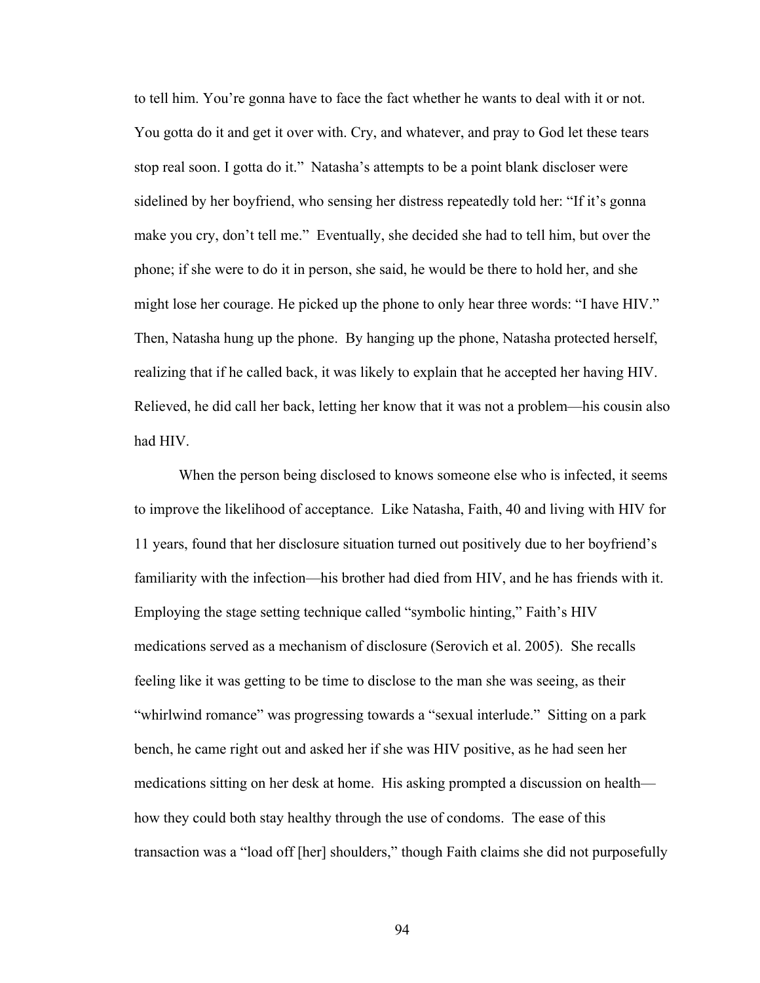to tell him. You're gonna have to face the fact whether he wants to deal with it or not. You gotta do it and get it over with. Cry, and whatever, and pray to God let these tears stop real soon. I gotta do it." Natasha's attempts to be a point blank discloser were sidelined by her boyfriend, who sensing her distress repeatedly told her: "If it's gonna make you cry, don't tell me." Eventually, she decided she had to tell him, but over the phone; if she were to do it in person, she said, he would be there to hold her, and she might lose her courage. He picked up the phone to only hear three words: "I have HIV." Then, Natasha hung up the phone. By hanging up the phone, Natasha protected herself, realizing that if he called back, it was likely to explain that he accepted her having HIV. Relieved, he did call her back, letting her know that it was not a problem—his cousin also had HIV.

When the person being disclosed to knows someone else who is infected, it seems to improve the likelihood of acceptance. Like Natasha, Faith, 40 and living with HIV for 11 years, found that her disclosure situation turned out positively due to her boyfriend's familiarity with the infection—his brother had died from HIV, and he has friends with it. Employing the stage setting technique called "symbolic hinting," Faith's HIV medications served as a mechanism of disclosure (Serovich et al. 2005). She recalls feeling like it was getting to be time to disclose to the man she was seeing, as their "whirlwind romance" was progressing towards a "sexual interlude." Sitting on a park bench, he came right out and asked her if she was HIV positive, as he had seen her medications sitting on her desk at home. His asking prompted a discussion on health how they could both stay healthy through the use of condoms. The ease of this transaction was a "load off [her] shoulders," though Faith claims she did not purposefully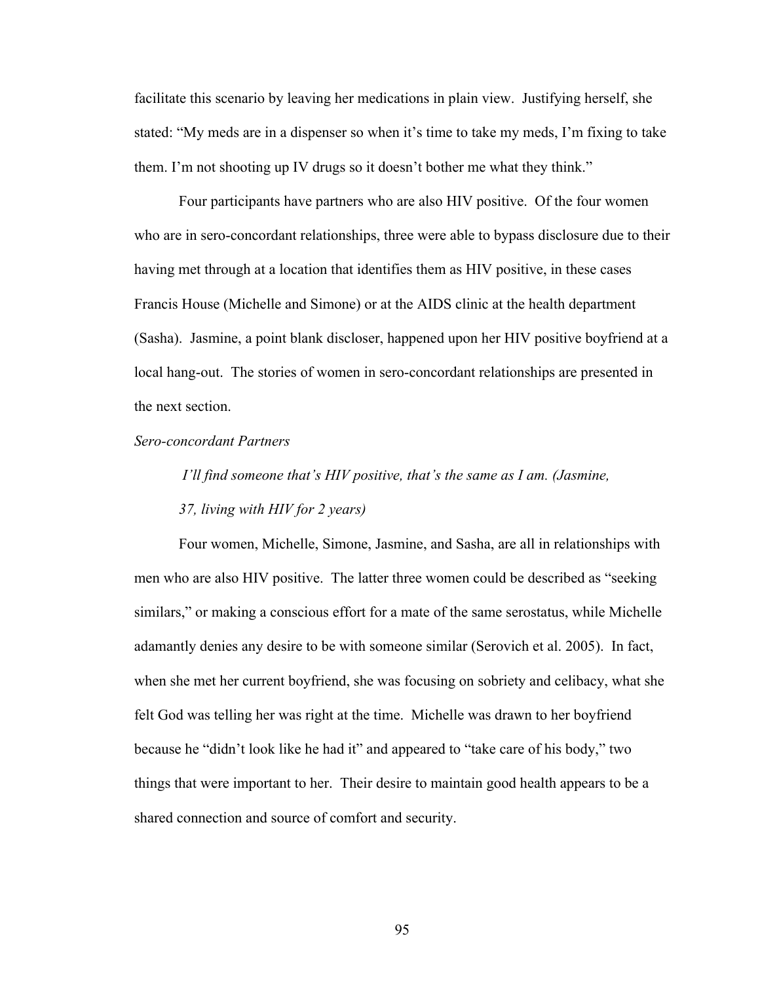facilitate this scenario by leaving her medications in plain view. Justifying herself, she stated: "My meds are in a dispenser so when it's time to take my meds, I'm fixing to take them. I'm not shooting up IV drugs so it doesn't bother me what they think."

Four participants have partners who are also HIV positive. Of the four women who are in sero-concordant relationships, three were able to bypass disclosure due to their having met through at a location that identifies them as HIV positive, in these cases Francis House (Michelle and Simone) or at the AIDS clinic at the health department (Sasha). Jasmine, a point blank discloser, happened upon her HIV positive boyfriend at a local hang-out. The stories of women in sero-concordant relationships are presented in the next section.

## *Sero-concordant Partners*

 *I'll find someone that's HIV positive, that's the same as I am. (Jasmine, 37, living with HIV for 2 years)*

Four women, Michelle, Simone, Jasmine, and Sasha, are all in relationships with men who are also HIV positive. The latter three women could be described as "seeking similars," or making a conscious effort for a mate of the same serostatus, while Michelle adamantly denies any desire to be with someone similar (Serovich et al. 2005). In fact, when she met her current boyfriend, she was focusing on sobriety and celibacy, what she felt God was telling her was right at the time. Michelle was drawn to her boyfriend because he "didn't look like he had it" and appeared to "take care of his body," two things that were important to her. Their desire to maintain good health appears to be a shared connection and source of comfort and security.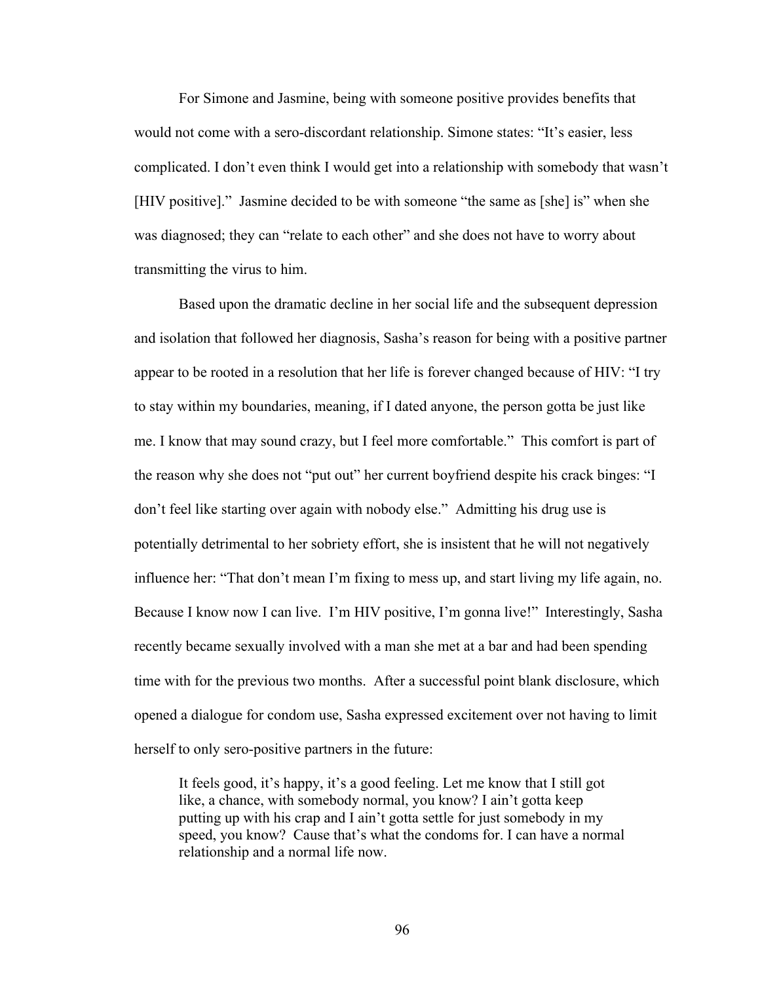For Simone and Jasmine, being with someone positive provides benefits that would not come with a sero-discordant relationship. Simone states: "It's easier, less complicated. I don't even think I would get into a relationship with somebody that wasn't [HIV positive]." Jasmine decided to be with someone "the same as [she] is" when she was diagnosed; they can "relate to each other" and she does not have to worry about transmitting the virus to him.

Based upon the dramatic decline in her social life and the subsequent depression and isolation that followed her diagnosis, Sasha's reason for being with a positive partner appear to be rooted in a resolution that her life is forever changed because of HIV: "I try to stay within my boundaries, meaning, if I dated anyone, the person gotta be just like me. I know that may sound crazy, but I feel more comfortable." This comfort is part of the reason why she does not "put out" her current boyfriend despite his crack binges: "I don't feel like starting over again with nobody else." Admitting his drug use is potentially detrimental to her sobriety effort, she is insistent that he will not negatively influence her: "That don't mean I'm fixing to mess up, and start living my life again, no. Because I know now I can live. I'm HIV positive, I'm gonna live!" Interestingly, Sasha recently became sexually involved with a man she met at a bar and had been spending time with for the previous two months. After a successful point blank disclosure, which opened a dialogue for condom use, Sasha expressed excitement over not having to limit herself to only sero-positive partners in the future:

It feels good, it's happy, it's a good feeling. Let me know that I still got like, a chance, with somebody normal, you know? I ain't gotta keep putting up with his crap and I ain't gotta settle for just somebody in my speed, you know? Cause that's what the condoms for. I can have a normal relationship and a normal life now.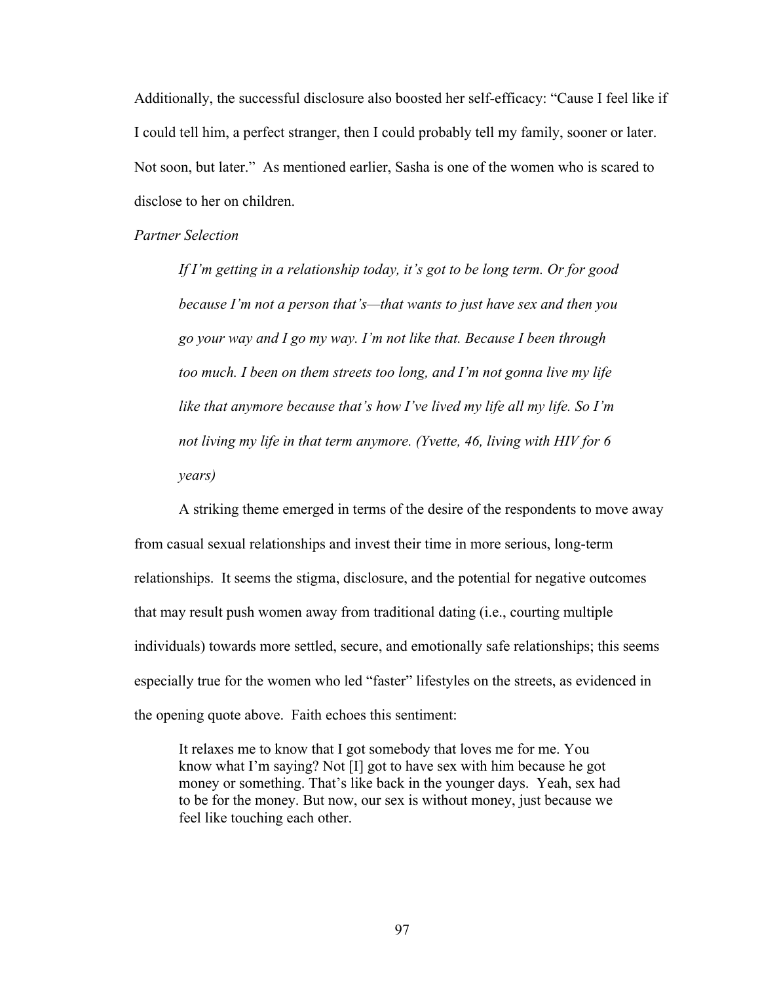Additionally, the successful disclosure also boosted her self-efficacy: "Cause I feel like if I could tell him, a perfect stranger, then I could probably tell my family, sooner or later. Not soon, but later." As mentioned earlier, Sasha is one of the women who is scared to disclose to her on children.

*Partner Selection*

*If I'm getting in a relationship today, it's got to be long term. Or for good because I'm not a person that's—that wants to just have sex and then you go your way and I go my way. I'm not like that. Because I been through too much. I been on them streets too long, and I'm not gonna live my life like that anymore because that's how I've lived my life all my life. So I'm not living my life in that term anymore. (Yvette, 46, living with HIV for 6 years)*

A striking theme emerged in terms of the desire of the respondents to move away from casual sexual relationships and invest their time in more serious, long-term relationships. It seems the stigma, disclosure, and the potential for negative outcomes that may result push women away from traditional dating (i.e., courting multiple individuals) towards more settled, secure, and emotionally safe relationships; this seems especially true for the women who led "faster" lifestyles on the streets, as evidenced in the opening quote above. Faith echoes this sentiment:

It relaxes me to know that I got somebody that loves me for me. You know what I'm saying? Not [I] got to have sex with him because he got money or something. That's like back in the younger days. Yeah, sex had to be for the money. But now, our sex is without money, just because we feel like touching each other.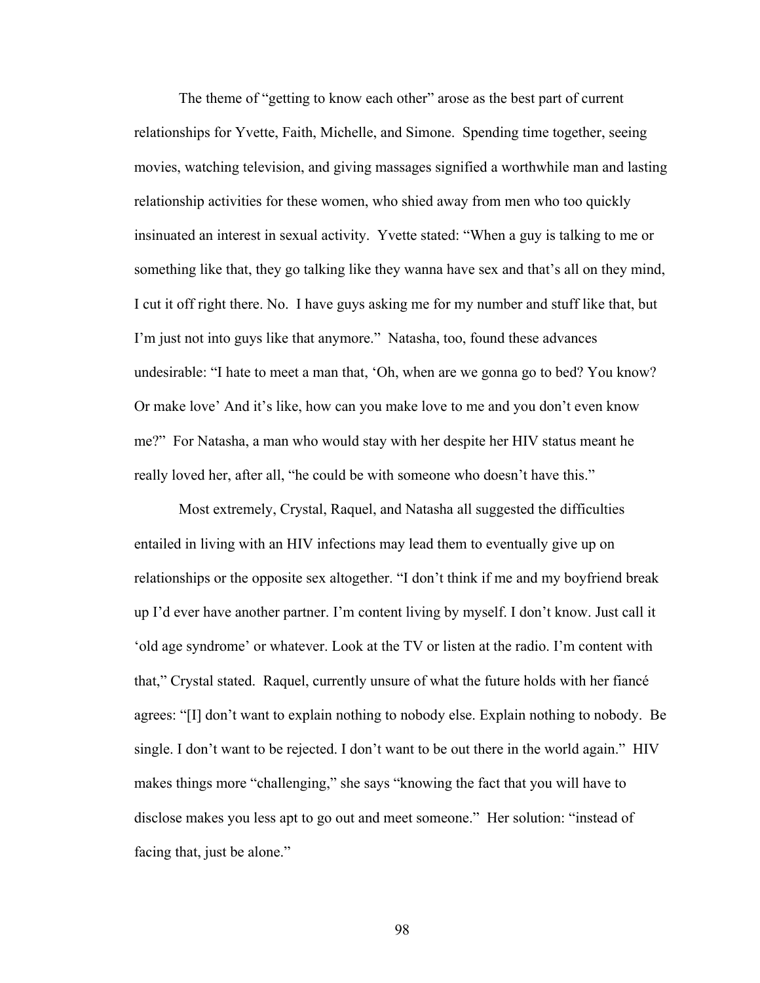The theme of "getting to know each other" arose as the best part of current relationships for Yvette, Faith, Michelle, and Simone. Spending time together, seeing movies, watching television, and giving massages signified a worthwhile man and lasting relationship activities for these women, who shied away from men who too quickly insinuated an interest in sexual activity. Yvette stated: "When a guy is talking to me or something like that, they go talking like they wanna have sex and that's all on they mind, I cut it off right there. No. I have guys asking me for my number and stuff like that, but I'm just not into guys like that anymore." Natasha, too, found these advances undesirable: "I hate to meet a man that, 'Oh, when are we gonna go to bed? You know? Or make love' And it's like, how can you make love to me and you don't even know me?" For Natasha, a man who would stay with her despite her HIV status meant he really loved her, after all, "he could be with someone who doesn't have this."

Most extremely, Crystal, Raquel, and Natasha all suggested the difficulties entailed in living with an HIV infections may lead them to eventually give up on relationships or the opposite sex altogether. "I don't think if me and my boyfriend break up I'd ever have another partner. I'm content living by myself. I don't know. Just call it 'old age syndrome' or whatever. Look at the TV or listen at the radio. I'm content with that," Crystal stated. Raquel, currently unsure of what the future holds with her fiancé agrees: "[I] don't want to explain nothing to nobody else. Explain nothing to nobody. Be single. I don't want to be rejected. I don't want to be out there in the world again." HIV makes things more "challenging," she says "knowing the fact that you will have to disclose makes you less apt to go out and meet someone." Her solution: "instead of facing that, just be alone."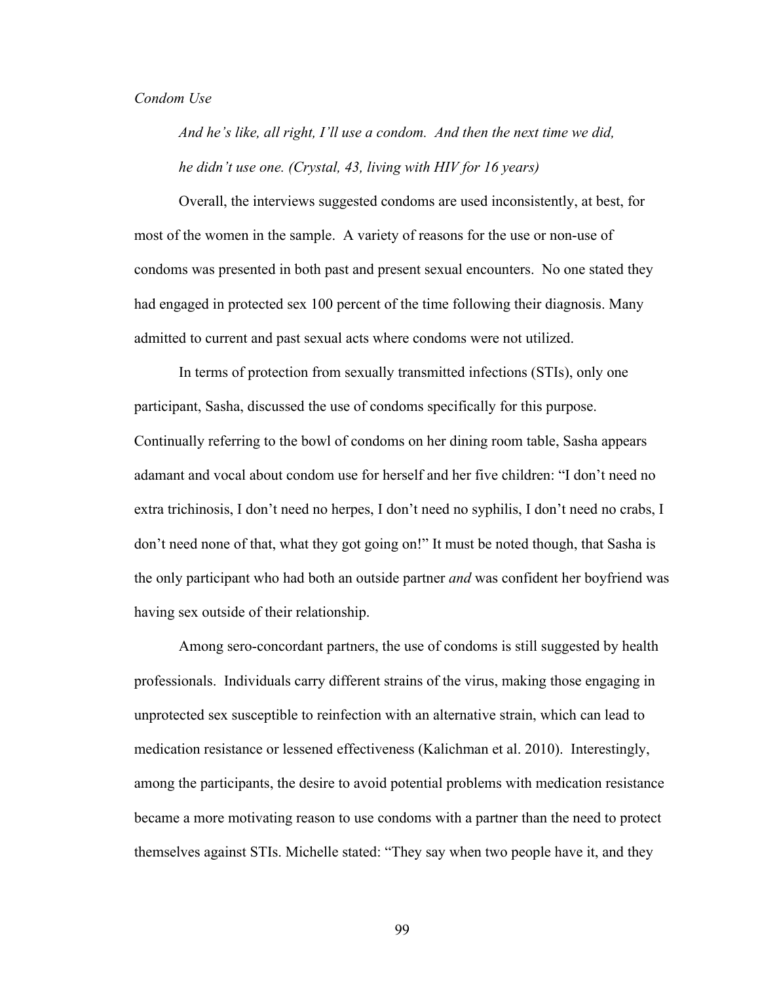# *Condom Use*

*And he's like, all right, I'll use a condom. And then the next time we did, he didn't use one. (Crystal, 43, living with HIV for 16 years)*

Overall, the interviews suggested condoms are used inconsistently, at best, for most of the women in the sample. A variety of reasons for the use or non-use of condoms was presented in both past and present sexual encounters. No one stated they had engaged in protected sex 100 percent of the time following their diagnosis. Many admitted to current and past sexual acts where condoms were not utilized.

In terms of protection from sexually transmitted infections (STIs), only one participant, Sasha, discussed the use of condoms specifically for this purpose. Continually referring to the bowl of condoms on her dining room table, Sasha appears adamant and vocal about condom use for herself and her five children: "I don't need no extra trichinosis, I don't need no herpes, I don't need no syphilis, I don't need no crabs, I don't need none of that, what they got going on!" It must be noted though, that Sasha is the only participant who had both an outside partner *and* was confident her boyfriend was having sex outside of their relationship.

Among sero-concordant partners, the use of condoms is still suggested by health professionals. Individuals carry different strains of the virus, making those engaging in unprotected sex susceptible to reinfection with an alternative strain, which can lead to medication resistance or lessened effectiveness (Kalichman et al. 2010). Interestingly, among the participants, the desire to avoid potential problems with medication resistance became a more motivating reason to use condoms with a partner than the need to protect themselves against STIs. Michelle stated: "They say when two people have it, and they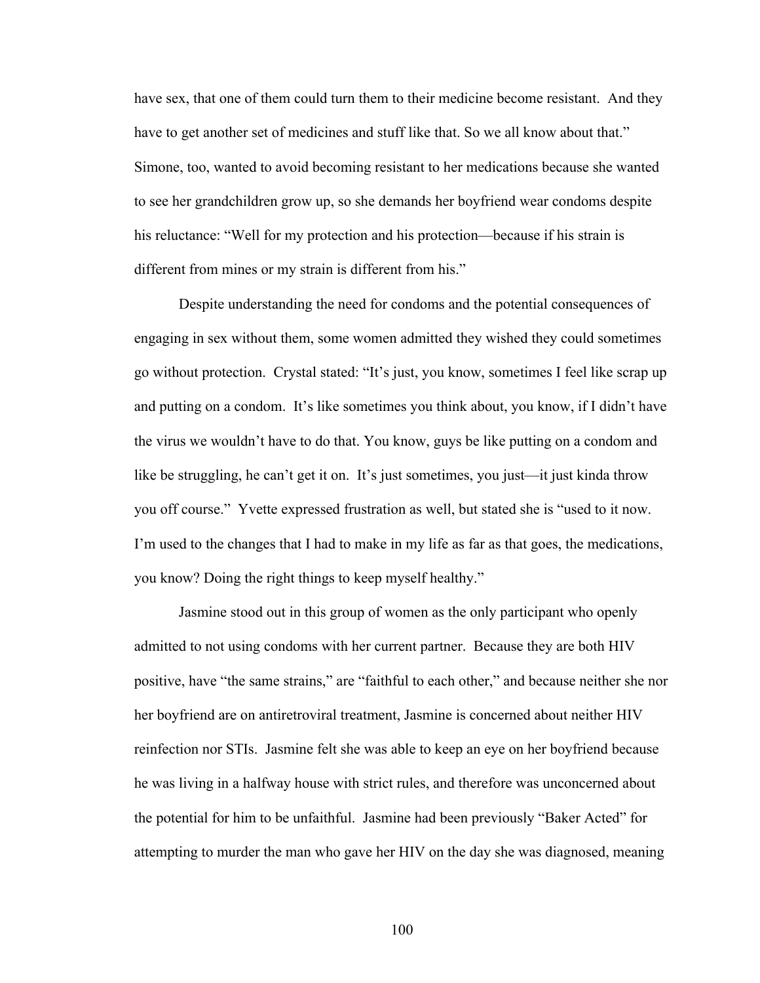have sex, that one of them could turn them to their medicine become resistant. And they have to get another set of medicines and stuff like that. So we all know about that." Simone, too, wanted to avoid becoming resistant to her medications because she wanted to see her grandchildren grow up, so she demands her boyfriend wear condoms despite his reluctance: "Well for my protection and his protection—because if his strain is different from mines or my strain is different from his."

Despite understanding the need for condoms and the potential consequences of engaging in sex without them, some women admitted they wished they could sometimes go without protection. Crystal stated: "It's just, you know, sometimes I feel like scrap up and putting on a condom. It's like sometimes you think about, you know, if I didn't have the virus we wouldn't have to do that. You know, guys be like putting on a condom and like be struggling, he can't get it on. It's just sometimes, you just—it just kinda throw you off course." Yvette expressed frustration as well, but stated she is "used to it now. I'm used to the changes that I had to make in my life as far as that goes, the medications, you know? Doing the right things to keep myself healthy."

Jasmine stood out in this group of women as the only participant who openly admitted to not using condoms with her current partner. Because they are both HIV positive, have "the same strains," are "faithful to each other," and because neither she nor her boyfriend are on antiretroviral treatment, Jasmine is concerned about neither HIV reinfection nor STIs. Jasmine felt she was able to keep an eye on her boyfriend because he was living in a halfway house with strict rules, and therefore was unconcerned about the potential for him to be unfaithful. Jasmine had been previously "Baker Acted" for attempting to murder the man who gave her HIV on the day she was diagnosed, meaning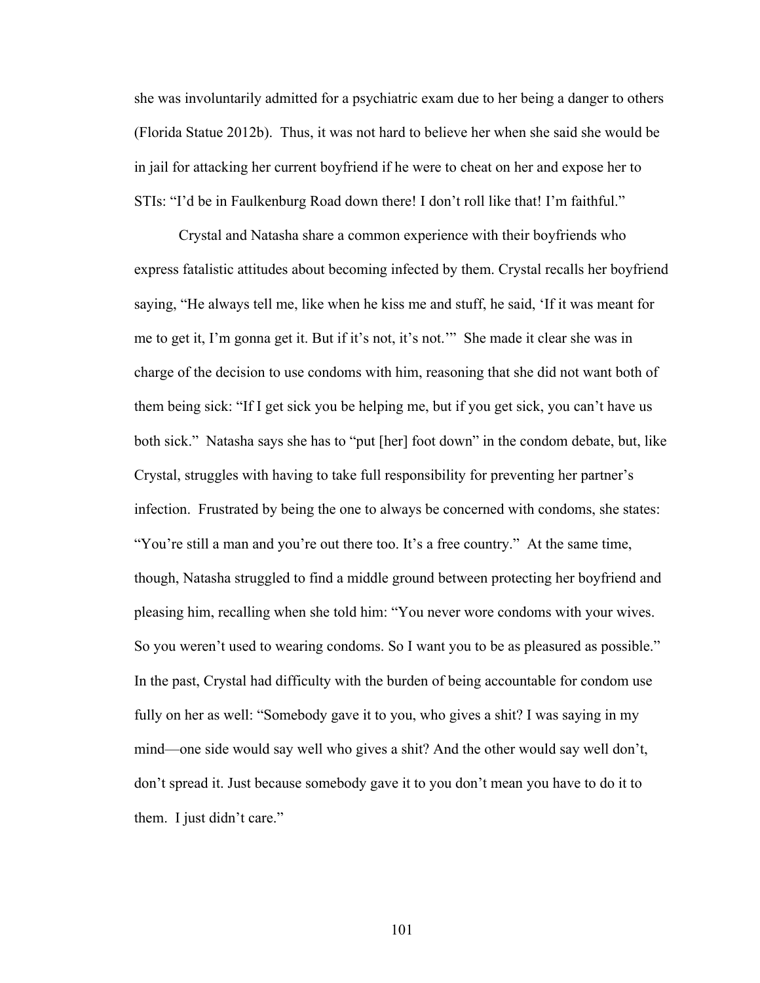she was involuntarily admitted for a psychiatric exam due to her being a danger to others (Florida Statue 2012b). Thus, it was not hard to believe her when she said she would be in jail for attacking her current boyfriend if he were to cheat on her and expose her to STIs: "I'd be in Faulkenburg Road down there! I don't roll like that! I'm faithful."

Crystal and Natasha share a common experience with their boyfriends who express fatalistic attitudes about becoming infected by them. Crystal recalls her boyfriend saying, "He always tell me, like when he kiss me and stuff, he said, 'If it was meant for me to get it, I'm gonna get it. But if it's not, it's not.'" She made it clear she was in charge of the decision to use condoms with him, reasoning that she did not want both of them being sick: "If I get sick you be helping me, but if you get sick, you can't have us both sick." Natasha says she has to "put [her] foot down" in the condom debate, but, like Crystal, struggles with having to take full responsibility for preventing her partner's infection. Frustrated by being the one to always be concerned with condoms, she states: "You're still a man and you're out there too. It's a free country." At the same time, though, Natasha struggled to find a middle ground between protecting her boyfriend and pleasing him, recalling when she told him: "You never wore condoms with your wives. So you weren't used to wearing condoms. So I want you to be as pleasured as possible." In the past, Crystal had difficulty with the burden of being accountable for condom use fully on her as well: "Somebody gave it to you, who gives a shit? I was saying in my mind—one side would say well who gives a shit? And the other would say well don't, don't spread it. Just because somebody gave it to you don't mean you have to do it to them. I just didn't care."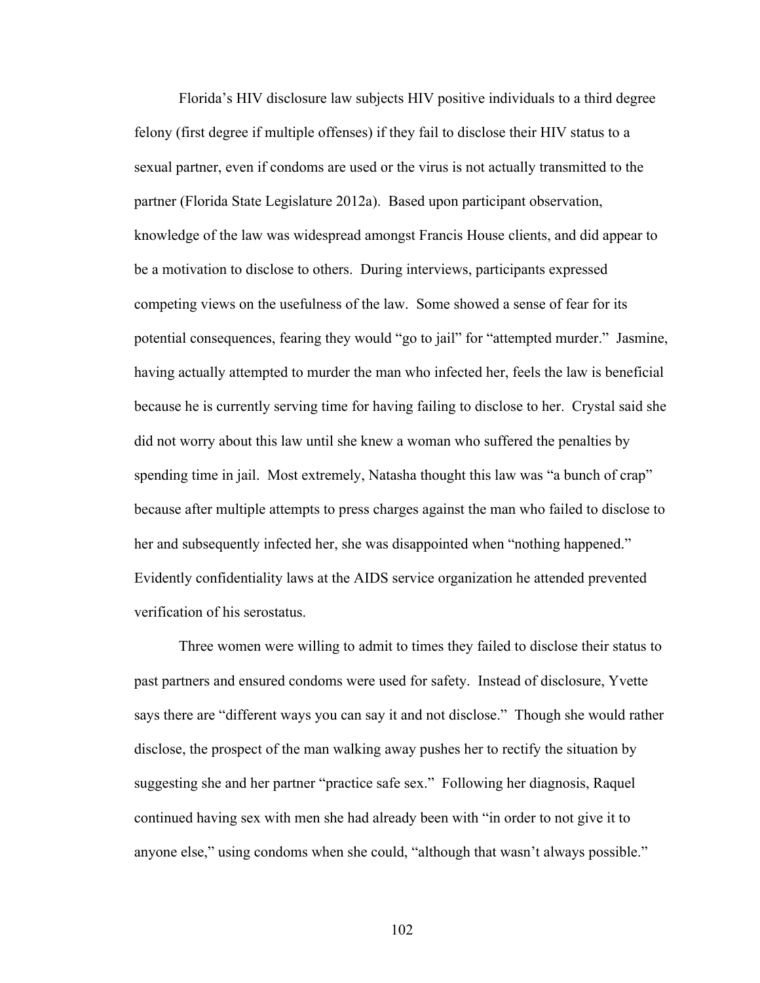Florida's HIV disclosure law subjects HIV positive individuals to a third degree felony (first degree if multiple offenses) if they fail to disclose their HIV status to a sexual partner, even if condoms are used or the virus is not actually transmitted to the partner (Florida State Legislature 2012a). Based upon participant observation, knowledge of the law was widespread amongst Francis House clients, and did appear to be a motivation to disclose to others. During interviews, participants expressed competing views on the usefulness of the law. Some showed a sense of fear for its potential consequences, fearing they would "go to jail" for "attempted murder." Jasmine, having actually attempted to murder the man who infected her, feels the law is beneficial because he is currently serving time for having failing to disclose to her. Crystal said she did not worry about this law until she knew a woman who suffered the penalties by spending time in jail. Most extremely, Natasha thought this law was "a bunch of crap" because after multiple attempts to press charges against the man who failed to disclose to her and subsequently infected her, she was disappointed when "nothing happened." Evidently confidentiality laws at the AIDS service organization he attended prevented verification of his serostatus.

Three women were willing to admit to times they failed to disclose their status to past partners and ensured condoms were used for safety. Instead of disclosure, Yvette says there are "different ways you can say it and not disclose." Though she would rather disclose, the prospect of the man walking away pushes her to rectify the situation by suggesting she and her partner "practice safe sex." Following her diagnosis, Raquel continued having sex with men she had already been with "in order to not give it to anyone else," using condoms when she could, "although that wasn't always possible."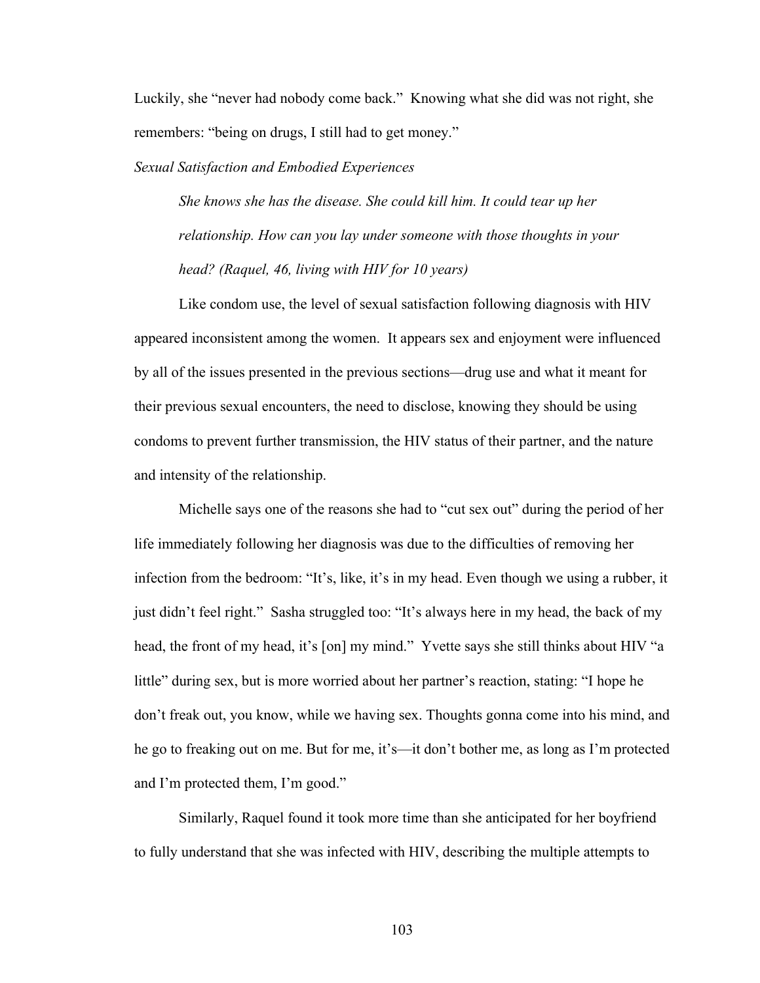Luckily, she "never had nobody come back." Knowing what she did was not right, she remembers: "being on drugs, I still had to get money."

*Sexual Satisfaction and Embodied Experiences*

*She knows she has the disease. She could kill him. It could tear up her relationship. How can you lay under someone with those thoughts in your head? (Raquel, 46, living with HIV for 10 years)*

Like condom use, the level of sexual satisfaction following diagnosis with HIV appeared inconsistent among the women. It appears sex and enjoyment were influenced by all of the issues presented in the previous sections—drug use and what it meant for their previous sexual encounters, the need to disclose, knowing they should be using condoms to prevent further transmission, the HIV status of their partner, and the nature and intensity of the relationship.

Michelle says one of the reasons she had to "cut sex out" during the period of her life immediately following her diagnosis was due to the difficulties of removing her infection from the bedroom: "It's, like, it's in my head. Even though we using a rubber, it just didn't feel right." Sasha struggled too: "It's always here in my head, the back of my head, the front of my head, it's [on] my mind." Yvette says she still thinks about HIV "a little" during sex, but is more worried about her partner's reaction, stating: "I hope he don't freak out, you know, while we having sex. Thoughts gonna come into his mind, and he go to freaking out on me. But for me, it's—it don't bother me, as long as I'm protected and I'm protected them, I'm good."

Similarly, Raquel found it took more time than she anticipated for her boyfriend to fully understand that she was infected with HIV, describing the multiple attempts to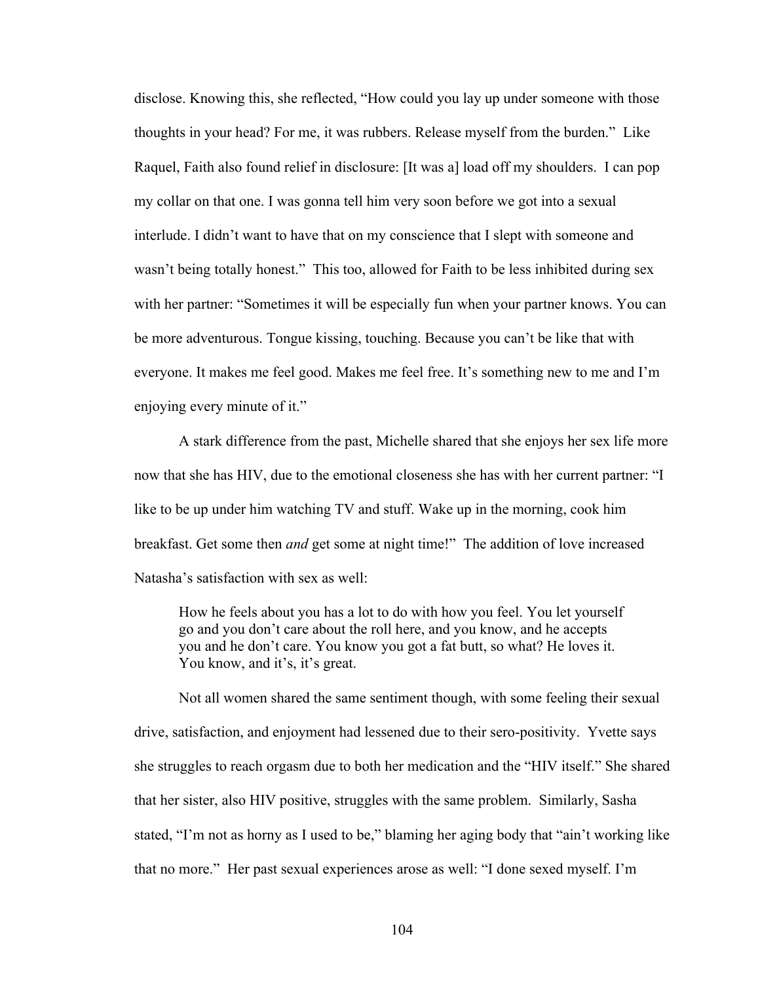disclose. Knowing this, she reflected, "How could you lay up under someone with those thoughts in your head? For me, it was rubbers. Release myself from the burden." Like Raquel, Faith also found relief in disclosure: [It was a] load off my shoulders. I can pop my collar on that one. I was gonna tell him very soon before we got into a sexual interlude. I didn't want to have that on my conscience that I slept with someone and wasn't being totally honest." This too, allowed for Faith to be less inhibited during sex with her partner: "Sometimes it will be especially fun when your partner knows. You can be more adventurous. Tongue kissing, touching. Because you can't be like that with everyone. It makes me feel good. Makes me feel free. It's something new to me and I'm enjoying every minute of it."

A stark difference from the past, Michelle shared that she enjoys her sex life more now that she has HIV, due to the emotional closeness she has with her current partner: "I like to be up under him watching TV and stuff. Wake up in the morning, cook him breakfast. Get some then *and* get some at night time!" The addition of love increased Natasha's satisfaction with sex as well:

How he feels about you has a lot to do with how you feel. You let yourself go and you don't care about the roll here, and you know, and he accepts you and he don't care. You know you got a fat butt, so what? He loves it. You know, and it's, it's great.

Not all women shared the same sentiment though, with some feeling their sexual drive, satisfaction, and enjoyment had lessened due to their sero-positivity. Yvette says she struggles to reach orgasm due to both her medication and the "HIV itself." She shared that her sister, also HIV positive, struggles with the same problem. Similarly, Sasha stated, "I'm not as horny as I used to be," blaming her aging body that "ain't working like that no more." Her past sexual experiences arose as well: "I done sexed myself. I'm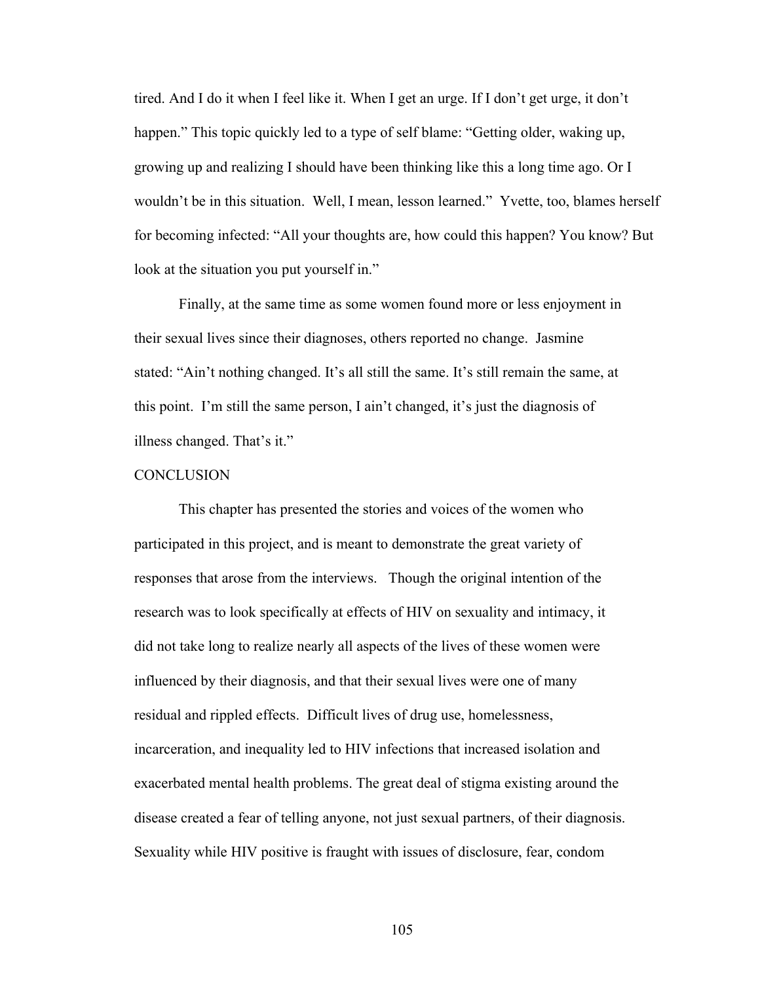tired. And I do it when I feel like it. When I get an urge. If I don't get urge, it don't happen." This topic quickly led to a type of self blame: "Getting older, waking up, growing up and realizing I should have been thinking like this a long time ago. Or I wouldn't be in this situation. Well, I mean, lesson learned." Yvette, too, blames herself for becoming infected: "All your thoughts are, how could this happen? You know? But look at the situation you put yourself in."

Finally, at the same time as some women found more or less enjoyment in their sexual lives since their diagnoses, others reported no change. Jasmine stated: "Ain't nothing changed. It's all still the same. It's still remain the same, at this point. I'm still the same person, I ain't changed, it's just the diagnosis of illness changed. That's it."

#### **CONCLUSION**

This chapter has presented the stories and voices of the women who participated in this project, and is meant to demonstrate the great variety of responses that arose from the interviews. Though the original intention of the research was to look specifically at effects of HIV on sexuality and intimacy, it did not take long to realize nearly all aspects of the lives of these women were influenced by their diagnosis, and that their sexual lives were one of many residual and rippled effects. Difficult lives of drug use, homelessness, incarceration, and inequality led to HIV infections that increased isolation and exacerbated mental health problems. The great deal of stigma existing around the disease created a fear of telling anyone, not just sexual partners, of their diagnosis. Sexuality while HIV positive is fraught with issues of disclosure, fear, condom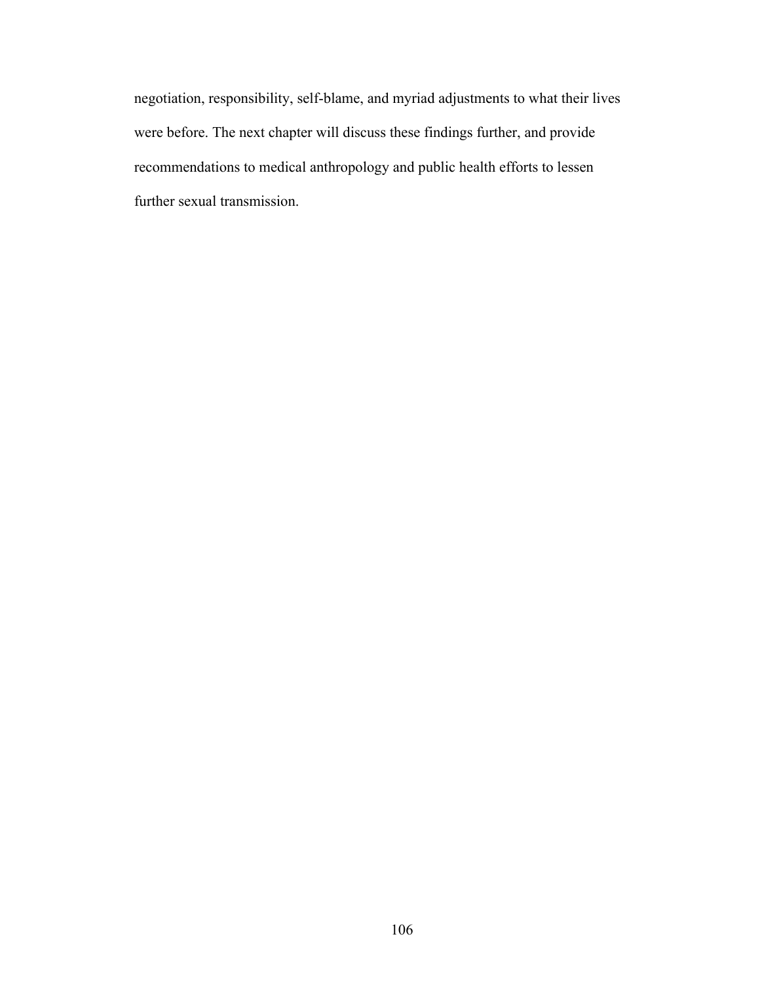negotiation, responsibility, self-blame, and myriad adjustments to what their lives were before. The next chapter will discuss these findings further, and provide recommendations to medical anthropology and public health efforts to lessen further sexual transmission.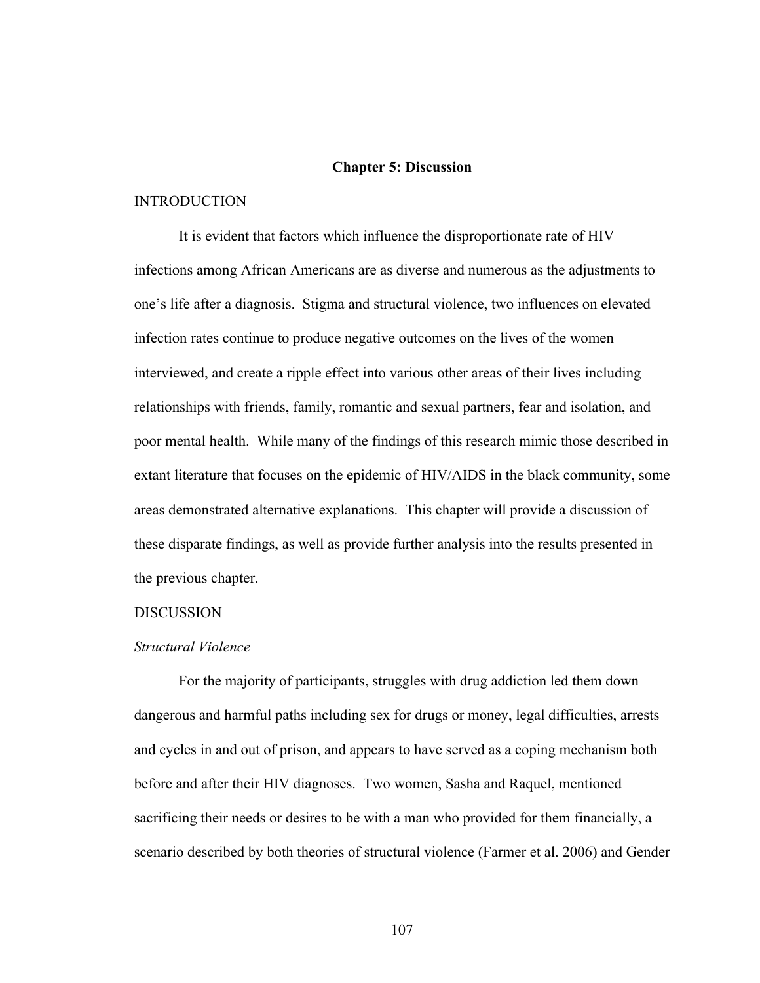#### **Chapter 5: Discussion**

#### INTRODUCTION

It is evident that factors which influence the disproportionate rate of HIV infections among African Americans are as diverse and numerous as the adjustments to one's life after a diagnosis. Stigma and structural violence, two influences on elevated infection rates continue to produce negative outcomes on the lives of the women interviewed, and create a ripple effect into various other areas of their lives including relationships with friends, family, romantic and sexual partners, fear and isolation, and poor mental health. While many of the findings of this research mimic those described in extant literature that focuses on the epidemic of HIV/AIDS in the black community, some areas demonstrated alternative explanations. This chapter will provide a discussion of these disparate findings, as well as provide further analysis into the results presented in the previous chapter.

#### DISCUSSION

#### *Structural Violence*

For the majority of participants, struggles with drug addiction led them down dangerous and harmful paths including sex for drugs or money, legal difficulties, arrests and cycles in and out of prison, and appears to have served as a coping mechanism both before and after their HIV diagnoses. Two women, Sasha and Raquel, mentioned sacrificing their needs or desires to be with a man who provided for them financially, a scenario described by both theories of structural violence (Farmer et al. 2006) and Gender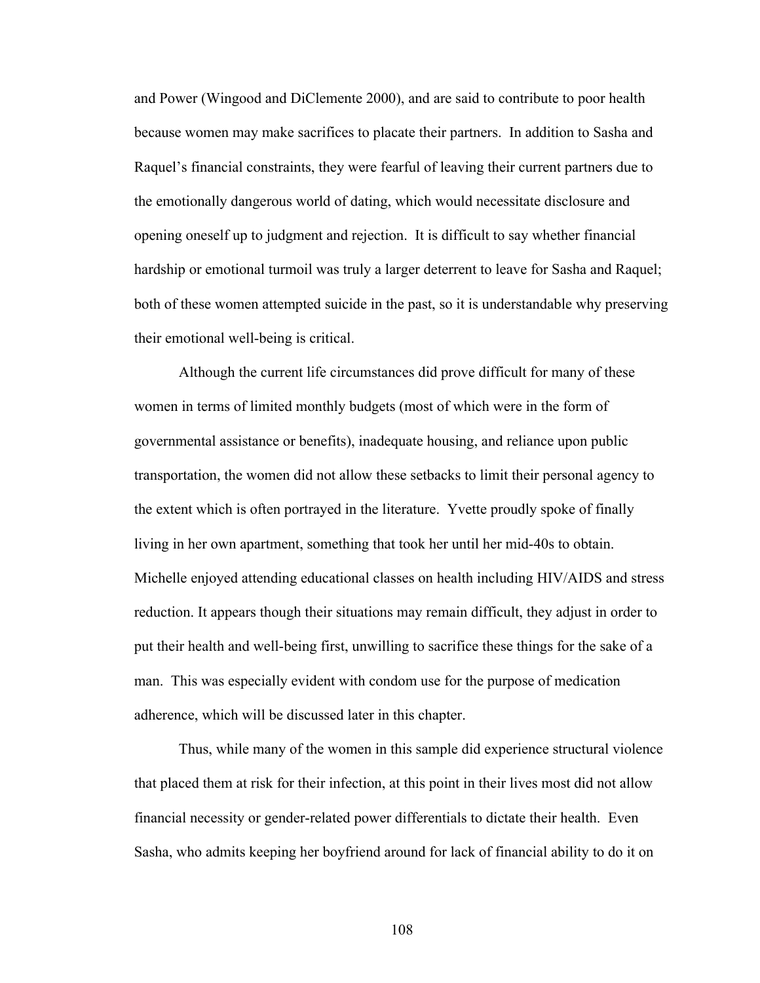and Power (Wingood and DiClemente 2000), and are said to contribute to poor health because women may make sacrifices to placate their partners. In addition to Sasha and Raquel's financial constraints, they were fearful of leaving their current partners due to the emotionally dangerous world of dating, which would necessitate disclosure and opening oneself up to judgment and rejection. It is difficult to say whether financial hardship or emotional turmoil was truly a larger deterrent to leave for Sasha and Raquel; both of these women attempted suicide in the past, so it is understandable why preserving their emotional well-being is critical.

Although the current life circumstances did prove difficult for many of these women in terms of limited monthly budgets (most of which were in the form of governmental assistance or benefits), inadequate housing, and reliance upon public transportation, the women did not allow these setbacks to limit their personal agency to the extent which is often portrayed in the literature. Yvette proudly spoke of finally living in her own apartment, something that took her until her mid-40s to obtain. Michelle enjoyed attending educational classes on health including HIV/AIDS and stress reduction. It appears though their situations may remain difficult, they adjust in order to put their health and well-being first, unwilling to sacrifice these things for the sake of a man. This was especially evident with condom use for the purpose of medication adherence, which will be discussed later in this chapter.

Thus, while many of the women in this sample did experience structural violence that placed them at risk for their infection, at this point in their lives most did not allow financial necessity or gender-related power differentials to dictate their health. Even Sasha, who admits keeping her boyfriend around for lack of financial ability to do it on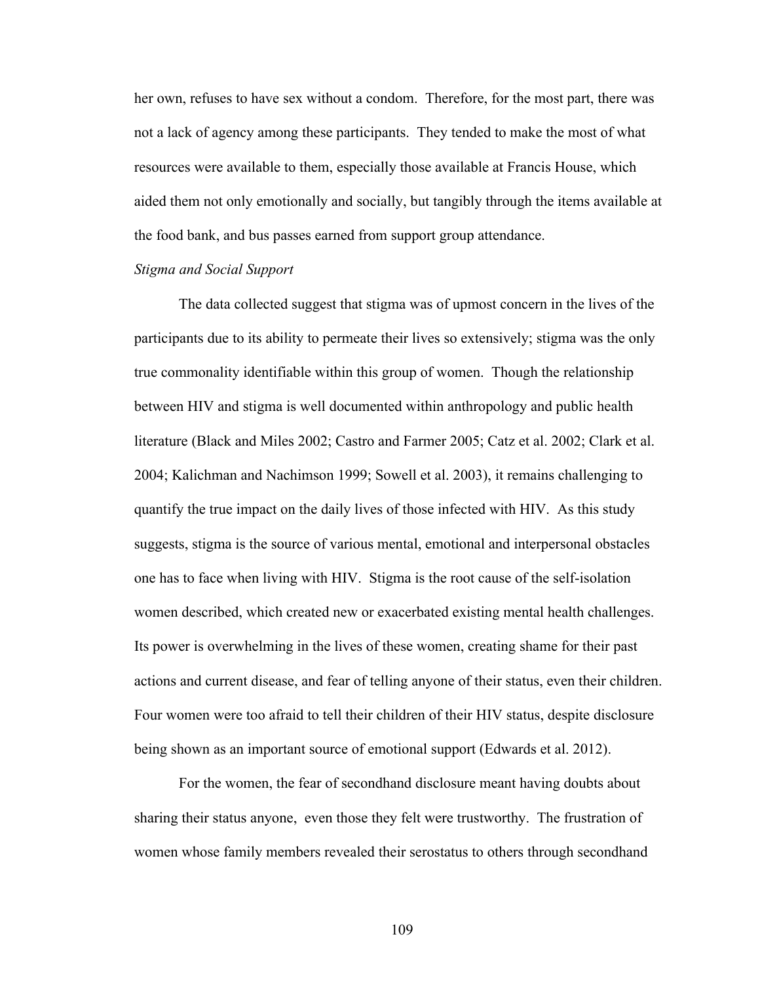her own, refuses to have sex without a condom. Therefore, for the most part, there was not a lack of agency among these participants. They tended to make the most of what resources were available to them, especially those available at Francis House, which aided them not only emotionally and socially, but tangibly through the items available at the food bank, and bus passes earned from support group attendance.

## *Stigma and Social Support*

The data collected suggest that stigma was of upmost concern in the lives of the participants due to its ability to permeate their lives so extensively; stigma was the only true commonality identifiable within this group of women. Though the relationship between HIV and stigma is well documented within anthropology and public health literature (Black and Miles 2002; Castro and Farmer 2005; Catz et al. 2002; Clark et al. 2004; Kalichman and Nachimson 1999; Sowell et al. 2003), it remains challenging to quantify the true impact on the daily lives of those infected with HIV. As this study suggests, stigma is the source of various mental, emotional and interpersonal obstacles one has to face when living with HIV. Stigma is the root cause of the self-isolation women described, which created new or exacerbated existing mental health challenges. Its power is overwhelming in the lives of these women, creating shame for their past actions and current disease, and fear of telling anyone of their status, even their children. Four women were too afraid to tell their children of their HIV status, despite disclosure being shown as an important source of emotional support (Edwards et al. 2012).

For the women, the fear of secondhand disclosure meant having doubts about sharing their status anyone, even those they felt were trustworthy. The frustration of women whose family members revealed their serostatus to others through secondhand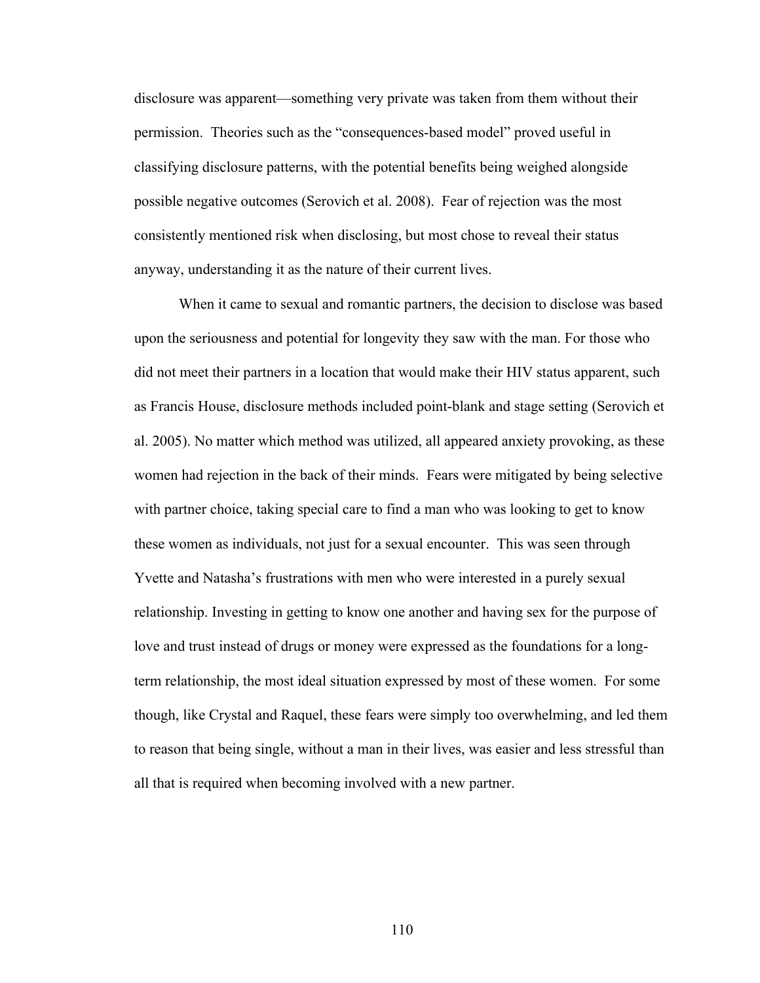disclosure was apparent—something very private was taken from them without their permission. Theories such as the "consequences-based model" proved useful in classifying disclosure patterns, with the potential benefits being weighed alongside possible negative outcomes (Serovich et al. 2008). Fear of rejection was the most consistently mentioned risk when disclosing, but most chose to reveal their status anyway, understanding it as the nature of their current lives.

When it came to sexual and romantic partners, the decision to disclose was based upon the seriousness and potential for longevity they saw with the man. For those who did not meet their partners in a location that would make their HIV status apparent, such as Francis House, disclosure methods included point-blank and stage setting (Serovich et al. 2005). No matter which method was utilized, all appeared anxiety provoking, as these women had rejection in the back of their minds. Fears were mitigated by being selective with partner choice, taking special care to find a man who was looking to get to know these women as individuals, not just for a sexual encounter. This was seen through Yvette and Natasha's frustrations with men who were interested in a purely sexual relationship. Investing in getting to know one another and having sex for the purpose of love and trust instead of drugs or money were expressed as the foundations for a longterm relationship, the most ideal situation expressed by most of these women. For some though, like Crystal and Raquel, these fears were simply too overwhelming, and led them to reason that being single, without a man in their lives, was easier and less stressful than all that is required when becoming involved with a new partner.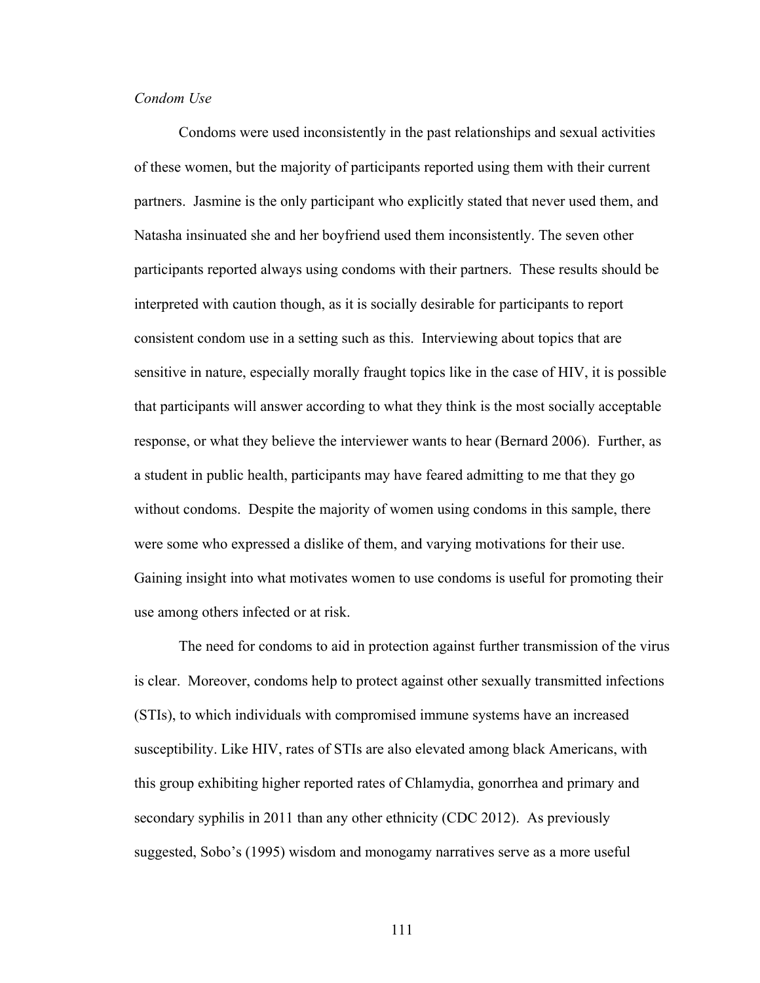## *Condom Use*

Condoms were used inconsistently in the past relationships and sexual activities of these women, but the majority of participants reported using them with their current partners. Jasmine is the only participant who explicitly stated that never used them, and Natasha insinuated she and her boyfriend used them inconsistently. The seven other participants reported always using condoms with their partners. These results should be interpreted with caution though, as it is socially desirable for participants to report consistent condom use in a setting such as this. Interviewing about topics that are sensitive in nature, especially morally fraught topics like in the case of HIV, it is possible that participants will answer according to what they think is the most socially acceptable response, or what they believe the interviewer wants to hear (Bernard 2006). Further, as a student in public health, participants may have feared admitting to me that they go without condoms. Despite the majority of women using condoms in this sample, there were some who expressed a dislike of them, and varying motivations for their use. Gaining insight into what motivates women to use condoms is useful for promoting their use among others infected or at risk.

The need for condoms to aid in protection against further transmission of the virus is clear. Moreover, condoms help to protect against other sexually transmitted infections (STIs), to which individuals with compromised immune systems have an increased susceptibility. Like HIV, rates of STIs are also elevated among black Americans, with this group exhibiting higher reported rates of Chlamydia, gonorrhea and primary and secondary syphilis in 2011 than any other ethnicity (CDC 2012). As previously suggested, Sobo's (1995) wisdom and monogamy narratives serve as a more useful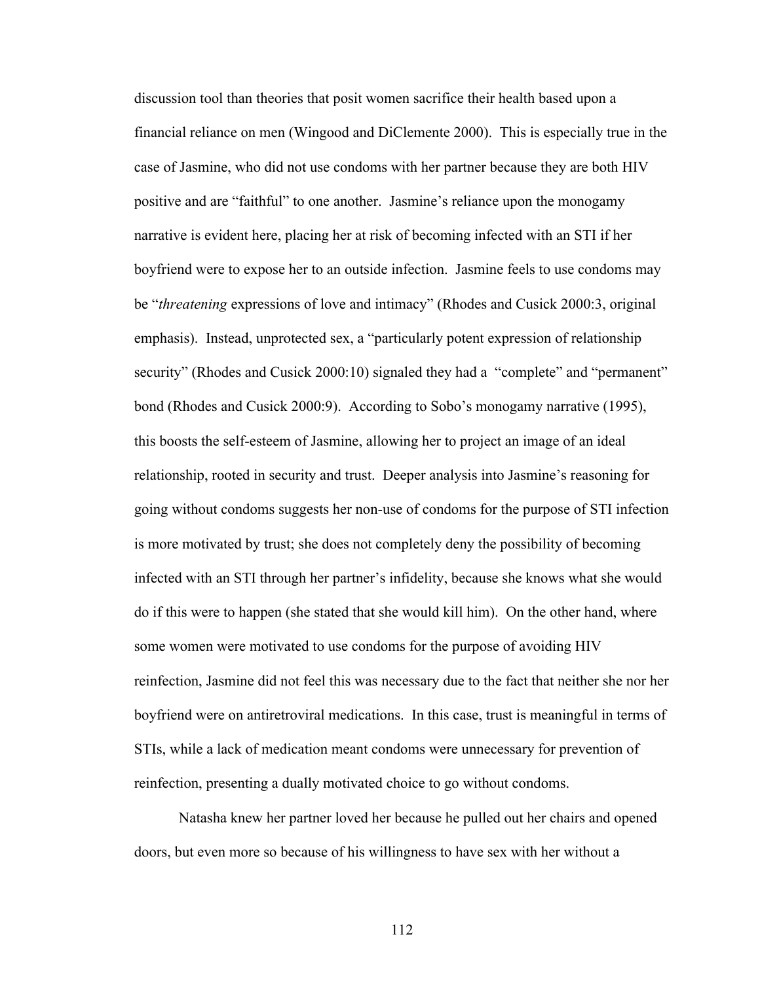discussion tool than theories that posit women sacrifice their health based upon a financial reliance on men (Wingood and DiClemente 2000). This is especially true in the case of Jasmine, who did not use condoms with her partner because they are both HIV positive and are "faithful" to one another. Jasmine's reliance upon the monogamy narrative is evident here, placing her at risk of becoming infected with an STI if her boyfriend were to expose her to an outside infection. Jasmine feels to use condoms may be "*threatening* expressions of love and intimacy" (Rhodes and Cusick 2000:3, original emphasis). Instead, unprotected sex, a "particularly potent expression of relationship security" (Rhodes and Cusick 2000:10) signaled they had a "complete" and "permanent" bond (Rhodes and Cusick 2000:9). According to Sobo's monogamy narrative (1995), this boosts the self-esteem of Jasmine, allowing her to project an image of an ideal relationship, rooted in security and trust. Deeper analysis into Jasmine's reasoning for going without condoms suggests her non-use of condoms for the purpose of STI infection is more motivated by trust; she does not completely deny the possibility of becoming infected with an STI through her partner's infidelity, because she knows what she would do if this were to happen (she stated that she would kill him). On the other hand, where some women were motivated to use condoms for the purpose of avoiding HIV reinfection, Jasmine did not feel this was necessary due to the fact that neither she nor her boyfriend were on antiretroviral medications. In this case, trust is meaningful in terms of STIs, while a lack of medication meant condoms were unnecessary for prevention of reinfection, presenting a dually motivated choice to go without condoms.

Natasha knew her partner loved her because he pulled out her chairs and opened doors, but even more so because of his willingness to have sex with her without a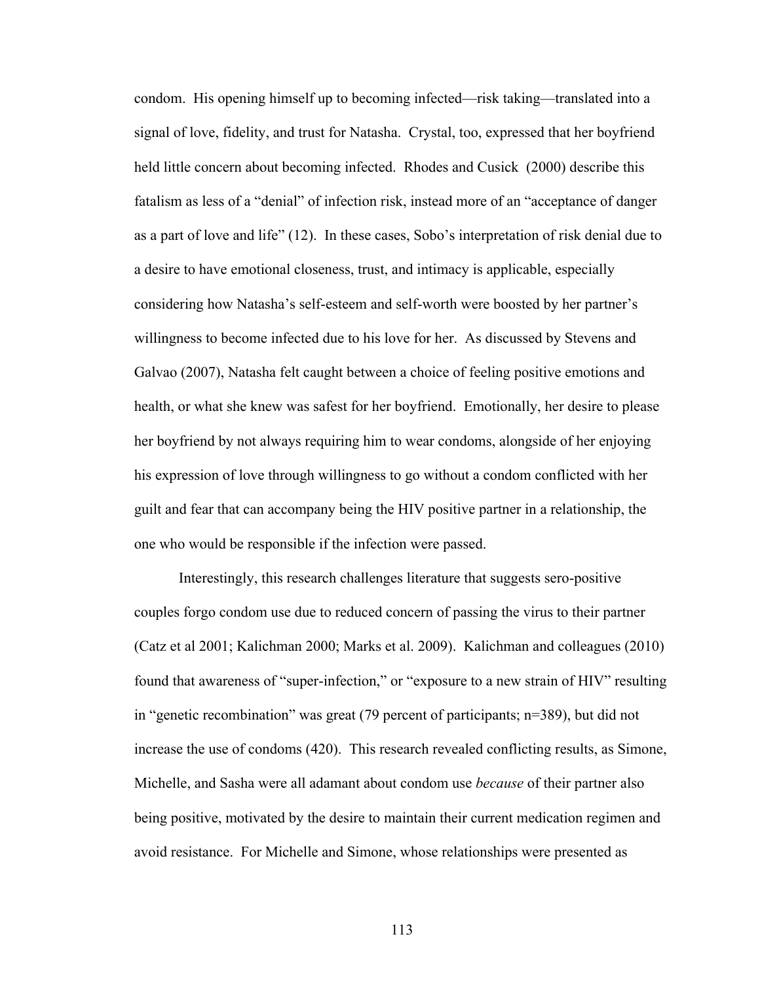condom. His opening himself up to becoming infected—risk taking—translated into a signal of love, fidelity, and trust for Natasha. Crystal, too, expressed that her boyfriend held little concern about becoming infected. Rhodes and Cusick (2000) describe this fatalism as less of a "denial" of infection risk, instead more of an "acceptance of danger as a part of love and life" (12). In these cases, Sobo's interpretation of risk denial due to a desire to have emotional closeness, trust, and intimacy is applicable, especially considering how Natasha's self-esteem and self-worth were boosted by her partner's willingness to become infected due to his love for her. As discussed by Stevens and Galvao (2007), Natasha felt caught between a choice of feeling positive emotions and health, or what she knew was safest for her boyfriend. Emotionally, her desire to please her boyfriend by not always requiring him to wear condoms, alongside of her enjoying his expression of love through willingness to go without a condom conflicted with her guilt and fear that can accompany being the HIV positive partner in a relationship, the one who would be responsible if the infection were passed.

Interestingly, this research challenges literature that suggests sero-positive couples forgo condom use due to reduced concern of passing the virus to their partner (Catz et al 2001; Kalichman 2000; Marks et al. 2009). Kalichman and colleagues (2010) found that awareness of "super-infection," or "exposure to a new strain of HIV" resulting in "genetic recombination" was great (79 percent of participants; n=389), but did not increase the use of condoms (420). This research revealed conflicting results, as Simone, Michelle, and Sasha were all adamant about condom use *because* of their partner also being positive, motivated by the desire to maintain their current medication regimen and avoid resistance. For Michelle and Simone, whose relationships were presented as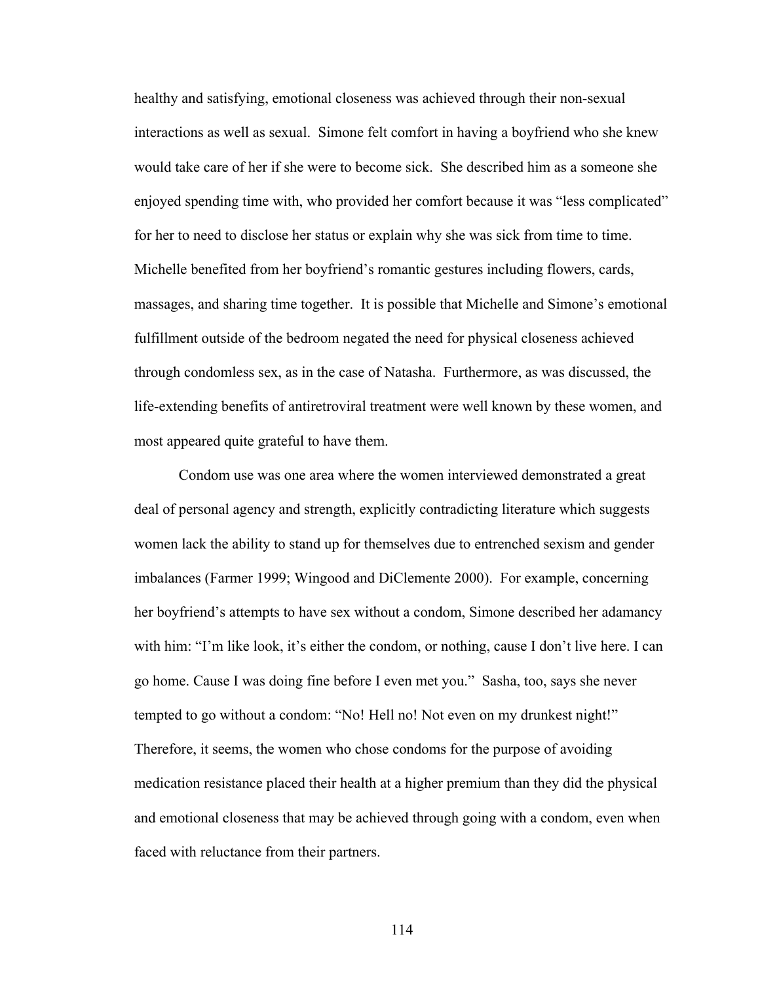healthy and satisfying, emotional closeness was achieved through their non-sexual interactions as well as sexual. Simone felt comfort in having a boyfriend who she knew would take care of her if she were to become sick. She described him as a someone she enjoyed spending time with, who provided her comfort because it was "less complicated" for her to need to disclose her status or explain why she was sick from time to time. Michelle benefited from her boyfriend's romantic gestures including flowers, cards, massages, and sharing time together. It is possible that Michelle and Simone's emotional fulfillment outside of the bedroom negated the need for physical closeness achieved through condomless sex, as in the case of Natasha. Furthermore, as was discussed, the life-extending benefits of antiretroviral treatment were well known by these women, and most appeared quite grateful to have them.

Condom use was one area where the women interviewed demonstrated a great deal of personal agency and strength, explicitly contradicting literature which suggests women lack the ability to stand up for themselves due to entrenched sexism and gender imbalances (Farmer 1999; Wingood and DiClemente 2000). For example, concerning her boyfriend's attempts to have sex without a condom, Simone described her adamancy with him: "I'm like look, it's either the condom, or nothing, cause I don't live here. I can go home. Cause I was doing fine before I even met you." Sasha, too, says she never tempted to go without a condom: "No! Hell no! Not even on my drunkest night!" Therefore, it seems, the women who chose condoms for the purpose of avoiding medication resistance placed their health at a higher premium than they did the physical and emotional closeness that may be achieved through going with a condom, even when faced with reluctance from their partners.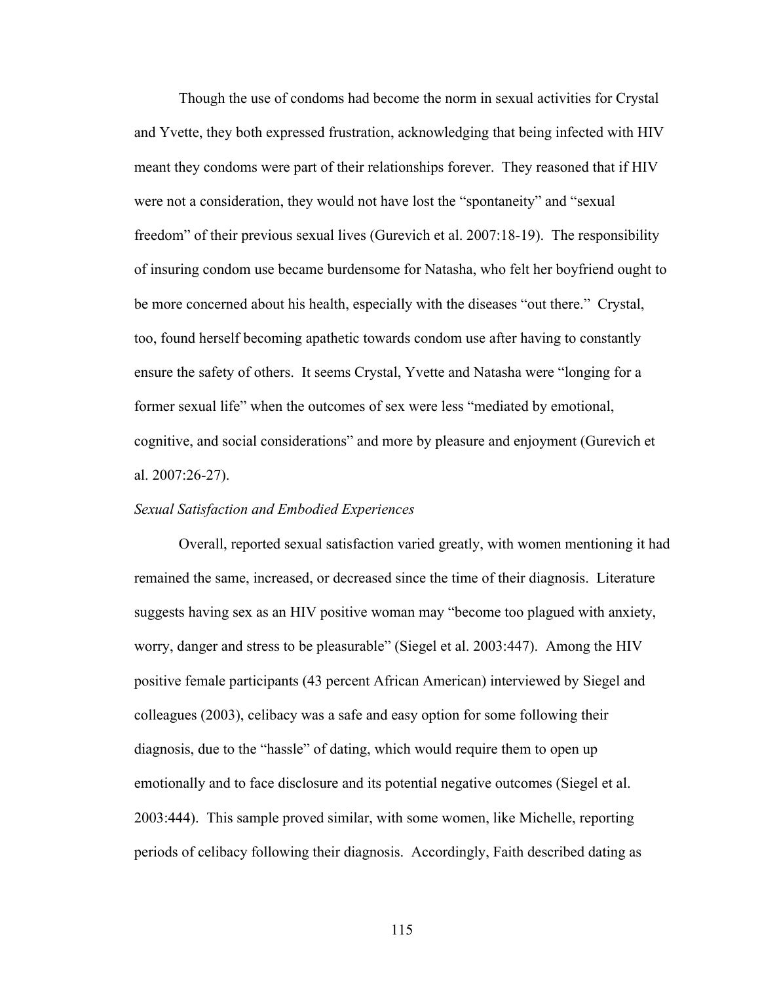Though the use of condoms had become the norm in sexual activities for Crystal and Yvette, they both expressed frustration, acknowledging that being infected with HIV meant they condoms were part of their relationships forever. They reasoned that if HIV were not a consideration, they would not have lost the "spontaneity" and "sexual freedom" of their previous sexual lives (Gurevich et al. 2007:18-19). The responsibility of insuring condom use became burdensome for Natasha, who felt her boyfriend ought to be more concerned about his health, especially with the diseases "out there." Crystal, too, found herself becoming apathetic towards condom use after having to constantly ensure the safety of others. It seems Crystal, Yvette and Natasha were "longing for a former sexual life" when the outcomes of sex were less "mediated by emotional, cognitive, and social considerations" and more by pleasure and enjoyment (Gurevich et al. 2007:26-27).

## *Sexual Satisfaction and Embodied Experiences*

Overall, reported sexual satisfaction varied greatly, with women mentioning it had remained the same, increased, or decreased since the time of their diagnosis. Literature suggests having sex as an HIV positive woman may "become too plagued with anxiety, worry, danger and stress to be pleasurable" (Siegel et al. 2003:447). Among the HIV positive female participants (43 percent African American) interviewed by Siegel and colleagues (2003), celibacy was a safe and easy option for some following their diagnosis, due to the "hassle" of dating, which would require them to open up emotionally and to face disclosure and its potential negative outcomes (Siegel et al. 2003:444). This sample proved similar, with some women, like Michelle, reporting periods of celibacy following their diagnosis. Accordingly, Faith described dating as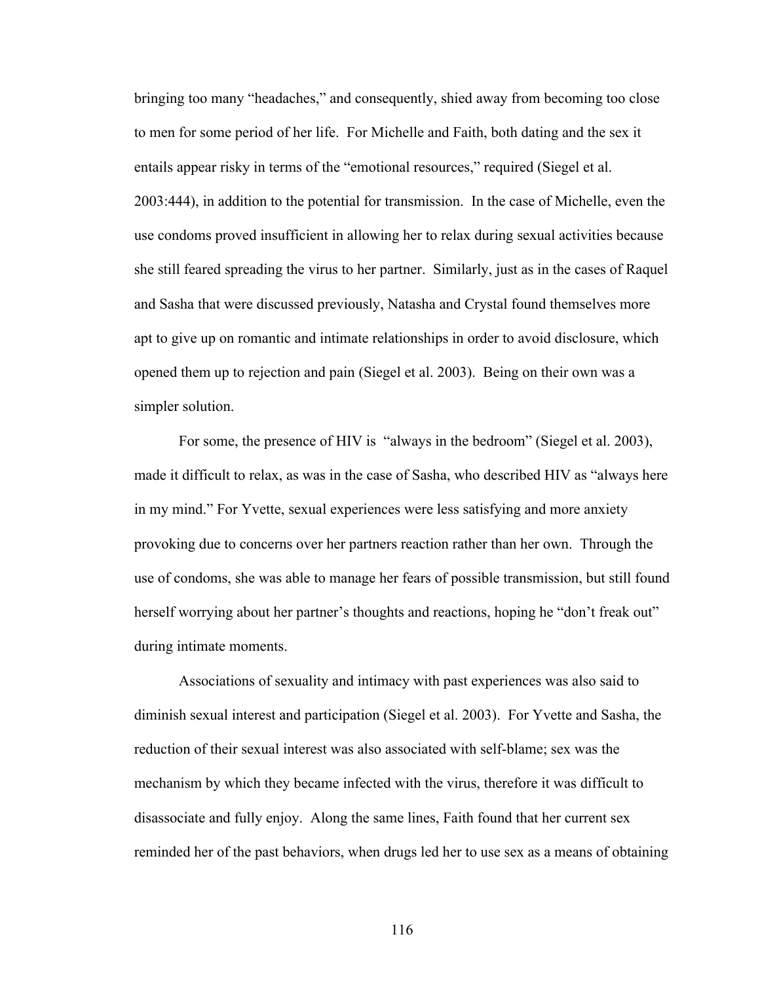bringing too many "headaches," and consequently, shied away from becoming too close to men for some period of her life. For Michelle and Faith, both dating and the sex it entails appear risky in terms of the "emotional resources," required (Siegel et al. 2003:444), in addition to the potential for transmission. In the case of Michelle, even the use condoms proved insufficient in allowing her to relax during sexual activities because she still feared spreading the virus to her partner. Similarly, just as in the cases of Raquel and Sasha that were discussed previously, Natasha and Crystal found themselves more apt to give up on romantic and intimate relationships in order to avoid disclosure, which opened them up to rejection and pain (Siegel et al. 2003). Being on their own was a simpler solution.

For some, the presence of HIV is "always in the bedroom" (Siegel et al. 2003), made it difficult to relax, as was in the case of Sasha, who described HIV as "always here in my mind." For Yvette, sexual experiences were less satisfying and more anxiety provoking due to concerns over her partners reaction rather than her own. Through the use of condoms, she was able to manage her fears of possible transmission, but still found herself worrying about her partner's thoughts and reactions, hoping he "don't freak out" during intimate moments.

Associations of sexuality and intimacy with past experiences was also said to diminish sexual interest and participation (Siegel et al. 2003). For Yvette and Sasha, the reduction of their sexual interest was also associated with self-blame; sex was the mechanism by which they became infected with the virus, therefore it was difficult to disassociate and fully enjoy. Along the same lines, Faith found that her current sex reminded her of the past behaviors, when drugs led her to use sex as a means of obtaining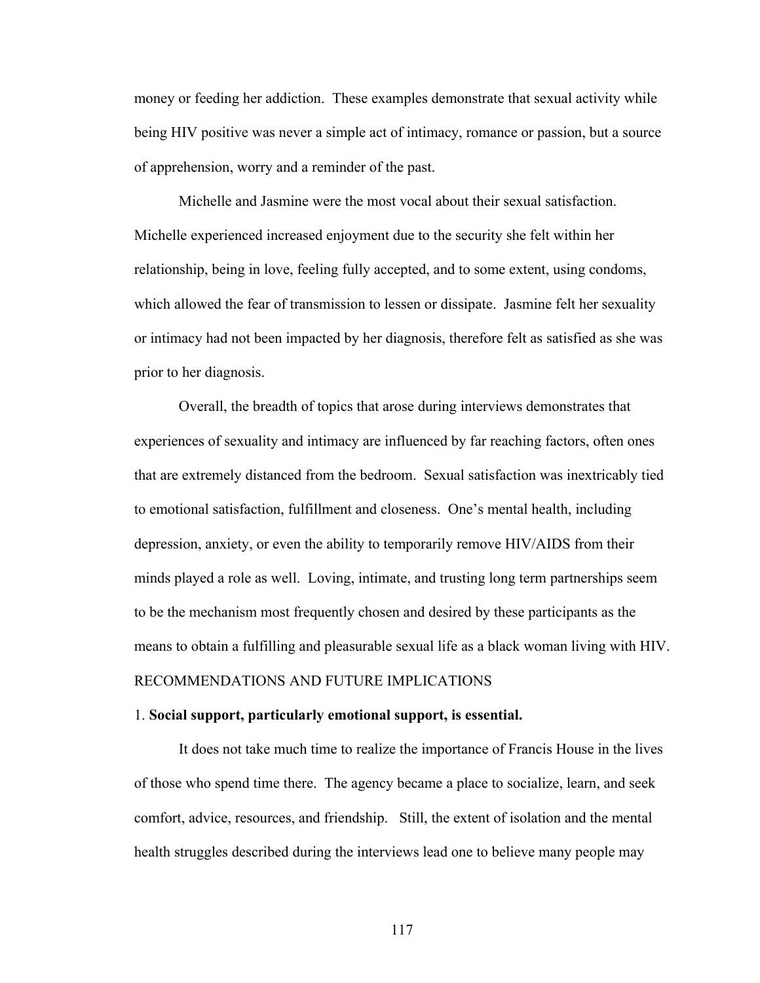money or feeding her addiction. These examples demonstrate that sexual activity while being HIV positive was never a simple act of intimacy, romance or passion, but a source of apprehension, worry and a reminder of the past.

Michelle and Jasmine were the most vocal about their sexual satisfaction. Michelle experienced increased enjoyment due to the security she felt within her relationship, being in love, feeling fully accepted, and to some extent, using condoms, which allowed the fear of transmission to lessen or dissipate. Jasmine felt her sexuality or intimacy had not been impacted by her diagnosis, therefore felt as satisfied as she was prior to her diagnosis.

Overall, the breadth of topics that arose during interviews demonstrates that experiences of sexuality and intimacy are influenced by far reaching factors, often ones that are extremely distanced from the bedroom. Sexual satisfaction was inextricably tied to emotional satisfaction, fulfillment and closeness. One's mental health, including depression, anxiety, or even the ability to temporarily remove HIV/AIDS from their minds played a role as well. Loving, intimate, and trusting long term partnerships seem to be the mechanism most frequently chosen and desired by these participants as the means to obtain a fulfilling and pleasurable sexual life as a black woman living with HIV. RECOMMENDATIONS AND FUTURE IMPLICATIONS

#### 1. **Social support, particularly emotional support, is essential.**

It does not take much time to realize the importance of Francis House in the lives of those who spend time there. The agency became a place to socialize, learn, and seek comfort, advice, resources, and friendship. Still, the extent of isolation and the mental health struggles described during the interviews lead one to believe many people may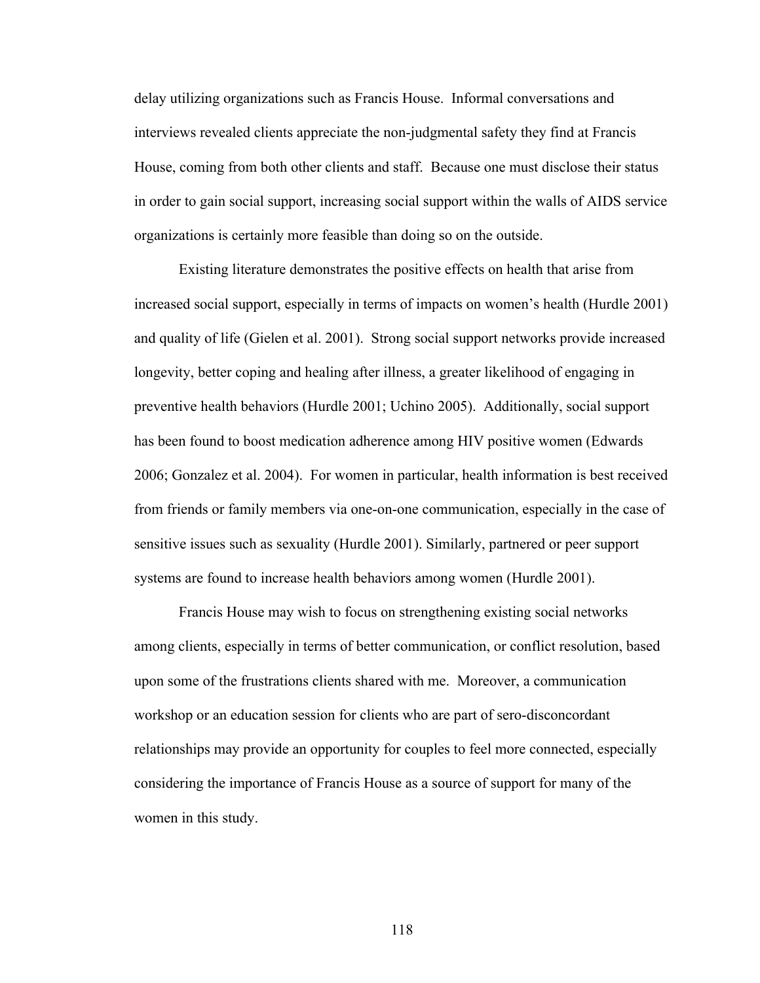delay utilizing organizations such as Francis House. Informal conversations and interviews revealed clients appreciate the non-judgmental safety they find at Francis House, coming from both other clients and staff. Because one must disclose their status in order to gain social support, increasing social support within the walls of AIDS service organizations is certainly more feasible than doing so on the outside.

Existing literature demonstrates the positive effects on health that arise from increased social support, especially in terms of impacts on women's health (Hurdle 2001) and quality of life (Gielen et al. 2001). Strong social support networks provide increased longevity, better coping and healing after illness, a greater likelihood of engaging in preventive health behaviors (Hurdle 2001; Uchino 2005). Additionally, social support has been found to boost medication adherence among HIV positive women (Edwards 2006; Gonzalez et al. 2004). For women in particular, health information is best received from friends or family members via one-on-one communication, especially in the case of sensitive issues such as sexuality (Hurdle 2001). Similarly, partnered or peer support systems are found to increase health behaviors among women (Hurdle 2001).

Francis House may wish to focus on strengthening existing social networks among clients, especially in terms of better communication, or conflict resolution, based upon some of the frustrations clients shared with me. Moreover, a communication workshop or an education session for clients who are part of sero-disconcordant relationships may provide an opportunity for couples to feel more connected, especially considering the importance of Francis House as a source of support for many of the women in this study.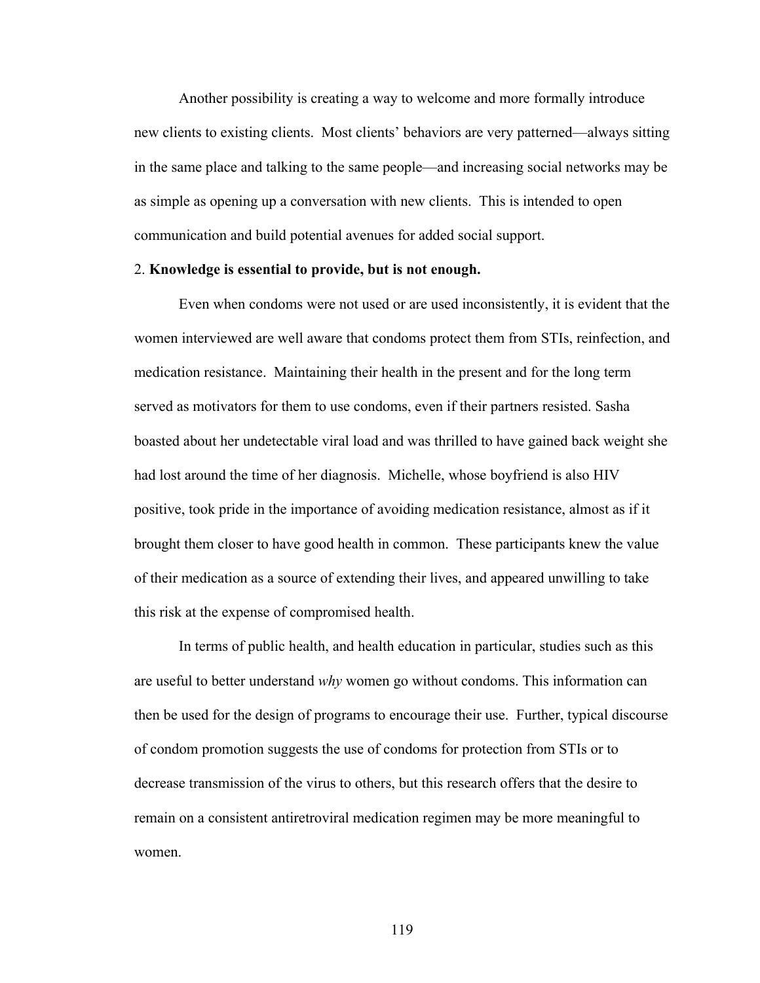Another possibility is creating a way to welcome and more formally introduce new clients to existing clients. Most clients' behaviors are very patterned—always sitting in the same place and talking to the same people—and increasing social networks may be as simple as opening up a conversation with new clients. This is intended to open communication and build potential avenues for added social support.

#### 2. **Knowledge is essential to provide, but is not enough.**

Even when condoms were not used or are used inconsistently, it is evident that the women interviewed are well aware that condoms protect them from STIs, reinfection, and medication resistance. Maintaining their health in the present and for the long term served as motivators for them to use condoms, even if their partners resisted. Sasha boasted about her undetectable viral load and was thrilled to have gained back weight she had lost around the time of her diagnosis. Michelle, whose boyfriend is also HIV positive, took pride in the importance of avoiding medication resistance, almost as if it brought them closer to have good health in common. These participants knew the value of their medication as a source of extending their lives, and appeared unwilling to take this risk at the expense of compromised health.

In terms of public health, and health education in particular, studies such as this are useful to better understand *why* women go without condoms. This information can then be used for the design of programs to encourage their use. Further, typical discourse of condom promotion suggests the use of condoms for protection from STIs or to decrease transmission of the virus to others, but this research offers that the desire to remain on a consistent antiretroviral medication regimen may be more meaningful to women.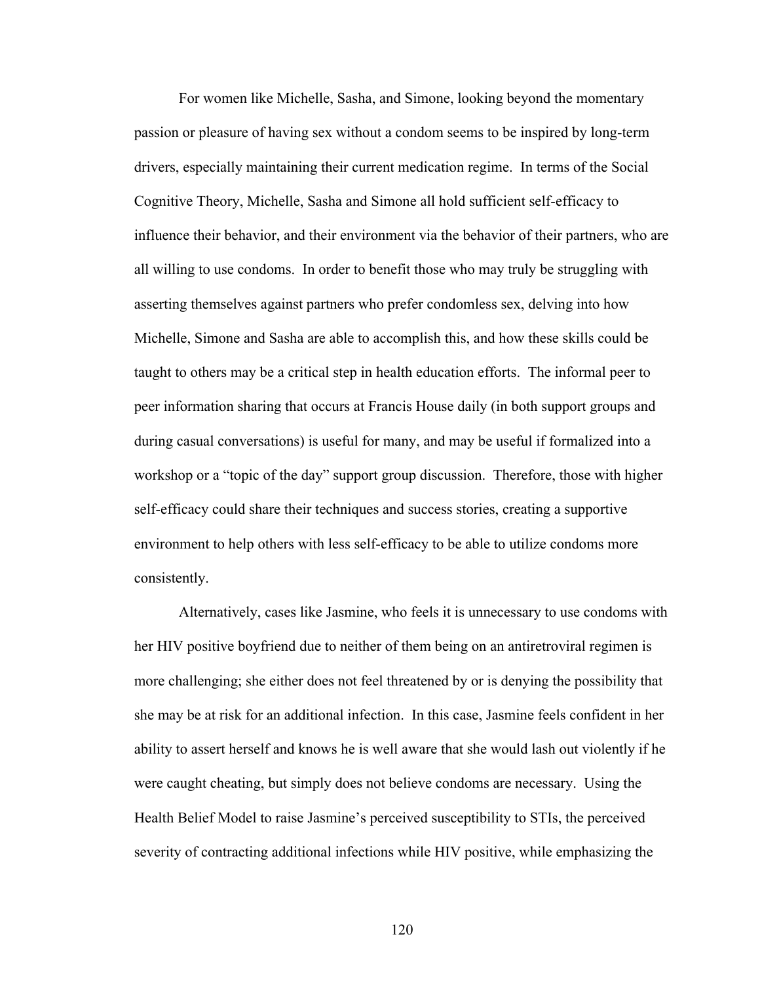For women like Michelle, Sasha, and Simone, looking beyond the momentary passion or pleasure of having sex without a condom seems to be inspired by long-term drivers, especially maintaining their current medication regime. In terms of the Social Cognitive Theory, Michelle, Sasha and Simone all hold sufficient self-efficacy to influence their behavior, and their environment via the behavior of their partners, who are all willing to use condoms. In order to benefit those who may truly be struggling with asserting themselves against partners who prefer condomless sex, delving into how Michelle, Simone and Sasha are able to accomplish this, and how these skills could be taught to others may be a critical step in health education efforts. The informal peer to peer information sharing that occurs at Francis House daily (in both support groups and during casual conversations) is useful for many, and may be useful if formalized into a workshop or a "topic of the day" support group discussion. Therefore, those with higher self-efficacy could share their techniques and success stories, creating a supportive environment to help others with less self-efficacy to be able to utilize condoms more consistently.

Alternatively, cases like Jasmine, who feels it is unnecessary to use condoms with her HIV positive boyfriend due to neither of them being on an antiretroviral regimen is more challenging; she either does not feel threatened by or is denying the possibility that she may be at risk for an additional infection. In this case, Jasmine feels confident in her ability to assert herself and knows he is well aware that she would lash out violently if he were caught cheating, but simply does not believe condoms are necessary. Using the Health Belief Model to raise Jasmine's perceived susceptibility to STIs, the perceived severity of contracting additional infections while HIV positive, while emphasizing the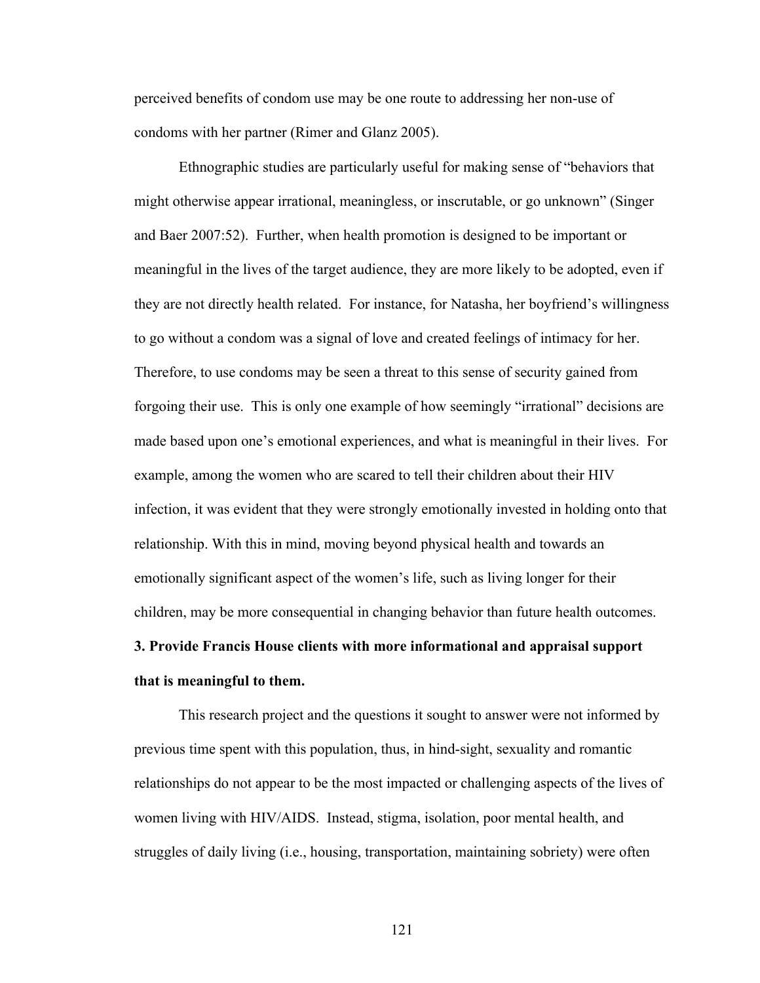perceived benefits of condom use may be one route to addressing her non-use of condoms with her partner (Rimer and Glanz 2005).

Ethnographic studies are particularly useful for making sense of "behaviors that might otherwise appear irrational, meaningless, or inscrutable, or go unknown" (Singer and Baer 2007:52). Further, when health promotion is designed to be important or meaningful in the lives of the target audience, they are more likely to be adopted, even if they are not directly health related. For instance, for Natasha, her boyfriend's willingness to go without a condom was a signal of love and created feelings of intimacy for her. Therefore, to use condoms may be seen a threat to this sense of security gained from forgoing their use. This is only one example of how seemingly "irrational" decisions are made based upon one's emotional experiences, and what is meaningful in their lives. For example, among the women who are scared to tell their children about their HIV infection, it was evident that they were strongly emotionally invested in holding onto that relationship. With this in mind, moving beyond physical health and towards an emotionally significant aspect of the women's life, such as living longer for their children, may be more consequential in changing behavior than future health outcomes.

# **3. Provide Francis House clients with more informational and appraisal support that is meaningful to them.**

This research project and the questions it sought to answer were not informed by previous time spent with this population, thus, in hind-sight, sexuality and romantic relationships do not appear to be the most impacted or challenging aspects of the lives of women living with HIV/AIDS. Instead, stigma, isolation, poor mental health, and struggles of daily living (i.e., housing, transportation, maintaining sobriety) were often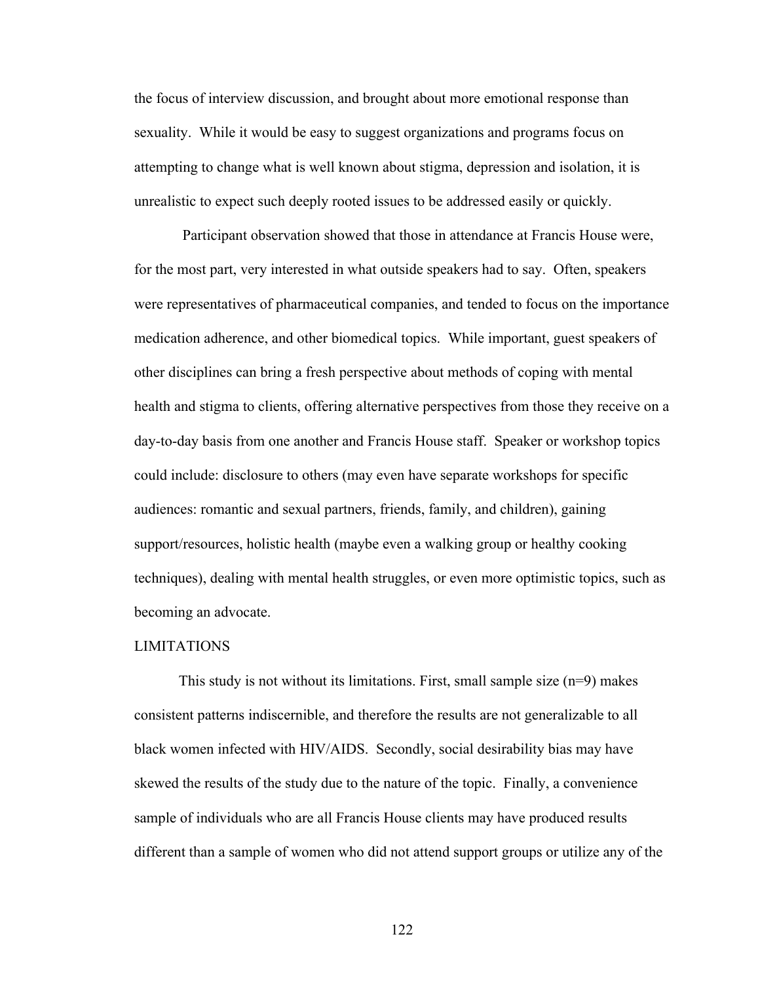the focus of interview discussion, and brought about more emotional response than sexuality. While it would be easy to suggest organizations and programs focus on attempting to change what is well known about stigma, depression and isolation, it is unrealistic to expect such deeply rooted issues to be addressed easily or quickly.

Participant observation showed that those in attendance at Francis House were, for the most part, very interested in what outside speakers had to say. Often, speakers were representatives of pharmaceutical companies, and tended to focus on the importance medication adherence, and other biomedical topics. While important, guest speakers of other disciplines can bring a fresh perspective about methods of coping with mental health and stigma to clients, offering alternative perspectives from those they receive on a day-to-day basis from one another and Francis House staff. Speaker or workshop topics could include: disclosure to others (may even have separate workshops for specific audiences: romantic and sexual partners, friends, family, and children), gaining support/resources, holistic health (maybe even a walking group or healthy cooking techniques), dealing with mental health struggles, or even more optimistic topics, such as becoming an advocate.

#### LIMITATIONS

This study is not without its limitations. First, small sample size  $(n=9)$  makes consistent patterns indiscernible, and therefore the results are not generalizable to all black women infected with HIV/AIDS. Secondly, social desirability bias may have skewed the results of the study due to the nature of the topic. Finally, a convenience sample of individuals who are all Francis House clients may have produced results different than a sample of women who did not attend support groups or utilize any of the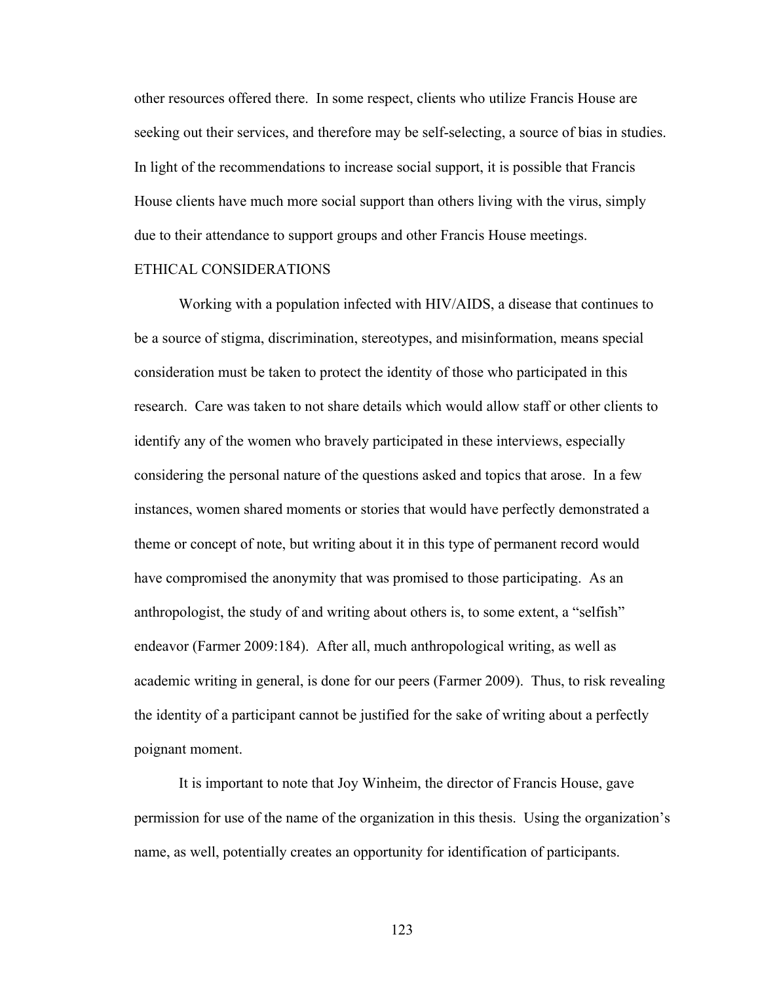other resources offered there. In some respect, clients who utilize Francis House are seeking out their services, and therefore may be self-selecting, a source of bias in studies. In light of the recommendations to increase social support, it is possible that Francis House clients have much more social support than others living with the virus, simply due to their attendance to support groups and other Francis House meetings.

### ETHICAL CONSIDERATIONS

Working with a population infected with HIV/AIDS, a disease that continues to be a source of stigma, discrimination, stereotypes, and misinformation, means special consideration must be taken to protect the identity of those who participated in this research. Care was taken to not share details which would allow staff or other clients to identify any of the women who bravely participated in these interviews, especially considering the personal nature of the questions asked and topics that arose. In a few instances, women shared moments or stories that would have perfectly demonstrated a theme or concept of note, but writing about it in this type of permanent record would have compromised the anonymity that was promised to those participating. As an anthropologist, the study of and writing about others is, to some extent, a "selfish" endeavor (Farmer 2009:184). After all, much anthropological writing, as well as academic writing in general, is done for our peers (Farmer 2009). Thus, to risk revealing the identity of a participant cannot be justified for the sake of writing about a perfectly poignant moment.

It is important to note that Joy Winheim, the director of Francis House, gave permission for use of the name of the organization in this thesis. Using the organization's name, as well, potentially creates an opportunity for identification of participants.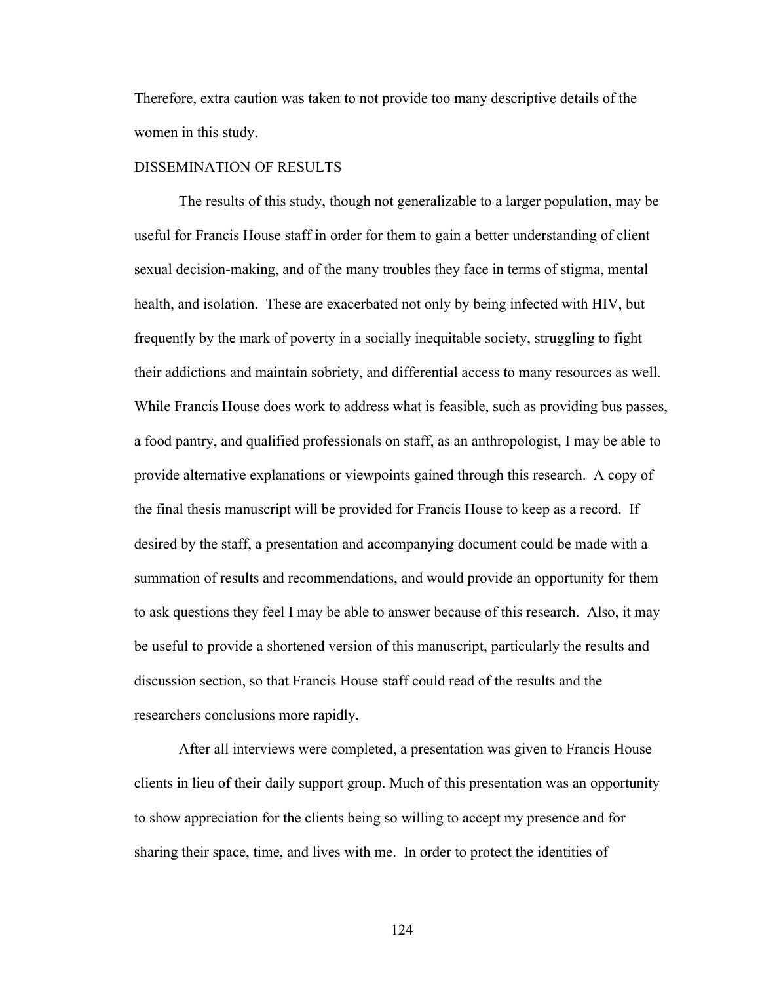Therefore, extra caution was taken to not provide too many descriptive details of the women in this study.

## DISSEMINATION OF RESULTS

The results of this study, though not generalizable to a larger population, may be useful for Francis House staff in order for them to gain a better understanding of client sexual decision-making, and of the many troubles they face in terms of stigma, mental health, and isolation. These are exacerbated not only by being infected with HIV, but frequently by the mark of poverty in a socially inequitable society, struggling to fight their addictions and maintain sobriety, and differential access to many resources as well. While Francis House does work to address what is feasible, such as providing bus passes, a food pantry, and qualified professionals on staff, as an anthropologist, I may be able to provide alternative explanations or viewpoints gained through this research. A copy of the final thesis manuscript will be provided for Francis House to keep as a record. If desired by the staff, a presentation and accompanying document could be made with a summation of results and recommendations, and would provide an opportunity for them to ask questions they feel I may be able to answer because of this research. Also, it may be useful to provide a shortened version of this manuscript, particularly the results and discussion section, so that Francis House staff could read of the results and the researchers conclusions more rapidly.

After all interviews were completed, a presentation was given to Francis House clients in lieu of their daily support group. Much of this presentation was an opportunity to show appreciation for the clients being so willing to accept my presence and for sharing their space, time, and lives with me. In order to protect the identities of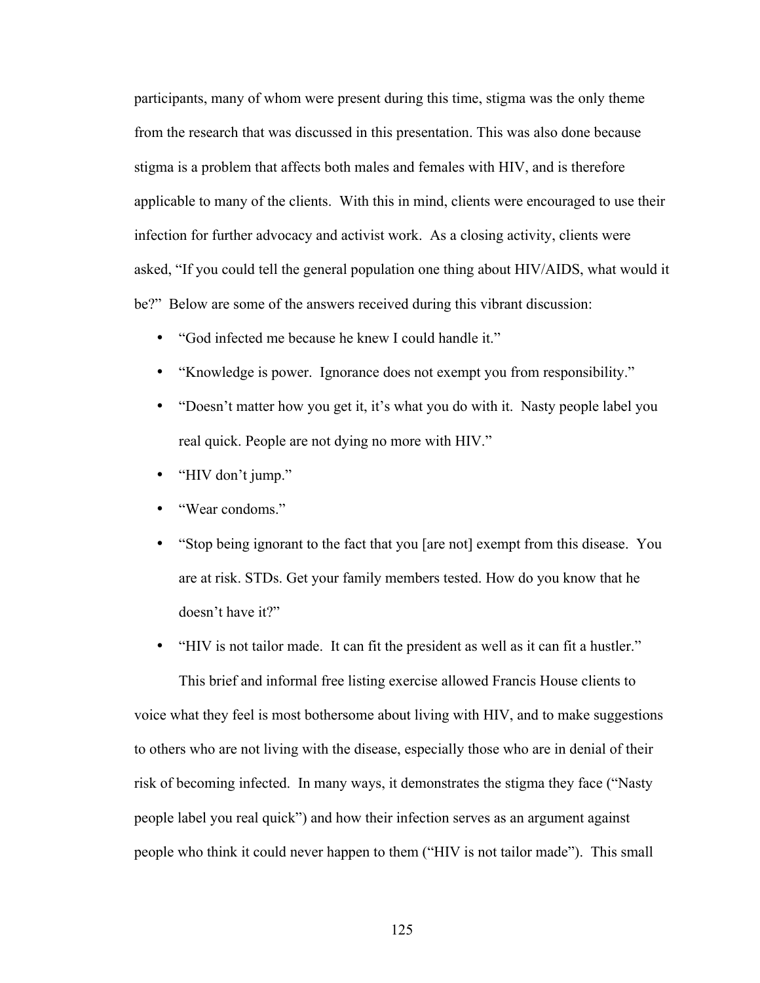participants, many of whom were present during this time, stigma was the only theme from the research that was discussed in this presentation. This was also done because stigma is a problem that affects both males and females with HIV, and is therefore applicable to many of the clients. With this in mind, clients were encouraged to use their infection for further advocacy and activist work. As a closing activity, clients were asked, "If you could tell the general population one thing about HIV/AIDS, what would it be?" Below are some of the answers received during this vibrant discussion:

- "God infected me because he knew I could handle it."
- "Knowledge is power. Ignorance does not exempt you from responsibility."
- "Doesn't matter how you get it, it's what you do with it. Nasty people label you real quick. People are not dying no more with HIV."
- "HIV don't jump."
- "Wear condoms."
- "Stop being ignorant to the fact that you [are not] exempt from this disease. You are at risk. STDs. Get your family members tested. How do you know that he doesn't have it?"
- "HIV is not tailor made. It can fit the president as well as it can fit a hustler."

This brief and informal free listing exercise allowed Francis House clients to voice what they feel is most bothersome about living with HIV, and to make suggestions to others who are not living with the disease, especially those who are in denial of their risk of becoming infected. In many ways, it demonstrates the stigma they face ("Nasty people label you real quick") and how their infection serves as an argument against people who think it could never happen to them ("HIV is not tailor made"). This small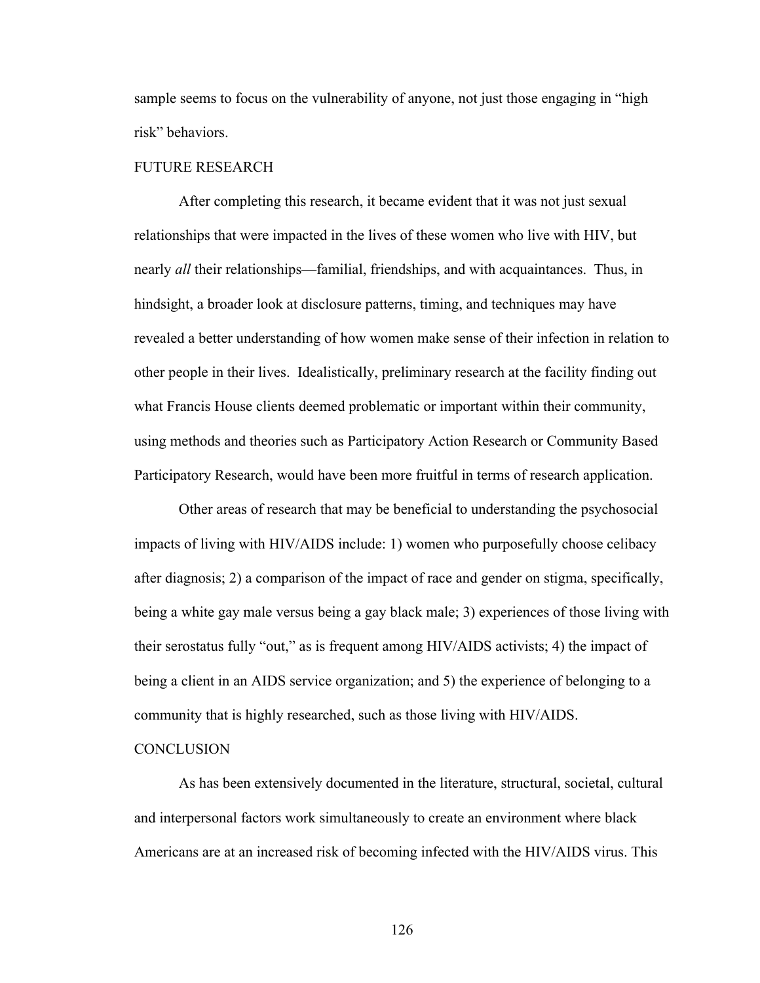sample seems to focus on the vulnerability of anyone, not just those engaging in "high risk" behaviors.

## FUTURE RESEARCH

After completing this research, it became evident that it was not just sexual relationships that were impacted in the lives of these women who live with HIV, but nearly *all* their relationships—familial, friendships, and with acquaintances. Thus, in hindsight, a broader look at disclosure patterns, timing, and techniques may have revealed a better understanding of how women make sense of their infection in relation to other people in their lives. Idealistically, preliminary research at the facility finding out what Francis House clients deemed problematic or important within their community, using methods and theories such as Participatory Action Research or Community Based Participatory Research, would have been more fruitful in terms of research application.

Other areas of research that may be beneficial to understanding the psychosocial impacts of living with HIV/AIDS include: 1) women who purposefully choose celibacy after diagnosis; 2) a comparison of the impact of race and gender on stigma, specifically, being a white gay male versus being a gay black male; 3) experiences of those living with their serostatus fully "out," as is frequent among HIV/AIDS activists; 4) the impact of being a client in an AIDS service organization; and 5) the experience of belonging to a community that is highly researched, such as those living with HIV/AIDS.

#### **CONCLUSION**

As has been extensively documented in the literature, structural, societal, cultural and interpersonal factors work simultaneously to create an environment where black Americans are at an increased risk of becoming infected with the HIV/AIDS virus. This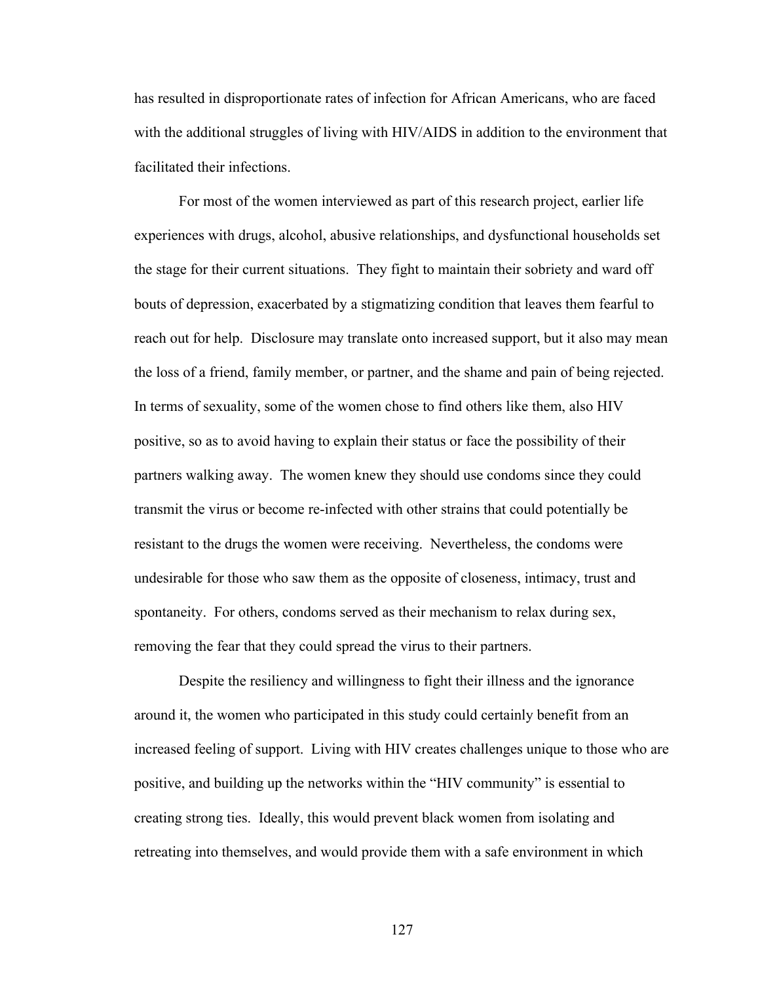has resulted in disproportionate rates of infection for African Americans, who are faced with the additional struggles of living with HIV/AIDS in addition to the environment that facilitated their infections.

For most of the women interviewed as part of this research project, earlier life experiences with drugs, alcohol, abusive relationships, and dysfunctional households set the stage for their current situations. They fight to maintain their sobriety and ward off bouts of depression, exacerbated by a stigmatizing condition that leaves them fearful to reach out for help. Disclosure may translate onto increased support, but it also may mean the loss of a friend, family member, or partner, and the shame and pain of being rejected. In terms of sexuality, some of the women chose to find others like them, also HIV positive, so as to avoid having to explain their status or face the possibility of their partners walking away. The women knew they should use condoms since they could transmit the virus or become re-infected with other strains that could potentially be resistant to the drugs the women were receiving. Nevertheless, the condoms were undesirable for those who saw them as the opposite of closeness, intimacy, trust and spontaneity. For others, condoms served as their mechanism to relax during sex, removing the fear that they could spread the virus to their partners.

Despite the resiliency and willingness to fight their illness and the ignorance around it, the women who participated in this study could certainly benefit from an increased feeling of support. Living with HIV creates challenges unique to those who are positive, and building up the networks within the "HIV community" is essential to creating strong ties. Ideally, this would prevent black women from isolating and retreating into themselves, and would provide them with a safe environment in which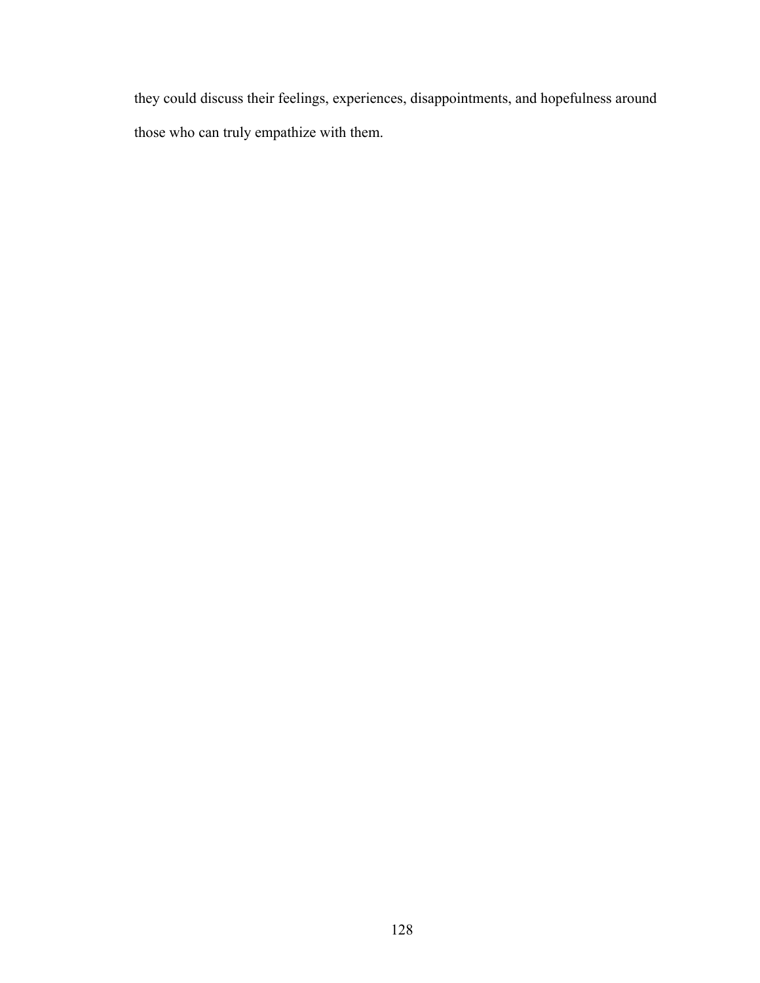they could discuss their feelings, experiences, disappointments, and hopefulness around those who can truly empathize with them.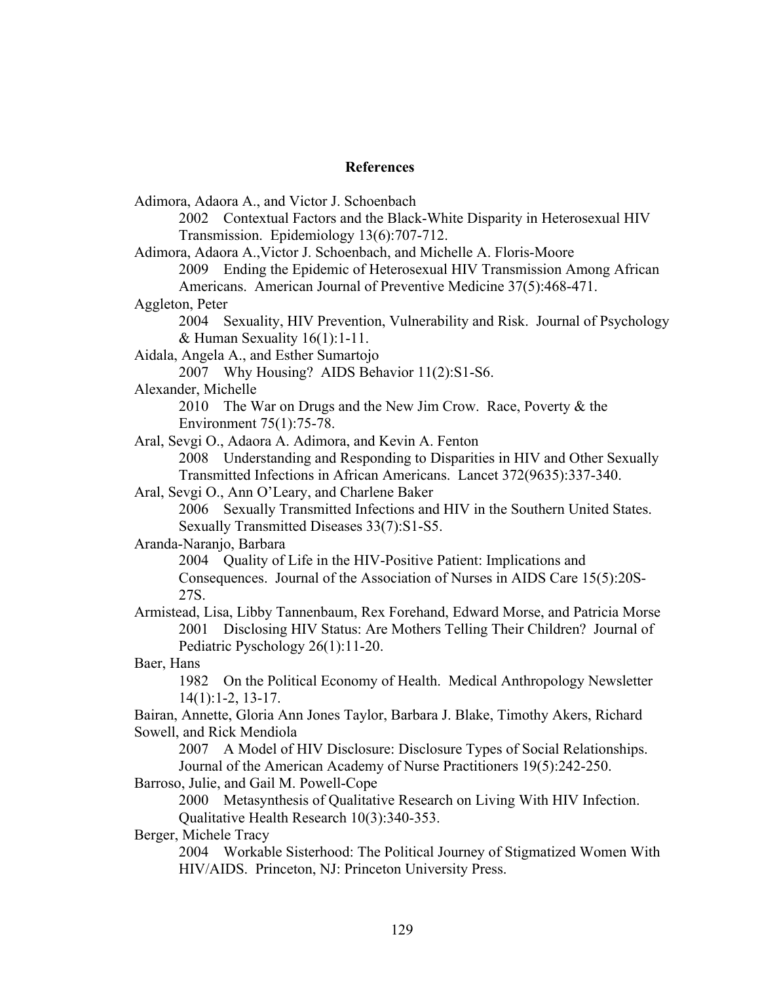#### **References**

Adimora, Adaora A., and Victor J. Schoenbach 2002 Contextual Factors and the Black-White Disparity in Heterosexual HIV Transmission. Epidemiology 13(6):707-712. Adimora, Adaora A.,Victor J. Schoenbach, and Michelle A. Floris-Moore 2009 Ending the Epidemic of Heterosexual HIV Transmission Among African Americans. American Journal of Preventive Medicine 37(5):468-471. Aggleton, Peter 2004 Sexuality, HIV Prevention, Vulnerability and Risk. Journal of Psychology & Human Sexuality 16(1):1-11. Aidala, Angela A., and Esther Sumartojo 2007 Why Housing? AIDS Behavior 11(2):S1-S6. Alexander, Michelle 2010 The War on Drugs and the New Jim Crow. Race, Poverty & the Environment 75(1):75-78. Aral, Sevgi O., Adaora A. Adimora, and Kevin A. Fenton 2008 Understanding and Responding to Disparities in HIV and Other Sexually Transmitted Infections in African Americans. Lancet 372(9635):337-340. Aral, Sevgi O., Ann O'Leary, and Charlene Baker 2006 Sexually Transmitted Infections and HIV in the Southern United States. Sexually Transmitted Diseases 33(7):S1-S5. Aranda-Naranjo, Barbara 2004 Ouality of Life in the HIV-Positive Patient: Implications and Consequences. Journal of the Association of Nurses in AIDS Care 15(5):20S-27S. Armistead, Lisa, Libby Tannenbaum, Rex Forehand, Edward Morse, and Patricia Morse 2001 Disclosing HIV Status: Are Mothers Telling Their Children? Journal of Pediatric Pyschology 26(1):11-20. Baer, Hans 1982 On the Political Economy of Health. Medical Anthropology Newsletter 14(1):1-2, 13-17. Bairan, Annette, Gloria Ann Jones Taylor, Barbara J. Blake, Timothy Akers, Richard Sowell, and Rick Mendiola 2007 A Model of HIV Disclosure: Disclosure Types of Social Relationships. Journal of the American Academy of Nurse Practitioners 19(5):242-250. Barroso, Julie, and Gail M. Powell-Cope 2000 Metasynthesis of Qualitative Research on Living With HIV Infection. Qualitative Health Research 10(3):340-353. Berger, Michele Tracy 2004 Workable Sisterhood: The Political Journey of Stigmatized Women With HIV/AIDS. Princeton, NJ: Princeton University Press.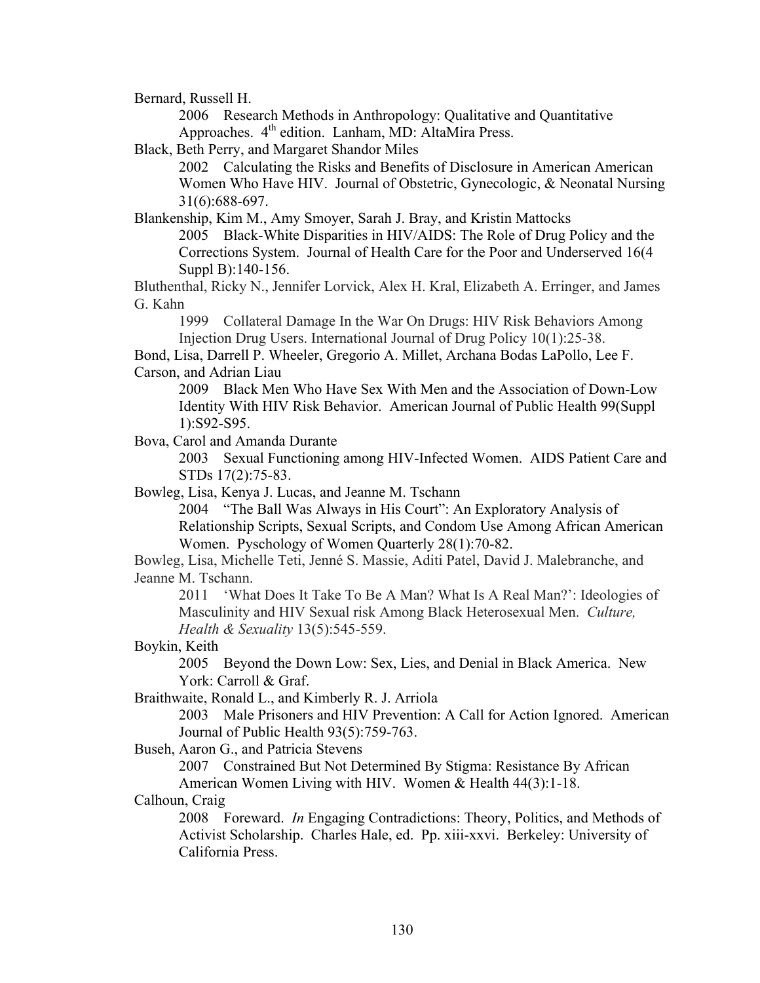Bernard, Russell H.

2006 Research Methods in Anthropology: Qualitative and Quantitative Approaches. 4th edition. Lanham, MD: AltaMira Press.

Black, Beth Perry, and Margaret Shandor Miles

2002 Calculating the Risks and Benefits of Disclosure in American American Women Who Have HIV. Journal of Obstetric, Gynecologic, & Neonatal Nursing 31(6):688-697.

Blankenship, Kim M., Amy Smoyer, Sarah J. Bray, and Kristin Mattocks

2005 Black-White Disparities in HIV/AIDS: The Role of Drug Policy and the Corrections System. Journal of Health Care for the Poor and Underserved 16(4 Suppl B):140-156.

Bluthenthal, Ricky N., Jennifer Lorvick, Alex H. Kral, Elizabeth A. Erringer, and James G. Kahn

1999 Collateral Damage In the War On Drugs: HIV Risk Behaviors Among Injection Drug Users. International Journal of Drug Policy 10(1):25-38.

Bond, Lisa, Darrell P. Wheeler, Gregorio A. Millet, Archana Bodas LaPollo, Lee F. Carson, and Adrian Liau

2009 Black Men Who Have Sex With Men and the Association of Down-Low Identity With HIV Risk Behavior. American Journal of Public Health 99(Suppl 1):S92-S95.

Bova, Carol and Amanda Durante

2003 Sexual Functioning among HIV-Infected Women. AIDS Patient Care and STDs 17(2):75-83.

Bowleg, Lisa, Kenya J. Lucas, and Jeanne M. Tschann

2004 "The Ball Was Always in His Court": An Exploratory Analysis of Relationship Scripts, Sexual Scripts, and Condom Use Among African American Women. Pyschology of Women Quarterly 28(1):70-82.

Bowleg, Lisa, Michelle Teti, Jenné S. Massie, Aditi Patel, David J. Malebranche, and Jeanne M. Tschann.

2011 'What Does It Take To Be A Man? What Is A Real Man?': Ideologies of Masculinity and HIV Sexual risk Among Black Heterosexual Men. *Culture, Health & Sexuality* 13(5):545-559.

Boykin, Keith

2005 Beyond the Down Low: Sex, Lies, and Denial in Black America. New York: Carroll & Graf.

Braithwaite, Ronald L., and Kimberly R. J. Arriola

2003 Male Prisoners and HIV Prevention: A Call for Action Ignored. American Journal of Public Health 93(5):759-763.

Buseh, Aaron G., and Patricia Stevens

2007 Constrained But Not Determined By Stigma: Resistance By African American Women Living with HIV. Women & Health 44(3):1-18.

Calhoun, Craig

2008 Foreward. *In* Engaging Contradictions: Theory, Politics, and Methods of Activist Scholarship. Charles Hale, ed. Pp. xiii-xxvi. Berkeley: University of California Press.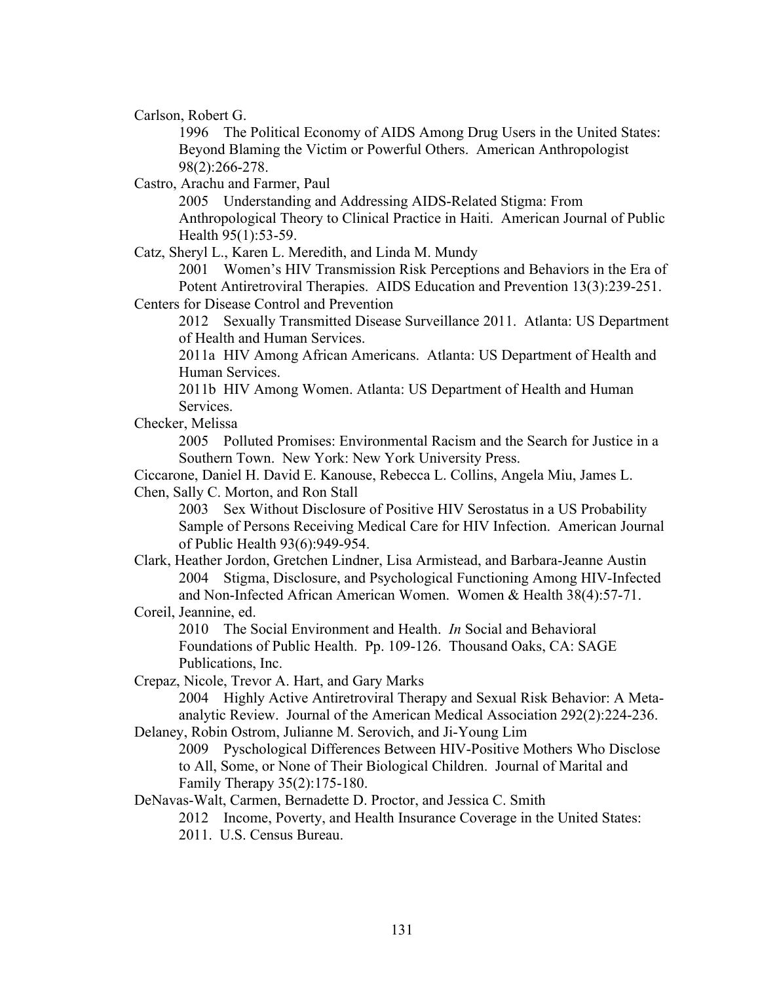Carlson, Robert G.

1996 The Political Economy of AIDS Among Drug Users in the United States: Beyond Blaming the Victim or Powerful Others. American Anthropologist 98(2):266-278.

Castro, Arachu and Farmer, Paul

2005 Understanding and Addressing AIDS-Related Stigma: From Anthropological Theory to Clinical Practice in Haiti. American Journal of Public Health 95(1):53-59.

Catz, Sheryl L., Karen L. Meredith, and Linda M. Mundy

2001 Women's HIV Transmission Risk Perceptions and Behaviors in the Era of Potent Antiretroviral Therapies. AIDS Education and Prevention 13(3):239-251.

Centers for Disease Control and Prevention

2012 Sexually Transmitted Disease Surveillance 2011. Atlanta: US Department of Health and Human Services.

2011a HIV Among African Americans. Atlanta: US Department of Health and Human Services.

2011b HIV Among Women. Atlanta: US Department of Health and Human Services.

Checker, Melissa

2005 Polluted Promises: Environmental Racism and the Search for Justice in a Southern Town. New York: New York University Press.

Ciccarone, Daniel H. David E. Kanouse, Rebecca L. Collins, Angela Miu, James L.

Chen, Sally C. Morton, and Ron Stall

2003 Sex Without Disclosure of Positive HIV Serostatus in a US Probability Sample of Persons Receiving Medical Care for HIV Infection. American Journal of Public Health 93(6):949-954.

Clark, Heather Jordon, Gretchen Lindner, Lisa Armistead, and Barbara-Jeanne Austin 2004 Stigma, Disclosure, and Psychological Functioning Among HIV-Infected and Non-Infected African American Women. Women & Health 38(4):57-71.

Coreil, Jeannine, ed.

2010 The Social Environment and Health. *In* Social and Behavioral Foundations of Public Health. Pp. 109-126. Thousand Oaks, CA: SAGE Publications, Inc.

Crepaz, Nicole, Trevor A. Hart, and Gary Marks

2004 Highly Active Antiretroviral Therapy and Sexual Risk Behavior: A Metaanalytic Review. Journal of the American Medical Association 292(2):224-236. Delaney, Robin Ostrom, Julianne M. Serovich, and Ji-Young Lim

2009 Pyschological Differences Between HIV-Positive Mothers Who Disclose to All, Some, or None of Their Biological Children. Journal of Marital and Family Therapy 35(2):175-180.

DeNavas-Walt, Carmen, Bernadette D. Proctor, and Jessica C. Smith

2012 Income, Poverty, and Health Insurance Coverage in the United States:

2011. U.S. Census Bureau.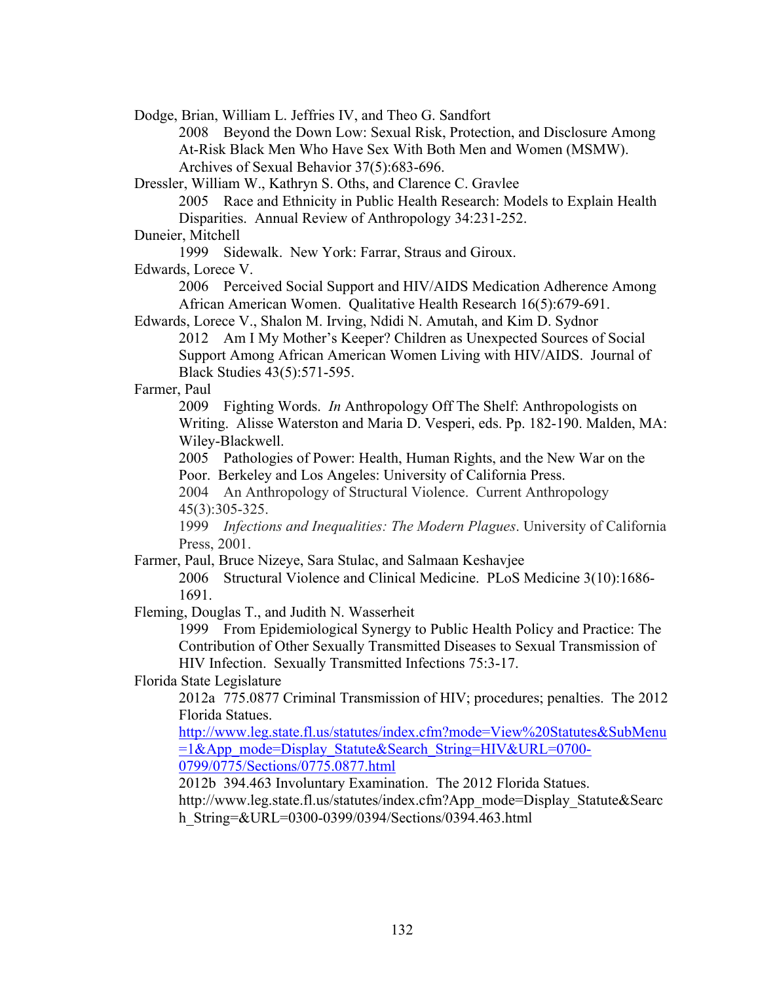Dodge, Brian, William L. Jeffries IV, and Theo G. Sandfort

2008 Beyond the Down Low: Sexual Risk, Protection, and Disclosure Among At-Risk Black Men Who Have Sex With Both Men and Women (MSMW). Archives of Sexual Behavior 37(5):683-696.

Dressler, William W., Kathryn S. Oths, and Clarence C. Gravlee

2005 Race and Ethnicity in Public Health Research: Models to Explain Health Disparities. Annual Review of Anthropology 34:231-252.

Duneier, Mitchell

1999 Sidewalk. New York: Farrar, Straus and Giroux.

Edwards, Lorece V.

2006 Perceived Social Support and HIV/AIDS Medication Adherence Among African American Women. Qualitative Health Research 16(5):679-691.

Edwards, Lorece V., Shalon M. Irving, Ndidi N. Amutah, and Kim D. Sydnor

2012 Am I My Mother's Keeper? Children as Unexpected Sources of Social Support Among African American Women Living with HIV/AIDS. Journal of Black Studies 43(5):571-595.

Farmer, Paul

2009 Fighting Words. *In* Anthropology Off The Shelf: Anthropologists on Writing. Alisse Waterston and Maria D. Vesperi, eds. Pp. 182-190. Malden, MA: Wiley-Blackwell.

2005 Pathologies of Power: Health, Human Rights, and the New War on the Poor. Berkeley and Los Angeles: University of California Press.

2004 An Anthropology of Structural Violence. Current Anthropology 45(3):305-325.

1999 *Infections and Inequalities: The Modern Plagues*. University of California Press, 2001.

Farmer, Paul, Bruce Nizeye, Sara Stulac, and Salmaan Keshavjee

2006 Structural Violence and Clinical Medicine. PLoS Medicine 3(10):1686- 1691.

Fleming, Douglas T., and Judith N. Wasserheit

1999 From Epidemiological Synergy to Public Health Policy and Practice: The Contribution of Other Sexually Transmitted Diseases to Sexual Transmission of HIV Infection. Sexually Transmitted Infections 75:3-17.

Florida State Legislature

2012a 775.0877 Criminal Transmission of HIV; procedures; penalties. The 2012 Florida Statues.

http://www.leg.state.fl.us/statutes/index.cfm?mode=View%20Statutes&SubMenu  $=1\&$  App\_mode=Display\_Statute&Search\_String=HIV&URL=0700-0799/0775/Sections/0775.0877.html

2012b 394.463 Involuntary Examination. The 2012 Florida Statues.

http://www.leg.state.fl.us/statutes/index.cfm?App\_mode=Display\_Statute&Searc h\_String=&URL=0300-0399/0394/Sections/0394.463.html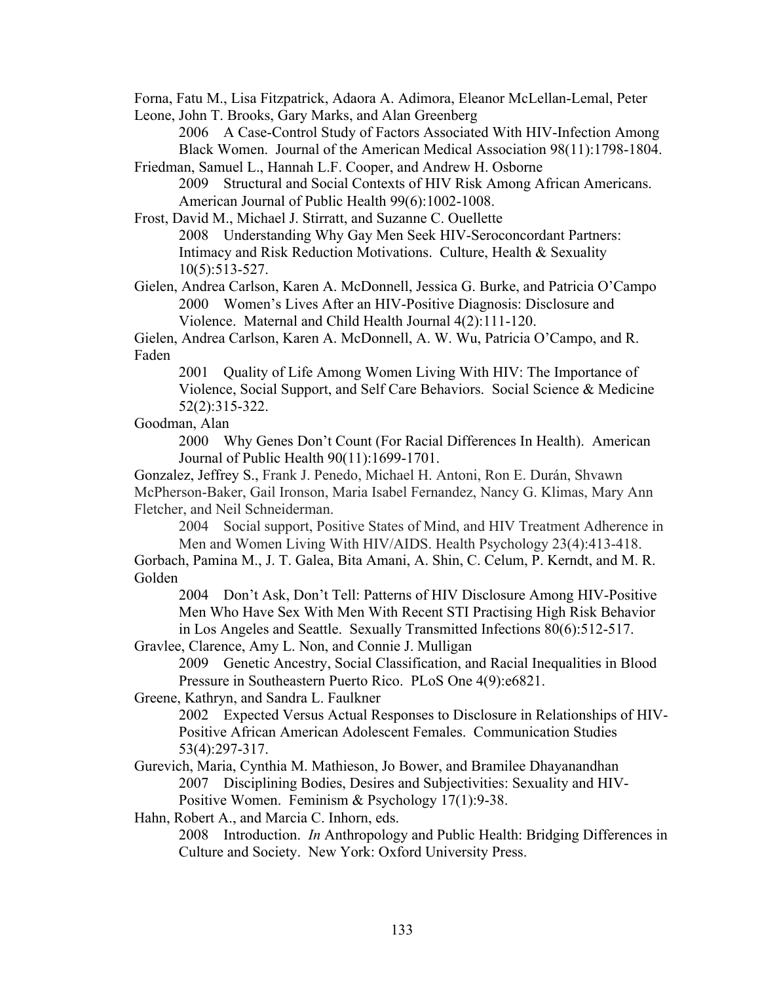Forna, Fatu M., Lisa Fitzpatrick, Adaora A. Adimora, Eleanor McLellan-Lemal, Peter Leone, John T. Brooks, Gary Marks, and Alan Greenberg

2006 A Case-Control Study of Factors Associated With HIV-Infection Among Black Women. Journal of the American Medical Association 98(11):1798-1804.

Friedman, Samuel L., Hannah L.F. Cooper, and Andrew H. Osborne

2009 Structural and Social Contexts of HIV Risk Among African Americans. American Journal of Public Health 99(6):1002-1008.

Frost, David M., Michael J. Stirratt, and Suzanne C. Ouellette

2008 Understanding Why Gay Men Seek HIV-Seroconcordant Partners: Intimacy and Risk Reduction Motivations. Culture, Health & Sexuality 10(5):513-527.

Gielen, Andrea Carlson, Karen A. McDonnell, Jessica G. Burke, and Patricia O'Campo 2000 Women's Lives After an HIV-Positive Diagnosis: Disclosure and Violence. Maternal and Child Health Journal 4(2):111-120.

Gielen, Andrea Carlson, Karen A. McDonnell, A. W. Wu, Patricia O'Campo, and R. Faden

2001 Ouality of Life Among Women Living With HIV: The Importance of Violence, Social Support, and Self Care Behaviors. Social Science & Medicine 52(2):315-322.

## Goodman, Alan

2000 Why Genes Don't Count (For Racial Differences In Health). American Journal of Public Health 90(11):1699-1701.

Gonzalez, Jeffrey S., Frank J. Penedo, Michael H. Antoni, Ron E. Durán, Shvawn McPherson-Baker, Gail Ironson, Maria Isabel Fernandez, Nancy G. Klimas, Mary Ann Fletcher, and Neil Schneiderman.

2004 Social support, Positive States of Mind, and HIV Treatment Adherence in Men and Women Living With HIV/AIDS. Health Psychology 23(4):413-418.

Gorbach, Pamina M., J. T. Galea, Bita Amani, A. Shin, C. Celum, P. Kerndt, and M. R. Golden

2004 Don't Ask, Don't Tell: Patterns of HIV Disclosure Among HIV-Positive Men Who Have Sex With Men With Recent STI Practising High Risk Behavior in Los Angeles and Seattle. Sexually Transmitted Infections 80(6):512-517.

Gravlee, Clarence, Amy L. Non, and Connie J. Mulligan

2009 Genetic Ancestry, Social Classification, and Racial Inequalities in Blood Pressure in Southeastern Puerto Rico. PLoS One 4(9):e6821.

Greene, Kathryn, and Sandra L. Faulkner

2002 Expected Versus Actual Responses to Disclosure in Relationships of HIV-Positive African American Adolescent Females. Communication Studies 53(4):297-317.

Gurevich, Maria, Cynthia M. Mathieson, Jo Bower, and Bramilee Dhayanandhan 2007 Disciplining Bodies, Desires and Subjectivities: Sexuality and HIV-Positive Women. Feminism & Psychology 17(1):9-38.

Hahn, Robert A., and Marcia C. Inhorn, eds.

2008 Introduction. *In* Anthropology and Public Health: Bridging Differences in Culture and Society. New York: Oxford University Press.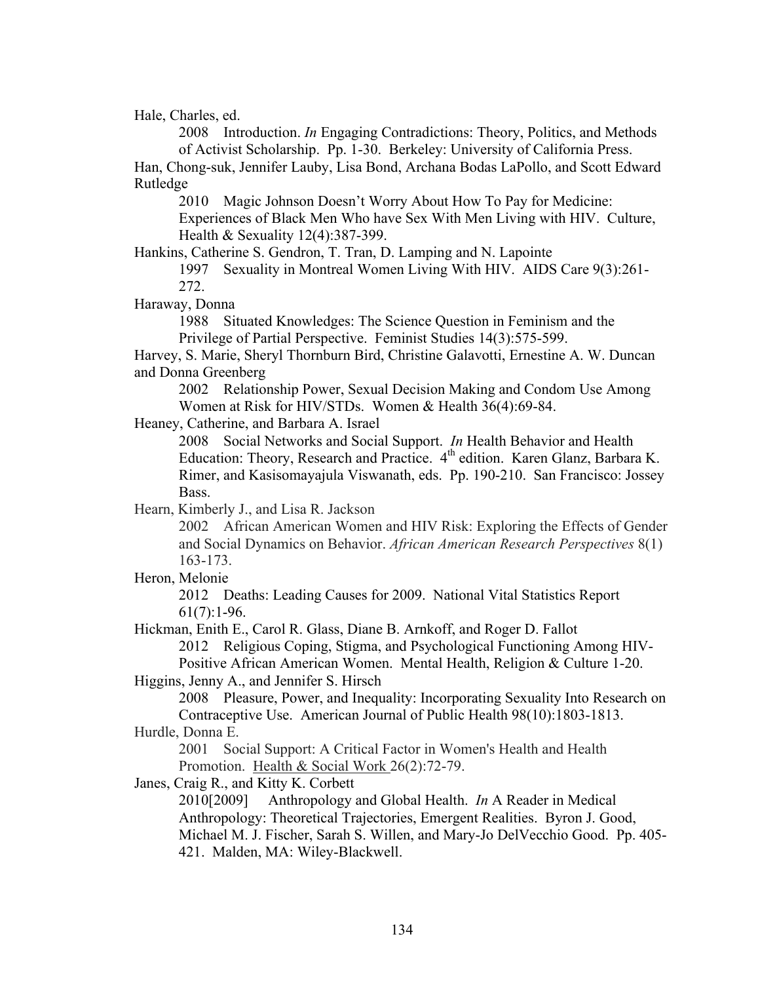Hale, Charles, ed.

2008 Introduction. *In* Engaging Contradictions: Theory, Politics, and Methods of Activist Scholarship. Pp. 1-30. Berkeley: University of California Press. Han, Chong-suk, Jennifer Lauby, Lisa Bond, Archana Bodas LaPollo, and Scott Edward Rutledge

2010 Magic Johnson Doesn't Worry About How To Pay for Medicine: Experiences of Black Men Who have Sex With Men Living with HIV. Culture, Health & Sexuality 12(4):387-399.

Hankins, Catherine S. Gendron, T. Tran, D. Lamping and N. Lapointe

1997 Sexuality in Montreal Women Living With HIV. AIDS Care 9(3):261- 272.

Haraway, Donna

1988 Situated Knowledges: The Science Question in Feminism and the Privilege of Partial Perspective. Feminist Studies 14(3):575-599.

Harvey, S. Marie, Sheryl Thornburn Bird, Christine Galavotti, Ernestine A. W. Duncan and Donna Greenberg

2002 Relationship Power, Sexual Decision Making and Condom Use Among Women at Risk for HIV/STDs. Women & Health 36(4):69-84.

Heaney, Catherine, and Barbara A. Israel

2008 Social Networks and Social Support. *In* Health Behavior and Health Education: Theory, Research and Practice. 4<sup>th</sup> edition. Karen Glanz, Barbara K. Rimer, and Kasisomayajula Viswanath, eds. Pp. 190-210. San Francisco: Jossey Bass.

Hearn, Kimberly J., and Lisa R. Jackson

2002 African American Women and HIV Risk: Exploring the Effects of Gender and Social Dynamics on Behavior. *African American Research Perspectives* 8(1) 163-173.

Heron, Melonie

2012 Deaths: Leading Causes for 2009. National Vital Statistics Report  $61(7):1-96.$ 

Hickman, Enith E., Carol R. Glass, Diane B. Arnkoff, and Roger D. Fallot

2012 Religious Coping, Stigma, and Psychological Functioning Among HIV-Positive African American Women. Mental Health, Religion & Culture 1-20.

Higgins, Jenny A., and Jennifer S. Hirsch

2008 Pleasure, Power, and Inequality: Incorporating Sexuality Into Research on Contraceptive Use. American Journal of Public Health 98(10):1803-1813.

Hurdle, Donna E.

2001 Social Support: A Critical Factor in Women's Health and Health Promotion. Health & Social Work 26(2):72-79.

Janes, Craig R., and Kitty K. Corbett

2010[2009] Anthropology and Global Health. *In* A Reader in Medical Anthropology: Theoretical Trajectories, Emergent Realities. Byron J. Good, Michael M. J. Fischer, Sarah S. Willen, and Mary-Jo DelVecchio Good. Pp. 405- 421. Malden, MA: Wiley-Blackwell.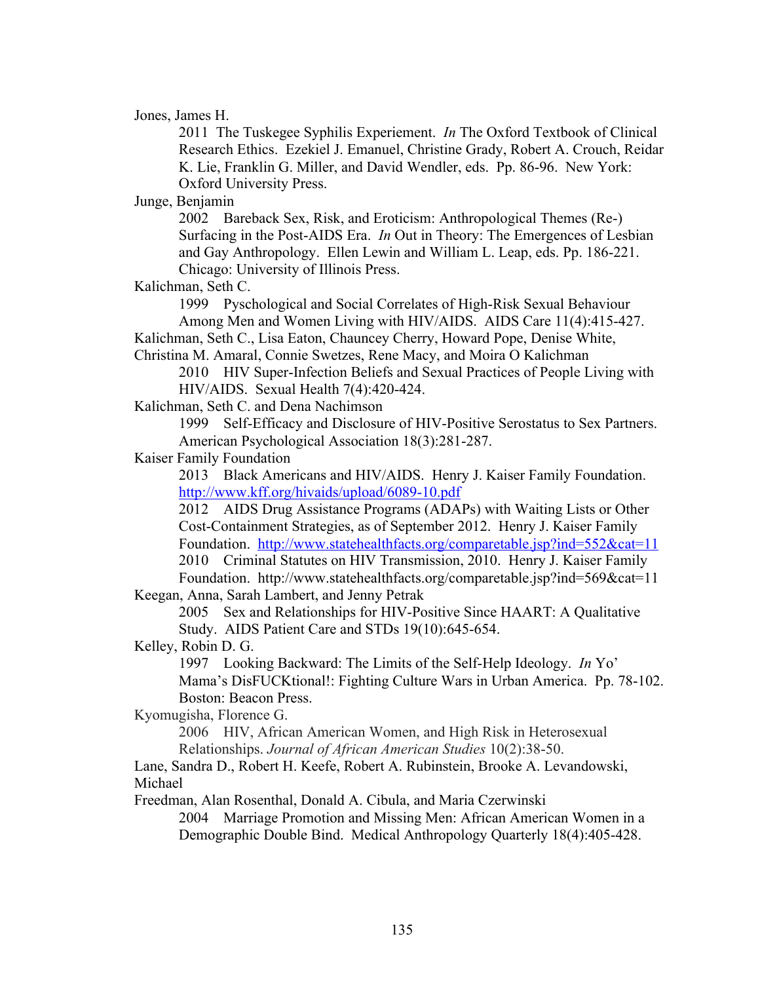Jones, James H.

2011 The Tuskegee Syphilis Experiement. *In* The Oxford Textbook of Clinical Research Ethics. Ezekiel J. Emanuel, Christine Grady, Robert A. Crouch, Reidar K. Lie, Franklin G. Miller, and David Wendler, eds. Pp. 86-96. New York: Oxford University Press.

Junge, Benjamin

2002 Bareback Sex, Risk, and Eroticism: Anthropological Themes (Re-) Surfacing in the Post-AIDS Era. *In* Out in Theory: The Emergences of Lesbian and Gay Anthropology. Ellen Lewin and William L. Leap, eds. Pp. 186-221. Chicago: University of Illinois Press.

Kalichman, Seth C.

1999 Pyschological and Social Correlates of High-Risk Sexual Behaviour Among Men and Women Living with HIV/AIDS. AIDS Care 11(4):415-427.

Kalichman, Seth C., Lisa Eaton, Chauncey Cherry, Howard Pope, Denise White,

Christina M. Amaral, Connie Swetzes, Rene Macy, and Moira O Kalichman

2010 HIV Super-Infection Beliefs and Sexual Practices of People Living with HIV/AIDS. Sexual Health 7(4):420-424.

Kalichman, Seth C. and Dena Nachimson

1999 Self-Efficacy and Disclosure of HIV-Positive Serostatus to Sex Partners. American Psychological Association 18(3):281-287.

Kaiser Family Foundation

2013 Black Americans and HIV/AIDS. Henry J. Kaiser Family Foundation. http://www.kff.org/hivaids/upload/6089-10.pdf

2012 AIDS Drug Assistance Programs (ADAPs) with Waiting Lists or Other Cost-Containment Strategies, as of September 2012. Henry J. Kaiser Family Foundation. http://www.statehealthfacts.org/comparetable.jsp?ind=552&cat=11

2010 Criminal Statutes on HIV Transmission, 2010. Henry J. Kaiser Family Foundation. http://www.statehealthfacts.org/comparetable.jsp?ind=569&cat=11 Keegan, Anna, Sarah Lambert, and Jenny Petrak

2005 Sex and Relationships for HIV-Positive Since HAART: A Qualitative Study. AIDS Patient Care and STDs 19(10):645-654.

Kelley, Robin D. G.

1997 Looking Backward: The Limits of the Self-Help Ideology. *In* Yo' Mama's DisFUCKtional!: Fighting Culture Wars in Urban America. Pp. 78-102. Boston: Beacon Press.

Kyomugisha, Florence G.

2006 HIV, African American Women, and High Risk in Heterosexual Relationships. *Journal of African American Studies* 10(2):38-50.

Lane, Sandra D., Robert H. Keefe, Robert A. Rubinstein, Brooke A. Levandowski, Michael

Freedman, Alan Rosenthal, Donald A. Cibula, and Maria Czerwinski

2004 Marriage Promotion and Missing Men: African American Women in a Demographic Double Bind. Medical Anthropology Quarterly 18(4):405-428.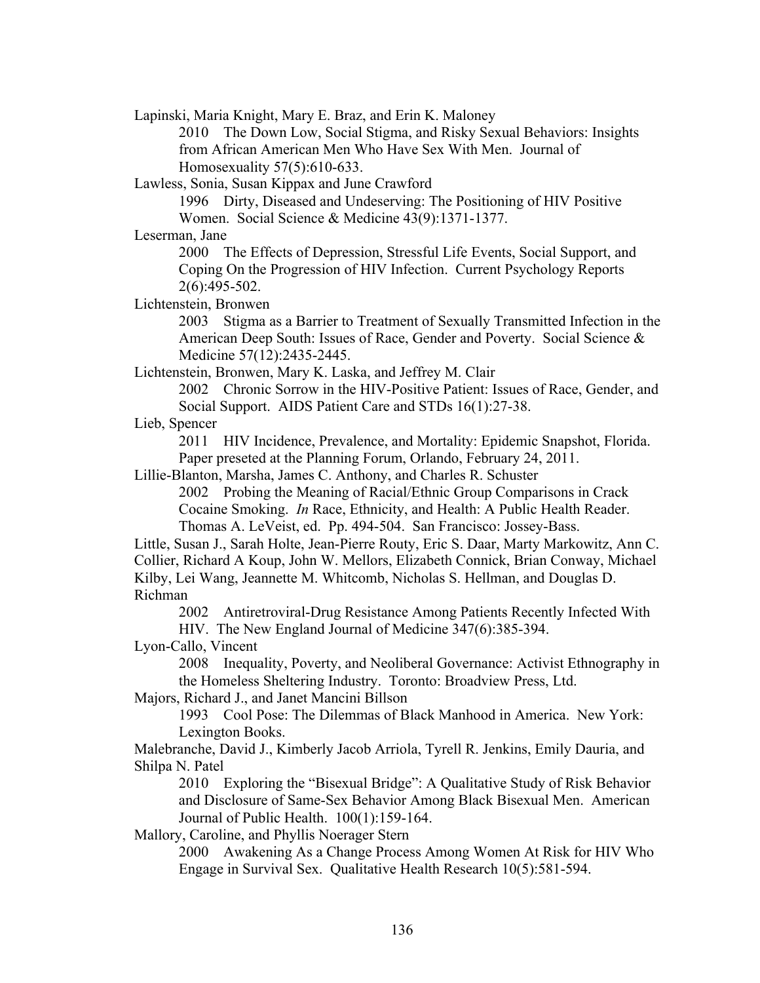Lapinski, Maria Knight, Mary E. Braz, and Erin K. Maloney

2010 The Down Low, Social Stigma, and Risky Sexual Behaviors: Insights from African American Men Who Have Sex With Men. Journal of Homosexuality 57(5):610-633.

Lawless, Sonia, Susan Kippax and June Crawford

1996 Dirty, Diseased and Undeserving: The Positioning of HIV Positive Women. Social Science & Medicine 43(9):1371-1377.

Leserman, Jane

2000 The Effects of Depression, Stressful Life Events, Social Support, and Coping On the Progression of HIV Infection. Current Psychology Reports 2(6):495-502.

Lichtenstein, Bronwen

2003 Stigma as a Barrier to Treatment of Sexually Transmitted Infection in the American Deep South: Issues of Race, Gender and Poverty. Social Science & Medicine 57(12):2435-2445.

Lichtenstein, Bronwen, Mary K. Laska, and Jeffrey M. Clair

2002 Chronic Sorrow in the HIV-Positive Patient: Issues of Race, Gender, and Social Support. AIDS Patient Care and STDs 16(1):27-38.

Lieb, Spencer

2011 HIV Incidence, Prevalence, and Mortality: Epidemic Snapshot, Florida. Paper preseted at the Planning Forum, Orlando, February 24, 2011.

Lillie-Blanton, Marsha, James C. Anthony, and Charles R. Schuster

2002 Probing the Meaning of Racial/Ethnic Group Comparisons in Crack Cocaine Smoking. *In* Race, Ethnicity, and Health: A Public Health Reader. Thomas A. LeVeist, ed. Pp. 494-504. San Francisco: Jossey-Bass.

Little, Susan J., Sarah Holte, Jean-Pierre Routy, Eric S. Daar, Marty Markowitz, Ann C. Collier, Richard A Koup, John W. Mellors, Elizabeth Connick, Brian Conway, Michael Kilby, Lei Wang, Jeannette M. Whitcomb, Nicholas S. Hellman, and Douglas D. Richman

2002 Antiretroviral-Drug Resistance Among Patients Recently Infected With HIV. The New England Journal of Medicine 347(6):385-394.

Lyon-Callo, Vincent

2008 Inequality, Poverty, and Neoliberal Governance: Activist Ethnography in the Homeless Sheltering Industry. Toronto: Broadview Press, Ltd.

Majors, Richard J., and Janet Mancini Billson

1993 Cool Pose: The Dilemmas of Black Manhood in America. New York: Lexington Books.

Malebranche, David J., Kimberly Jacob Arriola, Tyrell R. Jenkins, Emily Dauria, and Shilpa N. Patel

2010 Exploring the "Bisexual Bridge": A Qualitative Study of Risk Behavior and Disclosure of Same-Sex Behavior Among Black Bisexual Men. American Journal of Public Health. 100(1):159-164.

Mallory, Caroline, and Phyllis Noerager Stern

2000 Awakening As a Change Process Among Women At Risk for HIV Who Engage in Survival Sex. Qualitative Health Research 10(5):581-594.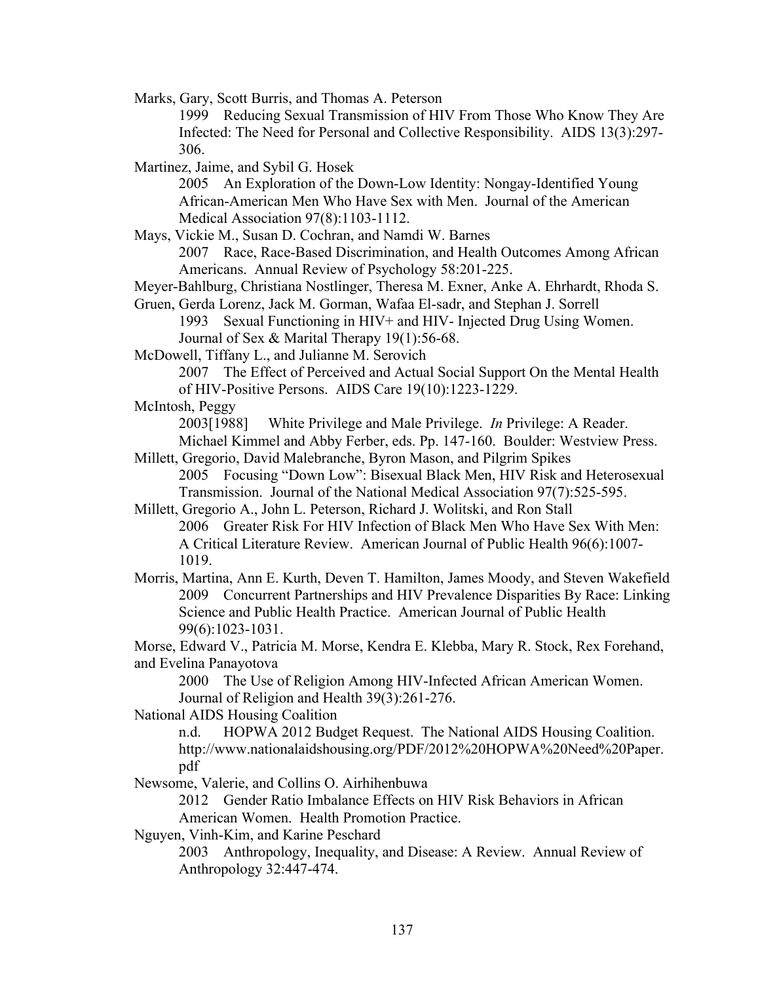Marks, Gary, Scott Burris, and Thomas A. Peterson

1999 Reducing Sexual Transmission of HIV From Those Who Know They Are Infected: The Need for Personal and Collective Responsibility. AIDS 13(3):297- 306.

Martinez, Jaime, and Sybil G. Hosek

2005 An Exploration of the Down-Low Identity: Nongay-Identified Young African-American Men Who Have Sex with Men. Journal of the American Medical Association 97(8):1103-1112.

Mays, Vickie M., Susan D. Cochran, and Namdi W. Barnes

2007 Race, Race-Based Discrimination, and Health Outcomes Among African Americans. Annual Review of Psychology 58:201-225.

Meyer-Bahlburg, Christiana Nostlinger, Theresa M. Exner, Anke A. Ehrhardt, Rhoda S. Gruen, Gerda Lorenz, Jack M. Gorman, Wafaa El-sadr, and Stephan J. Sorrell

1993 Sexual Functioning in HIV+ and HIV- Injected Drug Using Women.

Journal of Sex & Marital Therapy 19(1):56-68.

McDowell, Tiffany L., and Julianne M. Serovich

2007 The Effect of Perceived and Actual Social Support On the Mental Health of HIV-Positive Persons. AIDS Care 19(10):1223-1229.

McIntosh, Peggy

2003[1988] White Privilege and Male Privilege. *In* Privilege: A Reader.

Michael Kimmel and Abby Ferber, eds. Pp. 147-160. Boulder: Westview Press.

Millett, Gregorio, David Malebranche, Byron Mason, and Pilgrim Spikes 2005 Focusing "Down Low": Bisexual Black Men, HIV Risk and Heterosexual Transmission. Journal of the National Medical Association 97(7):525-595.

Millett, Gregorio A., John L. Peterson, Richard J. Wolitski, and Ron Stall 2006 Greater Risk For HIV Infection of Black Men Who Have Sex With Men: A Critical Literature Review. American Journal of Public Health 96(6):1007- 1019.

Morris, Martina, Ann E. Kurth, Deven T. Hamilton, James Moody, and Steven Wakefield 2009 Concurrent Partnerships and HIV Prevalence Disparities By Race: Linking Science and Public Health Practice. American Journal of Public Health 99(6):1023-1031.

Morse, Edward V., Patricia M. Morse, Kendra E. Klebba, Mary R. Stock, Rex Forehand, and Evelina Panayotova

2000 The Use of Religion Among HIV-Infected African American Women. Journal of Religion and Health 39(3):261-276.

National AIDS Housing Coalition

n.d. HOPWA 2012 Budget Request. The National AIDS Housing Coalition. http://www.nationalaidshousing.org/PDF/2012%20HOPWA%20Need%20Paper. pdf

Newsome, Valerie, and Collins O. Airhihenbuwa

2012 Gender Ratio Imbalance Effects on HIV Risk Behaviors in African American Women. Health Promotion Practice.

Nguyen, Vinh-Kim, and Karine Peschard

2003 Anthropology, Inequality, and Disease: A Review. Annual Review of Anthropology 32:447-474.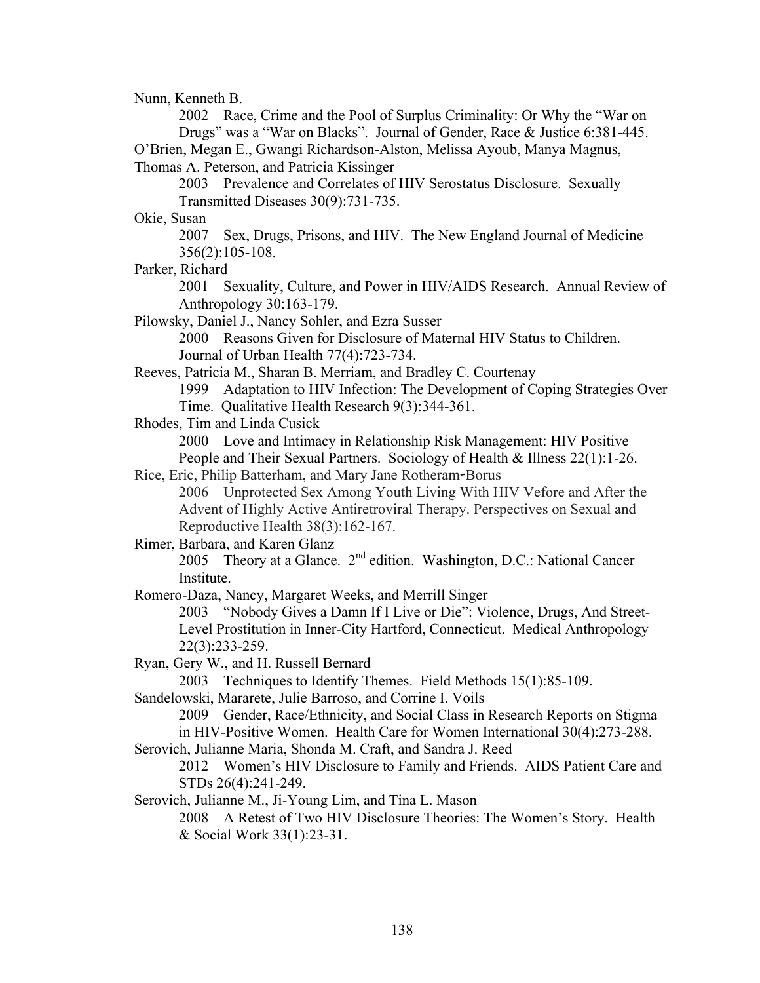Nunn, Kenneth B.

2002 Race, Crime and the Pool of Surplus Criminality: Or Why the "War on Drugs" was a "War on Blacks". Journal of Gender, Race & Justice 6:381-445. O'Brien, Megan E., Gwangi Richardson-Alston, Melissa Ayoub, Manya Magnus, Thomas A. Peterson, and Patricia Kissinger

2003 Prevalence and Correlates of HIV Serostatus Disclosure. Sexually Transmitted Diseases 30(9):731-735.

Okie, Susan

2007 Sex, Drugs, Prisons, and HIV. The New England Journal of Medicine 356(2):105-108.

Parker, Richard

2001 Sexuality, Culture, and Power in HIV/AIDS Research. Annual Review of Anthropology 30:163-179.

Pilowsky, Daniel J., Nancy Sohler, and Ezra Susser

2000 Reasons Given for Disclosure of Maternal HIV Status to Children. Journal of Urban Health 77(4):723-734.

Reeves, Patricia M., Sharan B. Merriam, and Bradley C. Courtenay

1999 Adaptation to HIV Infection: The Development of Coping Strategies Over

Time. Qualitative Health Research 9(3):344-361.

Rhodes, Tim and Linda Cusick

2000 Love and Intimacy in Relationship Risk Management: HIV Positive People and Their Sexual Partners. Sociology of Health & Illness 22(1):1-26.

Rice, Eric, Philip Batterham, and Mary Jane Rotheram-Borus

2006 Unprotected Sex Among Youth Living With HIV Vefore and After the Advent of Highly Active Antiretroviral Therapy. Perspectives on Sexual and Reproductive Health 38(3):162-167.

Rimer, Barbara, and Karen Glanz

2005 Theory at a Glance.  $2^{nd}$  edition. Washington, D.C.: National Cancer Institute.

Romero-Daza, Nancy, Margaret Weeks, and Merrill Singer

2003 "Nobody Gives a Damn If I Live or Die": Violence, Drugs, And Street-Level Prostitution in Inner-City Hartford, Connecticut. Medical Anthropology 22(3):233-259.

Ryan, Gery W., and H. Russell Bernard

2003 Techniques to Identify Themes. Field Methods 15(1):85-109.

Sandelowski, Mararete, Julie Barroso, and Corrine I. Voils

2009 Gender, Race/Ethnicity, and Social Class in Research Reports on Stigma in HIV-Positive Women. Health Care for Women International 30(4):273-288.

Serovich, Julianne Maria, Shonda M. Craft, and Sandra J. Reed

2012 Women's HIV Disclosure to Family and Friends. AIDS Patient Care and STDs 26(4):241-249.

Serovich, Julianne M., Ji-Young Lim, and Tina L. Mason

2008 A Retest of Two HIV Disclosure Theories: The Women's Story. Health & Social Work 33(1):23-31.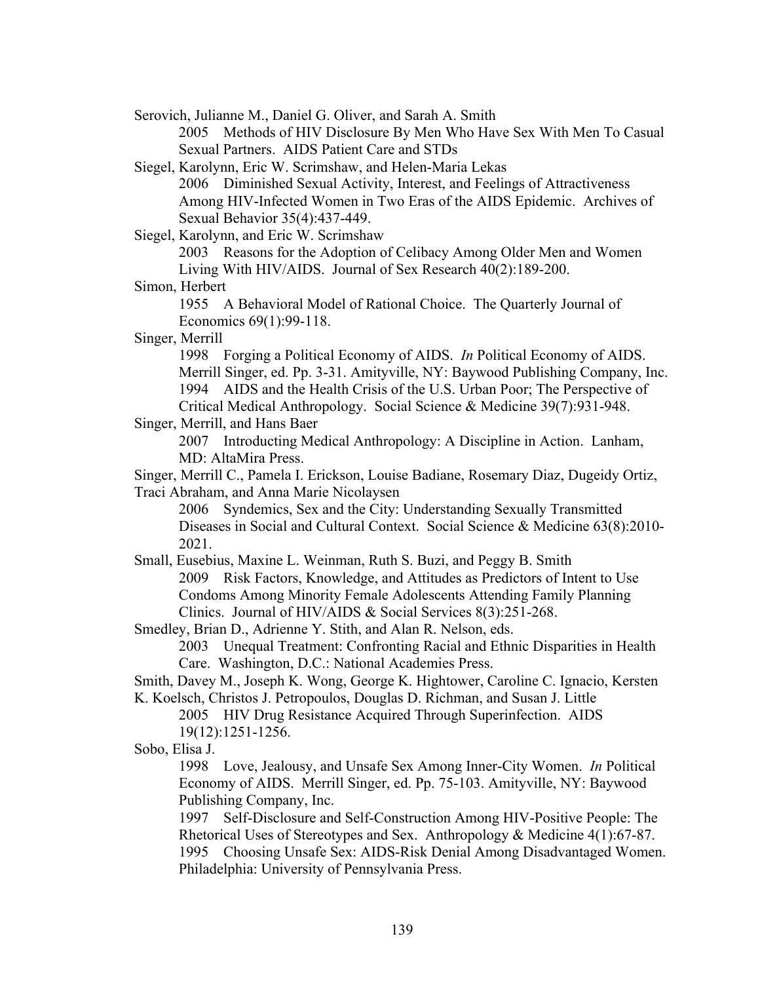Serovich, Julianne M., Daniel G. Oliver, and Sarah A. Smith

2005 Methods of HIV Disclosure By Men Who Have Sex With Men To Casual Sexual Partners. AIDS Patient Care and STDs

Siegel, Karolynn, Eric W. Scrimshaw, and Helen-Maria Lekas

2006 Diminished Sexual Activity, Interest, and Feelings of Attractiveness Among HIV-Infected Women in Two Eras of the AIDS Epidemic. Archives of Sexual Behavior 35(4):437-449.

Siegel, Karolynn, and Eric W. Scrimshaw

2003 Reasons for the Adoption of Celibacy Among Older Men and Women Living With HIV/AIDS. Journal of Sex Research 40(2):189-200.

Simon, Herbert

1955 A Behavioral Model of Rational Choice. The Quarterly Journal of Economics 69(1):99-118.

Singer, Merrill

1998 Forging a Political Economy of AIDS. *In* Political Economy of AIDS. Merrill Singer, ed. Pp. 3-31. Amityville, NY: Baywood Publishing Company, Inc. 1994 AIDS and the Health Crisis of the U.S. Urban Poor; The Perspective of Critical Medical Anthropology. Social Science & Medicine 39(7):931-948.

Singer, Merrill, and Hans Baer

2007 Introducting Medical Anthropology: A Discipline in Action. Lanham, MD: AltaMira Press.

Singer, Merrill C., Pamela I. Erickson, Louise Badiane, Rosemary Diaz, Dugeidy Ortiz, Traci Abraham, and Anna Marie Nicolaysen

2006 Syndemics, Sex and the City: Understanding Sexually Transmitted Diseases in Social and Cultural Context. Social Science & Medicine 63(8):2010- 2021.

Small, Eusebius, Maxine L. Weinman, Ruth S. Buzi, and Peggy B. Smith 2009 Risk Factors, Knowledge, and Attitudes as Predictors of Intent to Use Condoms Among Minority Female Adolescents Attending Family Planning Clinics. Journal of HIV/AIDS & Social Services 8(3):251-268.

Smedley, Brian D., Adrienne Y. Stith, and Alan R. Nelson, eds.

2003 Unequal Treatment: Confronting Racial and Ethnic Disparities in Health Care. Washington, D.C.: National Academies Press.

Smith, Davey M., Joseph K. Wong, George K. Hightower, Caroline C. Ignacio, Kersten

K. Koelsch, Christos J. Petropoulos, Douglas D. Richman, and Susan J. Little

2005 HIV Drug Resistance Acquired Through Superinfection. AIDS 19(12):1251-1256.

Sobo, Elisa J.

1998 Love, Jealousy, and Unsafe Sex Among Inner-City Women. *In* Political Economy of AIDS. Merrill Singer, ed. Pp. 75-103. Amityville, NY: Baywood Publishing Company, Inc.

1997 Self-Disclosure and Self-Construction Among HIV-Positive People: The Rhetorical Uses of Stereotypes and Sex. Anthropology & Medicine 4(1):67-87. 1995 Choosing Unsafe Sex: AIDS-Risk Denial Among Disadvantaged Women. Philadelphia: University of Pennsylvania Press.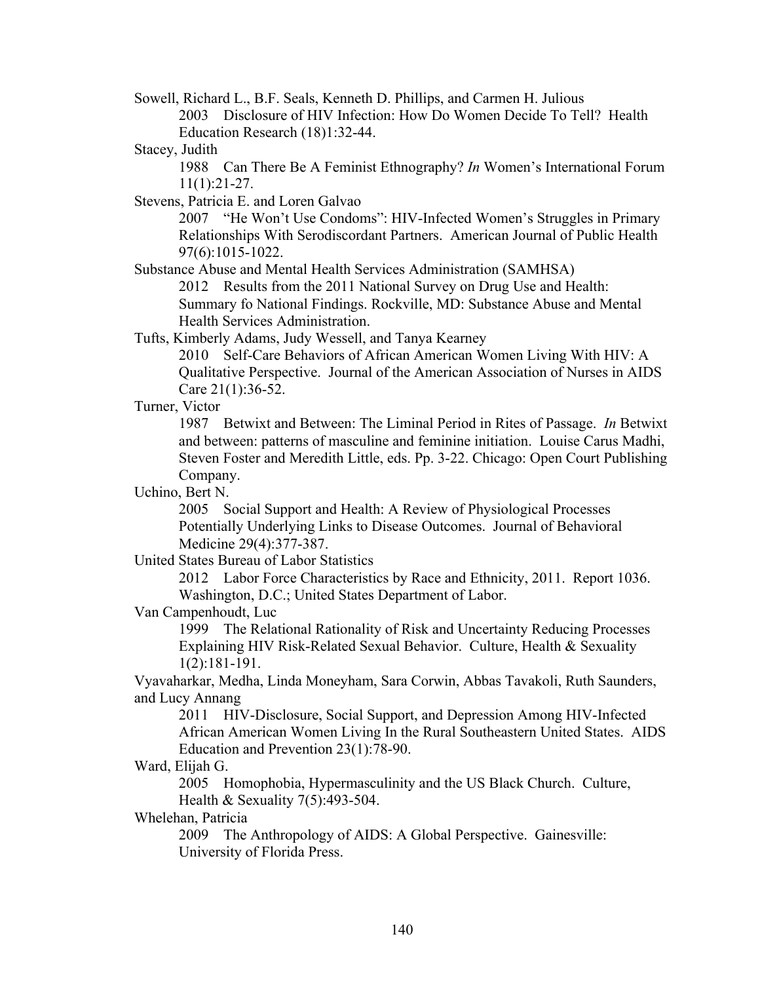Sowell, Richard L., B.F. Seals, Kenneth D. Phillips, and Carmen H. Julious

2003 Disclosure of HIV Infection: How Do Women Decide To Tell? Health Education Research (18)1:32-44.

Stacey, Judith

1988 Can There Be A Feminist Ethnography? *In* Women's International Forum 11(1):21-27.

Stevens, Patricia E. and Loren Galvao

2007 "He Won't Use Condoms": HIV-Infected Women's Struggles in Primary Relationships With Serodiscordant Partners. American Journal of Public Health 97(6):1015-1022.

Substance Abuse and Mental Health Services Administration (SAMHSA)

2012 Results from the 2011 National Survey on Drug Use and Health: Summary fo National Findings. Rockville, MD: Substance Abuse and Mental Health Services Administration.

Tufts, Kimberly Adams, Judy Wessell, and Tanya Kearney

2010 Self-Care Behaviors of African American Women Living With HIV: A Qualitative Perspective. Journal of the American Association of Nurses in AIDS Care 21(1):36-52.

Turner, Victor

1987 Betwixt and Between: The Liminal Period in Rites of Passage. *In* Betwixt and between: patterns of masculine and feminine initiation. Louise Carus Madhi, Steven Foster and Meredith Little, eds. Pp. 3-22. Chicago: Open Court Publishing Company.

Uchino, Bert N.

2005 Social Support and Health: A Review of Physiological Processes Potentially Underlying Links to Disease Outcomes. Journal of Behavioral Medicine 29(4):377-387.

United States Bureau of Labor Statistics

2012 Labor Force Characteristics by Race and Ethnicity, 2011. Report 1036. Washington, D.C.; United States Department of Labor.

Van Campenhoudt, Luc

1999 The Relational Rationality of Risk and Uncertainty Reducing Processes Explaining HIV Risk-Related Sexual Behavior. Culture, Health & Sexuality 1(2):181-191.

Vyavaharkar, Medha, Linda Moneyham, Sara Corwin, Abbas Tavakoli, Ruth Saunders, and Lucy Annang

2011 HIV-Disclosure, Social Support, and Depression Among HIV-Infected African American Women Living In the Rural Southeastern United States. AIDS Education and Prevention 23(1):78-90.

Ward, Elijah G.

2005 Homophobia, Hypermasculinity and the US Black Church. Culture, Health & Sexuality 7(5):493-504.

Whelehan, Patricia

2009 The Anthropology of AIDS: A Global Perspective. Gainesville: University of Florida Press.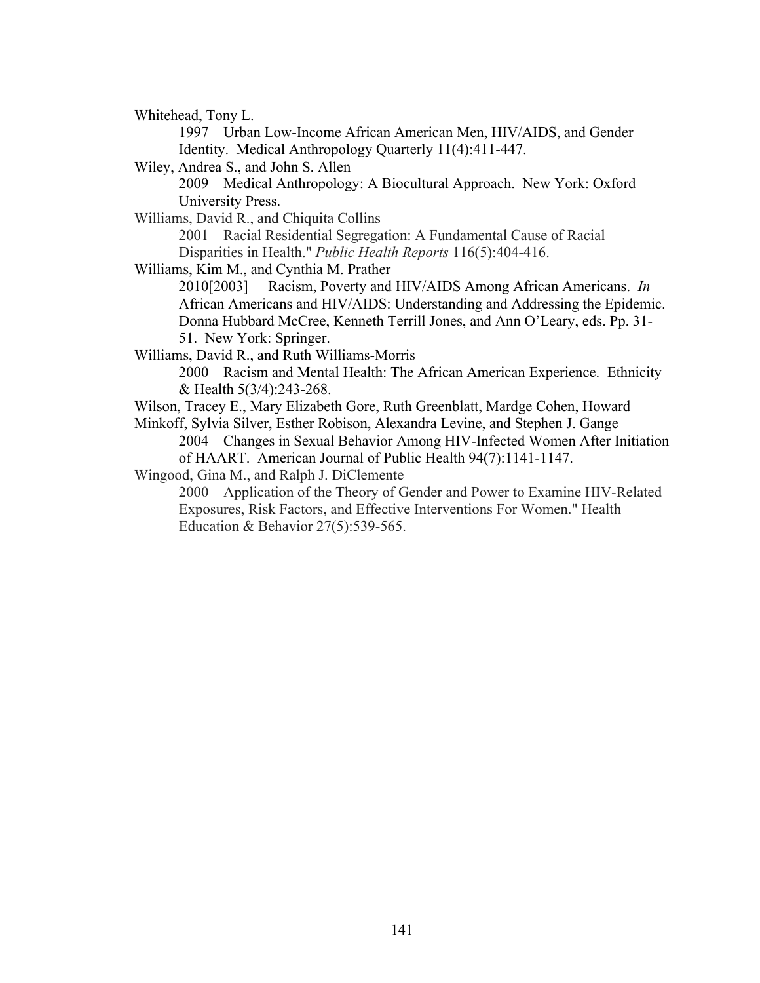Whitehead, Tony L.

1997 Urban Low-Income African American Men, HIV/AIDS, and Gender Identity. Medical Anthropology Quarterly 11(4):411-447.

Wiley, Andrea S., and John S. Allen

2009 Medical Anthropology: A Biocultural Approach. New York: Oxford University Press.

Williams, David R., and Chiquita Collins

2001 Racial Residential Segregation: A Fundamental Cause of Racial Disparities in Health." *Public Health Reports* 116(5):404-416.

Williams, Kim M., and Cynthia M. Prather

2010[2003] Racism, Poverty and HIV/AIDS Among African Americans. *In*  African Americans and HIV/AIDS: Understanding and Addressing the Epidemic. Donna Hubbard McCree, Kenneth Terrill Jones, and Ann O'Leary, eds. Pp. 31-

51. New York: Springer.

Williams, David R., and Ruth Williams-Morris

2000 Racism and Mental Health: The African American Experience. Ethnicity & Health 5(3/4):243-268.

Wilson, Tracey E., Mary Elizabeth Gore, Ruth Greenblatt, Mardge Cohen, Howard Minkoff, Sylvia Silver, Esther Robison, Alexandra Levine, and Stephen J. Gange

2004 Changes in Sexual Behavior Among HIV-Infected Women After Initiation of HAART. American Journal of Public Health 94(7):1141-1147.

Wingood, Gina M., and Ralph J. DiClemente

2000 Application of the Theory of Gender and Power to Examine HIV-Related Exposures, Risk Factors, and Effective Interventions For Women." Health Education & Behavior 27(5):539-565.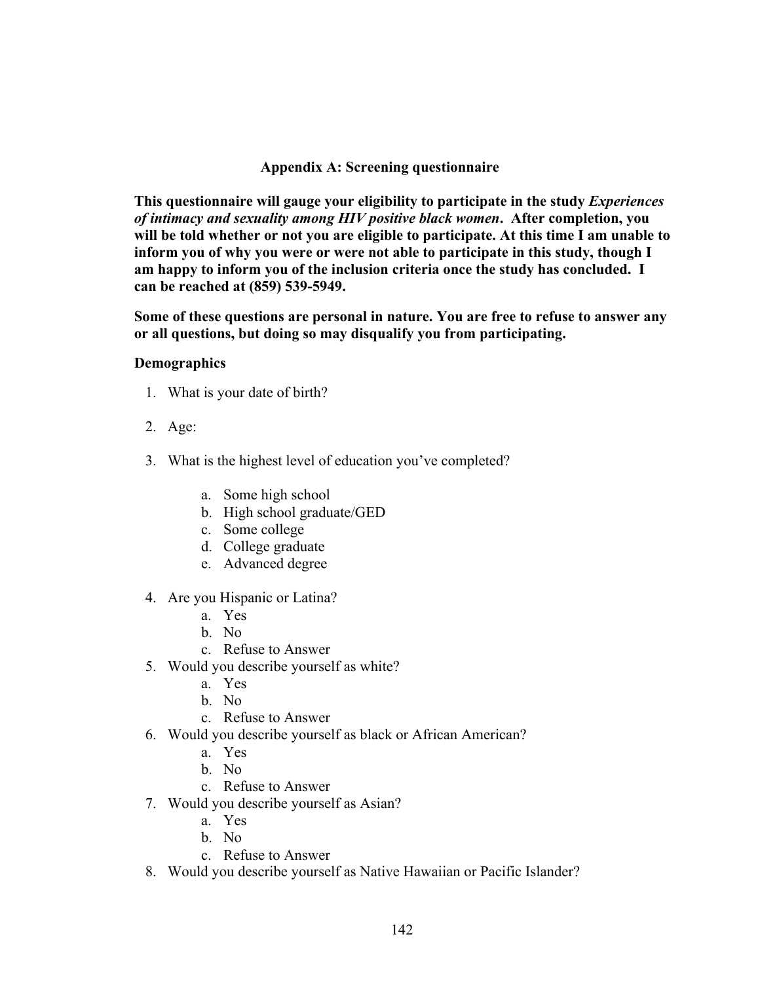# **Appendix A: Screening questionnaire**

**This questionnaire will gauge your eligibility to participate in the study** *Experiences of intimacy and sexuality among HIV positive black women***. After completion, you will be told whether or not you are eligible to participate. At this time I am unable to inform you of why you were or were not able to participate in this study, though I am happy to inform you of the inclusion criteria once the study has concluded. I can be reached at (859) 539-5949.**

**Some of these questions are personal in nature. You are free to refuse to answer any or all questions, but doing so may disqualify you from participating.**

# **Demographics**

- 1. What is your date of birth?
- 2. Age:
- 3. What is the highest level of education you've completed?
	- a. Some high school
	- b. High school graduate/GED
	- c. Some college
	- d. College graduate
	- e. Advanced degree
- 4. Are you Hispanic or Latina?
	- a. Yes
	- b. No
	- c. Refuse to Answer
- 5. Would you describe yourself as white?
	- a. Yes
	- b. No
	- c. Refuse to Answer
- 6. Would you describe yourself as black or African American?
	- a. Yes
	- b. No
	- c. Refuse to Answer
- 7. Would you describe yourself as Asian?
	- a. Yes
	- b. No
	- c. Refuse to Answer
- 8. Would you describe yourself as Native Hawaiian or Pacific Islander?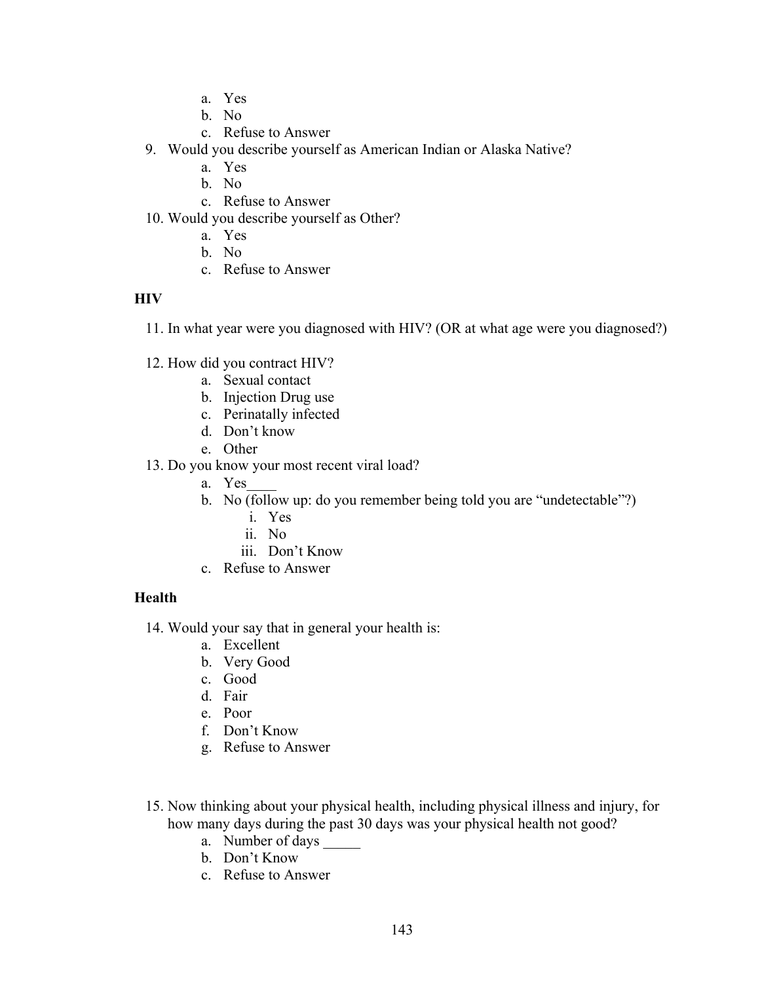- a. Yes
- b. No
- c. Refuse to Answer
- 9. Would you describe yourself as American Indian or Alaska Native?
	- a. Yes
	- b. No
	- c. Refuse to Answer

10. Would you describe yourself as Other?

- a. Yes
- b. No
- c. Refuse to Answer

# **HIV**

11. In what year were you diagnosed with HIV? (OR at what age were you diagnosed?)

- 12. How did you contract HIV?
	- a. Sexual contact
	- b. Injection Drug use
	- c. Perinatally infected
	- d. Don't know
	- e. Other
- 13. Do you know your most recent viral load?
	- a. Yes
	- b. No (follow up: do you remember being told you are "undetectable"?)
		- i. Yes
		- ii. No
		- iii. Don't Know
	- c. Refuse to Answer

# **Health**

14. Would your say that in general your health is:

- a. Excellent
- b. Very Good
- c. Good
- d. Fair
- e. Poor
- f. Don't Know
- g. Refuse to Answer
- 15. Now thinking about your physical health, including physical illness and injury, for how many days during the past 30 days was your physical health not good?
	- a. Number of days
	- b. Don't Know
	- c. Refuse to Answer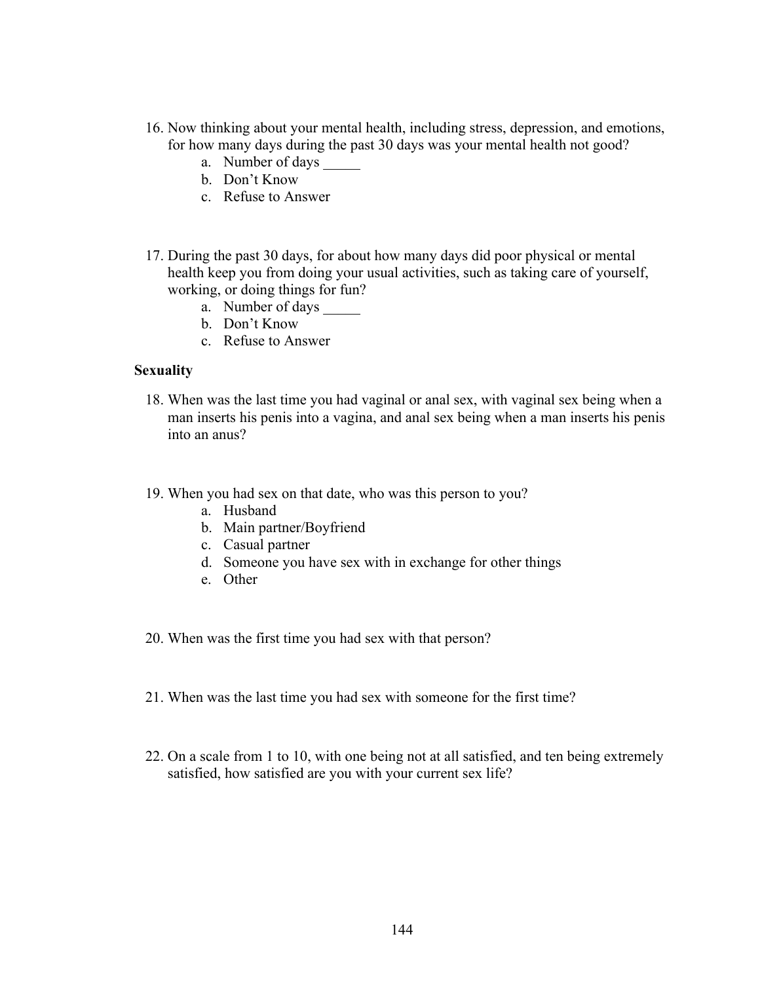- 16. Now thinking about your mental health, including stress, depression, and emotions, for how many days during the past 30 days was your mental health not good?
	- a. Number of days
	- b. Don't Know
	- c. Refuse to Answer
- 17. During the past 30 days, for about how many days did poor physical or mental health keep you from doing your usual activities, such as taking care of yourself, working, or doing things for fun?
	- a. Number of days
	- b. Don't Know
	- c. Refuse to Answer

## **Sexuality**

- 18. When was the last time you had vaginal or anal sex, with vaginal sex being when a man inserts his penis into a vagina, and anal sex being when a man inserts his penis into an anus?
- 19. When you had sex on that date, who was this person to you?
	- a. Husband
	- b. Main partner/Boyfriend
	- c. Casual partner
	- d. Someone you have sex with in exchange for other things
	- e. Other
- 20. When was the first time you had sex with that person?
- 21. When was the last time you had sex with someone for the first time?
- 22. On a scale from 1 to 10, with one being not at all satisfied, and ten being extremely satisfied, how satisfied are you with your current sex life?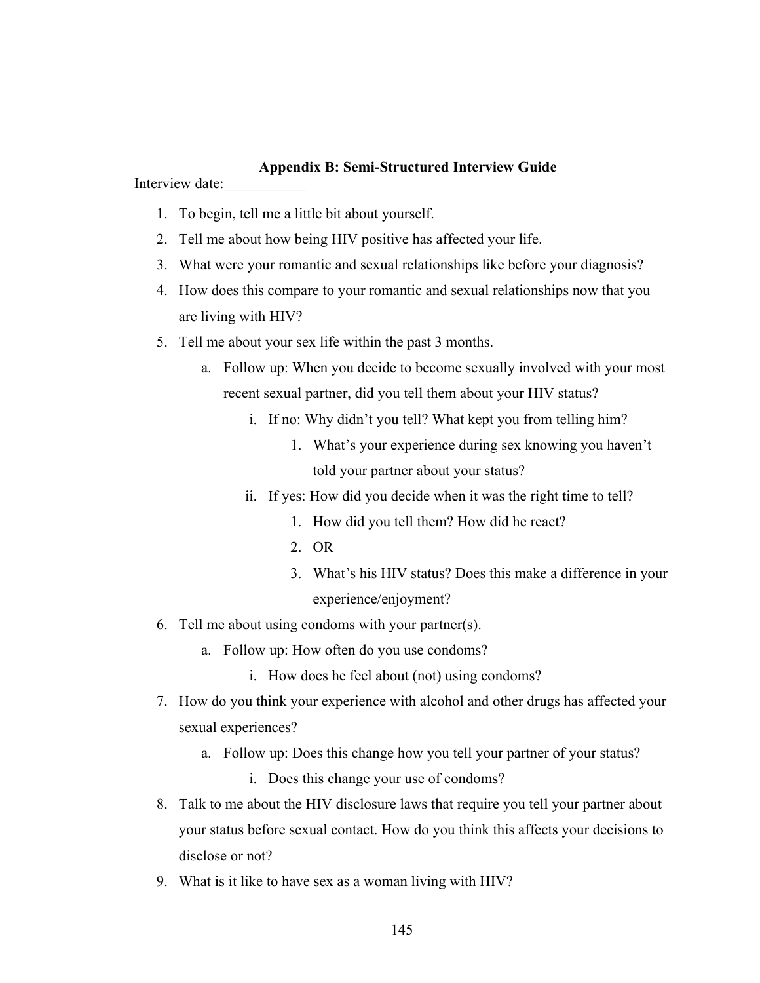## **Appendix B: Semi-Structured Interview Guide**

Interview date:

- 1. To begin, tell me a little bit about yourself.
- 2. Tell me about how being HIV positive has affected your life.
- 3. What were your romantic and sexual relationships like before your diagnosis?
- 4. How does this compare to your romantic and sexual relationships now that you are living with HIV?
- 5. Tell me about your sex life within the past 3 months.
	- a. Follow up: When you decide to become sexually involved with your most recent sexual partner, did you tell them about your HIV status?
		- i. If no: Why didn't you tell? What kept you from telling him?
			- 1. What's your experience during sex knowing you haven't told your partner about your status?
		- ii. If yes: How did you decide when it was the right time to tell?
			- 1. How did you tell them? How did he react?
			- 2. OR
			- 3. What's his HIV status? Does this make a difference in your experience/enjoyment?
- 6. Tell me about using condoms with your partner(s).
	- a. Follow up: How often do you use condoms?
		- i. How does he feel about (not) using condoms?
- 7. How do you think your experience with alcohol and other drugs has affected your sexual experiences?
	- a. Follow up: Does this change how you tell your partner of your status?
		- i. Does this change your use of condoms?
- 8. Talk to me about the HIV disclosure laws that require you tell your partner about your status before sexual contact. How do you think this affects your decisions to disclose or not?
- 9. What is it like to have sex as a woman living with HIV?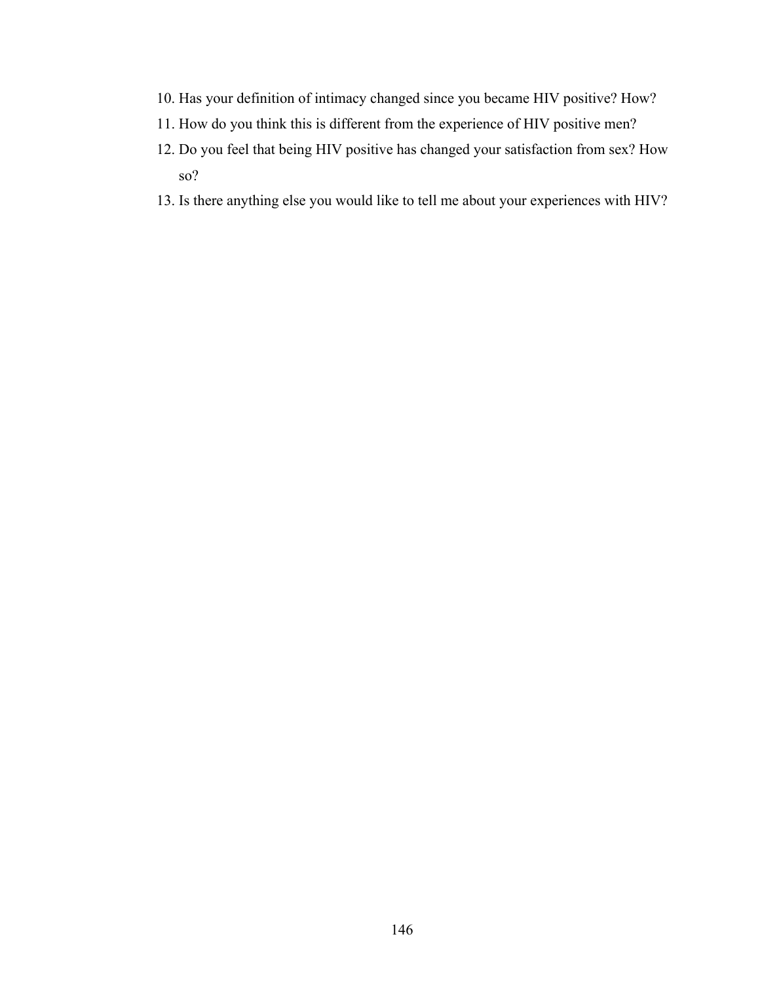- 10. Has your definition of intimacy changed since you became HIV positive? How?
- 11. How do you think this is different from the experience of HIV positive men?
- 12. Do you feel that being HIV positive has changed your satisfaction from sex? How so?
- 13. Is there anything else you would like to tell me about your experiences with HIV?